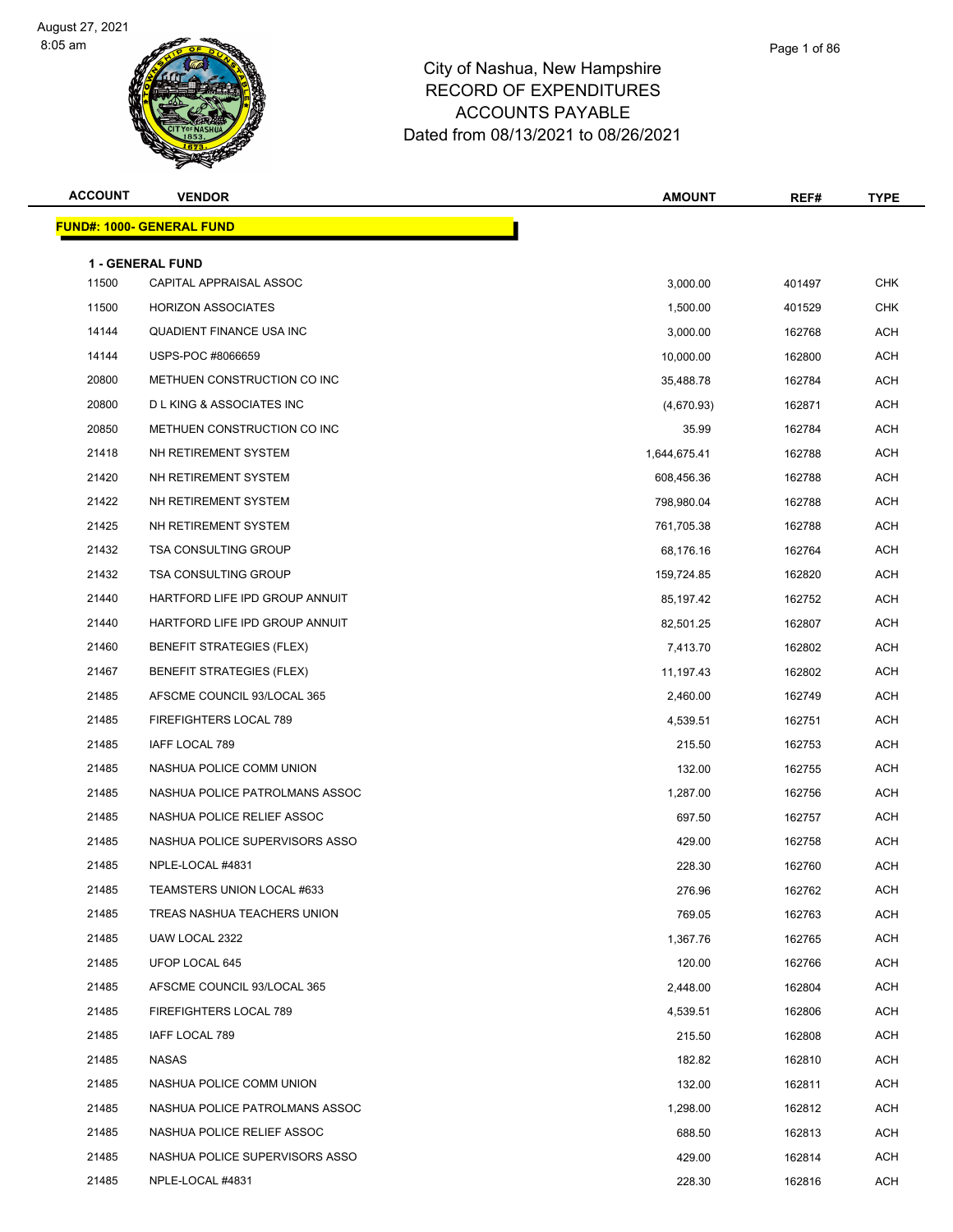



| <b>ACCOUNT</b> | <b>VENDOR</b>                      | <b>AMOUNT</b> | REF#   | <b>TYPE</b> |
|----------------|------------------------------------|---------------|--------|-------------|
|                | <b>FUND#: 1000- GENERAL FUND</b>   |               |        |             |
|                | <b>1 - GENERAL FUND</b>            |               |        |             |
| 11500          | CAPITAL APPRAISAL ASSOC            | 3,000.00      | 401497 | <b>CHK</b>  |
| 11500          | <b>HORIZON ASSOCIATES</b>          | 1,500.00      | 401529 | <b>CHK</b>  |
| 14144          | QUADIENT FINANCE USA INC           | 3,000.00      | 162768 | <b>ACH</b>  |
| 14144          | USPS-POC #8066659                  | 10,000.00     | 162800 | ACH         |
| 20800          | METHUEN CONSTRUCTION CO INC        | 35,488.78     | 162784 | <b>ACH</b>  |
| 20800          | <b>DLKING &amp; ASSOCIATES INC</b> | (4,670.93)    | 162871 | <b>ACH</b>  |
| 20850          | METHUEN CONSTRUCTION CO INC        | 35.99         | 162784 | ACH         |
| 21418          | NH RETIREMENT SYSTEM               | 1,644,675.41  | 162788 | <b>ACH</b>  |
| 21420          | NH RETIREMENT SYSTEM               | 608,456.36    | 162788 | ACH         |
| 21422          | NH RETIREMENT SYSTEM               | 798,980.04    | 162788 | <b>ACH</b>  |
| 21425          | NH RETIREMENT SYSTEM               | 761,705.38    | 162788 | <b>ACH</b>  |
| 21432          | <b>TSA CONSULTING GROUP</b>        | 68,176.16     | 162764 | ACH         |
| 21432          | <b>TSA CONSULTING GROUP</b>        | 159,724.85    | 162820 | <b>ACH</b>  |
| 21440          | HARTFORD LIFE IPD GROUP ANNUIT     | 85,197.42     | 162752 | ACH         |
| 21440          | HARTFORD LIFE IPD GROUP ANNUIT     | 82,501.25     | 162807 | <b>ACH</b>  |
| 21460          | <b>BENEFIT STRATEGIES (FLEX)</b>   | 7,413.70      | 162802 | <b>ACH</b>  |
| 21467          | <b>BENEFIT STRATEGIES (FLEX)</b>   | 11,197.43     | 162802 | ACH         |
| 21485          | AFSCME COUNCIL 93/LOCAL 365        | 2,460.00      | 162749 | <b>ACH</b>  |
| 21485          | FIREFIGHTERS LOCAL 789             | 4,539.51      | 162751 | ACH         |
| 21485          | IAFF LOCAL 789                     | 215.50        | 162753 | <b>ACH</b>  |
| 21485          | NASHUA POLICE COMM UNION           | 132.00        | 162755 | <b>ACH</b>  |
| 21485          | NASHUA POLICE PATROLMANS ASSOC     | 1,287.00      | 162756 | ACH         |
| 21485          | NASHUA POLICE RELIEF ASSOC         | 697.50        | 162757 | <b>ACH</b>  |
| 21485          | NASHUA POLICE SUPERVISORS ASSO     | 429.00        | 162758 | ACH         |
| 21485          | NPLE-LOCAL #4831                   | 228.30        | 162760 | <b>ACH</b>  |
| 21485          | TEAMSTERS UNION LOCAL #633         | 276.96        | 162762 | ACH         |
| 21485          | TREAS NASHUA TEACHERS UNION        | 769.05        | 162763 | ACH         |
| 21485          | UAW LOCAL 2322                     | 1,367.76      | 162765 | <b>ACH</b>  |
| 21485          | UFOP LOCAL 645                     | 120.00        | 162766 | ACH         |
| 21485          | AFSCME COUNCIL 93/LOCAL 365        | 2,448.00      | 162804 | <b>ACH</b>  |
| 21485          | FIREFIGHTERS LOCAL 789             | 4,539.51      | 162806 | ACH         |
| 21485          | IAFF LOCAL 789                     | 215.50        | 162808 | ACH         |
| 21485          | NASAS                              | 182.82        | 162810 | ACH         |
| 21485          | NASHUA POLICE COMM UNION           | 132.00        | 162811 | ACH         |
| 21485          | NASHUA POLICE PATROLMANS ASSOC     | 1,298.00      | 162812 | ACH         |
| 21485          | NASHUA POLICE RELIEF ASSOC         | 688.50        | 162813 | ACH         |
| 21485          | NASHUA POLICE SUPERVISORS ASSO     | 429.00        | 162814 | ACH         |
| 21485          | NPLE-LOCAL #4831                   | 228.30        | 162816 | <b>ACH</b>  |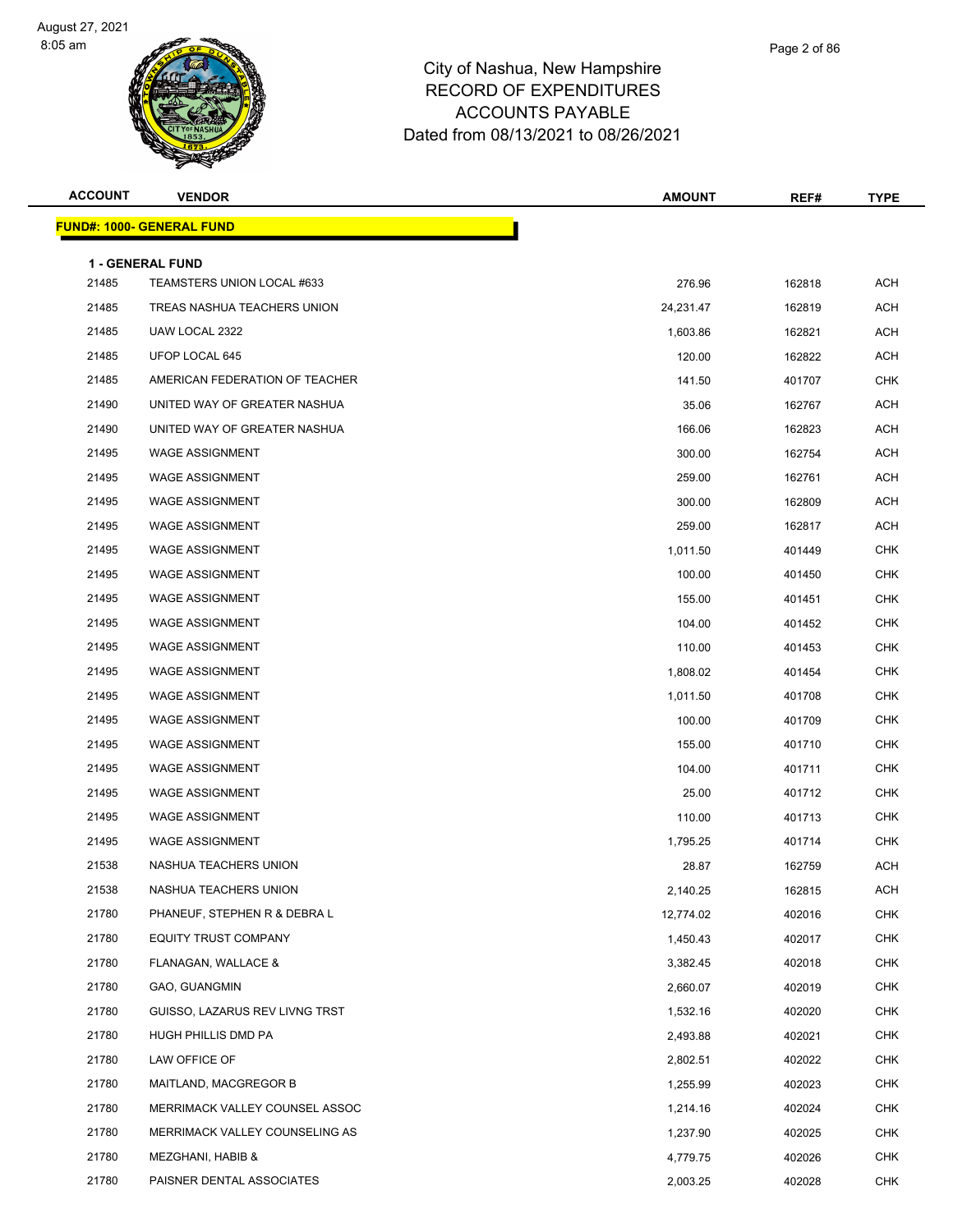



| <b>ACCOUNT</b> | <b>VENDOR</b>                                  | <b>AMOUNT</b> | REF#   | <b>TYPE</b> |
|----------------|------------------------------------------------|---------------|--------|-------------|
|                | <b>FUND#: 1000- GENERAL FUND</b>               |               |        |             |
|                |                                                |               |        |             |
| 21485          | 1 - GENERAL FUND<br>TEAMSTERS UNION LOCAL #633 | 276.96        | 162818 | ACH         |
| 21485          | TREAS NASHUA TEACHERS UNION                    | 24,231.47     | 162819 | <b>ACH</b>  |
| 21485          | UAW LOCAL 2322                                 | 1,603.86      | 162821 | ACH         |
| 21485          | UFOP LOCAL 645                                 | 120.00        | 162822 | <b>ACH</b>  |
| 21485          | AMERICAN FEDERATION OF TEACHER                 | 141.50        | 401707 | <b>CHK</b>  |
| 21490          | UNITED WAY OF GREATER NASHUA                   | 35.06         | 162767 | ACH         |
| 21490          | UNITED WAY OF GREATER NASHUA                   | 166.06        | 162823 | ACH         |
| 21495          | <b>WAGE ASSIGNMENT</b>                         | 300.00        | 162754 | ACH         |
| 21495          | <b>WAGE ASSIGNMENT</b>                         | 259.00        | 162761 | <b>ACH</b>  |
| 21495          | <b>WAGE ASSIGNMENT</b>                         | 300.00        | 162809 | <b>ACH</b>  |
| 21495          | <b>WAGE ASSIGNMENT</b>                         | 259.00        | 162817 | ACH         |
| 21495          | <b>WAGE ASSIGNMENT</b>                         | 1,011.50      | 401449 | <b>CHK</b>  |
| 21495          | <b>WAGE ASSIGNMENT</b>                         | 100.00        | 401450 | <b>CHK</b>  |
| 21495          | <b>WAGE ASSIGNMENT</b>                         | 155.00        | 401451 | <b>CHK</b>  |
| 21495          | <b>WAGE ASSIGNMENT</b>                         | 104.00        | 401452 | <b>CHK</b>  |
| 21495          | <b>WAGE ASSIGNMENT</b>                         | 110.00        | 401453 | CHK         |
| 21495          | <b>WAGE ASSIGNMENT</b>                         | 1,808.02      | 401454 | <b>CHK</b>  |
| 21495          | <b>WAGE ASSIGNMENT</b>                         | 1,011.50      | 401708 | <b>CHK</b>  |
| 21495          | <b>WAGE ASSIGNMENT</b>                         | 100.00        | 401709 | <b>CHK</b>  |
| 21495          | <b>WAGE ASSIGNMENT</b>                         | 155.00        | 401710 | <b>CHK</b>  |
| 21495          | <b>WAGE ASSIGNMENT</b>                         | 104.00        | 401711 | CHK         |
| 21495          | <b>WAGE ASSIGNMENT</b>                         | 25.00         | 401712 | <b>CHK</b>  |
| 21495          | <b>WAGE ASSIGNMENT</b>                         | 110.00        | 401713 | <b>CHK</b>  |
| 21495          | <b>WAGE ASSIGNMENT</b>                         | 1,795.25      | 401714 | <b>CHK</b>  |
| 21538          | NASHUA TEACHERS UNION                          | 28.87         | 162759 | <b>ACH</b>  |
| 21538          | NASHUA TEACHERS UNION                          | 2,140.25      | 162815 | ACH         |
| 21780          | PHANEUF, STEPHEN R & DEBRA L                   | 12,774.02     | 402016 | <b>CHK</b>  |
| 21780          | EQUITY TRUST COMPANY                           | 1,450.43      | 402017 | <b>CHK</b>  |
| 21780          | FLANAGAN, WALLACE &                            | 3,382.45      | 402018 | <b>CHK</b>  |
| 21780          | GAO, GUANGMIN                                  | 2,660.07      | 402019 | <b>CHK</b>  |
| 21780          | GUISSO, LAZARUS REV LIVNG TRST                 | 1,532.16      | 402020 | <b>CHK</b>  |
| 21780          | HUGH PHILLIS DMD PA                            | 2,493.88      | 402021 | <b>CHK</b>  |
| 21780          | LAW OFFICE OF                                  | 2,802.51      | 402022 | <b>CHK</b>  |
| 21780          | MAITLAND, MACGREGOR B                          | 1,255.99      | 402023 | <b>CHK</b>  |
| 21780          | MERRIMACK VALLEY COUNSEL ASSOC                 | 1,214.16      | 402024 | <b>CHK</b>  |
| 21780          | MERRIMACK VALLEY COUNSELING AS                 | 1,237.90      | 402025 | <b>CHK</b>  |
| 21780          | MEZGHANI, HABIB &                              | 4,779.75      | 402026 | <b>CHK</b>  |
| 21780          | PAISNER DENTAL ASSOCIATES                      | 2,003.25      | 402028 | <b>CHK</b>  |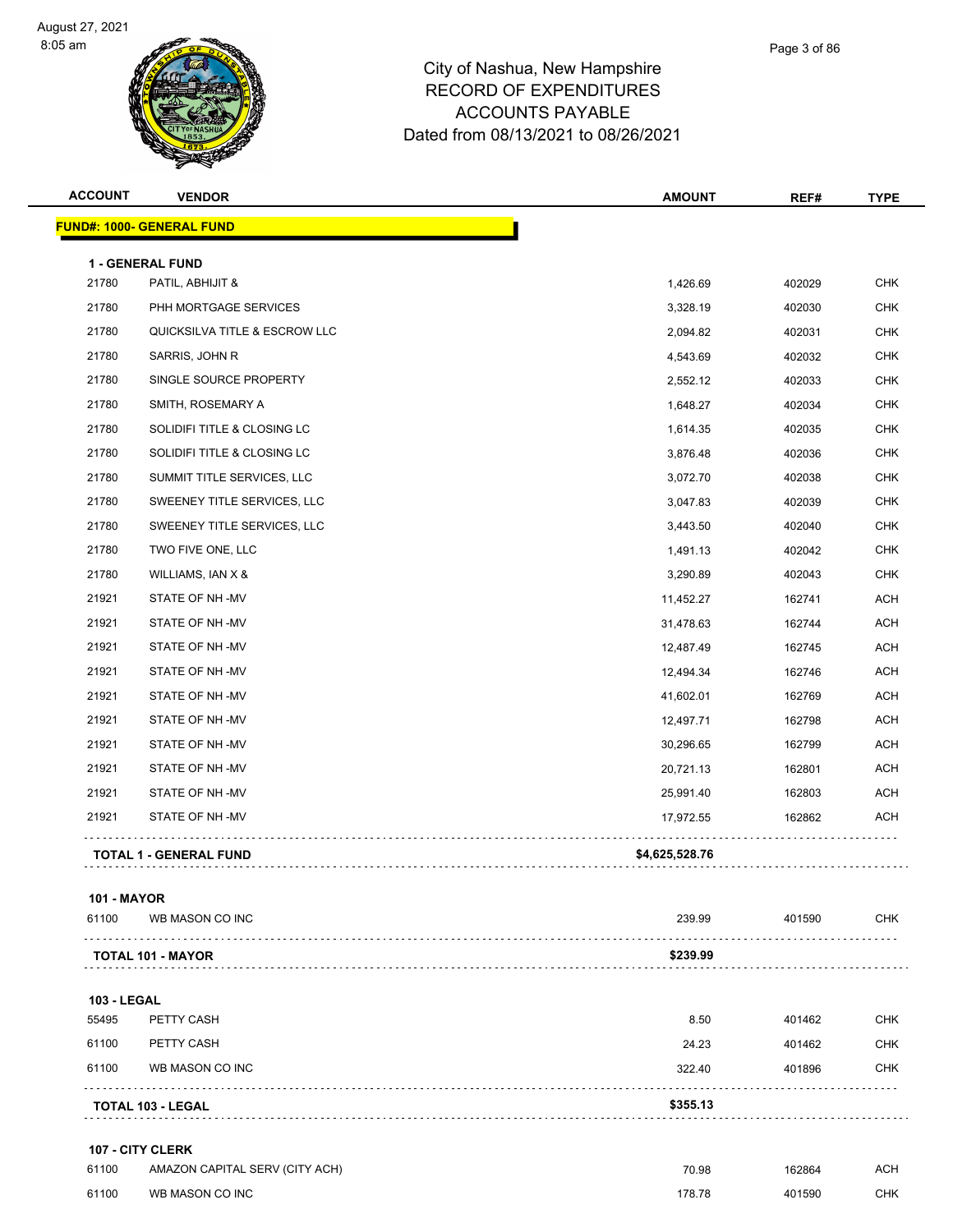



| <b>ACCOUNT</b>     | <b>VENDOR</b>                        | <b>AMOUNT</b>  | REF#   | <b>TYPE</b> |
|--------------------|--------------------------------------|----------------|--------|-------------|
|                    | <b>FUND#: 1000- GENERAL FUND</b>     |                |        |             |
|                    |                                      |                |        |             |
| 21780              | 1 - GENERAL FUND<br>PATIL, ABHIJIT & | 1,426.69       | 402029 | <b>CHK</b>  |
| 21780              | PHH MORTGAGE SERVICES                | 3,328.19       | 402030 | <b>CHK</b>  |
| 21780              | QUICKSILVA TITLE & ESCROW LLC        | 2,094.82       | 402031 | <b>CHK</b>  |
| 21780              | SARRIS, JOHN R                       | 4,543.69       | 402032 | <b>CHK</b>  |
| 21780              | SINGLE SOURCE PROPERTY               | 2,552.12       | 402033 | <b>CHK</b>  |
| 21780              | SMITH, ROSEMARY A                    | 1,648.27       | 402034 | <b>CHK</b>  |
| 21780              | SOLIDIFI TITLE & CLOSING LC          | 1,614.35       | 402035 | <b>CHK</b>  |
| 21780              | SOLIDIFI TITLE & CLOSING LC          | 3,876.48       | 402036 | <b>CHK</b>  |
| 21780              | SUMMIT TITLE SERVICES, LLC           | 3,072.70       | 402038 | <b>CHK</b>  |
| 21780              | SWEENEY TITLE SERVICES, LLC          | 3,047.83       | 402039 | <b>CHK</b>  |
| 21780              | SWEENEY TITLE SERVICES, LLC          | 3,443.50       | 402040 | <b>CHK</b>  |
| 21780              | TWO FIVE ONE, LLC                    | 1,491.13       | 402042 | <b>CHK</b>  |
| 21780              | WILLIAMS, IAN X &                    | 3,290.89       | 402043 | <b>CHK</b>  |
| 21921              | STATE OF NH-MV                       | 11,452.27      | 162741 | <b>ACH</b>  |
| 21921              | STATE OF NH-MV                       | 31,478.63      | 162744 | <b>ACH</b>  |
| 21921              | STATE OF NH-MV                       | 12,487.49      | 162745 | <b>ACH</b>  |
| 21921              | STATE OF NH-MV                       | 12,494.34      | 162746 | ACH         |
| 21921              | STATE OF NH-MV                       | 41,602.01      | 162769 | <b>ACH</b>  |
| 21921              | STATE OF NH-MV                       | 12,497.71      | 162798 | <b>ACH</b>  |
| 21921              | STATE OF NH-MV                       | 30,296.65      | 162799 | <b>ACH</b>  |
| 21921              | STATE OF NH-MV                       | 20,721.13      | 162801 | <b>ACH</b>  |
| 21921              | STATE OF NH-MV                       | 25,991.40      | 162803 | <b>ACH</b>  |
| 21921              | STATE OF NH-MV                       | 17,972.55      | 162862 | <b>ACH</b>  |
|                    | .<br><b>TOTAL 1 - GENERAL FUND</b>   | \$4,625,528.76 |        |             |
| <b>101 - MAYOR</b> |                                      |                |        |             |
| 61100              | WB MASON CO INC                      | 239.99         | 401590 | <b>CHK</b>  |
|                    | <b>TOTAL 101 - MAYOR</b>             | \$239.99       |        |             |
|                    |                                      |                |        |             |

| <b>103 - LEGAL</b> |
|--------------------|
|--------------------|

|       | <b>TOTAL 103 - LEGAL</b> | \$355.13 |        |            |
|-------|--------------------------|----------|--------|------------|
| 61100 | WB MASON CO INC          | 322.40   | 401896 | <b>CHK</b> |
| 61100 | PETTY CASH               | 24.23    | 401462 | <b>CHK</b> |
| 55495 | PETTY CASH               | 8.50     | 401462 | <b>CHK</b> |
|       | 103 - LEGAL              |          |        |            |

| 61100 | AMAZON CAPITAL SERV (CITY ACH) | 70.98  | 162864 | ACH |
|-------|--------------------------------|--------|--------|-----|
| 61100 | WB MASON CO INC                | 178.78 | 401590 | CHK |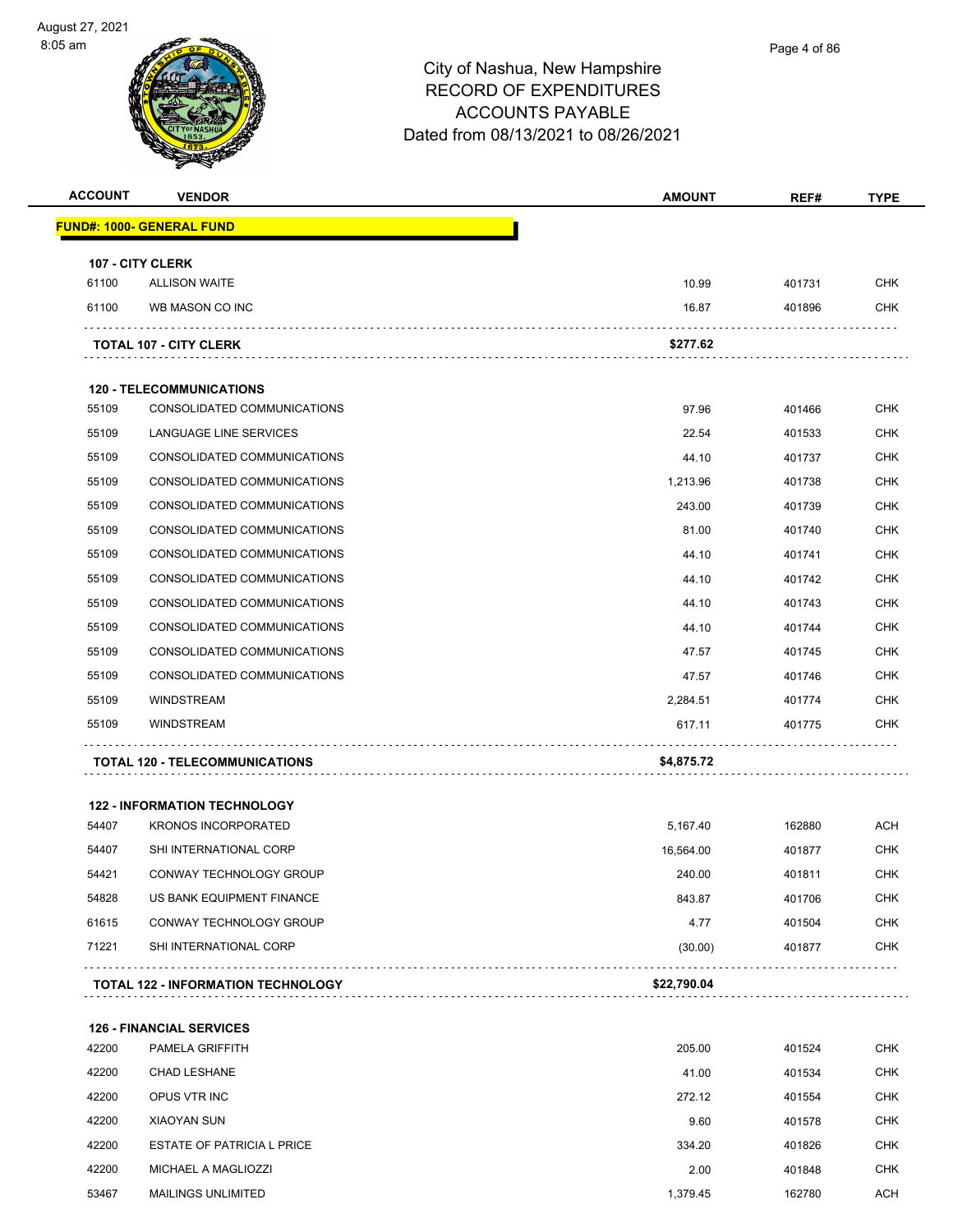| <b>ACCOUNT</b> | <b>VENDOR</b>                                                     | <b>AMOUNT</b> | REF#   | <b>TYPE</b> |
|----------------|-------------------------------------------------------------------|---------------|--------|-------------|
|                | <b>FUND#: 1000- GENERAL FUND</b>                                  |               |        |             |
|                | 107 - CITY CLERK                                                  |               |        |             |
| 61100          | <b>ALLISON WAITE</b>                                              | 10.99         | 401731 | <b>CHK</b>  |
| 61100          | WB MASON CO INC                                                   | 16.87         | 401896 | CHK         |
|                | <b>TOTAL 107 - CITY CLERK</b>                                     | \$277.62      |        |             |
|                | <b>120 - TELECOMMUNICATIONS</b>                                   |               |        |             |
| 55109          | CONSOLIDATED COMMUNICATIONS                                       | 97.96         | 401466 | <b>CHK</b>  |
| 55109          | LANGUAGE LINE SERVICES                                            | 22.54         | 401533 | CHK         |
| 55109          | CONSOLIDATED COMMUNICATIONS                                       | 44.10         | 401737 | CHK         |
| 55109          | CONSOLIDATED COMMUNICATIONS                                       | 1,213.96      | 401738 | <b>CHK</b>  |
| 55109          | CONSOLIDATED COMMUNICATIONS                                       | 243.00        | 401739 | <b>CHK</b>  |
| 55109          | CONSOLIDATED COMMUNICATIONS                                       | 81.00         | 401740 | <b>CHK</b>  |
| 55109          | CONSOLIDATED COMMUNICATIONS                                       | 44.10         | 401741 | CHK         |
| 55109          | CONSOLIDATED COMMUNICATIONS                                       | 44.10         | 401742 | <b>CHK</b>  |
| 55109          | CONSOLIDATED COMMUNICATIONS                                       | 44.10         | 401743 | CHK         |
| 55109          | CONSOLIDATED COMMUNICATIONS                                       | 44.10         | 401744 | CHK         |
| 55109          | CONSOLIDATED COMMUNICATIONS                                       | 47.57         | 401745 | <b>CHK</b>  |
| 55109          | CONSOLIDATED COMMUNICATIONS                                       | 47.57         | 401746 | CHK         |
| 55109          | <b>WINDSTREAM</b>                                                 | 2,284.51      | 401774 | CHK         |
| 55109          | <b>WINDSTREAM</b>                                                 | 617.11        | 401775 | CHK         |
|                | <b>TOTAL 120 - TELECOMMUNICATIONS</b>                             | \$4,875.72    |        |             |
|                |                                                                   |               |        |             |
| 54407          | <b>122 - INFORMATION TECHNOLOGY</b><br><b>KRONOS INCORPORATED</b> | 5,167.40      | 162880 | ACH         |
| 54407          | SHI INTERNATIONAL CORP                                            | 16,564.00     | 401877 | CHK         |
| 54421          | CONWAY TECHNOLOGY GROUP                                           | 240.00        | 401811 | <b>CHK</b>  |
| 54828          | US BANK EQUIPMENT FINANCE                                         | 843.87        | 401706 | <b>CHK</b>  |
| 61615          | CONWAY TECHNOLOGY GROUP                                           | 4.77          | 401504 | <b>CHK</b>  |
| 71221          | SHI INTERNATIONAL CORP                                            | (30.00)       | 401877 | CHK         |
|                |                                                                   |               |        |             |
|                | <b>TOTAL 122 - INFORMATION TECHNOLOGY</b>                         | \$22,790.04   |        |             |

|       | <b>126 - FINANCIAL SERVICES</b>   |          |        |            |
|-------|-----------------------------------|----------|--------|------------|
| 42200 | <b>PAMELA GRIFFITH</b>            | 205.00   | 401524 | <b>CHK</b> |
| 42200 | <b>CHAD LESHANE</b>               | 41.00    | 401534 | <b>CHK</b> |
| 42200 | OPUS VTR INC                      | 272.12   | 401554 | <b>CHK</b> |
| 42200 | <b>XIAOYAN SUN</b>                | 9.60     | 401578 | <b>CHK</b> |
| 42200 | <b>ESTATE OF PATRICIA L PRICE</b> | 334.20   | 401826 | <b>CHK</b> |
| 42200 | MICHAEL A MAGLIOZZI               | 2.00     | 401848 | <b>CHK</b> |
| 53467 | <b>MAILINGS UNLIMITED</b>         | 1,379.45 | 162780 | <b>ACH</b> |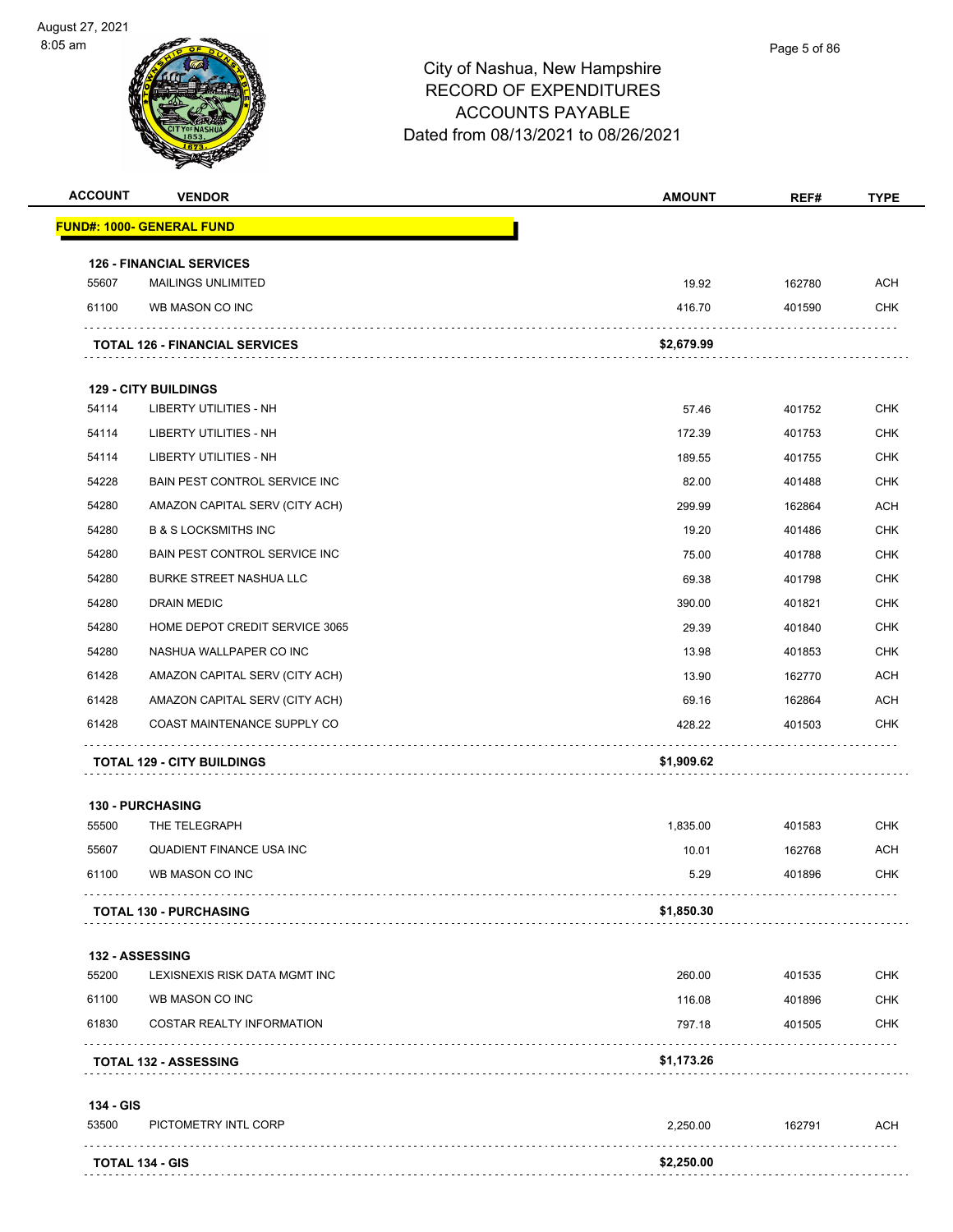

| <b>ACCOUNT</b> | <b>VENDOR</b>                            | <b>AMOUNT</b> | REF#   | <b>TYPE</b> |
|----------------|------------------------------------------|---------------|--------|-------------|
|                | <u> FUND#: 1000- GENERAL FUND</u>        |               |        |             |
|                | <b>126 - FINANCIAL SERVICES</b>          |               |        |             |
| 55607          | <b>MAILINGS UNLIMITED</b>                | 19.92         | 162780 | <b>ACH</b>  |
| 61100          | WB MASON CO INC                          | 416.70        | 401590 | <b>CHK</b>  |
|                | <b>TOTAL 126 - FINANCIAL SERVICES</b>    | \$2,679.99    |        |             |
|                | <b>129 - CITY BUILDINGS</b>              |               |        |             |
| 54114          | LIBERTY UTILITIES - NH                   | 57.46         | 401752 | CHK         |
| 54114          | LIBERTY UTILITIES - NH                   | 172.39        | 401753 | <b>CHK</b>  |
| 54114          | LIBERTY UTILITIES - NH                   | 189.55        | 401755 | CHK         |
| 54228          | BAIN PEST CONTROL SERVICE INC            | 82.00         | 401488 | <b>CHK</b>  |
| 54280          | AMAZON CAPITAL SERV (CITY ACH)           | 299.99        | 162864 | <b>ACH</b>  |
| 54280          | <b>B &amp; S LOCKSMITHS INC</b>          | 19.20         | 401486 | CHK         |
| 54280          | BAIN PEST CONTROL SERVICE INC            | 75.00         | 401788 | <b>CHK</b>  |
| 54280          | <b>BURKE STREET NASHUA LLC</b>           | 69.38         | 401798 | <b>CHK</b>  |
| 54280          | DRAIN MEDIC                              | 390.00        | 401821 | <b>CHK</b>  |
| 54280          | HOME DEPOT CREDIT SERVICE 3065           | 29.39         | 401840 | <b>CHK</b>  |
| 54280          | NASHUA WALLPAPER CO INC                  | 13.98         | 401853 | CHK         |
| 61428          | AMAZON CAPITAL SERV (CITY ACH)           | 13.90         | 162770 | <b>ACH</b>  |
| 61428          | AMAZON CAPITAL SERV (CITY ACH)           | 69.16         | 162864 | ACH         |
| 61428          | COAST MAINTENANCE SUPPLY CO              | 428.22        | 401503 | <b>CHK</b>  |
|                | <b>TOTAL 129 - CITY BUILDINGS</b>        | \$1,909.62    |        |             |
|                |                                          |               |        |             |
| 55500          | <b>130 - PURCHASING</b><br>THE TELEGRAPH | 1,835.00      | 401583 | <b>CHK</b>  |
| 55607          | QUADIENT FINANCE USA INC                 | 10.01         | 162768 | ACH         |
| 61100          | WB MASON CO INC                          | 5.29          | 401896 | <b>CHK</b>  |
|                | <b>TOTAL 130 - PURCHASING</b>            | \$1,850.30    |        |             |
|                | 132 - ASSESSING                          |               |        |             |
| 55200          | LEXISNEXIS RISK DATA MGMT INC            | 260.00        | 401535 | CHK         |
| 61100          | WB MASON CO INC                          | 116.08        | 401896 | <b>CHK</b>  |
| 61830          | COSTAR REALTY INFORMATION                | 797.18        | 401505 | CHK         |
|                | <b>TOTAL 132 - ASSESSING</b>             | \$1,173.26    |        |             |
| 134 - GIS      |                                          |               |        |             |
| 53500          | PICTOMETRY INTL CORP                     | 2,250.00      | 162791 | <b>ACH</b>  |
|                | <b>TOTAL 134 - GIS</b>                   | \$2,250.00    |        |             |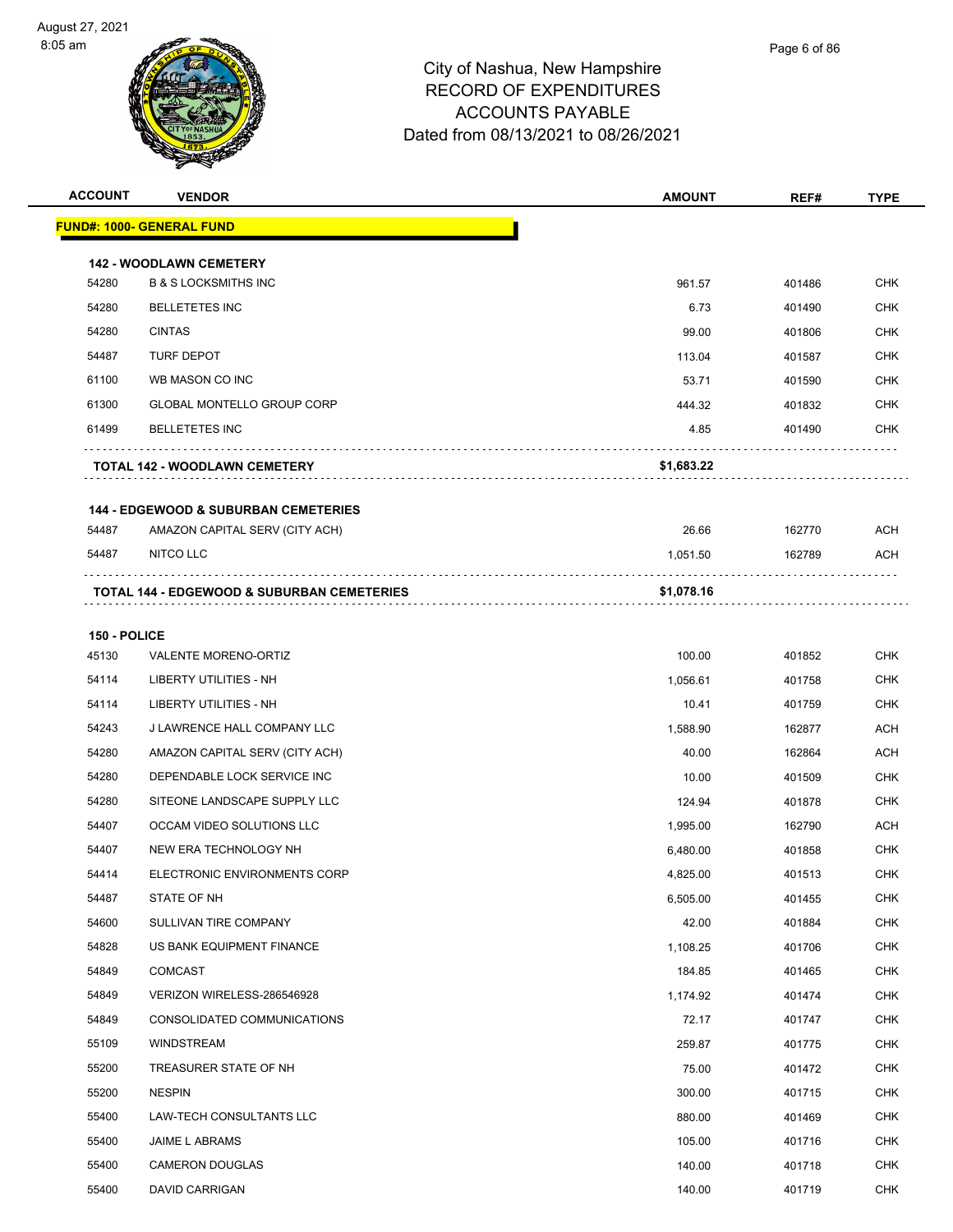



| <b>ACCOUNT</b> | <b>VENDOR</b>                                   | <b>AMOUNT</b> | REF#   | <b>TYPE</b> |
|----------------|-------------------------------------------------|---------------|--------|-------------|
|                | <b>FUND#: 1000- GENERAL FUND</b>                |               |        |             |
|                | <b>142 - WOODLAWN CEMETERY</b>                  |               |        |             |
| 54280          | <b>B &amp; S LOCKSMITHS INC</b>                 | 961.57        | 401486 | <b>CHK</b>  |
| 54280          | <b>BELLETETES INC</b>                           | 6.73          | 401490 | <b>CHK</b>  |
| 54280          | <b>CINTAS</b>                                   | 99.00         | 401806 | <b>CHK</b>  |
| 54487          | <b>TURF DEPOT</b>                               | 113.04        | 401587 | <b>CHK</b>  |
| 61100          | WB MASON CO INC                                 | 53.71         | 401590 | <b>CHK</b>  |
| 61300          | <b>GLOBAL MONTELLO GROUP CORP</b>               | 444.32        | 401832 | <b>CHK</b>  |
| 61499          | <b>BELLETETES INC</b>                           | 4.85          | 401490 | CHK         |
|                | TOTAL 142 - WOODLAWN CEMETERY                   | \$1,683.22    |        |             |
|                | <b>144 - EDGEWOOD &amp; SUBURBAN CEMETERIES</b> |               |        |             |
| 54487          | AMAZON CAPITAL SERV (CITY ACH)                  | 26.66         | 162770 | <b>ACH</b>  |
| 54487          | NITCO LLC                                       | 1,051.50      | 162789 | ACH         |
|                | TOTAL 144 - EDGEWOOD & SUBURBAN CEMETERIES      | \$1,078.16    |        |             |
| 150 - POLICE   |                                                 |               |        |             |
| 45130          | VALENTE MORENO-ORTIZ                            | 100.00        | 401852 | <b>CHK</b>  |
| 54114          | LIBERTY UTILITIES - NH                          | 1,056.61      | 401758 | <b>CHK</b>  |
| 54114          | LIBERTY UTILITIES - NH                          | 10.41         | 401759 | <b>CHK</b>  |
| 54243          | J LAWRENCE HALL COMPANY LLC                     | 1,588.90      | 162877 | <b>ACH</b>  |
| 54280          | AMAZON CAPITAL SERV (CITY ACH)                  | 40.00         | 162864 | <b>ACH</b>  |
| 54280          | DEPENDABLE LOCK SERVICE INC                     | 10.00         | 401509 | <b>CHK</b>  |
| 54280          | SITEONE LANDSCAPE SUPPLY LLC                    | 124.94        | 401878 | <b>CHK</b>  |
| 54407          | OCCAM VIDEO SOLUTIONS LLC                       | 1,995.00      | 162790 | <b>ACH</b>  |
| 54407          | NEW ERA TECHNOLOGY NH                           | 6,480.00      | 401858 | <b>CHK</b>  |
| 54414          | ELECTRONIC ENVIRONMENTS CORP                    | 4,825.00      | 401513 | <b>CHK</b>  |
| 54487          | STATE OF NH                                     | 6,505.00      | 401455 | <b>CHK</b>  |
| 54600          | SULLIVAN TIRE COMPANY                           | 42.00         | 401884 | <b>CHK</b>  |
| 54828          | US BANK EQUIPMENT FINANCE                       | 1,108.25      | 401706 | <b>CHK</b>  |
| 54849          | COMCAST                                         | 184.85        | 401465 | <b>CHK</b>  |
| 54849          | VERIZON WIRELESS-286546928                      | 1,174.92      | 401474 | <b>CHK</b>  |
| 54849          | CONSOLIDATED COMMUNICATIONS                     | 72.17         | 401747 | <b>CHK</b>  |
| 55109          | WINDSTREAM                                      | 259.87        | 401775 | <b>CHK</b>  |
| 55200          | TREASURER STATE OF NH                           | 75.00         | 401472 | <b>CHK</b>  |
| 55200          | <b>NESPIN</b>                                   | 300.00        | 401715 | <b>CHK</b>  |
| 55400          | LAW-TECH CONSULTANTS LLC                        | 880.00        | 401469 | <b>CHK</b>  |
| 55400          | JAIME L ABRAMS                                  | 105.00        | 401716 | <b>CHK</b>  |
| 55400          | <b>CAMERON DOUGLAS</b>                          | 140.00        | 401718 | <b>CHK</b>  |
| 55400          | DAVID CARRIGAN                                  | 140.00        | 401719 | <b>CHK</b>  |
|                |                                                 |               |        |             |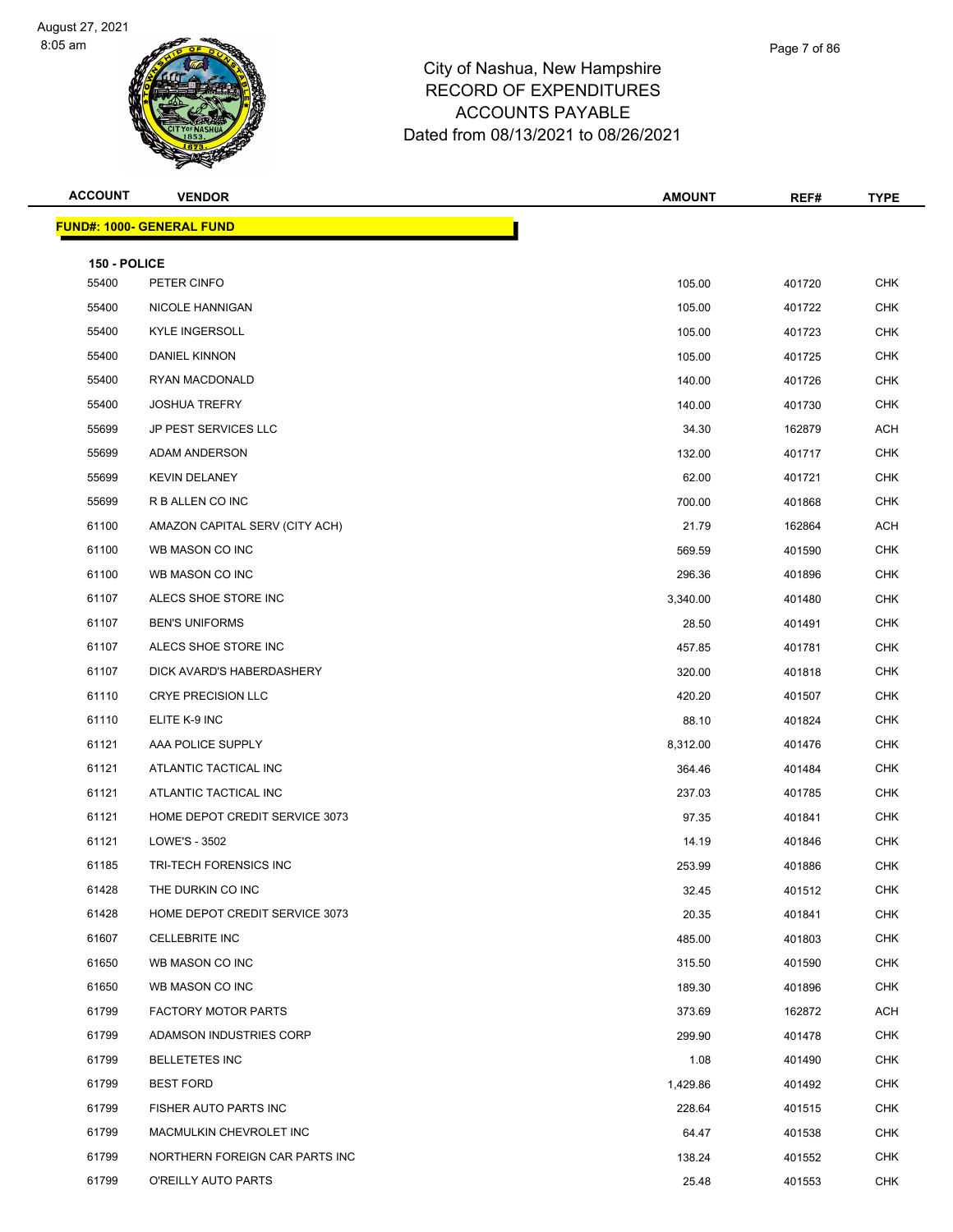



| <b>ACCOUNT</b> | <b>VENDOR</b>                    | <b>AMOUNT</b> | REF#   | <b>TYPE</b> |
|----------------|----------------------------------|---------------|--------|-------------|
|                | <b>FUND#: 1000- GENERAL FUND</b> |               |        |             |
| 150 - POLICE   |                                  |               |        |             |
| 55400          | PETER CINFO                      | 105.00        | 401720 | <b>CHK</b>  |
| 55400          | NICOLE HANNIGAN                  | 105.00        | 401722 | <b>CHK</b>  |
| 55400          | <b>KYLE INGERSOLL</b>            | 105.00        | 401723 | <b>CHK</b>  |
| 55400          | DANIEL KINNON                    | 105.00        | 401725 | <b>CHK</b>  |
| 55400          | RYAN MACDONALD                   | 140.00        | 401726 | <b>CHK</b>  |
| 55400          | <b>JOSHUA TREFRY</b>             | 140.00        | 401730 | <b>CHK</b>  |
| 55699          | <b>JP PEST SERVICES LLC</b>      | 34.30         | 162879 | ACH         |
| 55699          | ADAM ANDERSON                    | 132.00        | 401717 | <b>CHK</b>  |
| 55699          | <b>KEVIN DELANEY</b>             | 62.00         | 401721 | <b>CHK</b>  |
| 55699          | R B ALLEN CO INC                 | 700.00        | 401868 | <b>CHK</b>  |
| 61100          | AMAZON CAPITAL SERV (CITY ACH)   | 21.79         | 162864 | <b>ACH</b>  |
| 61100          | WB MASON CO INC                  | 569.59        | 401590 | <b>CHK</b>  |
| 61100          | WB MASON CO INC                  | 296.36        | 401896 | <b>CHK</b>  |
| 61107          | ALECS SHOE STORE INC             | 3,340.00      | 401480 | <b>CHK</b>  |
| 61107          | <b>BEN'S UNIFORMS</b>            | 28.50         | 401491 | <b>CHK</b>  |
| 61107          | ALECS SHOE STORE INC             | 457.85        | 401781 | <b>CHK</b>  |
| 61107          | DICK AVARD'S HABERDASHERY        | 320.00        | 401818 | CHK         |
| 61110          | <b>CRYE PRECISION LLC</b>        | 420.20        | 401507 | <b>CHK</b>  |
| 61110          | ELITE K-9 INC                    | 88.10         | 401824 | <b>CHK</b>  |
| 61121          | AAA POLICE SUPPLY                | 8,312.00      | 401476 | <b>CHK</b>  |
| 61121          | ATLANTIC TACTICAL INC            | 364.46        | 401484 | <b>CHK</b>  |
| 61121          | ATLANTIC TACTICAL INC            | 237.03        | 401785 | <b>CHK</b>  |
| 61121          | HOME DEPOT CREDIT SERVICE 3073   | 97.35         | 401841 | <b>CHK</b>  |
| 61121          | LOWE'S - 3502                    | 14.19         | 401846 | <b>CHK</b>  |
| 61185          | <b>TRI-TECH FORENSICS INC</b>    | 253.99        | 401886 | <b>CHK</b>  |
| 61428          | THE DURKIN CO INC                | 32.45         | 401512 | <b>CHK</b>  |
| 61428          | HOME DEPOT CREDIT SERVICE 3073   | 20.35         | 401841 | CHK         |
| 61607          | <b>CELLEBRITE INC</b>            | 485.00        | 401803 | <b>CHK</b>  |
| 61650          | WB MASON CO INC                  | 315.50        | 401590 | <b>CHK</b>  |
| 61650          | WB MASON CO INC                  | 189.30        | 401896 | <b>CHK</b>  |
| 61799          | <b>FACTORY MOTOR PARTS</b>       | 373.69        | 162872 | <b>ACH</b>  |
| 61799          | ADAMSON INDUSTRIES CORP          | 299.90        | 401478 | CHK         |
| 61799          | <b>BELLETETES INC</b>            | 1.08          | 401490 | <b>CHK</b>  |
| 61799          | <b>BEST FORD</b>                 | 1,429.86      | 401492 | <b>CHK</b>  |
| 61799          | FISHER AUTO PARTS INC            | 228.64        | 401515 | <b>CHK</b>  |
| 61799          | MACMULKIN CHEVROLET INC          | 64.47         | 401538 | <b>CHK</b>  |
| 61799          | NORTHERN FOREIGN CAR PARTS INC   | 138.24        | 401552 | CHK         |
| 61799          | O'REILLY AUTO PARTS              | 25.48         | 401553 | <b>CHK</b>  |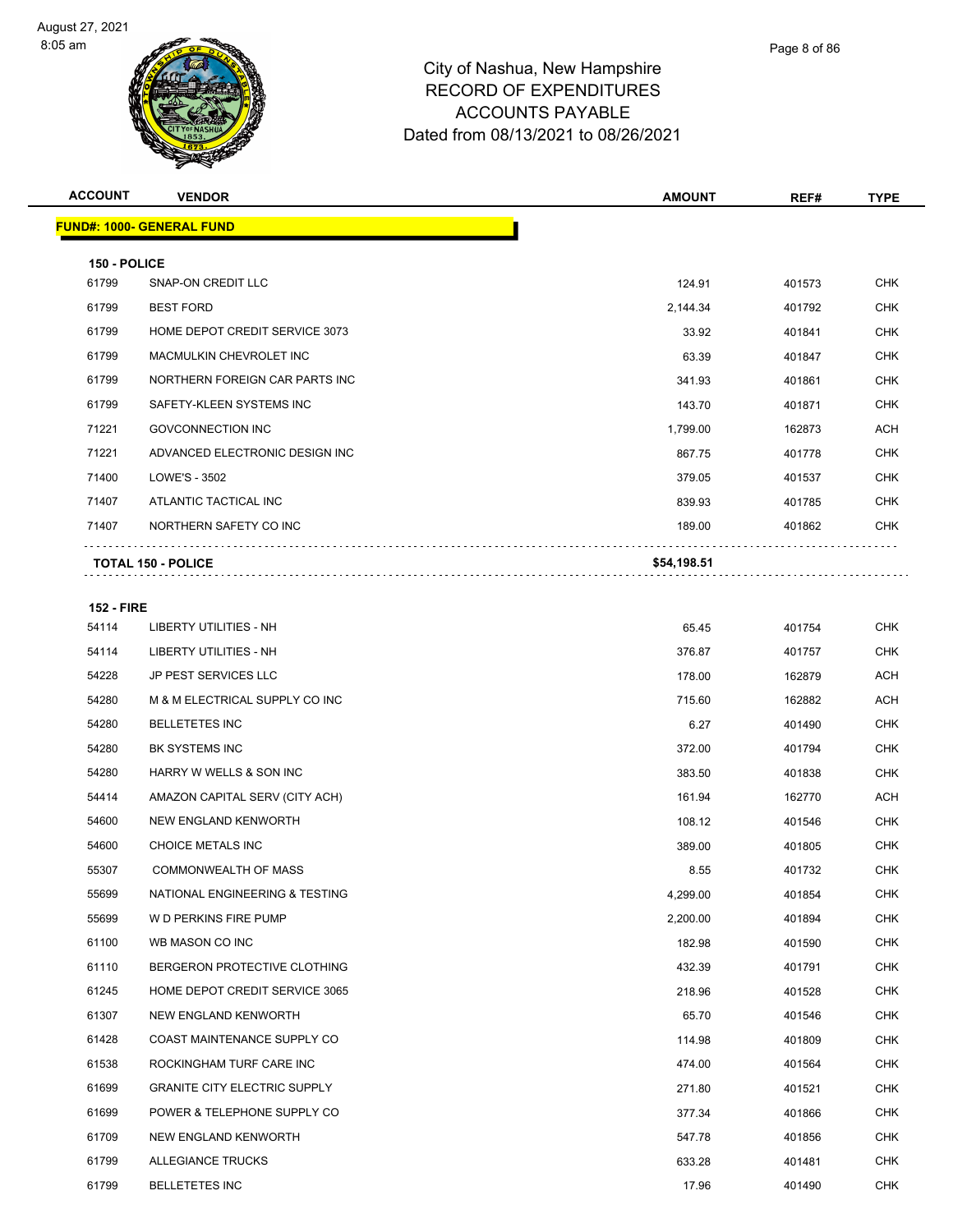

| <b>ACCOUNT</b> | <b>VENDOR</b>                    | <b>AMOUNT</b> | REF#   | <b>TYPE</b> |
|----------------|----------------------------------|---------------|--------|-------------|
|                | <b>FUND#: 1000- GENERAL FUND</b> |               |        |             |
| 150 - POLICE   |                                  |               |        |             |
| 61799          | SNAP-ON CREDIT LLC               | 124.91        | 401573 | <b>CHK</b>  |
| 61799          | <b>BEST FORD</b>                 | 2,144.34      | 401792 | <b>CHK</b>  |
| 61799          | HOME DEPOT CREDIT SERVICE 3073   | 33.92         | 401841 | <b>CHK</b>  |
| 61799          | MACMULKIN CHEVROLET INC          | 63.39         | 401847 | <b>CHK</b>  |
| 61799          | NORTHERN FOREIGN CAR PARTS INC   | 341.93        | 401861 | <b>CHK</b>  |
| 61799          | SAFETY-KLEEN SYSTEMS INC         | 143.70        | 401871 | <b>CHK</b>  |
| 71221          | <b>GOVCONNECTION INC</b>         | 1,799.00      | 162873 | <b>ACH</b>  |
| 71221          | ADVANCED ELECTRONIC DESIGN INC   | 867.75        | 401778 | <b>CHK</b>  |
| 71400          | LOWE'S - 3502                    | 379.05        | 401537 | <b>CHK</b>  |
| 71407          | ATLANTIC TACTICAL INC            | 839.93        | 401785 | <b>CHK</b>  |
| 71407          | NORTHERN SAFETY CO INC           | 189.00        | 401862 | <b>CHK</b>  |
|                | <b>TOTAL 150 - POLICE</b>        | \$54,198.51   |        |             |

#### **152 - FIRE**

| 54114 | <b>LIBERTY UTILITIES - NH</b>       | 65.45    | 401754 | <b>CHK</b> |
|-------|-------------------------------------|----------|--------|------------|
| 54114 | <b>LIBERTY UTILITIES - NH</b>       | 376.87   | 401757 | <b>CHK</b> |
| 54228 | JP PEST SERVICES LLC                | 178.00   | 162879 | <b>ACH</b> |
| 54280 | M & M ELECTRICAL SUPPLY CO INC      | 715.60   | 162882 | <b>ACH</b> |
| 54280 | <b>BELLETETES INC</b>               | 6.27     | 401490 | <b>CHK</b> |
| 54280 | BK SYSTEMS INC                      | 372.00   | 401794 | <b>CHK</b> |
| 54280 | HARRY W WELLS & SON INC             | 383.50   | 401838 | <b>CHK</b> |
| 54414 | AMAZON CAPITAL SERV (CITY ACH)      | 161.94   | 162770 | <b>ACH</b> |
| 54600 | NEW ENGLAND KENWORTH                | 108.12   | 401546 | <b>CHK</b> |
| 54600 | CHOICE METALS INC                   | 389.00   | 401805 | <b>CHK</b> |
| 55307 | <b>COMMONWEALTH OF MASS</b>         | 8.55     | 401732 | <b>CHK</b> |
| 55699 | NATIONAL ENGINEERING & TESTING      | 4,299.00 | 401854 | <b>CHK</b> |
| 55699 | W D PERKINS FIRE PUMP               | 2,200.00 | 401894 | <b>CHK</b> |
| 61100 | WB MASON CO INC                     | 182.98   | 401590 | <b>CHK</b> |
| 61110 | BERGERON PROTECTIVE CLOTHING        | 432.39   | 401791 | <b>CHK</b> |
| 61245 | HOME DEPOT CREDIT SERVICE 3065      | 218.96   | 401528 | <b>CHK</b> |
| 61307 | NEW ENGLAND KENWORTH                | 65.70    | 401546 | <b>CHK</b> |
| 61428 | COAST MAINTENANCE SUPPLY CO         | 114.98   | 401809 | <b>CHK</b> |
| 61538 | ROCKINGHAM TURF CARE INC            | 474.00   | 401564 | <b>CHK</b> |
| 61699 | <b>GRANITE CITY ELECTRIC SUPPLY</b> | 271.80   | 401521 | <b>CHK</b> |
| 61699 | POWER & TELEPHONE SUPPLY CO         | 377.34   | 401866 | <b>CHK</b> |
| 61709 | NEW ENGLAND KENWORTH                | 547.78   | 401856 | <b>CHK</b> |
| 61799 | <b>ALLEGIANCE TRUCKS</b>            | 633.28   | 401481 | <b>CHK</b> |
| 61799 | <b>BELLETETES INC</b>               | 17.96    | 401490 | <b>CHK</b> |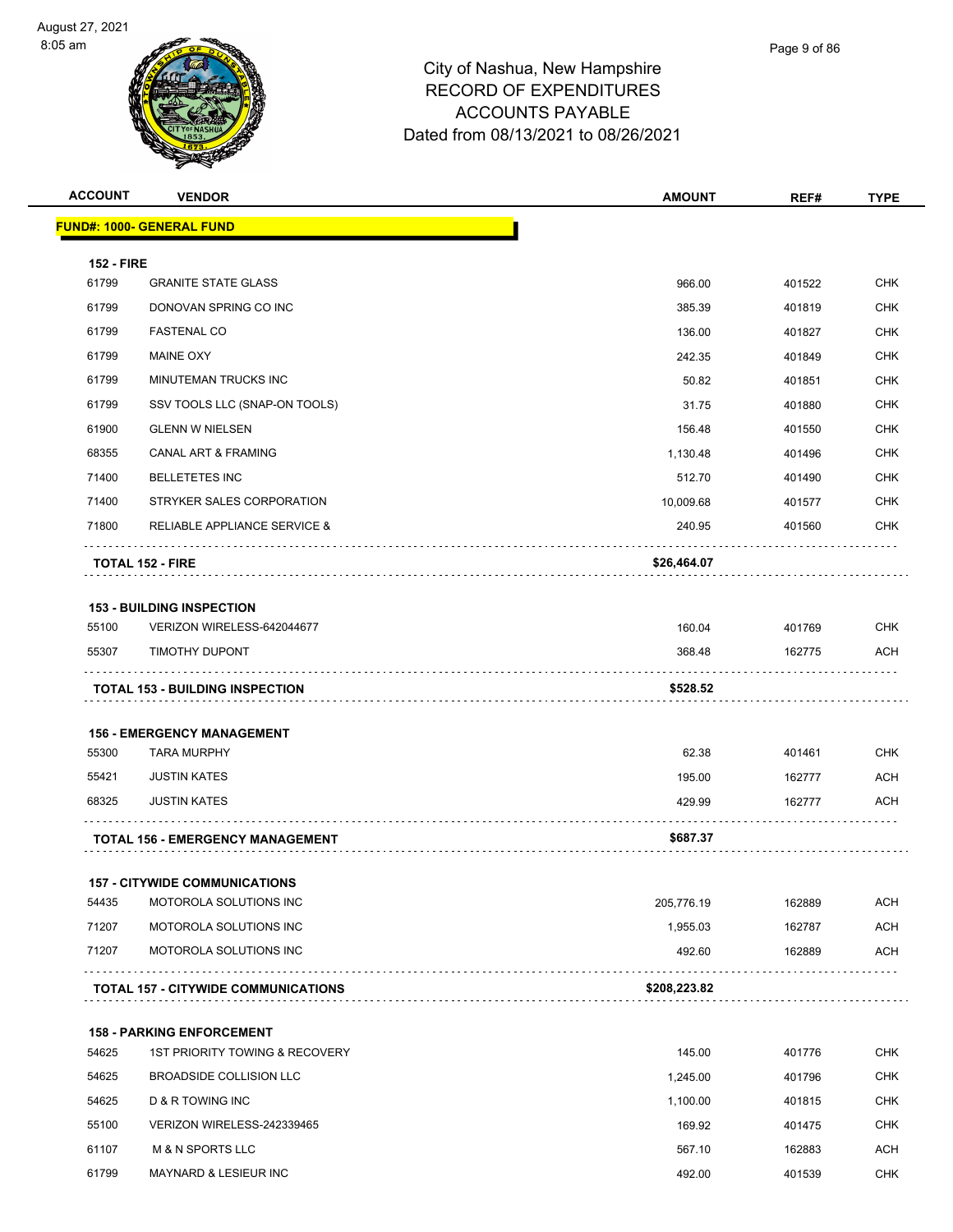



| <b>ACCOUNT</b>    | <b>VENDOR</b>                              | <b>AMOUNT</b> | REF#   | <b>TYPE</b> |
|-------------------|--------------------------------------------|---------------|--------|-------------|
|                   | <u> FUND#: 1000- GENERAL FUND</u>          |               |        |             |
| <b>152 - FIRE</b> |                                            |               |        |             |
| 61799             | <b>GRANITE STATE GLASS</b>                 | 966.00        | 401522 | <b>CHK</b>  |
| 61799             | DONOVAN SPRING CO INC                      | 385.39        | 401819 | <b>CHK</b>  |
| 61799             | <b>FASTENAL CO</b>                         | 136.00        | 401827 | <b>CHK</b>  |
| 61799             | <b>MAINE OXY</b>                           | 242.35        | 401849 | <b>CHK</b>  |
| 61799             | MINUTEMAN TRUCKS INC                       | 50.82         | 401851 | CHK         |
| 61799             | SSV TOOLS LLC (SNAP-ON TOOLS)              | 31.75         | 401880 | <b>CHK</b>  |
| 61900             | <b>GLENN W NIELSEN</b>                     | 156.48        | 401550 | CHK         |
| 68355             | <b>CANAL ART &amp; FRAMING</b>             | 1,130.48      | 401496 | <b>CHK</b>  |
| 71400             | <b>BELLETETES INC</b>                      | 512.70        | 401490 | <b>CHK</b>  |
| 71400             | STRYKER SALES CORPORATION                  | 10,009.68     | 401577 | CHK         |
| 71800             | RELIABLE APPLIANCE SERVICE &               | 240.95        | 401560 | <b>CHK</b>  |
|                   | <b>TOTAL 152 - FIRE</b>                    | \$26,464.07   |        |             |
|                   | <b>153 - BUILDING INSPECTION</b>           |               |        |             |
| 55100             | VERIZON WIRELESS-642044677                 | 160.04        | 401769 | <b>CHK</b>  |
| 55307             | TIMOTHY DUPONT                             | 368.48        | 162775 | <b>ACH</b>  |
|                   | <b>TOTAL 153 - BUILDING INSPECTION</b>     | \$528.52      |        |             |
|                   | <b>156 - EMERGENCY MANAGEMENT</b>          |               |        |             |
| 55300             | <b>TARA MURPHY</b>                         | 62.38         | 401461 | <b>CHK</b>  |
| 55421             | <b>JUSTIN KATES</b>                        | 195.00        | 162777 | ACH         |
| 68325             | <b>JUSTIN KATES</b>                        | 429.99        | 162777 | <b>ACH</b>  |
|                   | <b>TOTAL 156 - EMERGENCY MANAGEMENT</b>    | \$687.37      |        |             |
|                   | <b>157 - CITYWIDE COMMUNICATIONS</b>       |               |        |             |
| 54435             | MOTOROLA SOLUTIONS INC                     | 205,776.19    | 162889 | <b>ACH</b>  |
| 71207             | MOTOROLA SOLUTIONS INC                     | 1,955.03      | 162787 | <b>ACH</b>  |
| 71207             | MOTOROLA SOLUTIONS INC                     | 492.60        | 162889 | <b>ACH</b>  |
|                   | <b>TOTAL 157 - CITYWIDE COMMUNICATIONS</b> | \$208,223.82  |        |             |
|                   | <b>158 - PARKING ENFORCEMENT</b>           |               |        |             |
| 54625             | 1ST PRIORITY TOWING & RECOVERY             | 145.00        | 401776 | <b>CHK</b>  |
| 54625             | BROADSIDE COLLISION LLC                    | 1,245.00      | 401796 | <b>CHK</b>  |
|                   |                                            |               |        |             |

 54625 D & R TOWING INC 1,100.00 401815 CHK 55100 VERIZON WIRELESS-242339465 169.92 401475 CHK 61107 M & N SPORTS LLC 567.10 162883 ACH 61799 MAYNARD & LESIEUR INC **And Accord 2018 12:00** 492.00 401539 CHK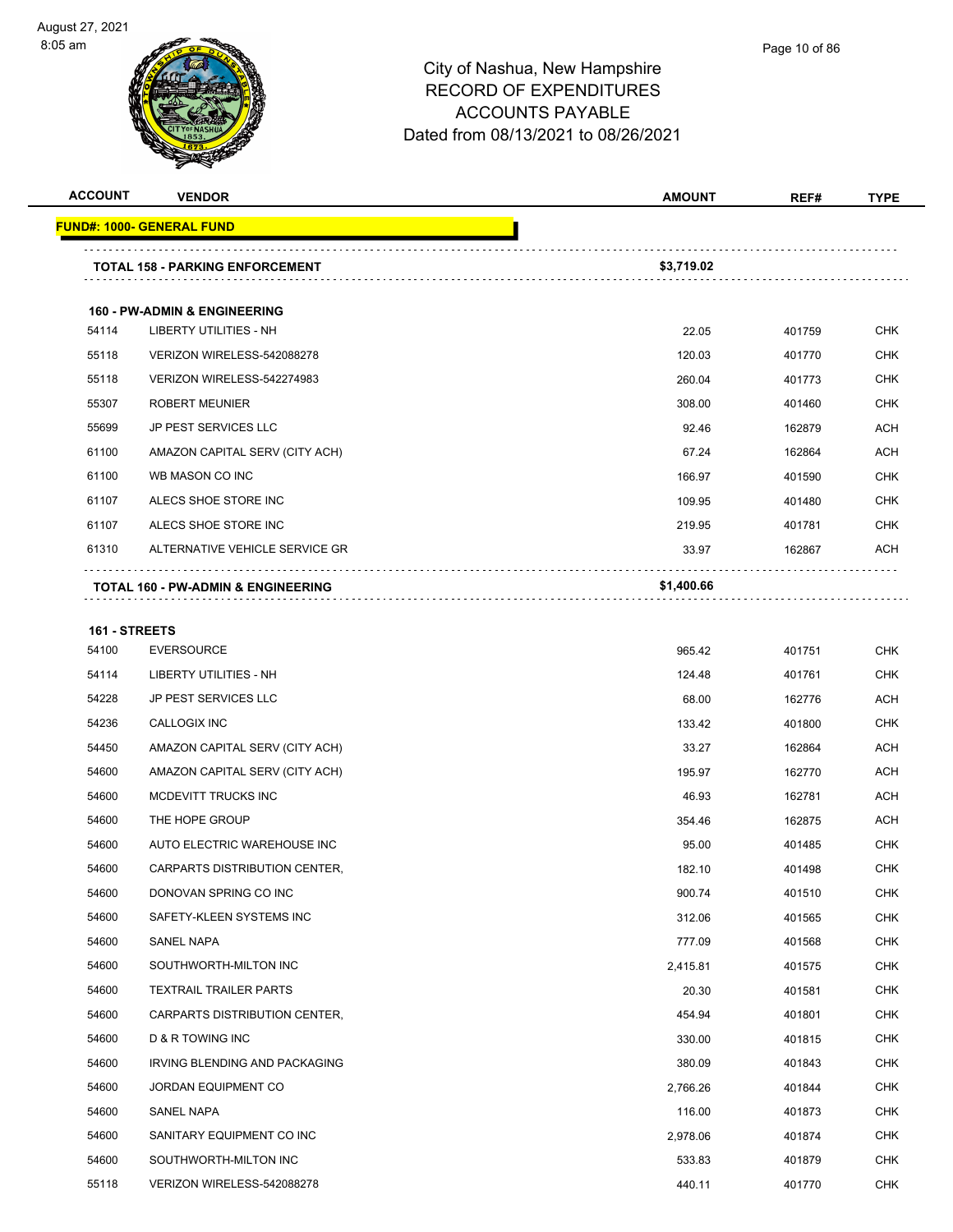| <b>ACCOUNT</b> | <b>VENDOR</b>                                 | <b>AMOUNT</b> | REF#   | <b>TYPE</b> |
|----------------|-----------------------------------------------|---------------|--------|-------------|
|                | <u> FUND#: 1000- GENERAL FUND</u>             |               |        |             |
|                | <b>TOTAL 158 - PARKING ENFORCEMENT</b>        | \$3,719.02    |        |             |
|                |                                               |               |        |             |
|                | <b>160 - PW-ADMIN &amp; ENGINEERING</b>       |               |        |             |
| 54114          | LIBERTY UTILITIES - NH                        | 22.05         | 401759 | <b>CHK</b>  |
| 55118          | VERIZON WIRELESS-542088278                    | 120.03        | 401770 | <b>CHK</b>  |
| 55118          | VERIZON WIRELESS-542274983                    | 260.04        | 401773 | <b>CHK</b>  |
| 55307          | <b>ROBERT MEUNIER</b>                         | 308.00        | 401460 | <b>CHK</b>  |
| 55699          | <b>JP PEST SERVICES LLC</b>                   | 92.46         | 162879 | ACH         |
| 61100          | AMAZON CAPITAL SERV (CITY ACH)                | 67.24         | 162864 | <b>ACH</b>  |
| 61100          | WB MASON CO INC                               | 166.97        | 401590 | <b>CHK</b>  |
| 61107          | ALECS SHOE STORE INC                          | 109.95        | 401480 | CHK         |
| 61107          | ALECS SHOE STORE INC                          | 219.95        | 401781 | <b>CHK</b>  |
| 61310          | ALTERNATIVE VEHICLE SERVICE GR                | 33.97         | 162867 | ACH         |
|                | <b>TOTAL 160 - PW-ADMIN &amp; ENGINEERING</b> | \$1,400.66    |        |             |
| 161 - STREETS  |                                               |               |        |             |
| 54100          | <b>EVERSOURCE</b>                             | 965.42        | 401751 | <b>CHK</b>  |
| 54114          | <b>LIBERTY UTILITIES - NH</b>                 | 124.48        | 401761 | <b>CHK</b>  |
| 54228          | <b>JP PEST SERVICES LLC</b>                   | 68.00         | 162776 | ACH         |
| 54236          | CALLOGIX INC                                  | 133.42        | 401800 | <b>CHK</b>  |
| 54450          | AMAZON CAPITAL SERV (CITY ACH)                | 33.27         | 162864 | ACH         |
| 54600          | AMAZON CAPITAL SERV (CITY ACH)                | 195.97        | 162770 | <b>ACH</b>  |
| 54600          | <b>MCDEVITT TRUCKS INC</b>                    | 46.93         | 162781 | <b>ACH</b>  |
| 54600          | THE HOPE GROUP                                | 354.46        | 162875 | ACH         |
| 54600          | AUTO ELECTRIC WAREHOUSE INC                   | 95.00         | 401485 | <b>CHK</b>  |
| 54600          | CARPARTS DISTRIBUTION CENTER.                 | 182.10        | 401498 | CHK         |
| 54600          | DONOVAN SPRING CO INC                         | 900.74        | 401510 | CHK         |
| 54600          | SAFETY-KLEEN SYSTEMS INC                      | 312.06        | 401565 | <b>CHK</b>  |
| 54600          | SANEL NAPA                                    | 777.09        | 401568 | <b>CHK</b>  |
| 54600          | SOUTHWORTH-MILTON INC                         | 2,415.81      | 401575 | <b>CHK</b>  |
| 54600          | <b>TEXTRAIL TRAILER PARTS</b>                 | 20.30         | 401581 | <b>CHK</b>  |
| 54600          | CARPARTS DISTRIBUTION CENTER,                 | 454.94        | 401801 | <b>CHK</b>  |
| 54600          | D & R TOWING INC                              | 330.00        | 401815 | <b>CHK</b>  |
| 54600          | IRVING BLENDING AND PACKAGING                 | 380.09        | 401843 | <b>CHK</b>  |
| 54600          | JORDAN EQUIPMENT CO                           | 2,766.26      | 401844 | <b>CHK</b>  |
| 54600          | SANEL NAPA                                    | 116.00        | 401873 | CHK         |
| 54600          | SANITARY EQUIPMENT CO INC                     | 2,978.06      | 401874 | CHK         |
| 54600          | SOUTHWORTH-MILTON INC                         | 533.83        | 401879 | <b>CHK</b>  |
| 55118          | VERIZON WIRELESS-542088278                    | 440.11        | 401770 | <b>CHK</b>  |
|                |                                               |               |        |             |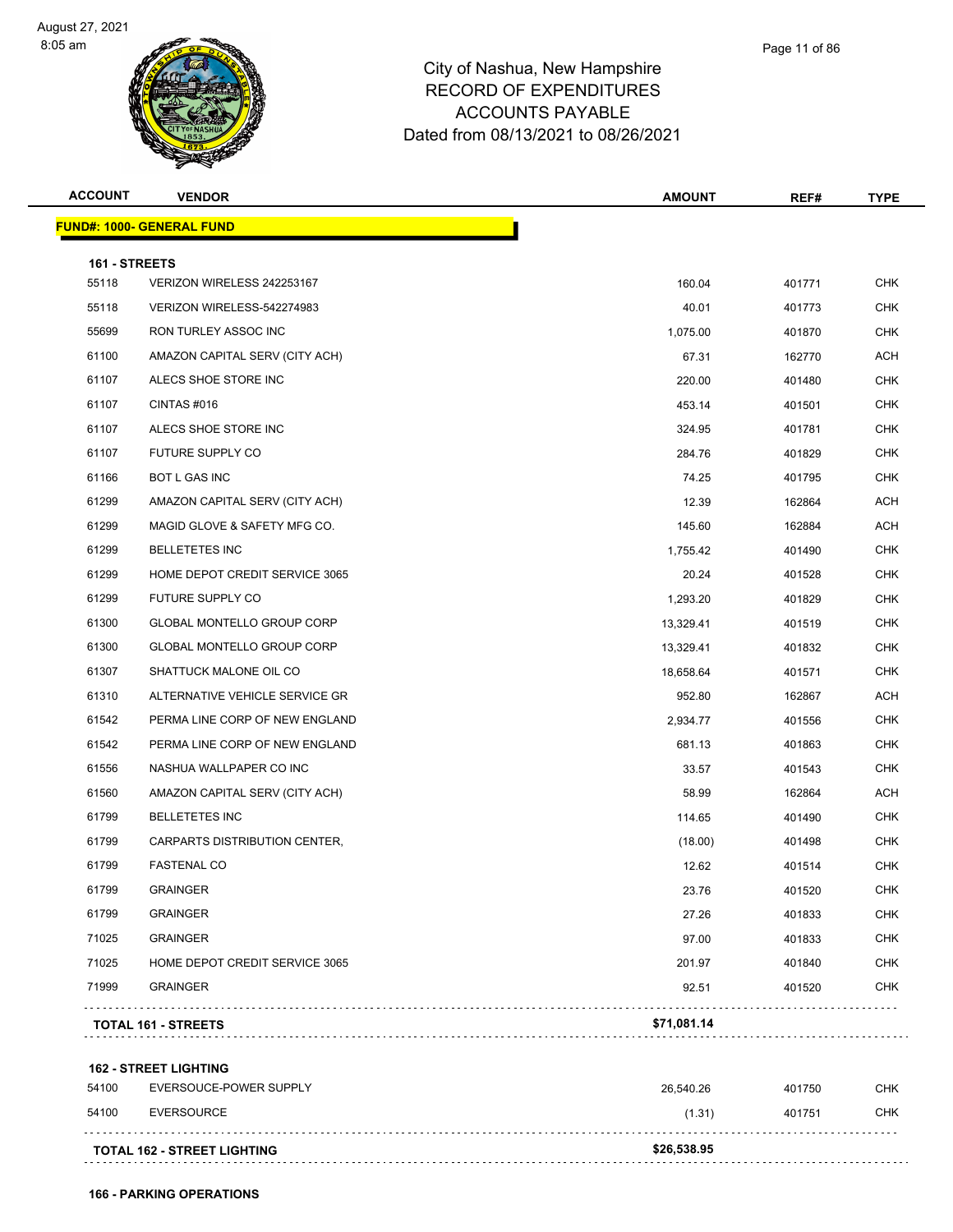



| <b>ACCOUNT</b> | <b>VENDOR</b>                      | <b>AMOUNT</b> | REF#   | <b>TYPE</b> |
|----------------|------------------------------------|---------------|--------|-------------|
|                | <b>FUND#: 1000- GENERAL FUND</b>   |               |        |             |
| 161 - STREETS  |                                    |               |        |             |
| 55118          | VERIZON WIRELESS 242253167         | 160.04        | 401771 | <b>CHK</b>  |
| 55118          | VERIZON WIRELESS-542274983         | 40.01         | 401773 | <b>CHK</b>  |
| 55699          | RON TURLEY ASSOC INC               | 1,075.00      | 401870 | <b>CHK</b>  |
| 61100          | AMAZON CAPITAL SERV (CITY ACH)     | 67.31         | 162770 | <b>ACH</b>  |
| 61107          | ALECS SHOE STORE INC               | 220.00        | 401480 | <b>CHK</b>  |
| 61107          | CINTAS#016                         | 453.14        | 401501 | <b>CHK</b>  |
| 61107          | ALECS SHOE STORE INC               | 324.95        | 401781 | <b>CHK</b>  |
| 61107          | FUTURE SUPPLY CO                   | 284.76        | 401829 | <b>CHK</b>  |
| 61166          | BOT L GAS INC                      | 74.25         | 401795 | <b>CHK</b>  |
| 61299          | AMAZON CAPITAL SERV (CITY ACH)     | 12.39         | 162864 | <b>ACH</b>  |
| 61299          | MAGID GLOVE & SAFETY MFG CO.       | 145.60        | 162884 | <b>ACH</b>  |
| 61299          | <b>BELLETETES INC</b>              | 1,755.42      | 401490 | <b>CHK</b>  |
| 61299          | HOME DEPOT CREDIT SERVICE 3065     | 20.24         | 401528 | <b>CHK</b>  |
| 61299          | FUTURE SUPPLY CO                   | 1,293.20      | 401829 | <b>CHK</b>  |
| 61300          | <b>GLOBAL MONTELLO GROUP CORP</b>  | 13,329.41     | 401519 | <b>CHK</b>  |
| 61300          | GLOBAL MONTELLO GROUP CORP         | 13,329.41     | 401832 | <b>CHK</b>  |
| 61307          | SHATTUCK MALONE OIL CO             | 18,658.64     | 401571 | <b>CHK</b>  |
| 61310          | ALTERNATIVE VEHICLE SERVICE GR     | 952.80        | 162867 | <b>ACH</b>  |
| 61542          | PERMA LINE CORP OF NEW ENGLAND     | 2,934.77      | 401556 | <b>CHK</b>  |
| 61542          | PERMA LINE CORP OF NEW ENGLAND     | 681.13        | 401863 | <b>CHK</b>  |
| 61556          | NASHUA WALLPAPER CO INC            | 33.57         | 401543 | <b>CHK</b>  |
| 61560          | AMAZON CAPITAL SERV (CITY ACH)     | 58.99         | 162864 | <b>ACH</b>  |
| 61799          | <b>BELLETETES INC</b>              | 114.65        | 401490 | <b>CHK</b>  |
| 61799          | CARPARTS DISTRIBUTION CENTER,      | (18.00)       | 401498 | <b>CHK</b>  |
| 61799          | <b>FASTENAL CO</b>                 | 12.62         | 401514 | <b>CHK</b>  |
| 61799          | <b>GRAINGER</b>                    | 23.76         | 401520 | CHK         |
| 61799          | <b>GRAINGER</b>                    | 27.26         | 401833 | <b>CHK</b>  |
| 71025          | <b>GRAINGER</b>                    | 97.00         | 401833 | <b>CHK</b>  |
| 71025          | HOME DEPOT CREDIT SERVICE 3065     | 201.97        | 401840 | <b>CHK</b>  |
| 71999          | <b>GRAINGER</b>                    | 92.51         | 401520 | <b>CHK</b>  |
|                | <b>TOTAL 161 - STREETS</b>         | \$71,081.14   |        |             |
|                | <b>162 - STREET LIGHTING</b>       |               |        |             |
| 54100          | EVERSOUCE-POWER SUPPLY             | 26,540.26     | 401750 | CHK         |
| 54100          | <b>EVERSOURCE</b>                  | (1.31)        | 401751 | <b>CHK</b>  |
|                | <b>TOTAL 162 - STREET LIGHTING</b> | \$26,538.95   |        |             |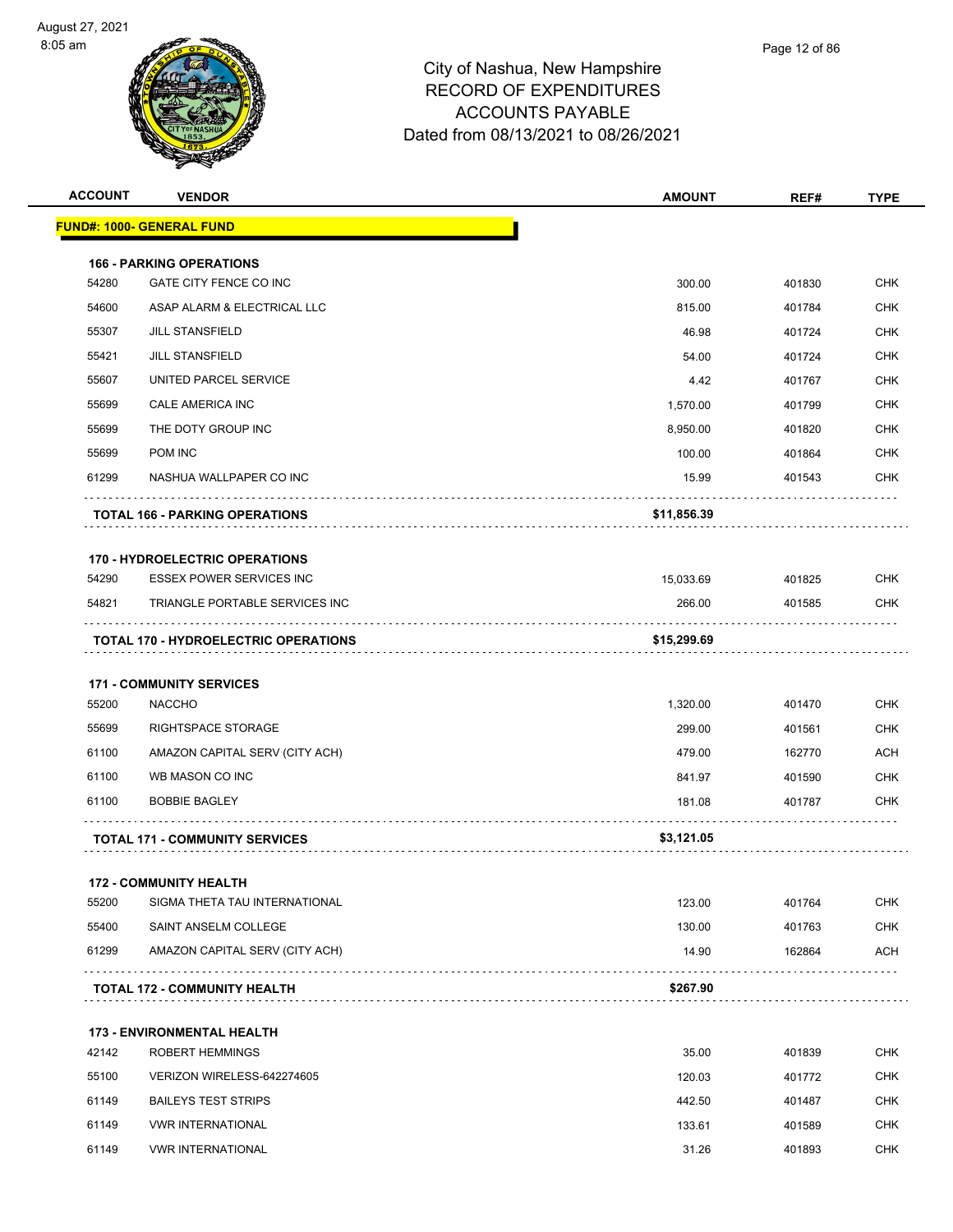



| <b>ACCOUNT</b> | <b>VENDOR</b>                               | <b>AMOUNT</b> | REF#   | TYPE       |
|----------------|---------------------------------------------|---------------|--------|------------|
|                | <u> FUND#: 1000- GENERAL FUND</u>           |               |        |            |
|                | <b>166 - PARKING OPERATIONS</b>             |               |        |            |
| 54280          | GATE CITY FENCE CO INC                      | 300.00        | 401830 | <b>CHK</b> |
| 54600          | ASAP ALARM & ELECTRICAL LLC                 | 815.00        | 401784 | <b>CHK</b> |
| 55307          | <b>JILL STANSFIELD</b>                      | 46.98         | 401724 | <b>CHK</b> |
| 55421          | <b>JILL STANSFIELD</b>                      | 54.00         | 401724 | <b>CHK</b> |
| 55607          | UNITED PARCEL SERVICE                       | 4.42          | 401767 | <b>CHK</b> |
| 55699          | CALE AMERICA INC                            | 1,570.00      | 401799 | <b>CHK</b> |
| 55699          | THE DOTY GROUP INC                          | 8,950.00      | 401820 | <b>CHK</b> |
| 55699          | POM INC                                     | 100.00        | 401864 | <b>CHK</b> |
| 61299          | NASHUA WALLPAPER CO INC                     | 15.99         | 401543 | <b>CHK</b> |
|                | <b>TOTAL 166 - PARKING OPERATIONS</b>       | \$11,856.39   |        |            |
|                | <b>170 - HYDROELECTRIC OPERATIONS</b>       |               |        |            |
| 54290          | <b>ESSEX POWER SERVICES INC</b>             | 15,033.69     | 401825 | <b>CHK</b> |
| 54821          | TRIANGLE PORTABLE SERVICES INC              | 266.00        | 401585 | <b>CHK</b> |
|                | <b>TOTAL 170 - HYDROELECTRIC OPERATIONS</b> | \$15,299.69   |        |            |
|                |                                             |               |        |            |
|                | <b>171 - COMMUNITY SERVICES</b>             |               |        |            |
| 55200          | <b>NACCHO</b>                               | 1,320.00      | 401470 | <b>CHK</b> |
| 55699          | RIGHTSPACE STORAGE                          | 299.00        | 401561 | <b>CHK</b> |
| 61100          | AMAZON CAPITAL SERV (CITY ACH)              | 479.00        | 162770 | <b>ACH</b> |
| 61100          | WB MASON CO INC                             | 841.97        | 401590 | <b>CHK</b> |
| 61100          | <b>BOBBIE BAGLEY</b>                        | 181.08        | 401787 | <b>CHK</b> |
|                | <b>TOTAL 171 - COMMUNITY SERVICES</b>       | \$3,121.05    |        |            |
|                | <b>172 - COMMUNITY HEALTH</b>               |               |        |            |
| 55200          | SIGMA THETA TAU INTERNATIONAL               | 123.00        | 401764 | <b>CHK</b> |
| 55400          | SAINT ANSELM COLLEGE                        | 130.00        | 401763 | <b>CHK</b> |
| 61299          | AMAZON CAPITAL SERV (CITY ACH)              | 14.90         | 162864 | ACH        |
|                | <b>TOTAL 172 - COMMUNITY HEALTH</b>         | \$267.90      | .      |            |
|                | <b>173 - ENVIRONMENTAL HEALTH</b>           |               |        |            |
| 42142          | <b>ROBERT HEMMINGS</b>                      | 35.00         | 401839 | <b>CHK</b> |
| 55100          | VERIZON WIRELESS-642274605                  | 120.03        | 401772 | <b>CHK</b> |
| 61149          | <b>BAILEYS TEST STRIPS</b>                  | 442.50        | 401487 | <b>CHK</b> |
| 61149          | <b>VWR INTERNATIONAL</b>                    | 133.61        | 401589 | <b>CHK</b> |
| 61149          | <b>VWR INTERNATIONAL</b>                    | 31.26         | 401893 | <b>CHK</b> |
|                |                                             |               |        |            |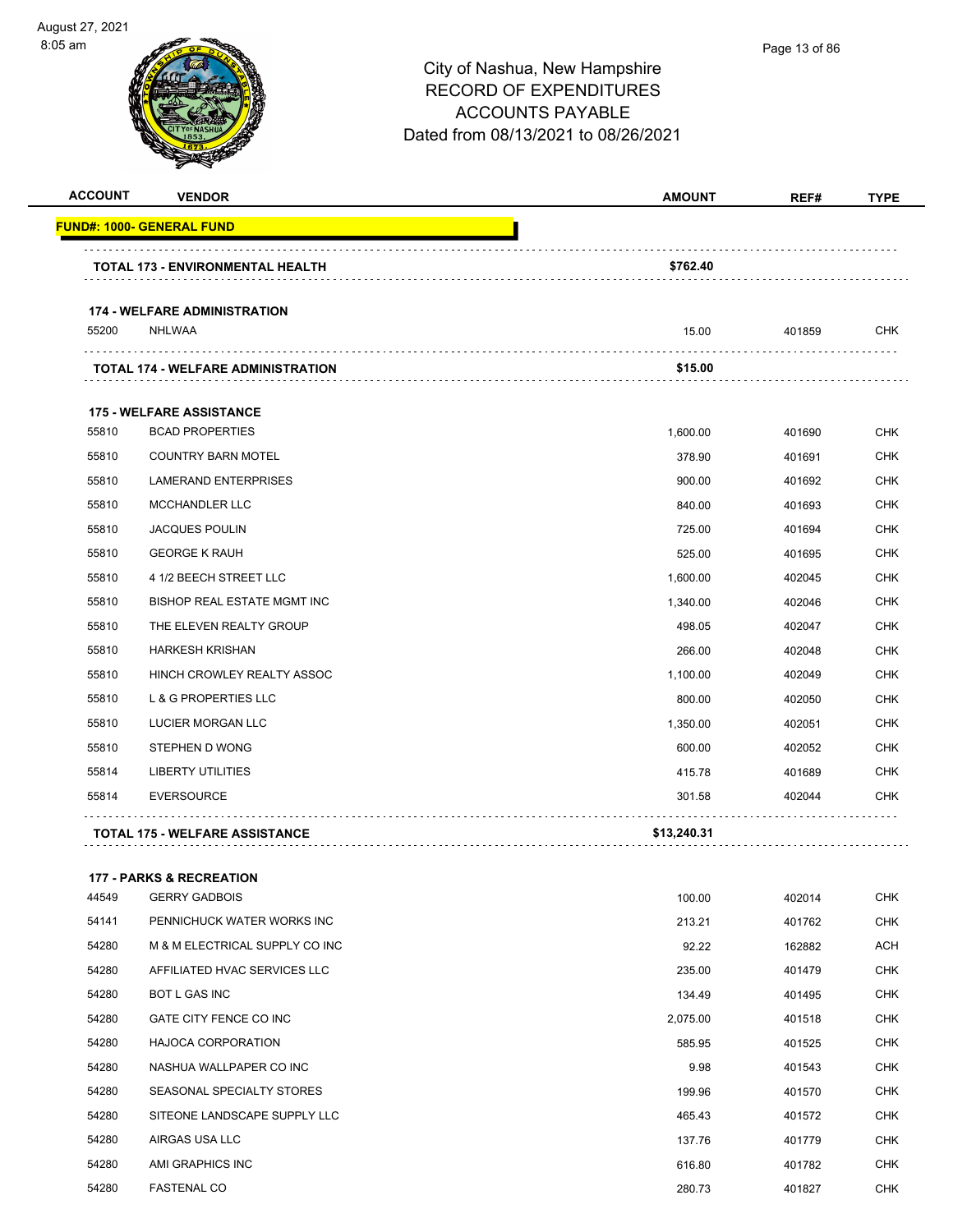

| <b>ACCOUNT</b> | <b>VENDOR</b>                             | <b>AMOUNT</b> | REF#   | <b>TYPE</b> |
|----------------|-------------------------------------------|---------------|--------|-------------|
|                | <b>FUND#: 1000- GENERAL FUND</b>          |               |        |             |
|                | <b>TOTAL 173 - ENVIRONMENTAL HEALTH</b>   | \$762.40      |        |             |
|                | <b>174 - WELFARE ADMINISTRATION</b>       |               |        |             |
| 55200          | <b>NHLWAA</b>                             | 15.00         | 401859 | <b>CHK</b>  |
|                | <b>TOTAL 174 - WELFARE ADMINISTRATION</b> | \$15.00       |        |             |
|                | <b>175 - WELFARE ASSISTANCE</b>           |               |        |             |
| 55810          | <b>BCAD PROPERTIES</b>                    | 1,600.00      | 401690 | <b>CHK</b>  |
| 55810          | <b>COUNTRY BARN MOTEL</b>                 | 378.90        | 401691 | <b>CHK</b>  |
| 55810          | <b>LAMERAND ENTERPRISES</b>               | 900.00        | 401692 | <b>CHK</b>  |
| 55810          | <b>MCCHANDLER LLC</b>                     | 840.00        | 401693 | <b>CHK</b>  |
| 55810          | <b>JACQUES POULIN</b>                     | 725.00        | 401694 | <b>CHK</b>  |
| 55810          | <b>GEORGE K RAUH</b>                      | 525.00        | 401695 | <b>CHK</b>  |
| 55810          | 4 1/2 BEECH STREET LLC                    | 1,600.00      | 402045 | <b>CHK</b>  |
| 55810          | <b>BISHOP REAL ESTATE MGMT INC</b>        | 1,340.00      | 402046 | <b>CHK</b>  |
| 55810          | THE ELEVEN REALTY GROUP                   | 498.05        | 402047 | <b>CHK</b>  |
| 55810          | <b>HARKESH KRISHAN</b>                    | 266.00        | 402048 | <b>CHK</b>  |
| 55810          | HINCH CROWLEY REALTY ASSOC                | 1,100.00      | 402049 | <b>CHK</b>  |
| 55810          | <b>L &amp; G PROPERTIES LLC</b>           | 800.00        | 402050 | <b>CHK</b>  |
| 55810          | LUCIER MORGAN LLC                         | 1,350.00      | 402051 | <b>CHK</b>  |
| 55810          | STEPHEN D WONG                            | 600.00        | 402052 | <b>CHK</b>  |
| 55814          | <b>LIBERTY UTILITIES</b>                  | 415.78        | 401689 | CHK         |
| 55814          | <b>EVERSOURCE</b>                         | 301.58        | 402044 | <b>CHK</b>  |
|                | TOTAL 175 - WELFARE ASSISTANCE            | \$13,240.31   |        |             |

#### **177 - PARKS & RECREATION**

| 44549 | <b>GERRY GADBOIS</b>           | 100.00   | 402014 | CHK        |
|-------|--------------------------------|----------|--------|------------|
| 54141 | PENNICHUCK WATER WORKS INC     | 213.21   | 401762 | <b>CHK</b> |
| 54280 | M & M ELECTRICAL SUPPLY CO INC | 92.22    | 162882 | ACH        |
| 54280 | AFFILIATED HVAC SERVICES LLC   | 235.00   | 401479 | <b>CHK</b> |
| 54280 | <b>BOT L GAS INC</b>           | 134.49   | 401495 | <b>CHK</b> |
| 54280 | GATE CITY FENCE CO INC         | 2,075.00 | 401518 | <b>CHK</b> |
| 54280 | <b>HAJOCA CORPORATION</b>      | 585.95   | 401525 | <b>CHK</b> |
| 54280 | NASHUA WALLPAPER CO INC        | 9.98     | 401543 | <b>CHK</b> |
| 54280 | SEASONAL SPECIALTY STORES      | 199.96   | 401570 | <b>CHK</b> |
| 54280 | SITEONE LANDSCAPE SUPPLY LLC   | 465.43   | 401572 | <b>CHK</b> |
| 54280 | AIRGAS USA LLC                 | 137.76   | 401779 | <b>CHK</b> |
| 54280 | AMI GRAPHICS INC               | 616.80   | 401782 | <b>CHK</b> |
| 54280 | <b>FASTENAL CO</b>             | 280.73   | 401827 | <b>CHK</b> |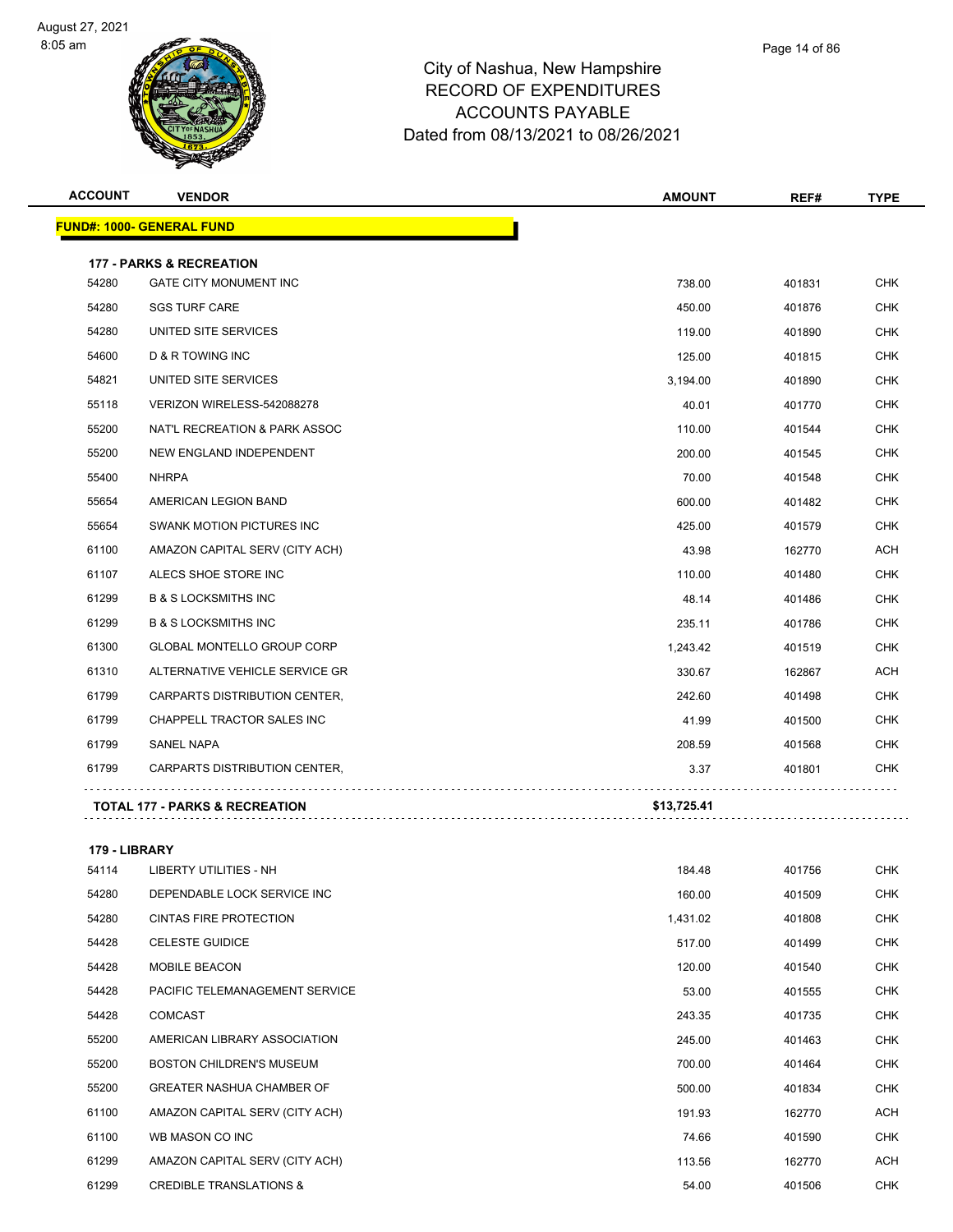



| <b>ACCOUNT</b> | <b>VENDOR</b>                             | <b>AMOUNT</b> | REF#   | <b>TYPE</b> |
|----------------|-------------------------------------------|---------------|--------|-------------|
|                | <b>FUND#: 1000- GENERAL FUND</b>          |               |        |             |
|                | <b>177 - PARKS &amp; RECREATION</b>       |               |        |             |
| 54280          | <b>GATE CITY MONUMENT INC</b>             | 738.00        | 401831 | <b>CHK</b>  |
| 54280          | <b>SGS TURF CARE</b>                      | 450.00        | 401876 | <b>CHK</b>  |
| 54280          | UNITED SITE SERVICES                      | 119.00        | 401890 | <b>CHK</b>  |
| 54600          | <b>D &amp; R TOWING INC</b>               | 125.00        | 401815 | <b>CHK</b>  |
| 54821          | UNITED SITE SERVICES                      | 3,194.00      | 401890 | <b>CHK</b>  |
| 55118          | VERIZON WIRELESS-542088278                | 40.01         | 401770 | CHK         |
| 55200          | NAT'L RECREATION & PARK ASSOC             | 110.00        | 401544 | CHK         |
| 55200          | NEW ENGLAND INDEPENDENT                   | 200.00        | 401545 | CHK         |
| 55400          | <b>NHRPA</b>                              | 70.00         | 401548 | <b>CHK</b>  |
| 55654          | AMERICAN LEGION BAND                      | 600.00        | 401482 | <b>CHK</b>  |
| 55654          | <b>SWANK MOTION PICTURES INC</b>          | 425.00        | 401579 | <b>CHK</b>  |
| 61100          | AMAZON CAPITAL SERV (CITY ACH)            | 43.98         | 162770 | <b>ACH</b>  |
| 61107          | ALECS SHOE STORE INC                      | 110.00        | 401480 | <b>CHK</b>  |
| 61299          | <b>B &amp; S LOCKSMITHS INC</b>           | 48.14         | 401486 | <b>CHK</b>  |
| 61299          | <b>B &amp; S LOCKSMITHS INC</b>           | 235.11        | 401786 | <b>CHK</b>  |
| 61300          | <b>GLOBAL MONTELLO GROUP CORP</b>         | 1,243.42      | 401519 | <b>CHK</b>  |
| 61310          | ALTERNATIVE VEHICLE SERVICE GR            | 330.67        | 162867 | ACH         |
| 61799          | CARPARTS DISTRIBUTION CENTER,             | 242.60        | 401498 | <b>CHK</b>  |
| 61799          | CHAPPELL TRACTOR SALES INC                | 41.99         | 401500 | <b>CHK</b>  |
| 61799          | <b>SANEL NAPA</b>                         | 208.59        | 401568 | <b>CHK</b>  |
| 61799          | CARPARTS DISTRIBUTION CENTER,             | 3.37          | 401801 | <b>CHK</b>  |
|                | <b>TOTAL 177 - PARKS &amp; RECREATION</b> | \$13,725.41   |        |             |

**TOTAL 177 - PARKS & RECREATION \$13,725.41**

| 179 - LIBRARY |                                    |          |        |            |  |
|---------------|------------------------------------|----------|--------|------------|--|
| 54114         | <b>LIBERTY UTILITIES - NH</b>      | 184.48   | 401756 | <b>CHK</b> |  |
| 54280         | DEPENDABLE LOCK SERVICE INC        | 160.00   | 401509 | <b>CHK</b> |  |
| 54280         | <b>CINTAS FIRE PROTECTION</b>      | 1,431.02 | 401808 | <b>CHK</b> |  |
| 54428         | <b>CELESTE GUIDICE</b>             | 517.00   | 401499 | <b>CHK</b> |  |
| 54428         | MOBILE BEACON                      | 120.00   | 401540 | <b>CHK</b> |  |
| 54428         | PACIFIC TELEMANAGEMENT SERVICE     | 53.00    | 401555 | <b>CHK</b> |  |
| 54428         | <b>COMCAST</b>                     | 243.35   | 401735 | <b>CHK</b> |  |
| 55200         | AMERICAN LIBRARY ASSOCIATION       | 245.00   | 401463 | <b>CHK</b> |  |
| 55200         | <b>BOSTON CHILDREN'S MUSEUM</b>    | 700.00   | 401464 | <b>CHK</b> |  |
| 55200         | <b>GREATER NASHUA CHAMBER OF</b>   | 500.00   | 401834 | <b>CHK</b> |  |
| 61100         | AMAZON CAPITAL SERV (CITY ACH)     | 191.93   | 162770 | ACH        |  |
| 61100         | WB MASON CO INC                    | 74.66    | 401590 | <b>CHK</b> |  |
| 61299         | AMAZON CAPITAL SERV (CITY ACH)     | 113.56   | 162770 | ACH        |  |
| 61299         | <b>CREDIBLE TRANSLATIONS &amp;</b> | 54.00    | 401506 | <b>CHK</b> |  |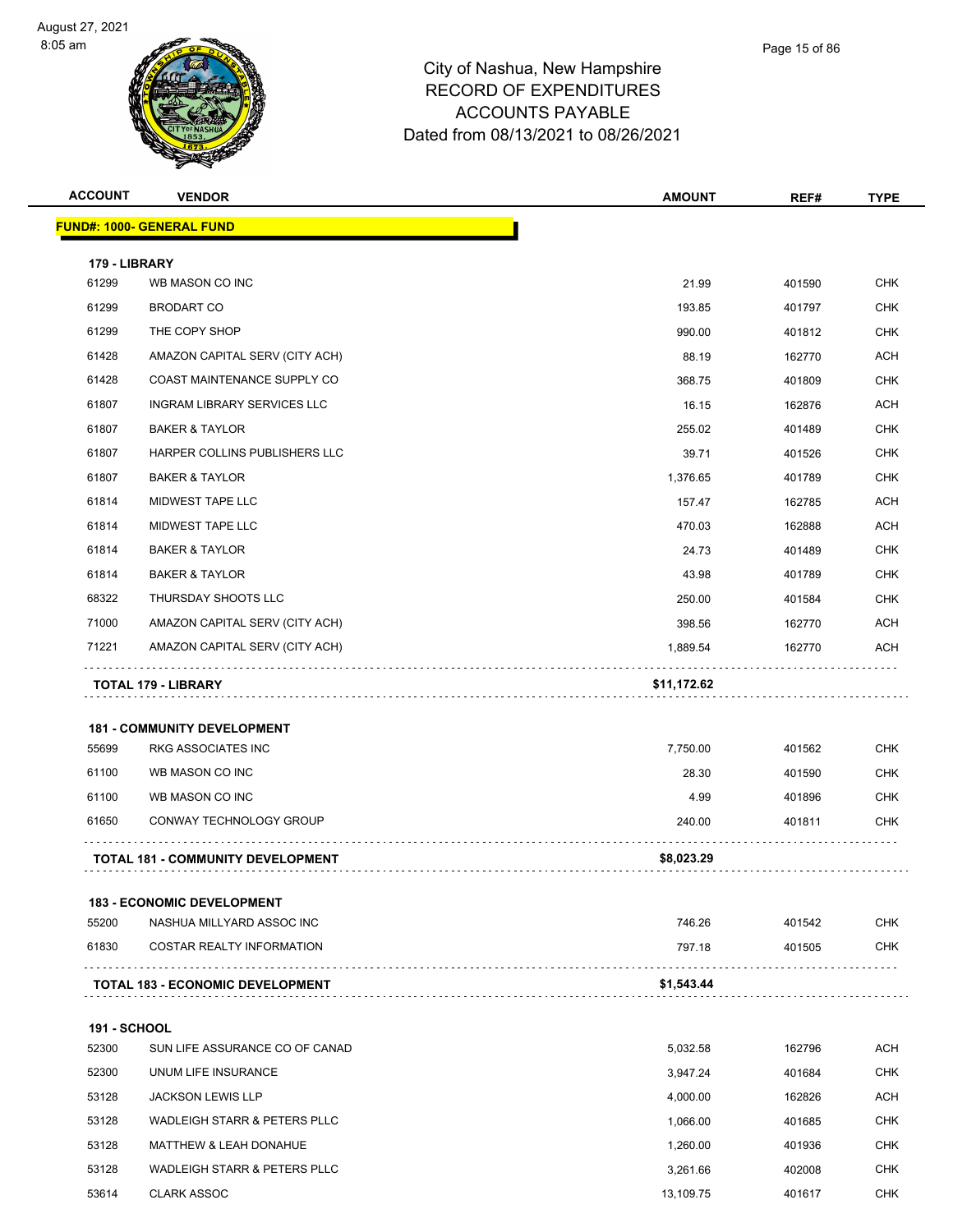



| <b>ACCOUNT</b>      | <b>VENDOR</b>                                                   | <b>AMOUNT</b> | REF#   | <b>TYPE</b>              |
|---------------------|-----------------------------------------------------------------|---------------|--------|--------------------------|
|                     | <b>FUND#: 1000- GENERAL FUND</b>                                |               |        |                          |
| 179 - LIBRARY       |                                                                 |               |        |                          |
| 61299               | WB MASON CO INC                                                 | 21.99         | 401590 | <b>CHK</b>               |
| 61299               | <b>BRODART CO</b>                                               | 193.85        | 401797 | <b>CHK</b>               |
| 61299               | THE COPY SHOP                                                   | 990.00        | 401812 | CHK                      |
| 61428               | AMAZON CAPITAL SERV (CITY ACH)                                  | 88.19         | 162770 | <b>ACH</b>               |
| 61428               | COAST MAINTENANCE SUPPLY CO                                     | 368.75        | 401809 | <b>CHK</b>               |
| 61807               | INGRAM LIBRARY SERVICES LLC                                     | 16.15         | 162876 | <b>ACH</b>               |
| 61807               | <b>BAKER &amp; TAYLOR</b>                                       | 255.02        | 401489 | <b>CHK</b>               |
| 61807               | HARPER COLLINS PUBLISHERS LLC                                   | 39.71         | 401526 | <b>CHK</b>               |
| 61807               | <b>BAKER &amp; TAYLOR</b>                                       | 1,376.65      | 401789 | <b>CHK</b>               |
| 61814               | MIDWEST TAPE LLC                                                | 157.47        | 162785 | <b>ACH</b>               |
| 61814               | <b>MIDWEST TAPE LLC</b>                                         | 470.03        | 162888 | <b>ACH</b>               |
| 61814               | <b>BAKER &amp; TAYLOR</b>                                       | 24.73         | 401489 | <b>CHK</b>               |
| 61814               | <b>BAKER &amp; TAYLOR</b>                                       | 43.98         | 401789 | CHK                      |
| 68322               | THURSDAY SHOOTS LLC                                             | 250.00        | 401584 | <b>CHK</b>               |
| 71000               | AMAZON CAPITAL SERV (CITY ACH)                                  | 398.56        | 162770 | ACH                      |
| 71221               | AMAZON CAPITAL SERV (CITY ACH)                                  | 1,889.54      | 162770 | ACH                      |
| 55699               | <b>181 - COMMUNITY DEVELOPMENT</b><br><b>RKG ASSOCIATES INC</b> | 7,750.00      | 401562 | <b>CHK</b>               |
| 61100               | WB MASON CO INC                                                 | 28.30         | 401590 | CHK                      |
| 61100               | WB MASON CO INC                                                 | 4.99          | 401896 | <b>CHK</b>               |
| 61650               | CONWAY TECHNOLOGY GROUP                                         | 240.00        | 401811 | <b>CHK</b>               |
|                     | <b>TOTAL 181 - COMMUNITY DEVELOPMENT</b>                        | \$8,023.29    |        |                          |
|                     |                                                                 |               |        |                          |
|                     | <b>183 - ECONOMIC DEVELOPMENT</b>                               |               |        |                          |
| 55200<br>61830      | NASHUA MILLYARD ASSOC INC<br><b>COSTAR REALTY INFORMATION</b>   | 746.26        | 401542 | <b>CHK</b><br><b>CHK</b> |
|                     |                                                                 | 797.18        | 401505 |                          |
|                     | <b>TOTAL 183 - ECONOMIC DEVELOPMENT</b>                         | \$1,543.44    |        |                          |
| <b>191 - SCHOOL</b> |                                                                 |               |        |                          |
| 52300               | SUN LIFE ASSURANCE CO OF CANAD                                  | 5,032.58      | 162796 | <b>ACH</b>               |
| 52300               | UNUM LIFE INSURANCE                                             | 3,947.24      | 401684 | <b>CHK</b>               |
| 53128               | <b>JACKSON LEWIS LLP</b>                                        | 4,000.00      | 162826 | ACH                      |
| 53128               | WADLEIGH STARR & PETERS PLLC                                    | 1,066.00      | 401685 | <b>CHK</b>               |
| 53128               | MATTHEW & LEAH DONAHUE                                          | 1,260.00      | 401936 | <b>CHK</b>               |
| 53128               | WADLEIGH STARR & PETERS PLLC                                    | 3,261.66      | 402008 | CHK                      |
| 53614               | <b>CLARK ASSOC</b>                                              | 13,109.75     | 401617 | <b>CHK</b>               |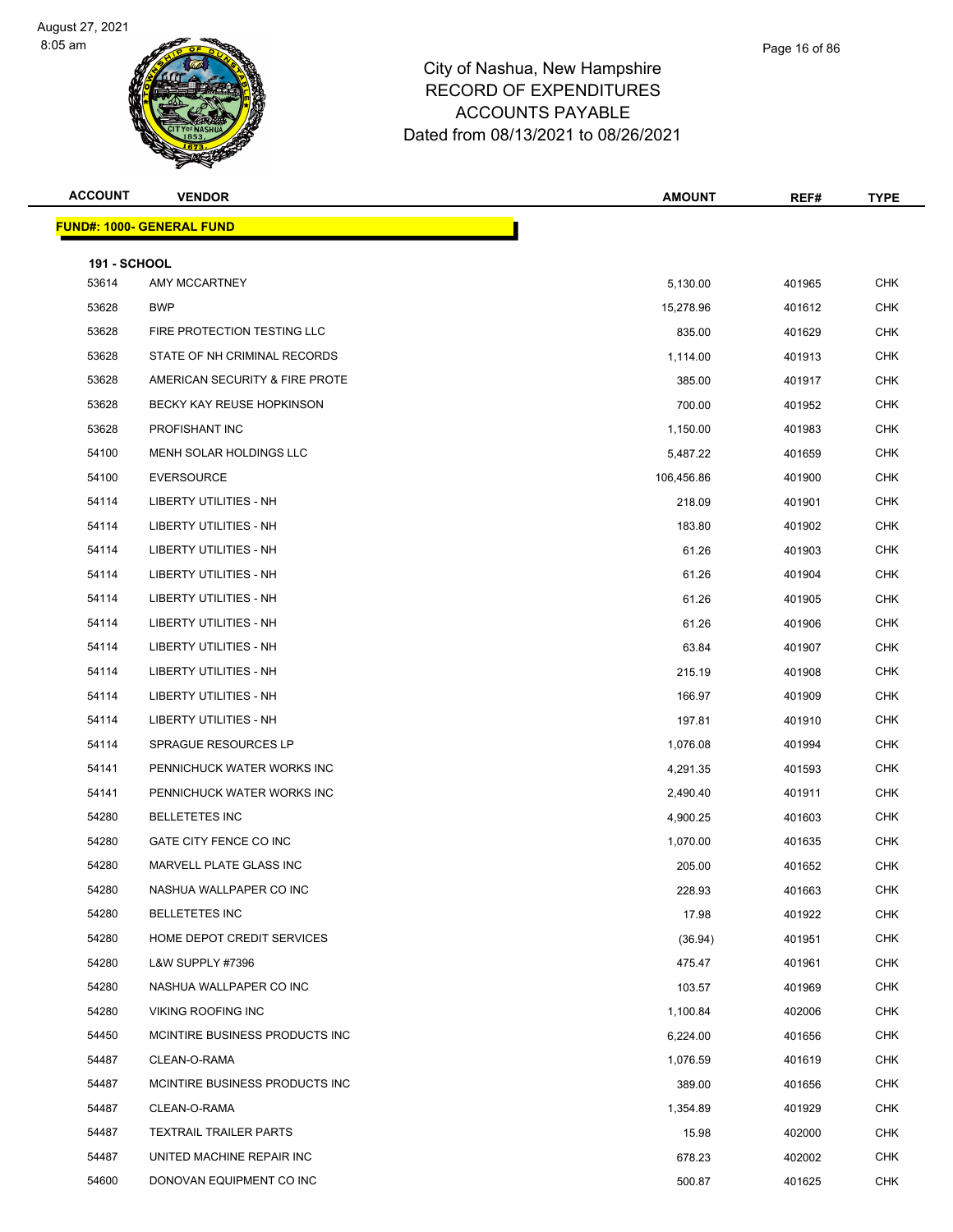



| pshire |  |  |
|--------|--|--|
| URES   |  |  |
| .E     |  |  |

Page 16 of 86

| <b>ACCOUNT</b>               | <b>VENDOR</b>                    | AMOUNT     | REF#   | <b>TYPE</b> |
|------------------------------|----------------------------------|------------|--------|-------------|
|                              | <b>FUND#: 1000- GENERAL FUND</b> |            |        |             |
|                              |                                  |            |        |             |
| <b>191 - SCHOOL</b><br>53614 | AMY MCCARTNEY                    | 5,130.00   | 401965 | <b>CHK</b>  |
| 53628                        | <b>BWP</b>                       | 15,278.96  | 401612 | <b>CHK</b>  |
| 53628                        | FIRE PROTECTION TESTING LLC      | 835.00     | 401629 | <b>CHK</b>  |
| 53628                        | STATE OF NH CRIMINAL RECORDS     | 1,114.00   | 401913 | <b>CHK</b>  |
| 53628                        | AMERICAN SECURITY & FIRE PROTE   | 385.00     | 401917 | <b>CHK</b>  |
| 53628                        | BECKY KAY REUSE HOPKINSON        | 700.00     | 401952 | <b>CHK</b>  |
| 53628                        | PROFISHANT INC                   | 1,150.00   | 401983 | <b>CHK</b>  |
| 54100                        | MENH SOLAR HOLDINGS LLC          | 5,487.22   | 401659 | <b>CHK</b>  |
| 54100                        | <b>EVERSOURCE</b>                | 106,456.86 | 401900 | <b>CHK</b>  |
| 54114                        | LIBERTY UTILITIES - NH           | 218.09     | 401901 | <b>CHK</b>  |
| 54114                        | LIBERTY UTILITIES - NH           | 183.80     | 401902 | <b>CHK</b>  |
| 54114                        | LIBERTY UTILITIES - NH           | 61.26      | 401903 | <b>CHK</b>  |
| 54114                        | <b>LIBERTY UTILITIES - NH</b>    | 61.26      | 401904 | <b>CHK</b>  |
| 54114                        | LIBERTY UTILITIES - NH           | 61.26      | 401905 | <b>CHK</b>  |
| 54114                        | <b>LIBERTY UTILITIES - NH</b>    | 61.26      | 401906 | <b>CHK</b>  |
| 54114                        | LIBERTY UTILITIES - NH           | 63.84      | 401907 | <b>CHK</b>  |
| 54114                        | LIBERTY UTILITIES - NH           | 215.19     | 401908 | <b>CHK</b>  |
| 54114                        | <b>LIBERTY UTILITIES - NH</b>    | 166.97     | 401909 | <b>CHK</b>  |
| 54114                        | LIBERTY UTILITIES - NH           | 197.81     | 401910 | <b>CHK</b>  |
| 54114                        | SPRAGUE RESOURCES LP             | 1,076.08   | 401994 | <b>CHK</b>  |
| 54141                        | PENNICHUCK WATER WORKS INC       | 4,291.35   | 401593 | <b>CHK</b>  |
| 54141                        | PENNICHUCK WATER WORKS INC       | 2,490.40   | 401911 | <b>CHK</b>  |
| 54280                        | <b>BELLETETES INC</b>            | 4,900.25   | 401603 | <b>CHK</b>  |
| 54280                        | GATE CITY FENCE CO INC           | 1,070.00   | 401635 | <b>CHK</b>  |
| 54280                        | MARVELL PLATE GLASS INC          | 205.00     | 401652 | <b>CHK</b>  |
| 54280                        | NASHUA WALLPAPER CO INC          | 228.93     | 401663 | CHK         |
| 54280                        | <b>BELLETETES INC</b>            | 17.98      | 401922 | <b>CHK</b>  |
| 54280                        | HOME DEPOT CREDIT SERVICES       | (36.94)    | 401951 | <b>CHK</b>  |
| 54280                        | L&W SUPPLY #7396                 | 475.47     | 401961 | <b>CHK</b>  |
| 54280                        | NASHUA WALLPAPER CO INC          | 103.57     | 401969 | <b>CHK</b>  |
| 54280                        | <b>VIKING ROOFING INC</b>        | 1,100.84   | 402006 | <b>CHK</b>  |
| 54450                        | MCINTIRE BUSINESS PRODUCTS INC   | 6,224.00   | 401656 | <b>CHK</b>  |
| 54487                        | CLEAN-O-RAMA                     | 1,076.59   | 401619 | CHK         |
| 54487                        | MCINTIRE BUSINESS PRODUCTS INC   | 389.00     | 401656 | <b>CHK</b>  |
| 54487                        | CLEAN-O-RAMA                     | 1,354.89   | 401929 | CHK         |
| 54487                        | <b>TEXTRAIL TRAILER PARTS</b>    | 15.98      | 402000 | <b>CHK</b>  |
| 54487                        | UNITED MACHINE REPAIR INC        | 678.23     | 402002 | <b>CHK</b>  |
| 54600                        | DONOVAN EQUIPMENT CO INC         | 500.87     | 401625 | <b>CHK</b>  |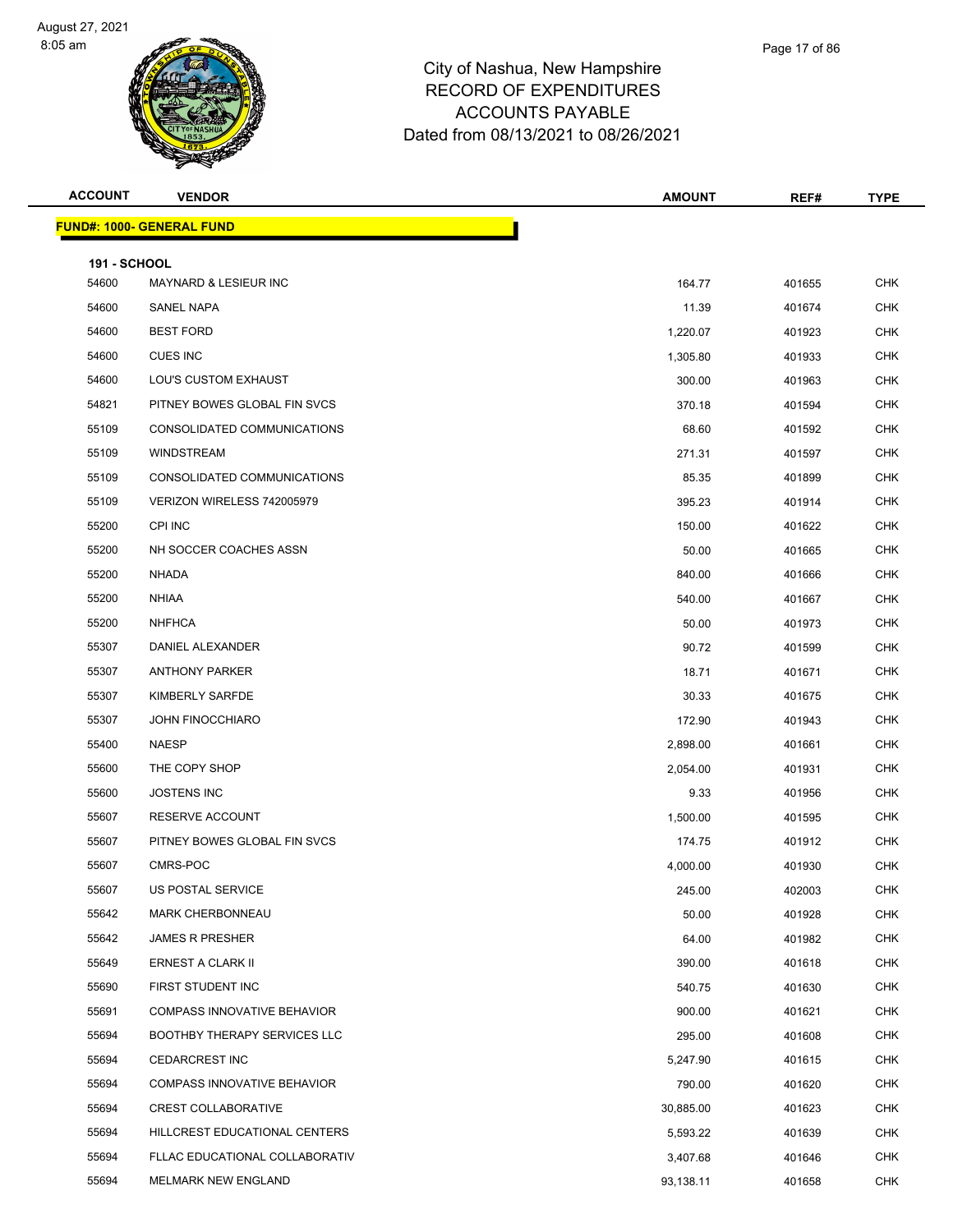



| Page 17 of 86 |
|---------------|
|               |

| <b>ACCOUNT</b>               | <b>VENDOR</b>                      | <b>AMOUNT</b> | REF#   | <b>TYPE</b> |
|------------------------------|------------------------------------|---------------|--------|-------------|
|                              | <b>FUND#: 1000- GENERAL FUND</b>   |               |        |             |
|                              |                                    |               |        |             |
| <b>191 - SCHOOL</b><br>54600 | <b>MAYNARD &amp; LESIEUR INC</b>   | 164.77        | 401655 | <b>CHK</b>  |
| 54600                        | SANEL NAPA                         | 11.39         | 401674 | <b>CHK</b>  |
| 54600                        | <b>BEST FORD</b>                   | 1,220.07      | 401923 | CHK         |
| 54600                        | <b>CUES INC</b>                    | 1,305.80      | 401933 | <b>CHK</b>  |
| 54600                        | LOU'S CUSTOM EXHAUST               | 300.00        | 401963 | <b>CHK</b>  |
| 54821                        | PITNEY BOWES GLOBAL FIN SVCS       | 370.18        | 401594 | <b>CHK</b>  |
| 55109                        | CONSOLIDATED COMMUNICATIONS        | 68.60         | 401592 | <b>CHK</b>  |
| 55109                        | <b>WINDSTREAM</b>                  | 271.31        | 401597 | <b>CHK</b>  |
| 55109                        | CONSOLIDATED COMMUNICATIONS        | 85.35         | 401899 | <b>CHK</b>  |
| 55109                        | VERIZON WIRELESS 742005979         | 395.23        | 401914 | <b>CHK</b>  |
| 55200                        | <b>CPI INC</b>                     | 150.00        | 401622 | <b>CHK</b>  |
| 55200                        | NH SOCCER COACHES ASSN             | 50.00         | 401665 | <b>CHK</b>  |
| 55200                        | <b>NHADA</b>                       | 840.00        | 401666 | <b>CHK</b>  |
| 55200                        | <b>NHIAA</b>                       | 540.00        | 401667 | <b>CHK</b>  |
| 55200                        | <b>NHFHCA</b>                      | 50.00         | 401973 | <b>CHK</b>  |
| 55307                        | DANIEL ALEXANDER                   | 90.72         | 401599 | <b>CHK</b>  |
| 55307                        | <b>ANTHONY PARKER</b>              | 18.71         | 401671 | <b>CHK</b>  |
| 55307                        | KIMBERLY SARFDE                    | 30.33         | 401675 | <b>CHK</b>  |
| 55307                        | <b>JOHN FINOCCHIARO</b>            | 172.90        | 401943 | <b>CHK</b>  |
| 55400                        | <b>NAESP</b>                       | 2,898.00      | 401661 | <b>CHK</b>  |
| 55600                        | THE COPY SHOP                      | 2,054.00      | 401931 | <b>CHK</b>  |
| 55600                        | <b>JOSTENS INC</b>                 | 9.33          | 401956 | <b>CHK</b>  |
| 55607                        | RESERVE ACCOUNT                    | 1,500.00      | 401595 | CHK         |
| 55607                        | PITNEY BOWES GLOBAL FIN SVCS       | 174.75        | 401912 | <b>CHK</b>  |
| 55607                        | CMRS-POC                           | 4,000.00      | 401930 | <b>CHK</b>  |
| 55607                        | US POSTAL SERVICE                  | 245.00        | 402003 | <b>CHK</b>  |
| 55642                        | <b>MARK CHERBONNEAU</b>            | 50.00         | 401928 | <b>CHK</b>  |
| 55642                        | <b>JAMES R PRESHER</b>             | 64.00         | 401982 | CHK         |
| 55649                        | ERNEST A CLARK II                  | 390.00        | 401618 | <b>CHK</b>  |
| 55690                        | FIRST STUDENT INC                  | 540.75        | 401630 | <b>CHK</b>  |
| 55691                        | COMPASS INNOVATIVE BEHAVIOR        | 900.00        | 401621 | <b>CHK</b>  |
| 55694                        | BOOTHBY THERAPY SERVICES LLC       | 295.00        | 401608 | <b>CHK</b>  |
| 55694                        | <b>CEDARCREST INC</b>              | 5,247.90      | 401615 | <b>CHK</b>  |
| 55694                        | <b>COMPASS INNOVATIVE BEHAVIOR</b> | 790.00        | 401620 | <b>CHK</b>  |
| 55694                        | <b>CREST COLLABORATIVE</b>         | 30,885.00     | 401623 | <b>CHK</b>  |
| 55694                        | HILLCREST EDUCATIONAL CENTERS      | 5,593.22      | 401639 | <b>CHK</b>  |
| 55694                        | FLLAC EDUCATIONAL COLLABORATIV     | 3,407.68      | 401646 | <b>CHK</b>  |
| 55694                        | MELMARK NEW ENGLAND                | 93,138.11     | 401658 | CHK         |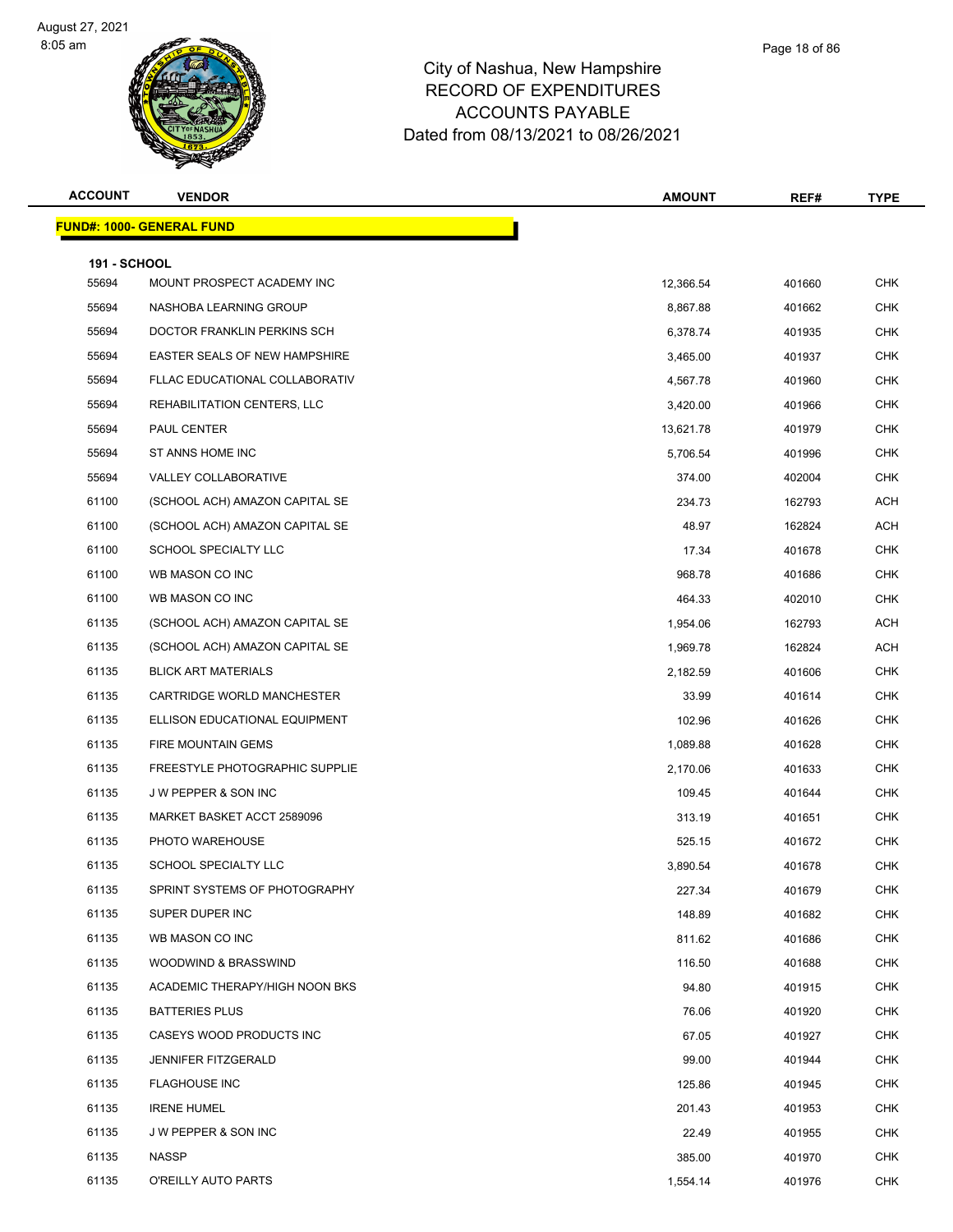



| <b>ACCOUNT</b>               | <b>VENDOR</b>                         | <b>AMOUNT</b> | REF#   | <b>TYPE</b> |
|------------------------------|---------------------------------------|---------------|--------|-------------|
|                              | <b>FUND#: 1000- GENERAL FUND</b>      |               |        |             |
|                              |                                       |               |        |             |
| <b>191 - SCHOOL</b><br>55694 | MOUNT PROSPECT ACADEMY INC            | 12,366.54     | 401660 | <b>CHK</b>  |
| 55694                        | NASHOBA LEARNING GROUP                | 8,867.88      | 401662 | <b>CHK</b>  |
| 55694                        | DOCTOR FRANKLIN PERKINS SCH           | 6,378.74      | 401935 | <b>CHK</b>  |
| 55694                        | EASTER SEALS OF NEW HAMPSHIRE         | 3,465.00      | 401937 | <b>CHK</b>  |
| 55694                        | FLLAC EDUCATIONAL COLLABORATIV        | 4,567.78      | 401960 | <b>CHK</b>  |
| 55694                        | REHABILITATION CENTERS, LLC           | 3,420.00      | 401966 | <b>CHK</b>  |
| 55694                        | PAUL CENTER                           | 13,621.78     | 401979 | <b>CHK</b>  |
| 55694                        | ST ANNS HOME INC                      | 5,706.54      | 401996 | <b>CHK</b>  |
| 55694                        | VALLEY COLLABORATIVE                  | 374.00        | 402004 | <b>CHK</b>  |
| 61100                        | (SCHOOL ACH) AMAZON CAPITAL SE        | 234.73        | 162793 | <b>ACH</b>  |
| 61100                        | (SCHOOL ACH) AMAZON CAPITAL SE        | 48.97         | 162824 | <b>ACH</b>  |
| 61100                        | SCHOOL SPECIALTY LLC                  | 17.34         | 401678 | <b>CHK</b>  |
| 61100                        | WB MASON CO INC                       | 968.78        | 401686 | <b>CHK</b>  |
| 61100                        | WB MASON CO INC                       | 464.33        | 402010 | <b>CHK</b>  |
| 61135                        | (SCHOOL ACH) AMAZON CAPITAL SE        | 1,954.06      | 162793 | <b>ACH</b>  |
| 61135                        | (SCHOOL ACH) AMAZON CAPITAL SE        | 1,969.78      | 162824 | <b>ACH</b>  |
| 61135                        | <b>BLICK ART MATERIALS</b>            | 2,182.59      | 401606 | <b>CHK</b>  |
| 61135                        | CARTRIDGE WORLD MANCHESTER            | 33.99         | 401614 | <b>CHK</b>  |
| 61135                        | ELLISON EDUCATIONAL EQUIPMENT         | 102.96        | 401626 | <b>CHK</b>  |
| 61135                        | FIRE MOUNTAIN GEMS                    | 1,089.88      | 401628 | <b>CHK</b>  |
| 61135                        | <b>FREESTYLE PHOTOGRAPHIC SUPPLIE</b> | 2,170.06      | 401633 | <b>CHK</b>  |
| 61135                        | J W PEPPER & SON INC                  | 109.45        | 401644 | <b>CHK</b>  |
| 61135                        | MARKET BASKET ACCT 2589096            | 313.19        | 401651 | <b>CHK</b>  |
| 61135                        | PHOTO WAREHOUSE                       | 525.15        | 401672 | <b>CHK</b>  |
| 61135                        | SCHOOL SPECIALTY LLC                  | 3,890.54      | 401678 | <b>CHK</b>  |
| 61135                        | SPRINT SYSTEMS OF PHOTOGRAPHY         | 227.34        | 401679 | <b>CHK</b>  |
| 61135                        | SUPER DUPER INC                       | 148.89        | 401682 | CHK         |
| 61135                        | WB MASON CO INC                       | 811.62        | 401686 | <b>CHK</b>  |
| 61135                        | WOODWIND & BRASSWIND                  | 116.50        | 401688 | CHK         |
| 61135                        | ACADEMIC THERAPY/HIGH NOON BKS        | 94.80         | 401915 | <b>CHK</b>  |
| 61135                        | <b>BATTERIES PLUS</b>                 | 76.06         | 401920 | <b>CHK</b>  |
| 61135                        | CASEYS WOOD PRODUCTS INC              | 67.05         | 401927 | CHK         |
| 61135                        | <b>JENNIFER FITZGERALD</b>            | 99.00         | 401944 | <b>CHK</b>  |
| 61135                        | <b>FLAGHOUSE INC</b>                  | 125.86        | 401945 | <b>CHK</b>  |
| 61135                        | <b>IRENE HUMEL</b>                    | 201.43        | 401953 | <b>CHK</b>  |
| 61135                        | J W PEPPER & SON INC                  | 22.49         | 401955 | CHK         |
| 61135                        | <b>NASSP</b>                          | 385.00        | 401970 | CHK         |
| 61135                        | O'REILLY AUTO PARTS                   | 1,554.14      | 401976 | <b>CHK</b>  |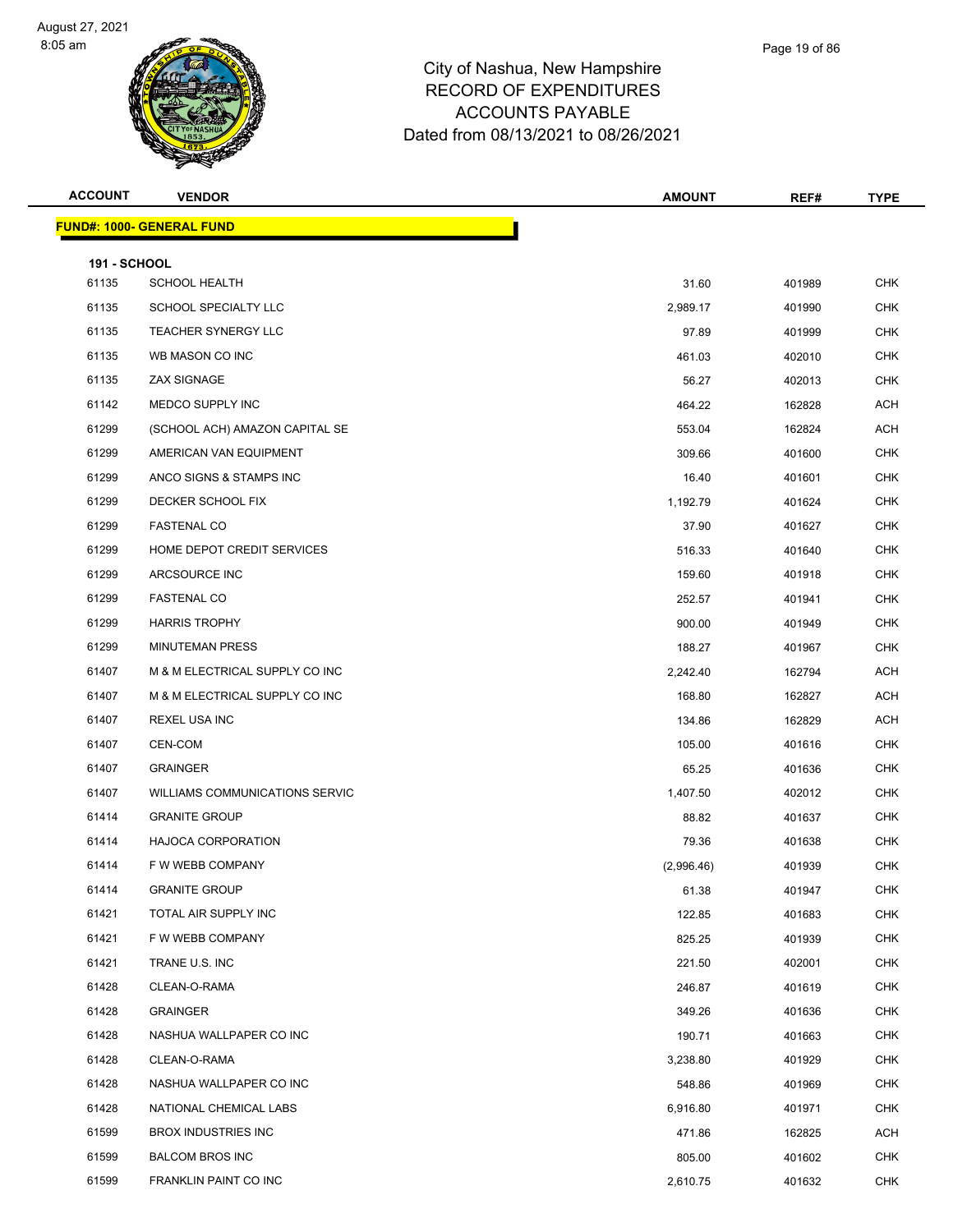

| <b>ACCOUNT</b>      | <b>VENDOR</b>                         | <b>AMOUNT</b> | REF#   | <b>TYPE</b> |
|---------------------|---------------------------------------|---------------|--------|-------------|
|                     | <b>FUND#: 1000- GENERAL FUND</b>      |               |        |             |
| <b>191 - SCHOOL</b> |                                       |               |        |             |
| 61135               | <b>SCHOOL HEALTH</b>                  | 31.60         | 401989 | <b>CHK</b>  |
| 61135               | SCHOOL SPECIALTY LLC                  | 2,989.17      | 401990 | <b>CHK</b>  |
| 61135               | <b>TEACHER SYNERGY LLC</b>            | 97.89         | 401999 | <b>CHK</b>  |
| 61135               | WB MASON CO INC                       | 461.03        | 402010 | <b>CHK</b>  |
| 61135               | ZAX SIGNAGE                           | 56.27         | 402013 | <b>CHK</b>  |
| 61142               | MEDCO SUPPLY INC                      | 464.22        | 162828 | <b>ACH</b>  |
| 61299               | (SCHOOL ACH) AMAZON CAPITAL SE        | 553.04        | 162824 | <b>ACH</b>  |
| 61299               | AMERICAN VAN EQUIPMENT                | 309.66        | 401600 | <b>CHK</b>  |
| 61299               | ANCO SIGNS & STAMPS INC               | 16.40         | 401601 | <b>CHK</b>  |
| 61299               | DECKER SCHOOL FIX                     | 1,192.79      | 401624 | <b>CHK</b>  |
| 61299               | <b>FASTENAL CO</b>                    | 37.90         | 401627 | <b>CHK</b>  |
| 61299               | HOME DEPOT CREDIT SERVICES            | 516.33        | 401640 | <b>CHK</b>  |
| 61299               | ARCSOURCE INC                         | 159.60        | 401918 | <b>CHK</b>  |
| 61299               | <b>FASTENAL CO</b>                    | 252.57        | 401941 | <b>CHK</b>  |
| 61299               | <b>HARRIS TROPHY</b>                  | 900.00        | 401949 | <b>CHK</b>  |
| 61299               | <b>MINUTEMAN PRESS</b>                | 188.27        | 401967 | <b>CHK</b>  |
| 61407               | M & M ELECTRICAL SUPPLY CO INC        | 2,242.40      | 162794 | <b>ACH</b>  |
| 61407               | M & M ELECTRICAL SUPPLY CO INC        | 168.80        | 162827 | <b>ACH</b>  |
| 61407               | REXEL USA INC                         | 134.86        | 162829 | <b>ACH</b>  |
| 61407               | CEN-COM                               | 105.00        | 401616 | <b>CHK</b>  |
| 61407               | <b>GRAINGER</b>                       | 65.25         | 401636 | <b>CHK</b>  |
| 61407               | <b>WILLIAMS COMMUNICATIONS SERVIC</b> | 1,407.50      | 402012 | <b>CHK</b>  |
| 61414               | <b>GRANITE GROUP</b>                  | 88.82         | 401637 | <b>CHK</b>  |
| 61414               | <b>HAJOCA CORPORATION</b>             | 79.36         | 401638 | <b>CHK</b>  |
| 61414               | F W WEBB COMPANY                      | (2,996.46)    | 401939 | <b>CHK</b>  |
| 61414               | <b>GRANITE GROUP</b>                  | 61.38         | 401947 | CHK         |
| 61421               | TOTAL AIR SUPPLY INC                  | 122.85        | 401683 | <b>CHK</b>  |
| 61421               | F W WEBB COMPANY                      | 825.25        | 401939 | <b>CHK</b>  |
| 61421               | TRANE U.S. INC                        | 221.50        | 402001 | <b>CHK</b>  |
| 61428               | CLEAN-O-RAMA                          | 246.87        | 401619 | <b>CHK</b>  |
| 61428               | GRAINGER                              | 349.26        | 401636 | <b>CHK</b>  |
| 61428               | NASHUA WALLPAPER CO INC               | 190.71        | 401663 | <b>CHK</b>  |
| 61428               | CLEAN-O-RAMA                          | 3,238.80      | 401929 | <b>CHK</b>  |
| 61428               | NASHUA WALLPAPER CO INC               | 548.86        | 401969 | <b>CHK</b>  |
| 61428               | NATIONAL CHEMICAL LABS                | 6,916.80      | 401971 | <b>CHK</b>  |
| 61599               | <b>BROX INDUSTRIES INC</b>            | 471.86        | 162825 | ACH         |
| 61599               | <b>BALCOM BROS INC</b>                | 805.00        | 401602 | <b>CHK</b>  |

FRANKLIN PAINT CO INC 2,610.75 401632 CHK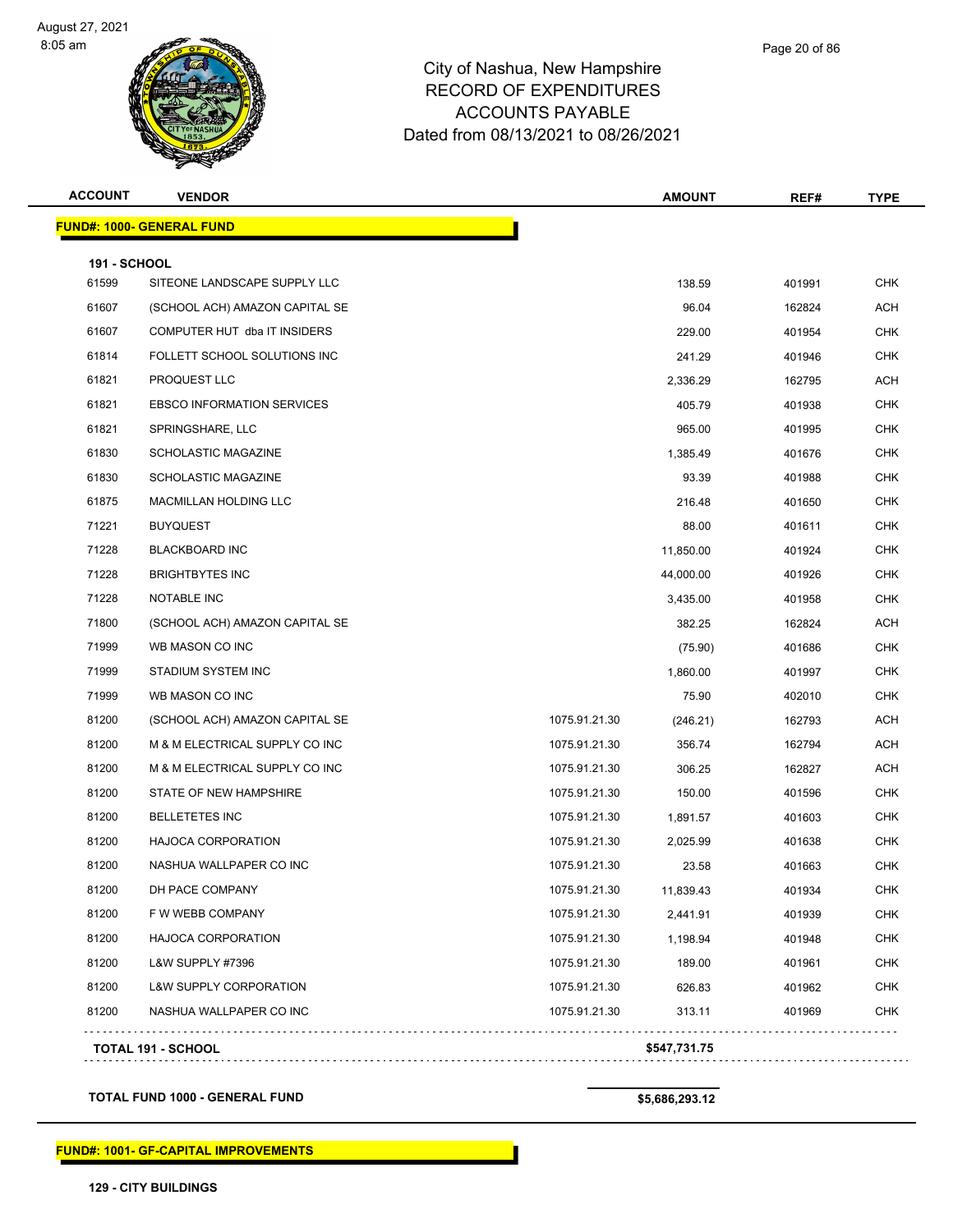

| <b>ACCOUNT</b>      | <b>VENDOR</b>                     |               | <b>AMOUNT</b> | REF#   | <b>TYPE</b> |
|---------------------|-----------------------------------|---------------|---------------|--------|-------------|
|                     | <b>FUND#: 1000- GENERAL FUND</b>  |               |               |        |             |
| <b>191 - SCHOOL</b> |                                   |               |               |        |             |
| 61599               | SITEONE LANDSCAPE SUPPLY LLC      |               | 138.59        | 401991 | <b>CHK</b>  |
| 61607               | (SCHOOL ACH) AMAZON CAPITAL SE    |               | 96.04         | 162824 | ACH         |
| 61607               | COMPUTER HUT dba IT INSIDERS      |               | 229.00        | 401954 | <b>CHK</b>  |
| 61814               | FOLLETT SCHOOL SOLUTIONS INC      |               | 241.29        | 401946 | <b>CHK</b>  |
| 61821               | PROQUEST LLC                      |               | 2,336.29      | 162795 | ACH         |
| 61821               | <b>EBSCO INFORMATION SERVICES</b> |               | 405.79        | 401938 | <b>CHK</b>  |
| 61821               | SPRINGSHARE, LLC                  |               | 965.00        | 401995 | CHK         |
| 61830               | <b>SCHOLASTIC MAGAZINE</b>        |               | 1,385.49      | 401676 | <b>CHK</b>  |
| 61830               | <b>SCHOLASTIC MAGAZINE</b>        |               | 93.39         | 401988 | <b>CHK</b>  |
| 61875               | <b>MACMILLAN HOLDING LLC</b>      |               | 216.48        | 401650 | <b>CHK</b>  |
| 71221               | <b>BUYQUEST</b>                   |               | 88.00         | 401611 | <b>CHK</b>  |
| 71228               | <b>BLACKBOARD INC</b>             |               | 11,850.00     | 401924 | CHK         |
| 71228               | <b>BRIGHTBYTES INC</b>            |               | 44,000.00     | 401926 | <b>CHK</b>  |
| 71228               | NOTABLE INC                       |               | 3,435.00      | 401958 | CHK         |
| 71800               | (SCHOOL ACH) AMAZON CAPITAL SE    |               | 382.25        | 162824 | ACH         |
| 71999               | WB MASON CO INC                   |               | (75.90)       | 401686 | <b>CHK</b>  |
| 71999               | STADIUM SYSTEM INC                |               | 1,860.00      | 401997 | CHK         |
| 71999               | WB MASON CO INC                   |               | 75.90         | 402010 | CHK         |
| 81200               | (SCHOOL ACH) AMAZON CAPITAL SE    | 1075.91.21.30 | (246.21)      | 162793 | <b>ACH</b>  |
| 81200               | M & M ELECTRICAL SUPPLY CO INC    | 1075.91.21.30 | 356.74        | 162794 | ACH         |
| 81200               | M & M ELECTRICAL SUPPLY CO INC    | 1075.91.21.30 | 306.25        | 162827 | ACH         |
| 81200               | STATE OF NEW HAMPSHIRE            | 1075.91.21.30 | 150.00        | 401596 | CHK         |
| 81200               | <b>BELLETETES INC</b>             | 1075.91.21.30 | 1,891.57      | 401603 | <b>CHK</b>  |
| 81200               | <b>HAJOCA CORPORATION</b>         | 1075.91.21.30 | 2,025.99      | 401638 | <b>CHK</b>  |
| 81200               | NASHUA WALLPAPER CO INC           | 1075.91.21.30 | 23.58         | 401663 | <b>CHK</b>  |
| 81200               | DH PACE COMPANY                   | 1075.91.21.30 | 11,839.43     | 401934 | CHK         |
| 81200               | F W WEBB COMPANY                  | 1075.91.21.30 | 2,441.91      | 401939 | <b>CHK</b>  |
| 81200               | <b>HAJOCA CORPORATION</b>         | 1075.91.21.30 | 1,198.94      | 401948 | <b>CHK</b>  |
| 81200               | L&W SUPPLY #7396                  | 1075.91.21.30 | 189.00        | 401961 | <b>CHK</b>  |
| 81200               | <b>L&amp;W SUPPLY CORPORATION</b> | 1075.91.21.30 | 626.83        | 401962 | <b>CHK</b>  |
| 81200               | NASHUA WALLPAPER CO INC           | 1075.91.21.30 | 313.11        | 401969 | <b>CHK</b>  |

**TOTAL FUND 1000 - GENERAL FUND \$5,686,293.12** 

**FUND#: 1001- GF-CAPITAL IMPROVEMENTS**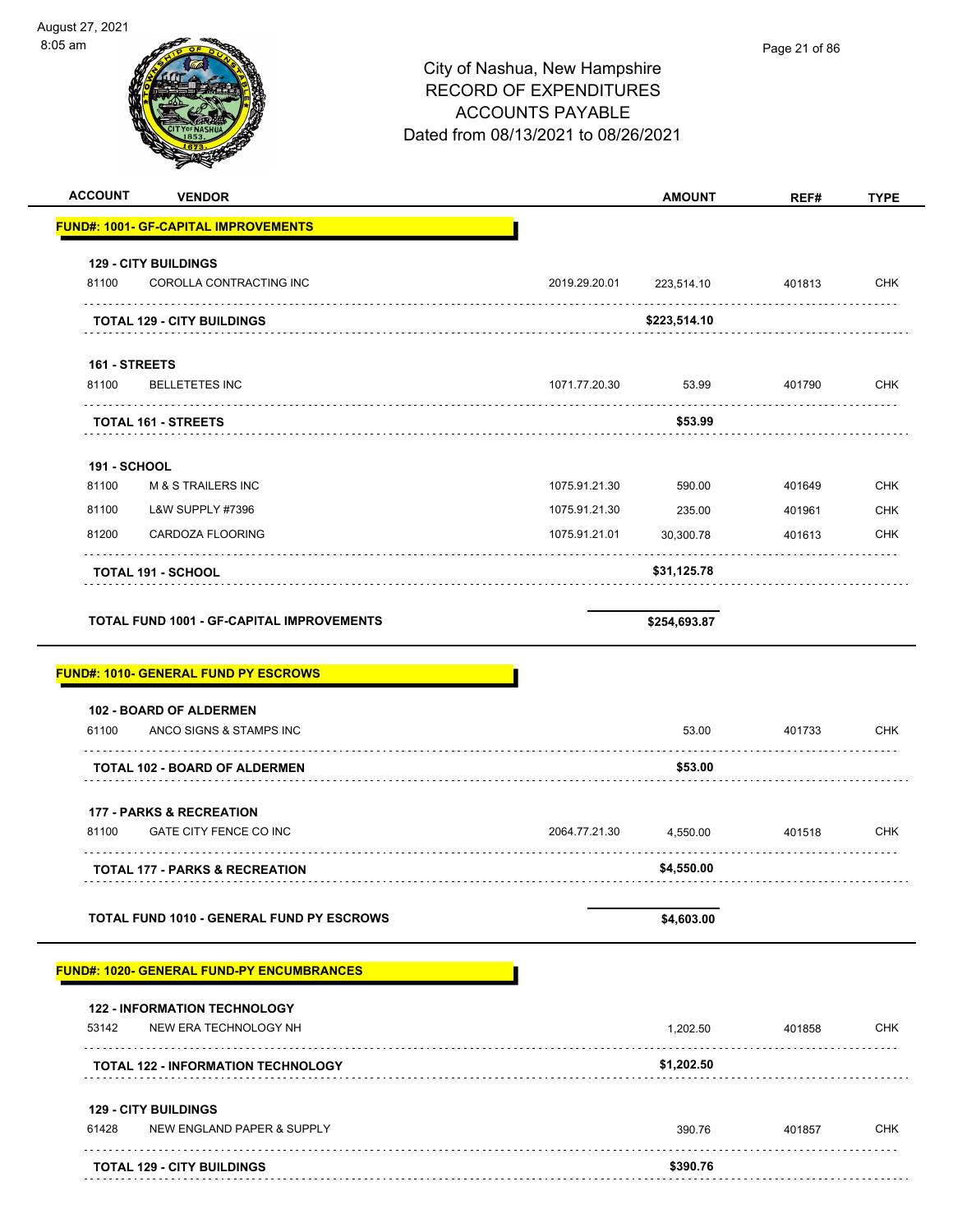| August 27, 2021<br>8:05 am |                                                  | City of Nashua, New Hampshire<br><b>RECORD OF EXPENDITURES</b><br><b>ACCOUNTS PAYABLE</b><br>Dated from 08/13/2021 to 08/26/2021 |               | Page 21 of 86 |             |
|----------------------------|--------------------------------------------------|----------------------------------------------------------------------------------------------------------------------------------|---------------|---------------|-------------|
| <b>ACCOUNT</b>             | <b>VENDOR</b>                                    |                                                                                                                                  | <b>AMOUNT</b> | REF#          | <b>TYPE</b> |
|                            | <b>FUND#: 1001- GF-CAPITAL IMPROVEMENTS</b>      |                                                                                                                                  |               |               |             |
|                            | <b>129 - CITY BUILDINGS</b>                      |                                                                                                                                  |               |               |             |
| 81100                      | COROLLA CONTRACTING INC                          | 2019.29.20.01                                                                                                                    | 223,514.10    | 401813        | <b>CHK</b>  |
|                            | .<br><b>TOTAL 129 - CITY BUILDINGS</b>           |                                                                                                                                  | \$223,514.10  |               |             |
| 161 - STREETS<br>81100     | <b>BELLETETES INC</b>                            | 1071.77.20.30                                                                                                                    | 53.99         | 401790        | <b>CHK</b>  |
|                            | <b>TOTAL 161 - STREETS</b>                       |                                                                                                                                  | \$53.99       |               |             |
| <b>191 - SCHOOL</b>        |                                                  |                                                                                                                                  |               |               |             |
| 81100                      | <b>M &amp; S TRAILERS INC</b>                    | 1075.91.21.30                                                                                                                    | 590.00        | 401649        | <b>CHK</b>  |
| 81100                      | <b>L&amp;W SUPPLY #7396</b>                      | 1075.91.21.30                                                                                                                    | 235.00        | 401961        | <b>CHK</b>  |
| 81200                      | CARDOZA FLOORING                                 | 1075.91.21.01                                                                                                                    | 30,300.78     | 401613        | <b>CHK</b>  |
|                            | <b>TOTAL 191 - SCHOOL</b>                        |                                                                                                                                  | \$31,125.78   |               |             |
|                            | <b>TOTAL FUND 1001 - GF-CAPITAL IMPROVEMENTS</b> |                                                                                                                                  | \$254,693.87  |               |             |
|                            | <b>FUND#: 1010- GENERAL FUND PY ESCROWS</b>      |                                                                                                                                  |               |               |             |
|                            | 102 - BOARD OF ALDERMEN                          |                                                                                                                                  |               |               |             |
| 61100                      | ANCO SIGNS & STAMPS INC                          |                                                                                                                                  | 53.00         | 401733        | <b>CHK</b>  |
|                            | <b>TOTAL 102 - BOARD OF ALDERMEN</b>             |                                                                                                                                  | \$53.00       |               |             |
|                            | <b>177 - PARKS &amp; RECREATION</b>              |                                                                                                                                  |               |               |             |
| 81100                      | GATE CITY FENCE CO INC                           | 2064.77.21.30                                                                                                                    | 4,550.00      | 401518        | <b>CHK</b>  |
|                            | TOTAL 177 - PARKS & RECREATION                   |                                                                                                                                  | \$4,550.00    |               |             |
|                            | TOTAL FUND 1010 - GENERAL FUND PY ESCROWS        |                                                                                                                                  | \$4,603.00    |               |             |
|                            | <b>FUND#: 1020- GENERAL FUND-PY ENCUMBRANCES</b> |                                                                                                                                  |               |               |             |
|                            | <b>122 - INFORMATION TECHNOLOGY</b>              |                                                                                                                                  |               |               |             |
| 53142                      | NEW ERA TECHNOLOGY NH                            |                                                                                                                                  | 1,202.50      | 401858        | <b>CHK</b>  |
|                            | <b>TOTAL 122 - INFORMATION TECHNOLOGY</b>        |                                                                                                                                  | \$1,202.50    |               |             |
|                            | <b>129 - CITY BUILDINGS</b>                      |                                                                                                                                  |               |               |             |
| 61428                      | NEW ENGLAND PAPER & SUPPLY                       |                                                                                                                                  | 390.76        | 401857        | <b>CHK</b>  |
|                            | <b>TOTAL 129 - CITY BUILDINGS</b>                |                                                                                                                                  | \$390.76      |               |             |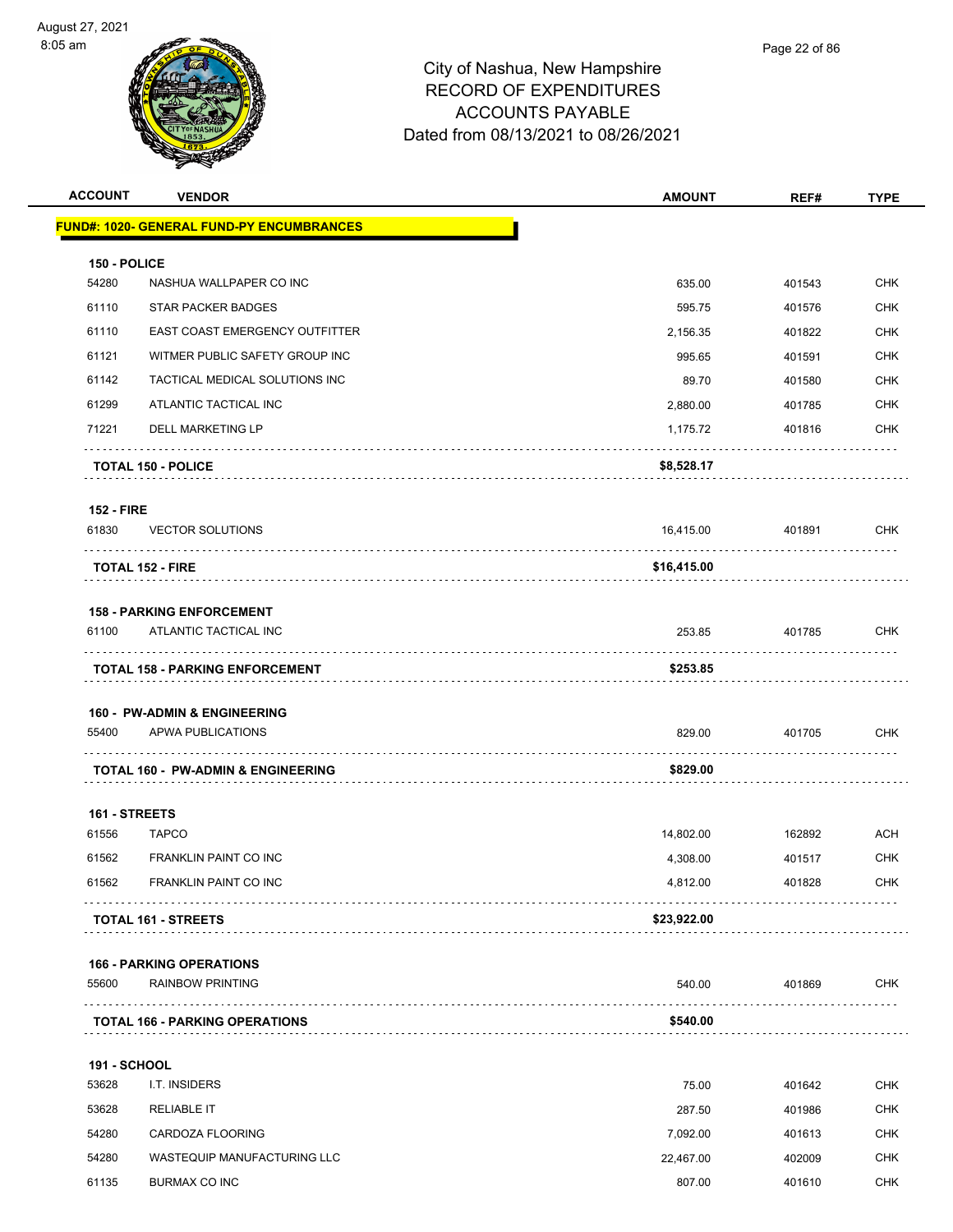

| <b>ACCOUNT</b>      | <b>VENDOR</b>                                     | <b>AMOUNT</b> | REF#   | <b>TYPE</b> |
|---------------------|---------------------------------------------------|---------------|--------|-------------|
|                     | <u> FUND#: 1020- GENERAL FUND-PY ENCUMBRANCES</u> |               |        |             |
| 150 - POLICE        |                                                   |               |        |             |
| 54280               | NASHUA WALLPAPER CO INC                           | 635.00        | 401543 | <b>CHK</b>  |
| 61110               | <b>STAR PACKER BADGES</b>                         | 595.75        | 401576 | <b>CHK</b>  |
| 61110               | EAST COAST EMERGENCY OUTFITTER                    | 2,156.35      | 401822 | <b>CHK</b>  |
| 61121               | WITMER PUBLIC SAFETY GROUP INC                    | 995.65        | 401591 | <b>CHK</b>  |
| 61142               | TACTICAL MEDICAL SOLUTIONS INC                    | 89.70         | 401580 | <b>CHK</b>  |
| 61299               | ATLANTIC TACTICAL INC                             | 2,880.00      | 401785 | <b>CHK</b>  |
| 71221               | DELL MARKETING LP                                 | 1,175.72      | 401816 | <b>CHK</b>  |
|                     | <b>TOTAL 150 - POLICE</b>                         | \$8,528.17    |        |             |
| <b>152 - FIRE</b>   |                                                   |               |        |             |
| 61830               | <b>VECTOR SOLUTIONS</b>                           | 16,415.00     | 401891 | <b>CHK</b>  |
|                     | <b>TOTAL 152 - FIRE</b>                           | \$16,415.00   |        |             |
|                     | <b>158 - PARKING ENFORCEMENT</b>                  |               |        |             |
| 61100               | ATLANTIC TACTICAL INC                             | 253.85        | 401785 | <b>CHK</b>  |
|                     | <b>TOTAL 158 - PARKING ENFORCEMENT</b>            | \$253.85      |        |             |
|                     | <b>160 - PW-ADMIN &amp; ENGINEERING</b>           |               |        |             |
| 55400               | APWA PUBLICATIONS                                 | 829.00        | 401705 | <b>CHK</b>  |
|                     | <b>TOTAL 160 - PW-ADMIN &amp; ENGINEERING</b>     | \$829.00      |        |             |
| 161 - STREETS       |                                                   |               |        |             |
| 61556               | <b>TAPCO</b>                                      | 14,802.00     | 162892 | ACH         |
| 61562               | <b>FRANKLIN PAINT CO INC</b>                      | 4,308.00      | 401517 | CHK         |
| 61562               | FRANKLIN PAINT CO INC                             | 4,812.00      | 401828 | <b>CHK</b>  |
|                     | <b>TOTAL 161 - STREETS</b>                        | \$23,922.00   |        |             |
|                     | <b>166 - PARKING OPERATIONS</b>                   |               |        |             |
| 55600               | <b>RAINBOW PRINTING</b>                           | 540.00        | 401869 | <b>CHK</b>  |
|                     | <b>TOTAL 166 - PARKING OPERATIONS</b>             | \$540.00      |        |             |
| <b>191 - SCHOOL</b> |                                                   |               |        |             |
| 53628               | I.T. INSIDERS                                     | 75.00         | 401642 | <b>CHK</b>  |
| 53628               | <b>RELIABLE IT</b>                                | 287.50        | 401986 | <b>CHK</b>  |
| 54280               | CARDOZA FLOORING                                  | 7,092.00      | 401613 | <b>CHK</b>  |
| 54280               | WASTEQUIP MANUFACTURING LLC                       | 22,467.00     | 402009 | <b>CHK</b>  |
| 61135               | <b>BURMAX CO INC</b>                              | 807.00        | 401610 | <b>CHK</b>  |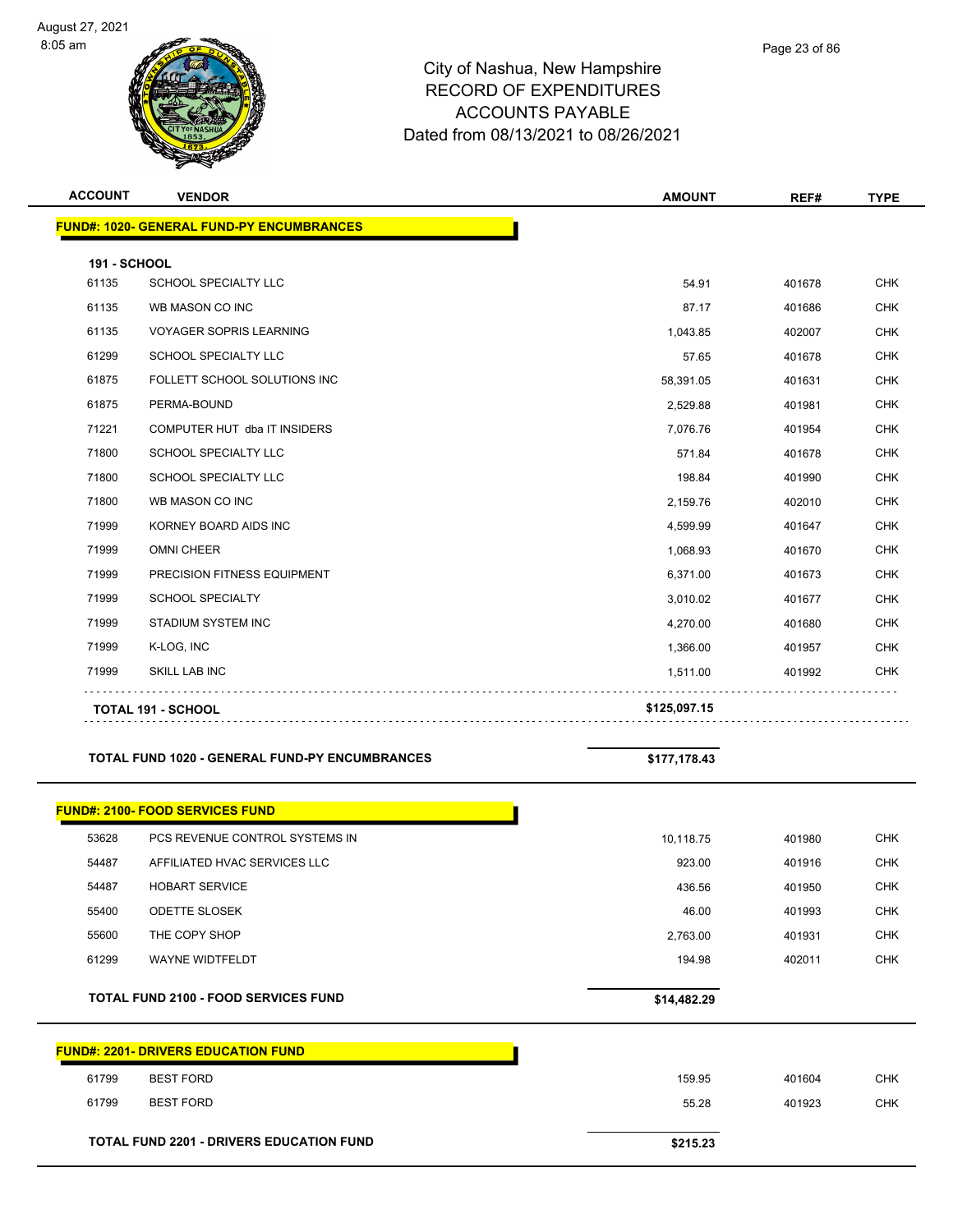

| <b>ACCOUNT</b>               | <b>VENDOR</b>                                         | <b>AMOUNT</b> | REF#   | <b>TYPE</b> |
|------------------------------|-------------------------------------------------------|---------------|--------|-------------|
|                              | <b>FUND#: 1020- GENERAL FUND-PY ENCUMBRANCES</b>      |               |        |             |
|                              |                                                       |               |        |             |
| <b>191 - SCHOOL</b><br>61135 | SCHOOL SPECIALTY LLC                                  | 54.91         | 401678 | <b>CHK</b>  |
| 61135                        |                                                       |               |        |             |
|                              | WB MASON CO INC                                       | 87.17         | 401686 | <b>CHK</b>  |
| 61135                        | <b>VOYAGER SOPRIS LEARNING</b>                        | 1,043.85      | 402007 | <b>CHK</b>  |
| 61299                        | <b>SCHOOL SPECIALTY LLC</b>                           | 57.65         | 401678 | <b>CHK</b>  |
| 61875                        | FOLLETT SCHOOL SOLUTIONS INC                          | 58,391.05     | 401631 | <b>CHK</b>  |
| 61875                        | PERMA-BOUND                                           | 2,529.88      | 401981 | <b>CHK</b>  |
| 71221                        | COMPUTER HUT dba IT INSIDERS                          | 7,076.76      | 401954 | <b>CHK</b>  |
| 71800                        | SCHOOL SPECIALTY LLC                                  | 571.84        | 401678 | <b>CHK</b>  |
| 71800                        | SCHOOL SPECIALTY LLC                                  | 198.84        | 401990 | <b>CHK</b>  |
| 71800                        | WB MASON CO INC                                       | 2,159.76      | 402010 | CHK         |
| 71999                        | KORNEY BOARD AIDS INC                                 | 4,599.99      | 401647 | <b>CHK</b>  |
| 71999                        | <b>OMNI CHEER</b>                                     | 1,068.93      | 401670 | <b>CHK</b>  |
| 71999                        | PRECISION FITNESS EQUIPMENT                           | 6,371.00      | 401673 | <b>CHK</b>  |
| 71999                        | <b>SCHOOL SPECIALTY</b>                               | 3,010.02      | 401677 | <b>CHK</b>  |
| 71999                        | STADIUM SYSTEM INC                                    | 4,270.00      | 401680 | CHK         |
| 71999                        | K-LOG, INC                                            | 1,366.00      | 401957 | <b>CHK</b>  |
| 71999                        | <b>SKILL LAB INC</b>                                  | 1,511.00      | 401992 | CHK         |
|                              | <b>TOTAL 191 - SCHOOL</b>                             | \$125,097.15  |        |             |
|                              |                                                       |               |        |             |
|                              | <b>TOTAL FUND 1020 - GENERAL FUND-PY ENCUMBRANCES</b> | \$177,178.43  |        |             |
|                              |                                                       |               |        |             |
|                              | <b>FUND#: 2100- FOOD SERVICES FUND</b>                |               |        |             |
| 53628                        | PCS REVENUE CONTROL SYSTEMS IN                        | 10,118.75     | 401980 | <b>CHK</b>  |
| 54487                        | AFFILIATED HVAC SERVICES LLC                          | 923.00        | 401916 | <b>CHK</b>  |
| 54487                        | <b>HOBART SERVICE</b>                                 | 436.56        | 401950 | CHK         |
| 55400                        | <b>ODETTE SLOSEK</b>                                  | 46.00         | 401993 | <b>CHK</b>  |
| 55600                        | THE COPY SHOP                                         | 2,763.00      | 401931 | <b>CHK</b>  |
| 61299                        | WAYNE WIDTFELDT                                       | 194.98        | 402011 | <b>CHK</b>  |
|                              |                                                       |               |        |             |
|                              | <b>TOTAL FUND 2100 - FOOD SERVICES FUND</b>           | \$14,482.29   |        |             |
|                              | <b>FUND#: 2201- DRIVERS EDUCATION FUND</b>            |               |        |             |
|                              |                                                       |               |        |             |
| 61799                        | <b>BEST FORD</b>                                      | 159.95        | 401604 | <b>CHK</b>  |
| 61799                        | <b>BEST FORD</b>                                      | 55.28         | 401923 | <b>CHK</b>  |
|                              | TOTAL FUND 2201 - DRIVERS EDUCATION FUND              | \$215.23      |        |             |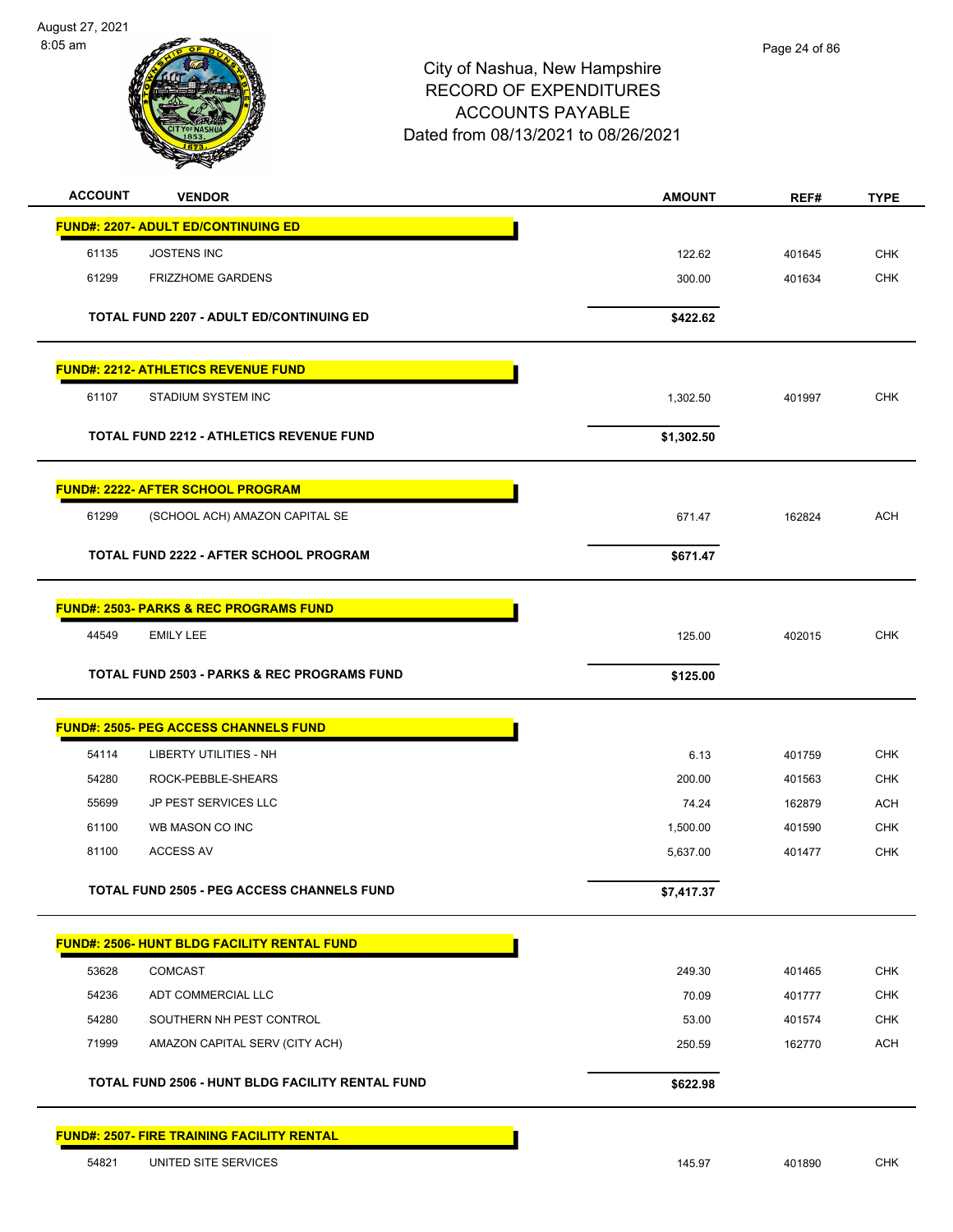August 27, 2021 8:05 am



| <b>ACCOUNT</b> | <b>VENDOR</b>                                          | <b>AMOUNT</b> | REF#   | <b>TYPE</b> |
|----------------|--------------------------------------------------------|---------------|--------|-------------|
|                | <b>FUND#: 2207- ADULT ED/CONTINUING ED</b>             |               |        |             |
| 61135          | <b>JOSTENS INC</b>                                     | 122.62        | 401645 | <b>CHK</b>  |
| 61299          | <b>FRIZZHOME GARDENS</b>                               | 300.00        | 401634 | <b>CHK</b>  |
|                | <b>TOTAL FUND 2207 - ADULT ED/CONTINUING ED</b>        | \$422.62      |        |             |
|                |                                                        |               |        |             |
|                | <b>FUND#: 2212- ATHLETICS REVENUE FUND</b>             |               |        |             |
| 61107          | STADIUM SYSTEM INC                                     | 1,302.50      | 401997 | <b>CHK</b>  |
|                | <b>TOTAL FUND 2212 - ATHLETICS REVENUE FUND</b>        | \$1,302.50    |        |             |
|                | <b>FUND#: 2222- AFTER SCHOOL PROGRAM</b>               |               |        |             |
| 61299          | (SCHOOL ACH) AMAZON CAPITAL SE                         | 671.47        | 162824 | <b>ACH</b>  |
|                | <b>TOTAL FUND 2222 - AFTER SCHOOL PROGRAM</b>          | \$671.47      |        |             |
|                |                                                        |               |        |             |
|                | <b>FUND#: 2503- PARKS &amp; REC PROGRAMS FUND</b>      |               |        |             |
| 44549          | <b>EMILY LEE</b>                                       | 125.00        | 402015 | <b>CHK</b>  |
|                | <b>TOTAL FUND 2503 - PARKS &amp; REC PROGRAMS FUND</b> | \$125.00      |        |             |
|                | <b>FUND#: 2505- PEG ACCESS CHANNELS FUND</b>           |               |        |             |
| 54114          | <b>LIBERTY UTILITIES - NH</b>                          | 6.13          | 401759 | <b>CHK</b>  |
| 54280          | ROCK-PEBBLE-SHEARS                                     | 200.00        | 401563 | <b>CHK</b>  |
| 55699          | JP PEST SERVICES LLC                                   | 74.24         | 162879 | ACH         |
| 61100          | WB MASON CO INC                                        | 1,500.00      | 401590 | <b>CHK</b>  |
| 81100          | <b>ACCESS AV</b>                                       | 5,637.00      | 401477 | <b>CHK</b>  |
|                | <b>TOTAL FUND 2505 - PEG ACCESS CHANNELS FUND</b>      | \$7,417.37    |        |             |
|                | FUND#: 2506- HUNT BLDG FACILITY RENTAL FUND            |               |        |             |
| 53628          | <b>COMCAST</b>                                         | 249.30        | 401465 | <b>CHK</b>  |
| 54236          | ADT COMMERCIAL LLC                                     | 70.09         | 401777 | <b>CHK</b>  |
| 54280          | SOUTHERN NH PEST CONTROL                               | 53.00         | 401574 | <b>CHK</b>  |
| 71999          | AMAZON CAPITAL SERV (CITY ACH)                         | 250.59        | 162770 | <b>ACH</b>  |
|                | TOTAL FUND 2506 - HUNT BLDG FACILITY RENTAL FUND       | \$622.98      |        |             |
|                | <b>FUND#: 2507- FIRE TRAINING FACILITY RENTAL</b>      |               |        |             |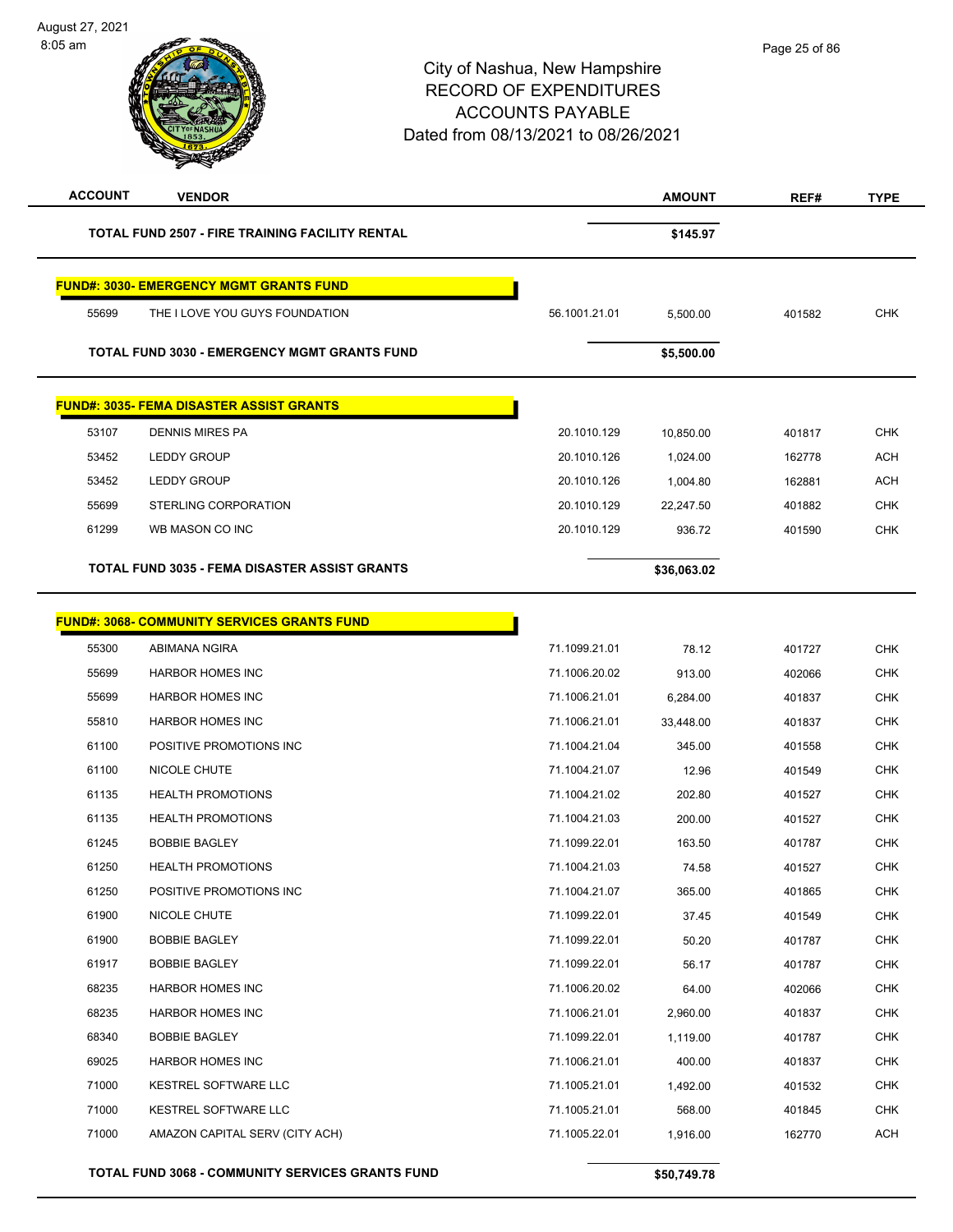| <b>ACCOUNT</b> | <b>VENDOR</b>                                          |               | <b>AMOUNT</b> | REF#   | <b>TYPE</b> |
|----------------|--------------------------------------------------------|---------------|---------------|--------|-------------|
|                | <b>TOTAL FUND 2507 - FIRE TRAINING FACILITY RENTAL</b> |               | \$145.97      |        |             |
|                | <b>FUND#: 3030- EMERGENCY MGMT GRANTS FUND</b>         |               |               |        |             |
| 55699          | THE I LOVE YOU GUYS FOUNDATION                         | 56.1001.21.01 | 5,500.00      | 401582 | <b>CHK</b>  |
|                | <b>TOTAL FUND 3030 - EMERGENCY MGMT GRANTS FUND</b>    |               | \$5,500.00    |        |             |
|                | <b>FUND#: 3035- FEMA DISASTER ASSIST GRANTS</b>        |               |               |        |             |
| 53107          | <b>DENNIS MIRES PA</b>                                 | 20.1010.129   | 10,850.00     | 401817 | <b>CHK</b>  |
| 53452          | <b>LEDDY GROUP</b>                                     | 20.1010.126   | 1,024.00      | 162778 | <b>ACH</b>  |
| 53452          | <b>LEDDY GROUP</b>                                     | 20.1010.126   | 1,004.80      | 162881 | <b>ACH</b>  |
| 55699          | STERLING CORPORATION                                   | 20.1010.129   | 22,247.50     | 401882 | <b>CHK</b>  |
| 61299          | WB MASON CO INC                                        | 20.1010.129   | 936.72        | 401590 | <b>CHK</b>  |
|                | <b>TOTAL FUND 3035 - FEMA DISASTER ASSIST GRANTS</b>   |               | \$36,063.02   |        |             |
|                | <b>FUND#: 3068- COMMUNITY SERVICES GRANTS FUND</b>     |               |               |        |             |
| 55300          | ABIMANA NGIRA                                          | 71.1099.21.01 | 78.12         | 401727 | <b>CHK</b>  |
| 55699          | <b>HARBOR HOMES INC</b>                                | 71.1006.20.02 | 913.00        | 402066 | <b>CHK</b>  |
| 55699          | <b>HARBOR HOMES INC</b>                                | 71.1006.21.01 | 6,284.00      | 401837 | <b>CHK</b>  |
| 55810          | <b>HARBOR HOMES INC</b>                                | 71.1006.21.01 | 33,448.00     | 401837 | <b>CHK</b>  |
| 61100          | POSITIVE PROMOTIONS INC                                | 71.1004.21.04 | 345.00        | 401558 | <b>CHK</b>  |
| 61100          | NICOLE CHUTE                                           | 71.1004.21.07 | 12.96         | 401549 | <b>CHK</b>  |
| 61135          | <b>HEALTH PROMOTIONS</b>                               | 71.1004.21.02 | 202.80        | 401527 | <b>CHK</b>  |
| 61135          | <b>HEALTH PROMOTIONS</b>                               | 71.1004.21.03 | 200.00        | 401527 | <b>CHK</b>  |
| 61245          | <b>BOBBIE BAGLEY</b>                                   | 71.1099.22.01 | 163.50        | 401787 | <b>CHK</b>  |
| 61250          | <b>HEALTH PROMOTIONS</b>                               | 71.1004.21.03 | 74.58         | 401527 | <b>CHK</b>  |
| 61250          | POSITIVE PROMOTIONS INC                                | 71.1004.21.07 | 365.00        | 401865 | CHK         |
| 61900          | NICOLE CHUTE                                           | 71.1099.22.01 | 37.45         | 401549 | <b>CHK</b>  |
| 61900          | <b>BOBBIE BAGLEY</b>                                   | 71.1099.22.01 | 50.20         | 401787 | <b>CHK</b>  |
| 61917          | <b>BOBBIE BAGLEY</b>                                   | 71.1099.22.01 | 56.17         | 401787 | <b>CHK</b>  |
| 68235          | <b>HARBOR HOMES INC</b>                                | 71.1006.20.02 | 64.00         | 402066 | <b>CHK</b>  |
| 68235          | <b>HARBOR HOMES INC</b>                                | 71.1006.21.01 | 2,960.00      | 401837 | <b>CHK</b>  |
| 68340          | <b>BOBBIE BAGLEY</b>                                   | 71.1099.22.01 | 1,119.00      | 401787 | <b>CHK</b>  |
| 69025          | <b>HARBOR HOMES INC</b>                                | 71.1006.21.01 | 400.00        | 401837 | <b>CHK</b>  |
| 71000          | KESTREL SOFTWARE LLC                                   | 71.1005.21.01 | 1,492.00      | 401532 | <b>CHK</b>  |
| 71000          | KESTREL SOFTWARE LLC                                   | 71.1005.21.01 | 568.00        | 401845 | <b>CHK</b>  |
| 71000          | AMAZON CAPITAL SERV (CITY ACH)                         | 71.1005.22.01 | 1,916.00      | 162770 | ACH         |
|                | TOTAL FUND 3068 - COMMUNITY SERVICES GRANTS FUND       |               | \$50,749.78   |        |             |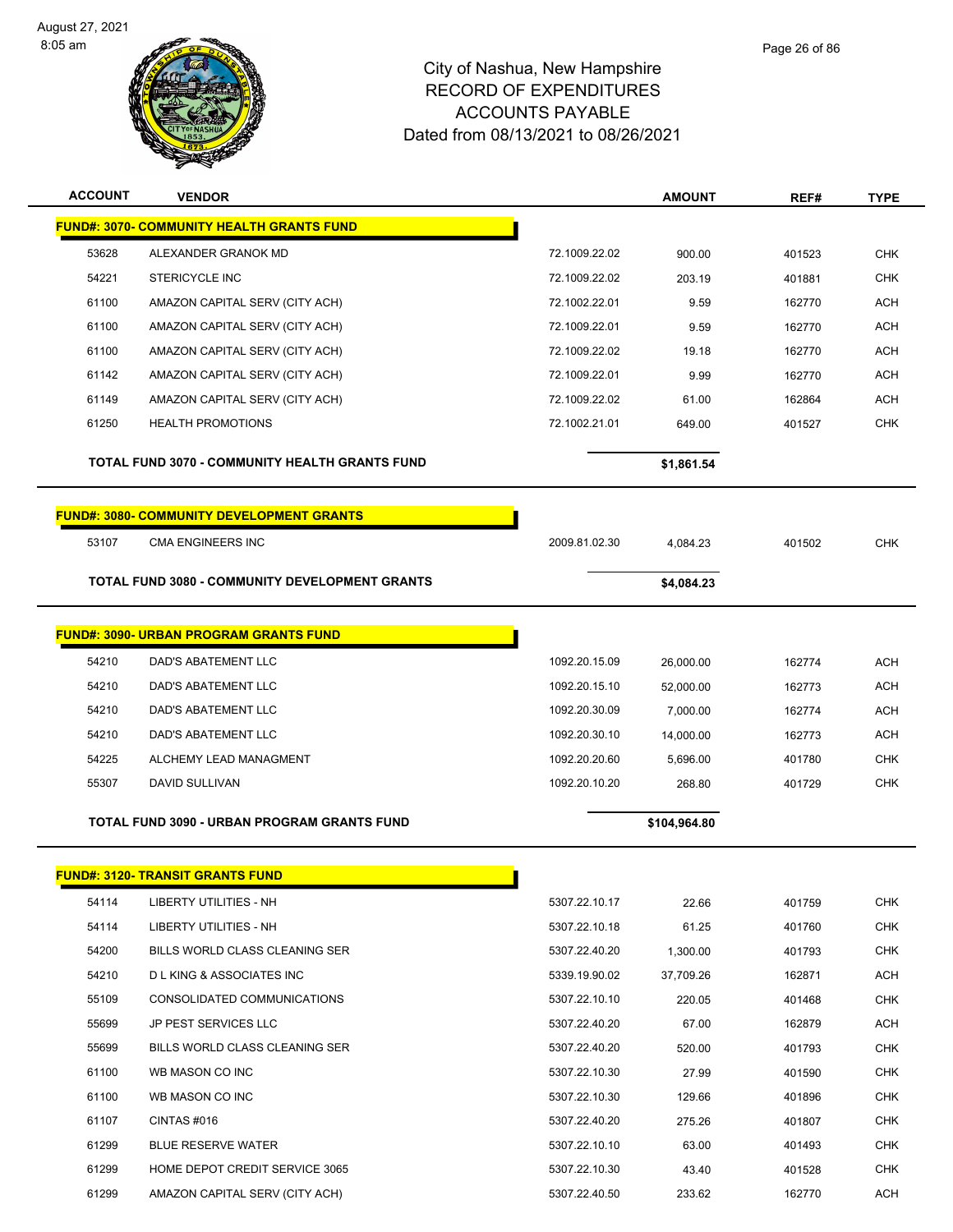L,



| <b>ACCOUNT</b> | <b>VENDOR</b>                                         |               | <b>AMOUNT</b> | REF#   | <b>TYPE</b> |
|----------------|-------------------------------------------------------|---------------|---------------|--------|-------------|
|                | <b>FUND#: 3070- COMMUNITY HEALTH GRANTS FUND</b>      |               |               |        |             |
| 53628          | ALEXANDER GRANOK MD                                   | 72.1009.22.02 | 900.00        | 401523 | <b>CHK</b>  |
| 54221          | <b>STERICYCLE INC</b>                                 | 72.1009.22.02 | 203.19        | 401881 | <b>CHK</b>  |
| 61100          | AMAZON CAPITAL SERV (CITY ACH)                        | 72.1002.22.01 | 9.59          | 162770 | <b>ACH</b>  |
| 61100          | AMAZON CAPITAL SERV (CITY ACH)                        | 72.1009.22.01 | 9.59          | 162770 | <b>ACH</b>  |
| 61100          | AMAZON CAPITAL SERV (CITY ACH)                        | 72.1009.22.02 | 19.18         | 162770 | <b>ACH</b>  |
| 61142          | AMAZON CAPITAL SERV (CITY ACH)                        | 72.1009.22.01 | 9.99          | 162770 | <b>ACH</b>  |
| 61149          | AMAZON CAPITAL SERV (CITY ACH)                        | 72.1009.22.02 | 61.00         | 162864 | <b>ACH</b>  |
| 61250          | <b>HEALTH PROMOTIONS</b>                              | 72.1002.21.01 | 649.00        | 401527 | <b>CHK</b>  |
|                | <b>TOTAL FUND 3070 - COMMUNITY HEALTH GRANTS FUND</b> |               | \$1,861.54    |        |             |
|                | <b>FUND#: 3080- COMMUNITY DEVELOPMENT GRANTS</b>      |               |               |        |             |
| 53107          | <b>CMA ENGINEERS INC</b>                              | 2009.81.02.30 | 4,084.23      | 401502 | <b>CHK</b>  |
|                | <b>TOTAL FUND 3080 - COMMUNITY DEVELOPMENT GRANTS</b> |               | \$4,084.23    |        |             |
|                | <b>FUND#: 3090- URBAN PROGRAM GRANTS FUND</b>         |               |               |        |             |
| 54210          | DAD'S ABATEMENT LLC                                   | 1092.20.15.09 | 26,000.00     | 162774 | <b>ACH</b>  |
| 54210          | DAD'S ABATEMENT LLC                                   | 1092.20.15.10 | 52,000.00     | 162773 | ACH         |
| 54210          | DAD'S ABATEMENT LLC                                   | 1092.20.30.09 | 7,000.00      | 162774 | <b>ACH</b>  |
| 54210          | DAD'S ABATEMENT LLC                                   | 1092.20.30.10 | 14,000.00     | 162773 | <b>ACH</b>  |
| 54225          | ALCHEMY LEAD MANAGMENT                                | 1092.20.20.60 | 5,696.00      | 401780 | <b>CHK</b>  |
| 55307          | DAVID SULLIVAN                                        | 1092.20.10.20 | 268.80        | 401729 | <b>CHK</b>  |
|                | <b>TOTAL FUND 3090 - URBAN PROGRAM GRANTS FUND</b>    |               | \$104,964.80  |        |             |
|                |                                                       |               |               |        |             |
|                | <b>FUND#: 3120- TRANSIT GRANTS FUND</b>               |               |               |        |             |
| 54114          | LIBERTY UTILITIES - NH                                | 5307.22.10.17 | 22.66         | 401759 | <b>CHK</b>  |
| 54114          | LIBERTY UTILITIES - NH                                | 5307.22.10.18 | 61.25         | 401760 | <b>CHK</b>  |
| 54200          | BILLS WORLD CLASS CLEANING SER                        | 5307.22.40.20 | 1,300.00      | 401793 | <b>CHK</b>  |
| 54210          | <b>DLKING &amp; ASSOCIATES INC</b>                    | 5339.19.90.02 | 37,709.26     | 162871 | ACH         |
| 55109          | CONSOLIDATED COMMUNICATIONS                           | 5307.22.10.10 | 220.05        | 401468 | <b>CHK</b>  |
| 55699          | JP PEST SERVICES LLC                                  | 5307.22.40.20 | 67.00         | 162879 | <b>ACH</b>  |
| 55699          | BILLS WORLD CLASS CLEANING SER                        | 5307.22.40.20 | 520.00        | 401793 | <b>CHK</b>  |
| 61100          | WB MASON CO INC                                       | 5307.22.10.30 | 27.99         | 401590 | <b>CHK</b>  |
| 61100          | WB MASON CO INC                                       | 5307.22.10.30 | 129.66        | 401896 | <b>CHK</b>  |
| 61107          | CINTAS #016                                           | 5307.22.40.20 | 275.26        | 401807 | <b>CHK</b>  |
| 61299          | <b>BLUE RESERVE WATER</b>                             | 5307.22.10.10 | 63.00         | 401493 | <b>CHK</b>  |
| 61299          | HOME DEPOT CREDIT SERVICE 3065                        | 5307.22.10.30 | 43.40         | 401528 | <b>CHK</b>  |
| 61299          | AMAZON CAPITAL SERV (CITY ACH)                        | 5307.22.40.50 | 233.62        | 162770 | <b>ACH</b>  |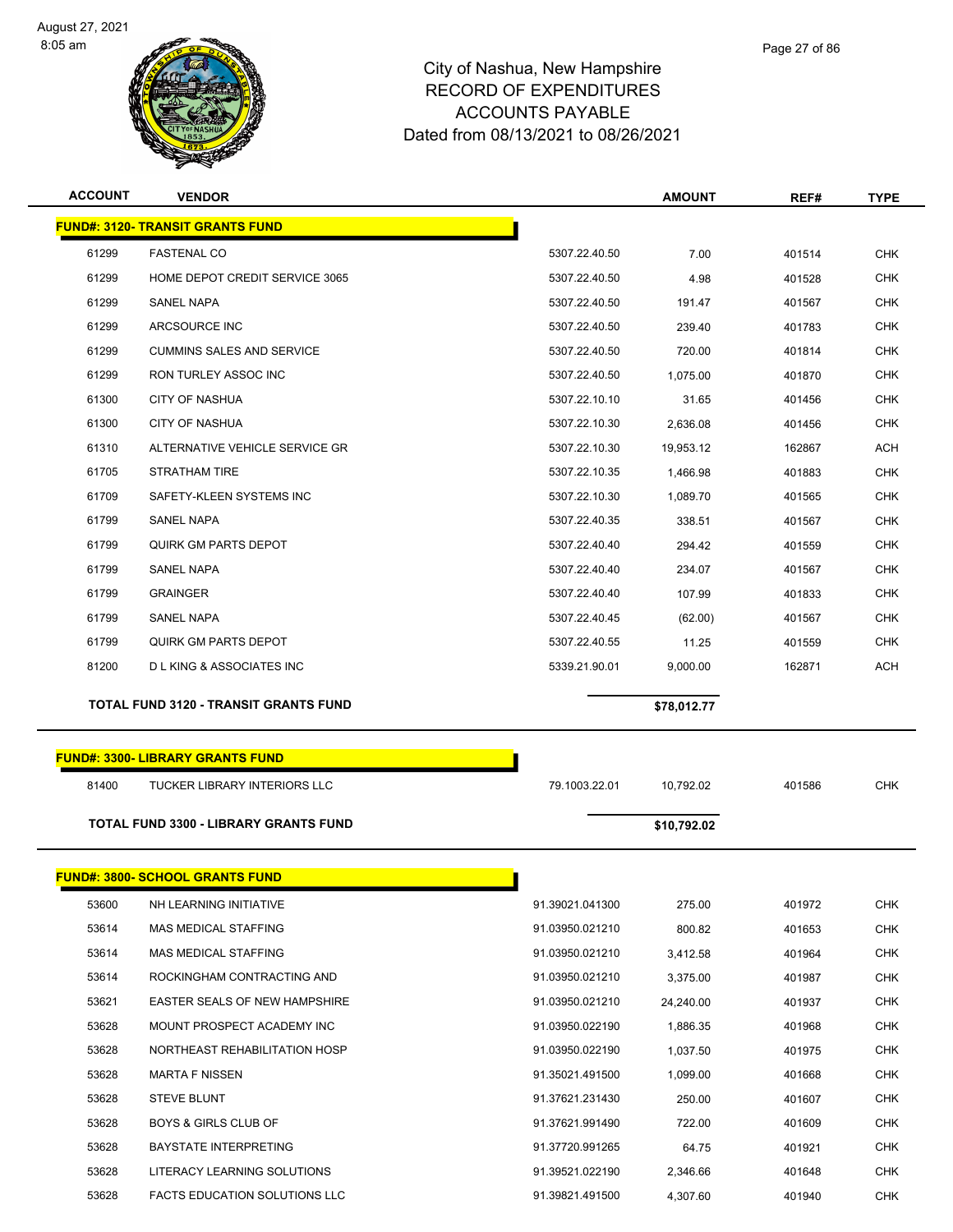

| <b>ACCOUNT</b> | <b>VENDOR</b>                                |               | <b>AMOUNT</b> | REF#   | <b>TYPE</b> |
|----------------|----------------------------------------------|---------------|---------------|--------|-------------|
|                | <b>FUND#: 3120- TRANSIT GRANTS FUND</b>      |               |               |        |             |
| 61299          | <b>FASTENAL CO</b>                           | 5307.22.40.50 | 7.00          | 401514 | <b>CHK</b>  |
| 61299          | HOME DEPOT CREDIT SERVICE 3065               | 5307.22.40.50 | 4.98          | 401528 | <b>CHK</b>  |
| 61299          | <b>SANEL NAPA</b>                            | 5307.22.40.50 | 191.47        | 401567 | <b>CHK</b>  |
| 61299          | ARCSOURCE INC                                | 5307.22.40.50 | 239.40        | 401783 | <b>CHK</b>  |
| 61299          | <b>CUMMINS SALES AND SERVICE</b>             | 5307.22.40.50 | 720.00        | 401814 | <b>CHK</b>  |
| 61299          | <b>RON TURLEY ASSOC INC</b>                  | 5307.22.40.50 | 1,075.00      | 401870 | <b>CHK</b>  |
| 61300          | <b>CITY OF NASHUA</b>                        | 5307.22.10.10 | 31.65         | 401456 | <b>CHK</b>  |
| 61300          | <b>CITY OF NASHUA</b>                        | 5307.22.10.30 | 2,636.08      | 401456 | <b>CHK</b>  |
| 61310          | ALTERNATIVE VEHICLE SERVICE GR               | 5307.22.10.30 | 19,953.12     | 162867 | <b>ACH</b>  |
| 61705          | <b>STRATHAM TIRE</b>                         | 5307.22.10.35 | 1,466.98      | 401883 | <b>CHK</b>  |
| 61709          | SAFETY-KLEEN SYSTEMS INC                     | 5307.22.10.30 | 1,089.70      | 401565 | <b>CHK</b>  |
| 61799          | SANEL NAPA                                   | 5307.22.40.35 | 338.51        | 401567 | <b>CHK</b>  |
| 61799          | <b>QUIRK GM PARTS DEPOT</b>                  | 5307.22.40.40 | 294.42        | 401559 | <b>CHK</b>  |
| 61799          | <b>SANEL NAPA</b>                            | 5307.22.40.40 | 234.07        | 401567 | <b>CHK</b>  |
| 61799          | <b>GRAINGER</b>                              | 5307.22.40.40 | 107.99        | 401833 | <b>CHK</b>  |
| 61799          | SANEL NAPA                                   | 5307.22.40.45 | (62.00)       | 401567 | <b>CHK</b>  |
| 61799          | <b>QUIRK GM PARTS DEPOT</b>                  | 5307.22.40.55 | 11.25         | 401559 | <b>CHK</b>  |
| 81200          | <b>DL KING &amp; ASSOCIATES INC</b>          | 5339.21.90.01 | 9,000.00      | 162871 | <b>ACH</b>  |
|                | <b>TOTAL FUND 3120 - TRANSIT GRANTS FUND</b> |               | \$78,012.77   |        |             |
|                | <b>FUND#: 3300- LIBRARY GRANTS FUND</b>      |               |               |        |             |
|                |                                              |               |               |        |             |
| 81400          | TUCKER LIBRARY INTERIORS LLC                 | 79.1003.22.01 | 10,792.02     | 401586 | <b>CHK</b>  |
|                | <b>TOTAL FUND 3300 - LIBRARY GRANTS FUND</b> |               | \$10,792.02   |        |             |
|                |                                              |               |               |        |             |
|                | <b>FUND#: 3800- SCHOOL GRANTS FUND</b>       |               |               |        |             |

|       | <u>UND#. JUUU- JUHUUL UNANTJI UND</u> |                 |           |        |            |
|-------|---------------------------------------|-----------------|-----------|--------|------------|
| 53600 | NH LEARNING INITIATIVE                | 91.39021.041300 | 275.00    | 401972 | <b>CHK</b> |
| 53614 | <b>MAS MEDICAL STAFFING</b>           | 91.03950.021210 | 800.82    | 401653 | <b>CHK</b> |
| 53614 | <b>MAS MEDICAL STAFFING</b>           | 91.03950.021210 | 3,412.58  | 401964 | <b>CHK</b> |
| 53614 | ROCKINGHAM CONTRACTING AND            | 91.03950.021210 | 3,375.00  | 401987 | <b>CHK</b> |
| 53621 | <b>EASTER SEALS OF NEW HAMPSHIRE</b>  | 91.03950.021210 | 24,240.00 | 401937 | <b>CHK</b> |
| 53628 | MOUNT PROSPECT ACADEMY INC            | 91.03950.022190 | 1,886.35  | 401968 | <b>CHK</b> |
| 53628 | NORTHEAST REHABILITATION HOSP         | 91.03950.022190 | 1,037.50  | 401975 | <b>CHK</b> |
| 53628 | MARTA F NISSEN                        | 91.35021.491500 | 1,099.00  | 401668 | <b>CHK</b> |
| 53628 | <b>STEVE BLUNT</b>                    | 91.37621.231430 | 250.00    | 401607 | <b>CHK</b> |
| 53628 | <b>BOYS &amp; GIRLS CLUB OF</b>       | 91.37621.991490 | 722.00    | 401609 | <b>CHK</b> |
| 53628 | <b>BAYSTATE INTERPRETING</b>          | 91.37720.991265 | 64.75     | 401921 | <b>CHK</b> |
| 53628 | LITERACY LEARNING SOLUTIONS           | 91.39521.022190 | 2,346.66  | 401648 | <b>CHK</b> |
| 53628 | <b>FACTS EDUCATION SOLUTIONS LLC</b>  | 91.39821.491500 | 4,307.60  | 401940 | <b>CHK</b> |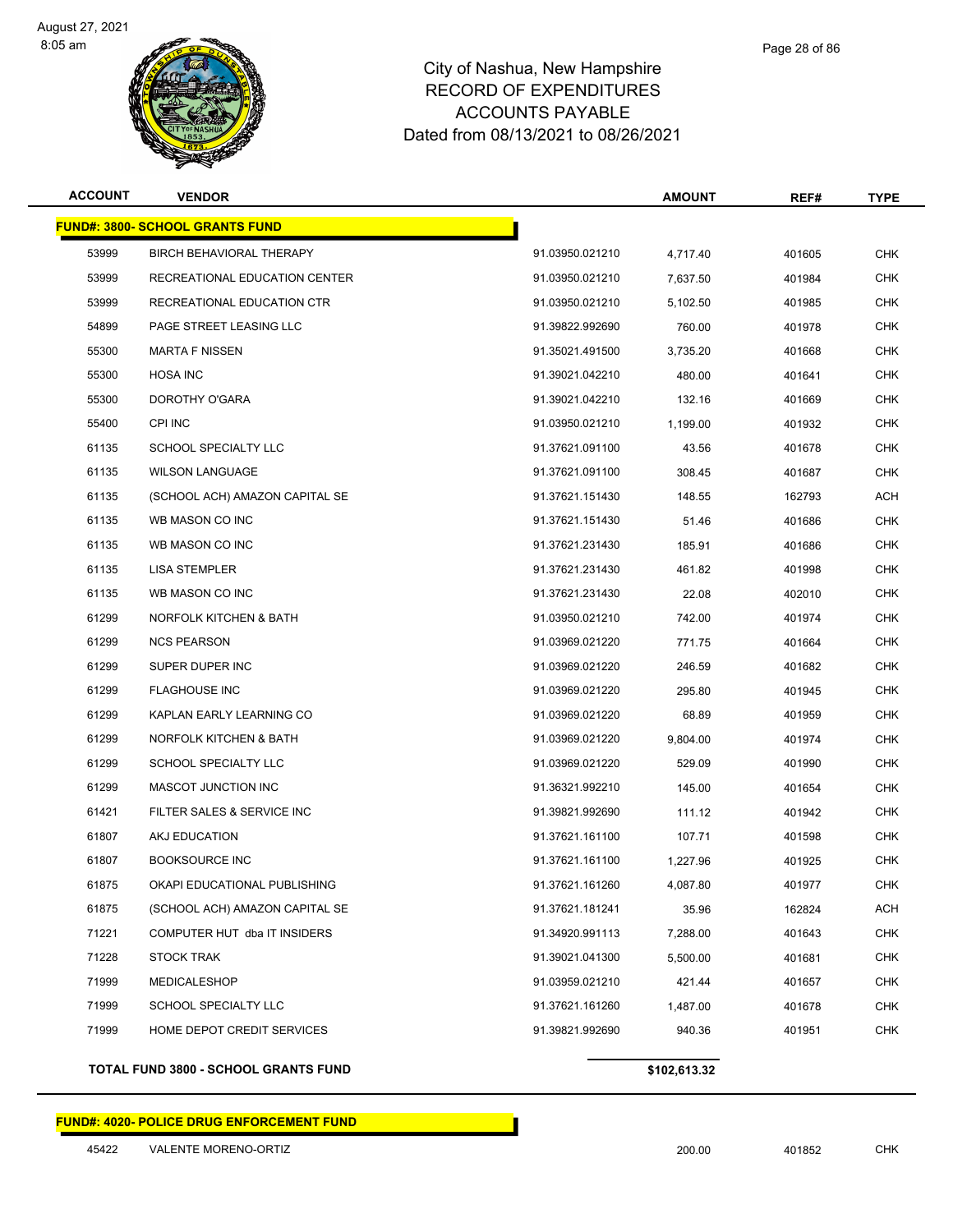

| <b>ACCOUNT</b> | <b>VENDOR</b>                          |                 | <b>AMOUNT</b> | REF#   | <b>TYPE</b> |
|----------------|----------------------------------------|-----------------|---------------|--------|-------------|
|                | <b>FUND#: 3800- SCHOOL GRANTS FUND</b> |                 |               |        |             |
| 53999          | BIRCH BEHAVIORAL THERAPY               | 91.03950.021210 | 4,717.40      | 401605 | <b>CHK</b>  |
| 53999          | RECREATIONAL EDUCATION CENTER          | 91.03950.021210 | 7,637.50      | 401984 | <b>CHK</b>  |
| 53999          | RECREATIONAL EDUCATION CTR             | 91.03950.021210 | 5,102.50      | 401985 | <b>CHK</b>  |
| 54899          | PAGE STREET LEASING LLC                | 91.39822.992690 | 760.00        | 401978 | <b>CHK</b>  |
| 55300          | <b>MARTA F NISSEN</b>                  | 91.35021.491500 | 3,735.20      | 401668 | <b>CHK</b>  |
| 55300          | <b>HOSA INC</b>                        | 91.39021.042210 | 480.00        | 401641 | <b>CHK</b>  |
| 55300          | DOROTHY O'GARA                         | 91.39021.042210 | 132.16        | 401669 | <b>CHK</b>  |
| 55400          | <b>CPI INC</b>                         | 91.03950.021210 | 1,199.00      | 401932 | CHK         |
| 61135          | SCHOOL SPECIALTY LLC                   | 91.37621.091100 | 43.56         | 401678 | <b>CHK</b>  |
| 61135          | <b>WILSON LANGUAGE</b>                 | 91.37621.091100 | 308.45        | 401687 | <b>CHK</b>  |
| 61135          | (SCHOOL ACH) AMAZON CAPITAL SE         | 91.37621.151430 | 148.55        | 162793 | ACH         |
| 61135          | WB MASON CO INC                        | 91.37621.151430 | 51.46         | 401686 | <b>CHK</b>  |
| 61135          | WB MASON CO INC                        | 91.37621.231430 | 185.91        | 401686 | CHK         |
| 61135          | <b>LISA STEMPLER</b>                   | 91.37621.231430 | 461.82        | 401998 | <b>CHK</b>  |
| 61135          | WB MASON CO INC                        | 91.37621.231430 | 22.08         | 402010 | <b>CHK</b>  |
| 61299          | NORFOLK KITCHEN & BATH                 | 91.03950.021210 | 742.00        | 401974 | <b>CHK</b>  |
| 61299          | <b>NCS PEARSON</b>                     | 91.03969.021220 | 771.75        | 401664 | <b>CHK</b>  |
| 61299          | SUPER DUPER INC                        | 91.03969.021220 | 246.59        | 401682 | <b>CHK</b>  |
| 61299          | <b>FLAGHOUSE INC</b>                   | 91.03969.021220 | 295.80        | 401945 | <b>CHK</b>  |
| 61299          | KAPLAN EARLY LEARNING CO               | 91.03969.021220 | 68.89         | 401959 | <b>CHK</b>  |
| 61299          | NORFOLK KITCHEN & BATH                 | 91.03969.021220 | 9,804.00      | 401974 | <b>CHK</b>  |
| 61299          | <b>SCHOOL SPECIALTY LLC</b>            | 91.03969.021220 | 529.09        | 401990 | <b>CHK</b>  |
| 61299          | MASCOT JUNCTION INC                    | 91.36321.992210 | 145.00        | 401654 | CHK         |
| 61421          | FILTER SALES & SERVICE INC             | 91.39821.992690 | 111.12        | 401942 | <b>CHK</b>  |
| 61807          | AKJ EDUCATION                          | 91.37621.161100 | 107.71        | 401598 | <b>CHK</b>  |
| 61807          | <b>BOOKSOURCE INC</b>                  | 91.37621.161100 | 1,227.96      | 401925 | CHK         |
| 61875          | OKAPI EDUCATIONAL PUBLISHING           | 91.37621.161260 | 4,087.80      | 401977 | <b>CHK</b>  |
| 61875          | (SCHOOL ACH) AMAZON CAPITAL SE         | 91.37621.181241 | 35.96         | 162824 | ACH         |
| 71221          | COMPUTER HUT dba IT INSIDERS           | 91.34920.991113 | 7,288.00      | 401643 | <b>CHK</b>  |
| 71228          | <b>STOCK TRAK</b>                      | 91.39021.041300 | 5,500.00      | 401681 | <b>CHK</b>  |
| 71999          | <b>MEDICALESHOP</b>                    | 91.03959.021210 | 421.44        | 401657 | CHK         |
| 71999          | SCHOOL SPECIALTY LLC                   | 91.37621.161260 | 1,487.00      | 401678 | <b>CHK</b>  |
| 71999          | HOME DEPOT CREDIT SERVICES             | 91.39821.992690 | 940.36        | 401951 | <b>CHK</b>  |
|                |                                        |                 |               |        |             |

**TOTAL FUND 3800 - SCHOOL GRANTS FUND \$102,613.32** 

#### **FUND#: 4020- POLICE DRUG ENFORCEMENT FUND**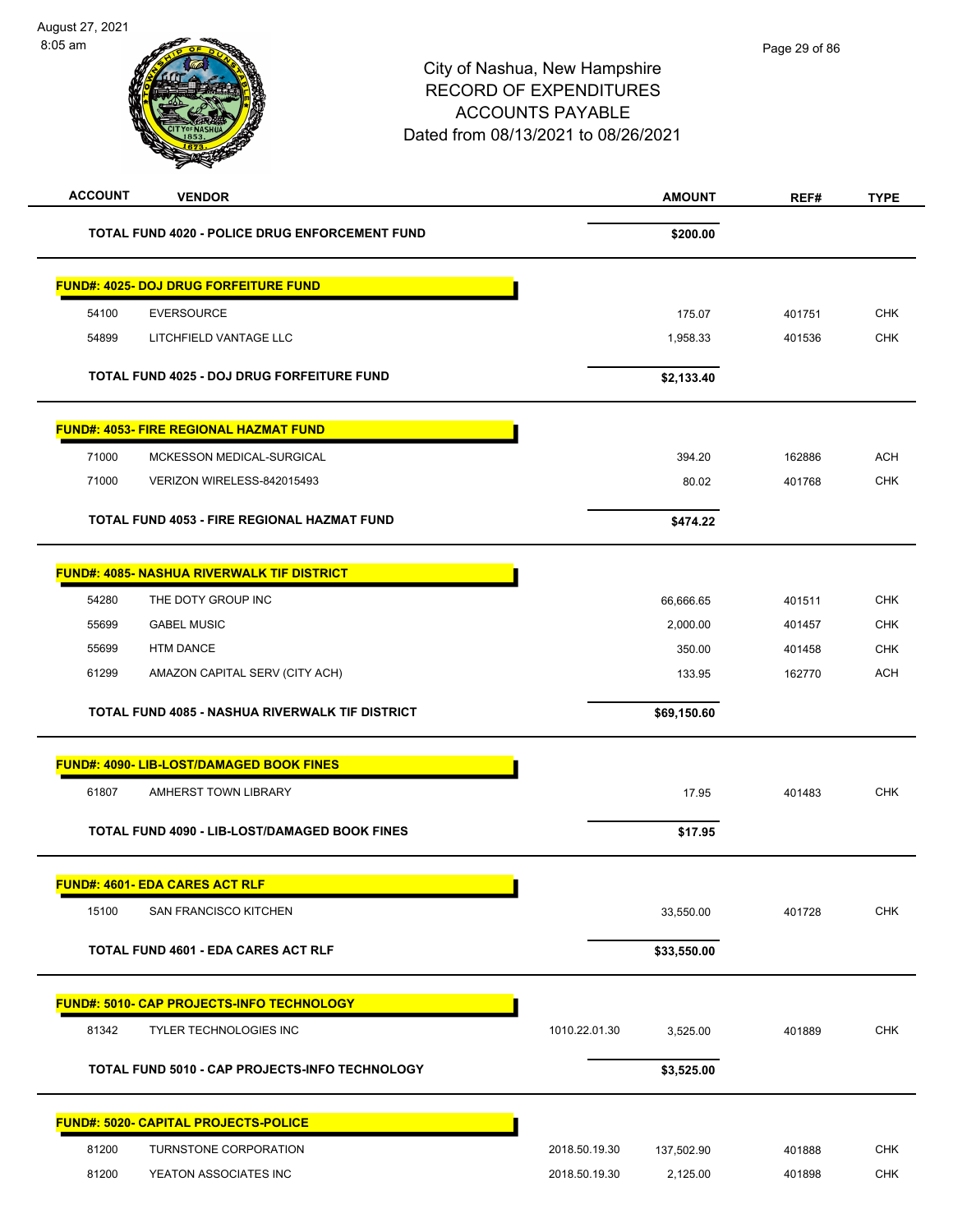| <b>ACCOUNT</b><br><b>VENDOR</b>                   |                                                 |               | <b>AMOUNT</b> | REF#   | <b>TYPE</b> |
|---------------------------------------------------|-------------------------------------------------|---------------|---------------|--------|-------------|
|                                                   | TOTAL FUND 4020 - POLICE DRUG ENFORCEMENT FUND  |               | \$200.00      |        |             |
| <b>FUND#: 4025- DOJ DRUG FORFEITURE FUND</b>      |                                                 |               |               |        |             |
| 54100<br><b>EVERSOURCE</b>                        |                                                 |               | 175.07        | 401751 | <b>CHK</b>  |
| 54899<br>LITCHFIELD VANTAGE LLC                   |                                                 |               | 1,958.33      | 401536 | <b>CHK</b>  |
| <b>TOTAL FUND 4025 - DOJ DRUG FORFEITURE FUND</b> |                                                 |               | \$2,133.40    |        |             |
| <b>FUND#: 4053- FIRE REGIONAL HAZMAT FUND</b>     |                                                 |               |               |        |             |
| 71000<br>MCKESSON MEDICAL-SURGICAL                |                                                 |               | 394.20        | 162886 | <b>ACH</b>  |
| 71000<br>VERIZON WIRELESS-842015493               |                                                 |               | 80.02         | 401768 | <b>CHK</b>  |
| TOTAL FUND 4053 - FIRE REGIONAL HAZMAT FUND       |                                                 |               | \$474.22      |        |             |
| <b>FUND#: 4085- NASHUA RIVERWALK TIF DISTRICT</b> |                                                 |               |               |        |             |
| 54280<br>THE DOTY GROUP INC                       |                                                 |               | 66,666.65     | 401511 | <b>CHK</b>  |
| 55699<br><b>GABEL MUSIC</b>                       |                                                 |               | 2,000.00      | 401457 | <b>CHK</b>  |
| 55699<br><b>HTM DANCE</b>                         |                                                 |               | 350.00        | 401458 | <b>CHK</b>  |
| 61299<br>AMAZON CAPITAL SERV (CITY ACH)           |                                                 |               | 133.95        | 162770 | <b>ACH</b>  |
|                                                   | TOTAL FUND 4085 - NASHUA RIVERWALK TIF DISTRICT |               | \$69,150.60   |        |             |
| <b>FUND#: 4090- LIB-LOST/DAMAGED BOOK FINES</b>   |                                                 |               |               |        |             |
| 61807<br>AMHERST TOWN LIBRARY                     |                                                 |               | 17.95         | 401483 | <b>CHK</b>  |
|                                                   | TOTAL FUND 4090 - LIB-LOST/DAMAGED BOOK FINES   |               | \$17.95       |        |             |
| <b>FUND#: 4601- EDA CARES ACT RLF</b>             |                                                 |               |               |        |             |
| 15100<br>SAN FRANCISCO KITCHEN                    |                                                 |               | 33,550.00     | 401728 | CHK         |
| <b>TOTAL FUND 4601 - EDA CARES ACT RLF</b>        |                                                 |               | \$33,550.00   |        |             |
| FUND#: 5010- CAP PROJECTS-INFO TECHNOLOGY         |                                                 |               |               |        |             |
| 81342<br><b>TYLER TECHNOLOGIES INC</b>            |                                                 | 1010.22.01.30 | 3,525.00      | 401889 | <b>CHK</b>  |
|                                                   | TOTAL FUND 5010 - CAP PROJECTS-INFO TECHNOLOGY  |               | \$3,525.00    |        |             |
| <b>FUND#: 5020- CAPITAL PROJECTS-POLICE</b>       |                                                 |               |               |        |             |
| 81200<br>TURNSTONE CORPORATION                    |                                                 | 2018.50.19.30 | 137,502.90    | 401888 | <b>CHK</b>  |
| 81200<br>YEATON ASSOCIATES INC                    |                                                 | 2018.50.19.30 | 2,125.00      | 401898 | <b>CHK</b>  |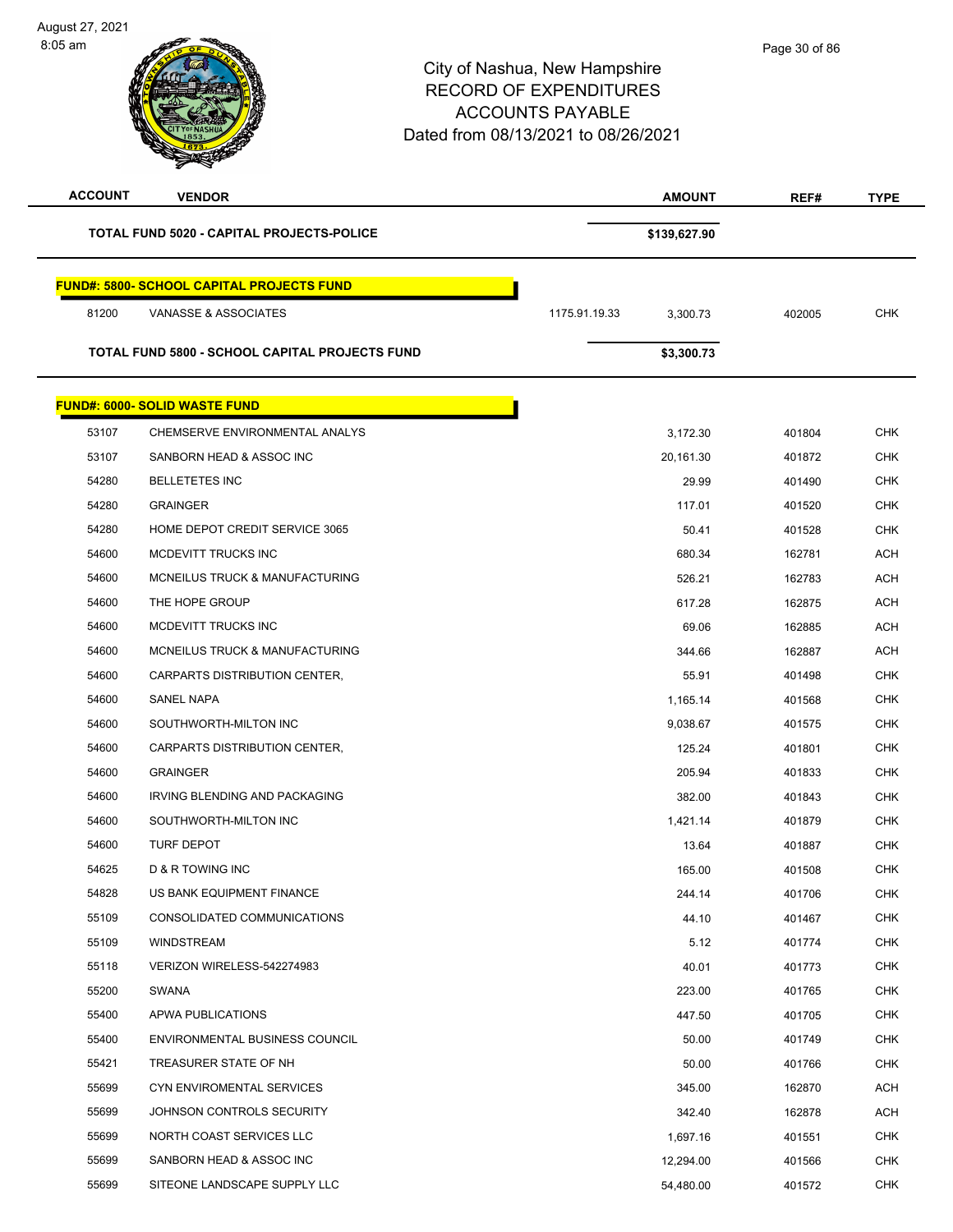| <b>ACCOUNT</b> | <b>VENDOR</b>                                    | <b>AMOUNT</b>             | REF#   | <b>TYPE</b> |
|----------------|--------------------------------------------------|---------------------------|--------|-------------|
|                | <b>TOTAL FUND 5020 - CAPITAL PROJECTS-POLICE</b> | \$139,627.90              |        |             |
|                | <b>FUND#: 5800- SCHOOL CAPITAL PROJECTS FUND</b> |                           |        |             |
| 81200          | VANASSE & ASSOCIATES                             | 1175.91.19.33<br>3,300.73 | 402005 | <b>CHK</b>  |
|                | TOTAL FUND 5800 - SCHOOL CAPITAL PROJECTS FUND   | \$3,300.73                |        |             |
|                | <b>FUND#: 6000- SOLID WASTE FUND</b>             |                           |        |             |
| 53107          | CHEMSERVE ENVIRONMENTAL ANALYS                   | 3,172.30                  | 401804 | <b>CHK</b>  |
| 53107          | SANBORN HEAD & ASSOC INC                         | 20,161.30                 | 401872 | <b>CHK</b>  |
| 54280          | <b>BELLETETES INC</b>                            | 29.99                     | 401490 | <b>CHK</b>  |
| 54280          | <b>GRAINGER</b>                                  | 117.01                    | 401520 | <b>CHK</b>  |
| 54280          | HOME DEPOT CREDIT SERVICE 3065                   | 50.41                     | 401528 | <b>CHK</b>  |
| 54600          | MCDEVITT TRUCKS INC                              | 680.34                    | 162781 | ACH         |
| 54600          | MCNEILUS TRUCK & MANUFACTURING                   | 526.21                    | 162783 | <b>ACH</b>  |
| 54600          | THE HOPE GROUP                                   | 617.28                    | 162875 | <b>ACH</b>  |
| 54600          | MCDEVITT TRUCKS INC                              | 69.06                     | 162885 | <b>ACH</b>  |
| 54600          | MCNEILUS TRUCK & MANUFACTURING                   | 344.66                    | 162887 | <b>ACH</b>  |
| 54600          | CARPARTS DISTRIBUTION CENTER,                    | 55.91                     | 401498 | <b>CHK</b>  |
| 54600          | SANEL NAPA                                       | 1,165.14                  | 401568 | <b>CHK</b>  |
| 54600          | SOUTHWORTH-MILTON INC                            | 9,038.67                  | 401575 | <b>CHK</b>  |
| 54600          | CARPARTS DISTRIBUTION CENTER,                    | 125.24                    | 401801 | <b>CHK</b>  |
| 54600          | <b>GRAINGER</b>                                  | 205.94                    | 401833 | <b>CHK</b>  |
| 54600          | IRVING BLENDING AND PACKAGING                    | 382.00                    | 401843 | CHK         |
| 54600          | SOUTHWORTH-MILTON INC                            | 1,421.14                  | 401879 | <b>CHK</b>  |
| 54600          | <b>TURF DEPOT</b>                                | 13.64                     | 401887 | <b>CHK</b>  |
| 54625          | D & R TOWING INC                                 | 165.00                    | 401508 | <b>CHK</b>  |
| 54828          | US BANK EQUIPMENT FINANCE                        | 244.14                    | 401706 | <b>CHK</b>  |
| 55109          | CONSOLIDATED COMMUNICATIONS                      | 44.10                     | 401467 | <b>CHK</b>  |
| 55109          | WINDSTREAM                                       | 5.12                      | 401774 | <b>CHK</b>  |
| 55118          | VERIZON WIRELESS-542274983                       | 40.01                     | 401773 | <b>CHK</b>  |
| 55200          | SWANA                                            | 223.00                    | 401765 | <b>CHK</b>  |
| 55400          | APWA PUBLICATIONS                                | 447.50                    | 401705 | <b>CHK</b>  |
| 55400          | <b>ENVIRONMENTAL BUSINESS COUNCIL</b>            | 50.00                     | 401749 | CHK         |
| 55421          | TREASURER STATE OF NH                            | 50.00                     | 401766 | <b>CHK</b>  |
| 55699          | CYN ENVIROMENTAL SERVICES                        | 345.00                    | 162870 | ACH         |
| 55699          | JOHNSON CONTROLS SECURITY                        | 342.40                    | 162878 | ACH         |
| 55699          | NORTH COAST SERVICES LLC                         | 1,697.16                  | 401551 | <b>CHK</b>  |
| 55699          | SANBORN HEAD & ASSOC INC                         | 12,294.00                 | 401566 | CHK         |
| 55699          | SITEONE LANDSCAPE SUPPLY LLC                     | 54,480.00                 | 401572 | <b>CHK</b>  |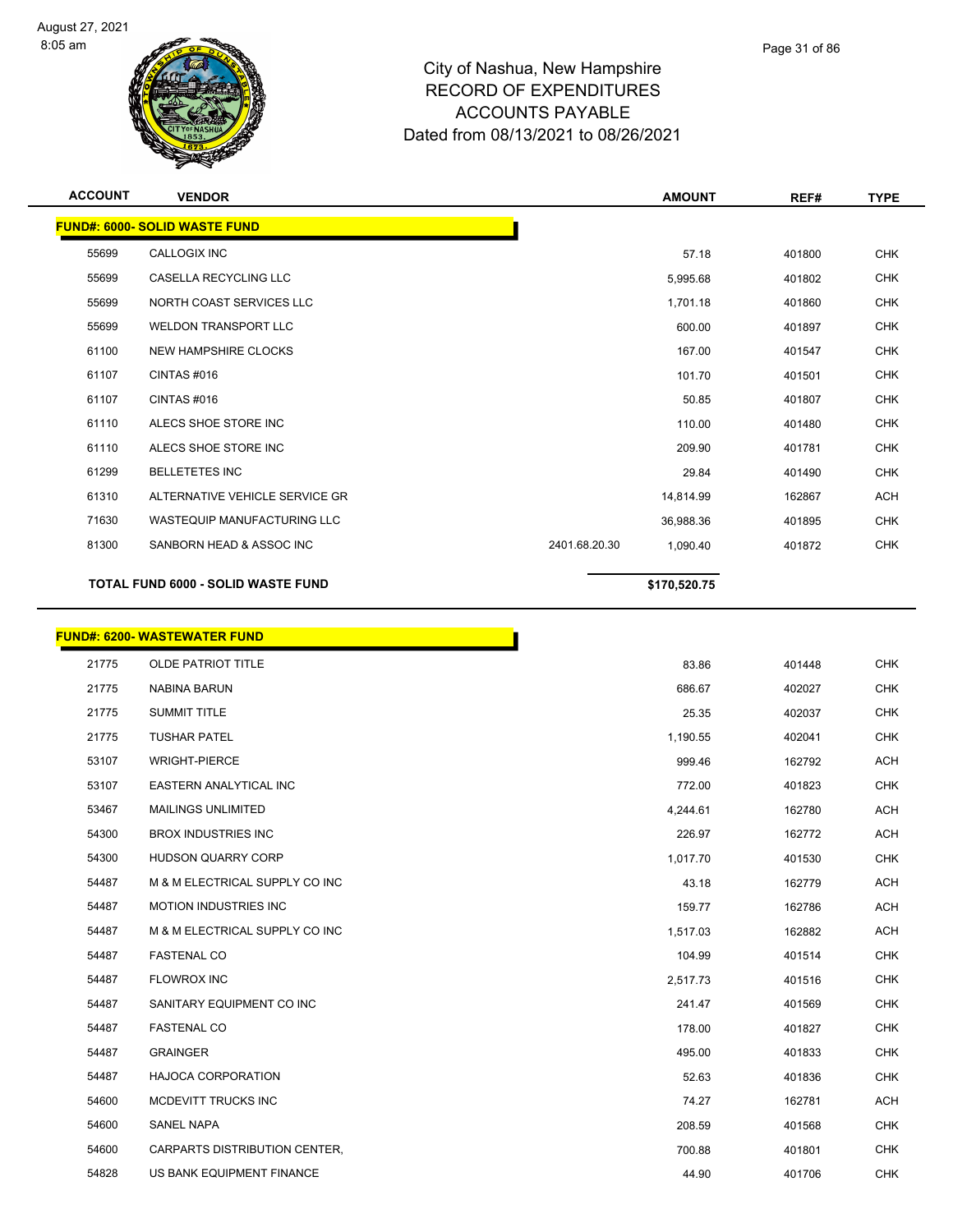

| <b>ACCOUNT</b> | <b>VENDOR</b>                        | <b>AMOUNT</b>             | REF#   | <b>TYPE</b> |
|----------------|--------------------------------------|---------------------------|--------|-------------|
|                | <b>FUND#: 6000- SOLID WASTE FUND</b> |                           |        |             |
| 55699          | <b>CALLOGIX INC</b>                  | 57.18                     | 401800 | <b>CHK</b>  |
| 55699          | <b>CASELLA RECYCLING LLC</b>         | 5,995.68                  | 401802 | <b>CHK</b>  |
| 55699          | NORTH COAST SERVICES LLC             | 1,701.18                  | 401860 | <b>CHK</b>  |
| 55699          | <b>WELDON TRANSPORT LLC</b>          | 600.00                    | 401897 | <b>CHK</b>  |
| 61100          | <b>NEW HAMPSHIRE CLOCKS</b>          | 167.00                    | 401547 | <b>CHK</b>  |
| 61107          | CINTAS#016                           | 101.70                    | 401501 | <b>CHK</b>  |
| 61107          | CINTAS#016                           | 50.85                     | 401807 | <b>CHK</b>  |
| 61110          | ALECS SHOE STORE INC                 | 110.00                    | 401480 | <b>CHK</b>  |
| 61110          | ALECS SHOE STORE INC                 | 209.90                    | 401781 | <b>CHK</b>  |
| 61299          | <b>BELLETETES INC</b>                | 29.84                     | 401490 | <b>CHK</b>  |
| 61310          | ALTERNATIVE VEHICLE SERVICE GR       | 14,814.99                 | 162867 | <b>ACH</b>  |
| 71630          | <b>WASTEQUIP MANUFACTURING LLC</b>   | 36,988.36                 | 401895 | <b>CHK</b>  |
| 81300          | SANBORN HEAD & ASSOC INC             | 2401.68.20.30<br>1,090.40 | 401872 | <b>CHK</b>  |
|                | TOTAL FUND 6000 - SOLID WASTE FUND   | \$170,520.75              |        |             |

|       | <b>FUND#: 6200- WASTEWATER FUND</b> |          |
|-------|-------------------------------------|----------|
| 21775 | OLDE PATRIOT TITLE                  | 83.86    |
| 21775 | <b>NABINA BARUN</b>                 | 686.67   |
| 21775 | <b>SUMMIT TITLE</b>                 | 25.35    |
| 21775 | <b>TUSHAR PATEL</b>                 | 1,190.55 |
| 53107 | <b>WRIGHT-PIERCE</b>                | 999.46   |
| 53107 | EASTERN ANALYTICAL INC              | 772.00   |
| 53467 | <b>MAILINGS UNLIMITED</b>           | 4,244.61 |
| 54300 | <b>BROX INDUSTRIES INC</b>          | 226.97   |
| 54300 | <b>HUDSON QUARRY CORP</b>           | 1,017.70 |
| 54487 | M & M ELECTRICAL SUPPLY CO INC      | 43.18    |
| 54487 | <b>MOTION INDUSTRIES INC</b>        | 159.77   |
| 54487 | M & M ELECTRICAL SUPPLY CO INC      | 1,517.03 |
| 54487 | <b>FASTENAL CO</b>                  | 104.99   |
| 54487 | <b>FLOWROX INC</b>                  | 2,517.73 |
| 54487 | SANITARY EQUIPMENT CO INC           | 241.47   |
| 54487 | <b>FASTENAL CO</b>                  | 178.00   |
| 54487 | <b>GRAINGER</b>                     | 495.00   |
| 54487 | <b>HAJOCA CORPORATION</b>           | 52.63    |
| 54600 | MCDEVITT TRUCKS INC                 | 74.27    |
| 54600 | <b>SANEL NAPA</b>                   | 208.59   |
| 54600 | CARPARTS DISTRIBUTION CENTER,       | 700.88   |
| 54828 | US BANK EQUIPMENT FINANCE           | 44.90    |
|       |                                     |          |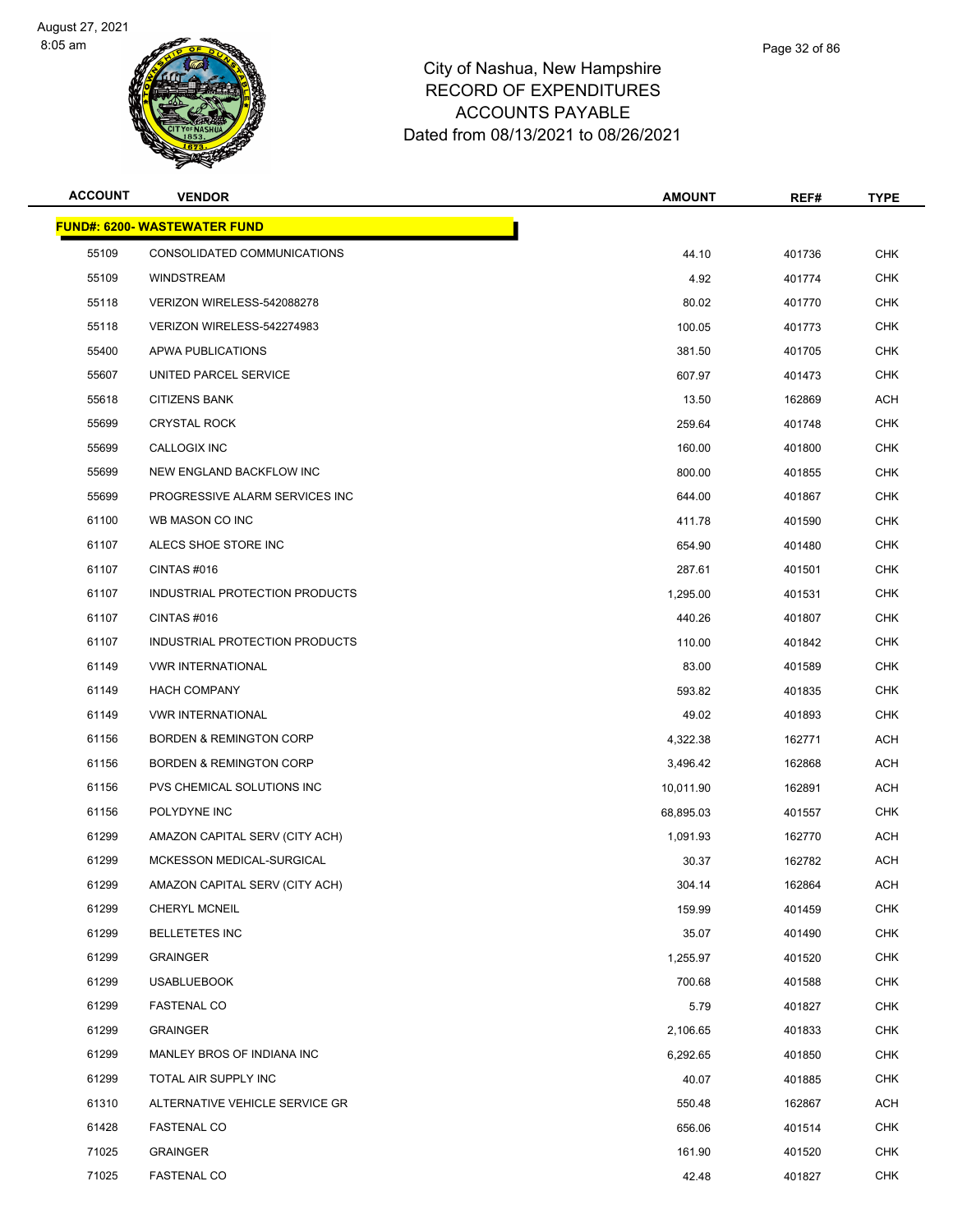

| <b>ACCOUNT</b> | <b>VENDOR</b>                       | <b>AMOUNT</b> | REF#   | <b>TYPE</b> |
|----------------|-------------------------------------|---------------|--------|-------------|
|                | <b>FUND#: 6200- WASTEWATER FUND</b> |               |        |             |
| 55109          | CONSOLIDATED COMMUNICATIONS         | 44.10         | 401736 | <b>CHK</b>  |
| 55109          | <b>WINDSTREAM</b>                   | 4.92          | 401774 | <b>CHK</b>  |
| 55118          | VERIZON WIRELESS-542088278          | 80.02         | 401770 | CHK         |
| 55118          | VERIZON WIRELESS-542274983          | 100.05        | 401773 | <b>CHK</b>  |
| 55400          | APWA PUBLICATIONS                   | 381.50        | 401705 | <b>CHK</b>  |
| 55607          | UNITED PARCEL SERVICE               | 607.97        | 401473 | <b>CHK</b>  |
| 55618          | <b>CITIZENS BANK</b>                | 13.50         | 162869 | <b>ACH</b>  |
| 55699          | <b>CRYSTAL ROCK</b>                 | 259.64        | 401748 | CHK         |
| 55699          | <b>CALLOGIX INC</b>                 | 160.00        | 401800 | <b>CHK</b>  |
| 55699          | NEW ENGLAND BACKFLOW INC            | 800.00        | 401855 | <b>CHK</b>  |
| 55699          | PROGRESSIVE ALARM SERVICES INC      | 644.00        | 401867 | <b>CHK</b>  |
| 61100          | WB MASON CO INC                     | 411.78        | 401590 | <b>CHK</b>  |
| 61107          | ALECS SHOE STORE INC                | 654.90        | 401480 | CHK         |
| 61107          | CINTAS#016                          | 287.61        | 401501 | <b>CHK</b>  |
| 61107          | INDUSTRIAL PROTECTION PRODUCTS      | 1,295.00      | 401531 | <b>CHK</b>  |
| 61107          | CINTAS #016                         | 440.26        | 401807 | <b>CHK</b>  |
| 61107          | INDUSTRIAL PROTECTION PRODUCTS      | 110.00        | 401842 | <b>CHK</b>  |
| 61149          | <b>VWR INTERNATIONAL</b>            | 83.00         | 401589 | CHK         |
| 61149          | <b>HACH COMPANY</b>                 | 593.82        | 401835 | <b>CHK</b>  |
| 61149          | <b>VWR INTERNATIONAL</b>            | 49.02         | 401893 | <b>CHK</b>  |
| 61156          | <b>BORDEN &amp; REMINGTON CORP</b>  | 4,322.38      | 162771 | ACH         |
| 61156          | <b>BORDEN &amp; REMINGTON CORP</b>  | 3,496.42      | 162868 | <b>ACH</b>  |
| 61156          | PVS CHEMICAL SOLUTIONS INC          | 10,011.90     | 162891 | ACH         |
| 61156          | POLYDYNE INC                        | 68,895.03     | 401557 | <b>CHK</b>  |
| 61299          | AMAZON CAPITAL SERV (CITY ACH)      | 1,091.93      | 162770 | ACH         |
| 61299          | MCKESSON MEDICAL-SURGICAL           | 30.37         | 162782 | <b>ACH</b>  |
| 61299          | AMAZON CAPITAL SERV (CITY ACH)      | 304.14        | 162864 | ACH         |
| 61299          | CHERYL MCNEIL                       | 159.99        | 401459 | <b>CHK</b>  |
| 61299          | <b>BELLETETES INC</b>               | 35.07         | 401490 | <b>CHK</b>  |
| 61299          | <b>GRAINGER</b>                     | 1,255.97      | 401520 | <b>CHK</b>  |
| 61299          | <b>USABLUEBOOK</b>                  | 700.68        | 401588 | <b>CHK</b>  |
| 61299          | <b>FASTENAL CO</b>                  | 5.79          | 401827 | <b>CHK</b>  |
| 61299          | <b>GRAINGER</b>                     | 2,106.65      | 401833 | <b>CHK</b>  |
| 61299          | MANLEY BROS OF INDIANA INC          | 6,292.65      | 401850 | <b>CHK</b>  |
| 61299          | TOTAL AIR SUPPLY INC                | 40.07         | 401885 | <b>CHK</b>  |
| 61310          | ALTERNATIVE VEHICLE SERVICE GR      | 550.48        | 162867 | <b>ACH</b>  |
| 61428          | <b>FASTENAL CO</b>                  | 656.06        | 401514 | <b>CHK</b>  |
| 71025          | <b>GRAINGER</b>                     | 161.90        | 401520 | CHK         |
| 71025          | <b>FASTENAL CO</b>                  | 42.48         | 401827 | <b>CHK</b>  |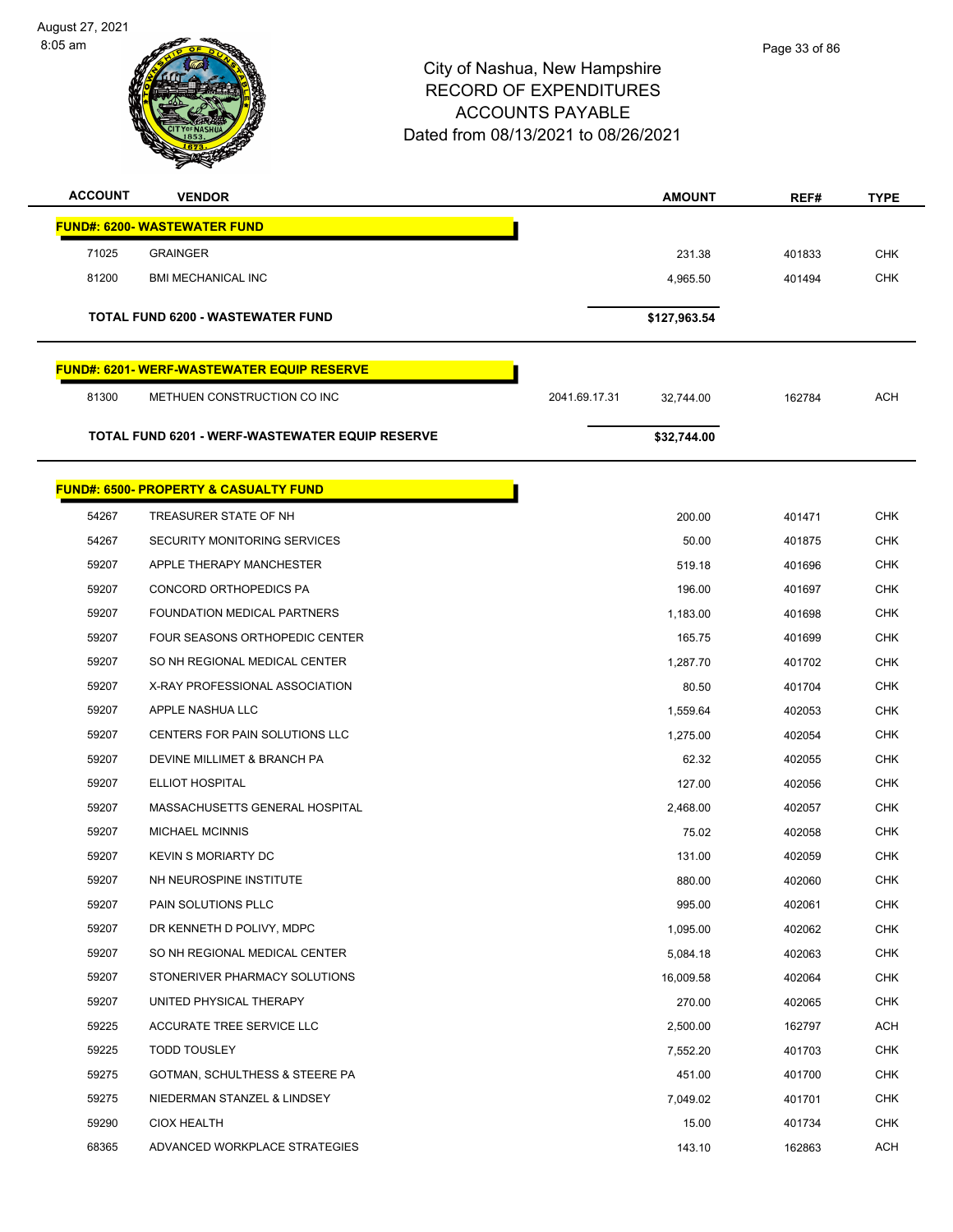August 27, 2021 8:05 am



| <b>ACCOUNT</b> | <b>VENDOR</b>                                      |               | <b>AMOUNT</b> | REF#   | <b>TYPE</b> |
|----------------|----------------------------------------------------|---------------|---------------|--------|-------------|
|                | <b>FUND#: 6200- WASTEWATER FUND</b>                |               |               |        |             |
| 71025          | <b>GRAINGER</b>                                    |               | 231.38        | 401833 | <b>CHK</b>  |
| 81200          | <b>BMI MECHANICAL INC</b>                          |               | 4,965.50      | 401494 | <b>CHK</b>  |
|                |                                                    |               |               |        |             |
|                | TOTAL FUND 6200 - WASTEWATER FUND                  |               | \$127,963.54  |        |             |
|                | <u> FUND#: 6201- WERF-WASTEWATER EQUIP RESERVE</u> |               |               |        |             |
| 81300          | METHUEN CONSTRUCTION CO INC                        | 2041.69.17.31 | 32.744.00     | 162784 | <b>ACH</b>  |
|                | TOTAL FUND 6201 - WERF-WASTEWATER EQUIP RESERVE    |               | \$32,744.00   |        |             |
|                |                                                    |               |               |        |             |
|                | <b>FUND#: 6500- PROPERTY &amp; CASUALTY FUND</b>   |               |               |        |             |
| 54267          | TREASURER STATE OF NH                              |               | 200.00        | 401471 | <b>CHK</b>  |
| 54267          | SECURITY MONITORING SERVICES                       |               | 50.00         | 401875 | <b>CHK</b>  |
| 59207          | APPLE THERAPY MANCHESTER                           |               | 519.18        | 401696 | <b>CHK</b>  |
| 59207          | CONCORD ORTHOPEDICS PA                             |               | 196.00        | 401697 | <b>CHK</b>  |
| 59207          | FOUNDATION MEDICAL PARTNERS                        |               | 1,183.00      | 401698 | <b>CHK</b>  |
| 59207          | <b>FOUR SEASONS ORTHOPEDIC CENTER</b>              |               | 165.75        | 401699 | <b>CHK</b>  |
| 59207          | SO NH REGIONAL MEDICAL CENTER                      |               | 1,287.70      | 401702 | <b>CHK</b>  |
| 59207          | X-RAY PROFESSIONAL ASSOCIATION                     |               | 80.50         | 401704 | <b>CHK</b>  |
| 59207          | APPLE NASHUA LLC                                   |               | 1,559.64      | 402053 | <b>CHK</b>  |
| 59207          | CENTERS FOR PAIN SOLUTIONS LLC                     |               | 1,275.00      | 402054 | <b>CHK</b>  |
| 59207          | DEVINE MILLIMET & BRANCH PA                        |               | 62.32         | 402055 | <b>CHK</b>  |
| 59207          | ELLIOT HOSPITAL                                    |               | 127.00        | 402056 | <b>CHK</b>  |
| 59207          | MASSACHUSETTS GENERAL HOSPITAL                     |               | 2,468.00      | 402057 | <b>CHK</b>  |
| 59207          | <b>MICHAEL MCINNIS</b>                             |               | 75.02         | 402058 | <b>CHK</b>  |
| 59207          | <b>KEVIN S MORIARTY DC</b>                         |               | 131.00        | 402059 | CHK         |
| 59207          | NH NEUROSPINE INSTITUTE                            |               | 880.00        | 402060 | <b>CHK</b>  |
| 59207          | PAIN SOLUTIONS PLLC                                |               | 995.00        | 402061 | <b>CHK</b>  |
| 59207          | DR KENNETH D POLIVY, MDPC                          |               | 1,095.00      | 402062 | <b>CHK</b>  |
| 59207          | SO NH REGIONAL MEDICAL CENTER                      |               | 5,084.18      | 402063 | <b>CHK</b>  |
| 59207          | STONERIVER PHARMACY SOLUTIONS                      |               | 16,009.58     | 402064 | <b>CHK</b>  |
| 59207          | UNITED PHYSICAL THERAPY                            |               | 270.00        | 402065 | <b>CHK</b>  |
| 59225          | ACCURATE TREE SERVICE LLC                          |               | 2,500.00      | 162797 | ACH         |
| 59225          | <b>TODD TOUSLEY</b>                                |               | 7,552.20      | 401703 | <b>CHK</b>  |
| 59275          | GOTMAN, SCHULTHESS & STEERE PA                     |               | 451.00        | 401700 | <b>CHK</b>  |
| 59275          | NIEDERMAN STANZEL & LINDSEY                        |               | 7,049.02      | 401701 | <b>CHK</b>  |
| 59290          | <b>CIOX HEALTH</b>                                 |               | 15.00         | 401734 | <b>CHK</b>  |
| 68365          | ADVANCED WORKPLACE STRATEGIES                      |               | 143.10        | 162863 | ACH         |
|                |                                                    |               |               |        |             |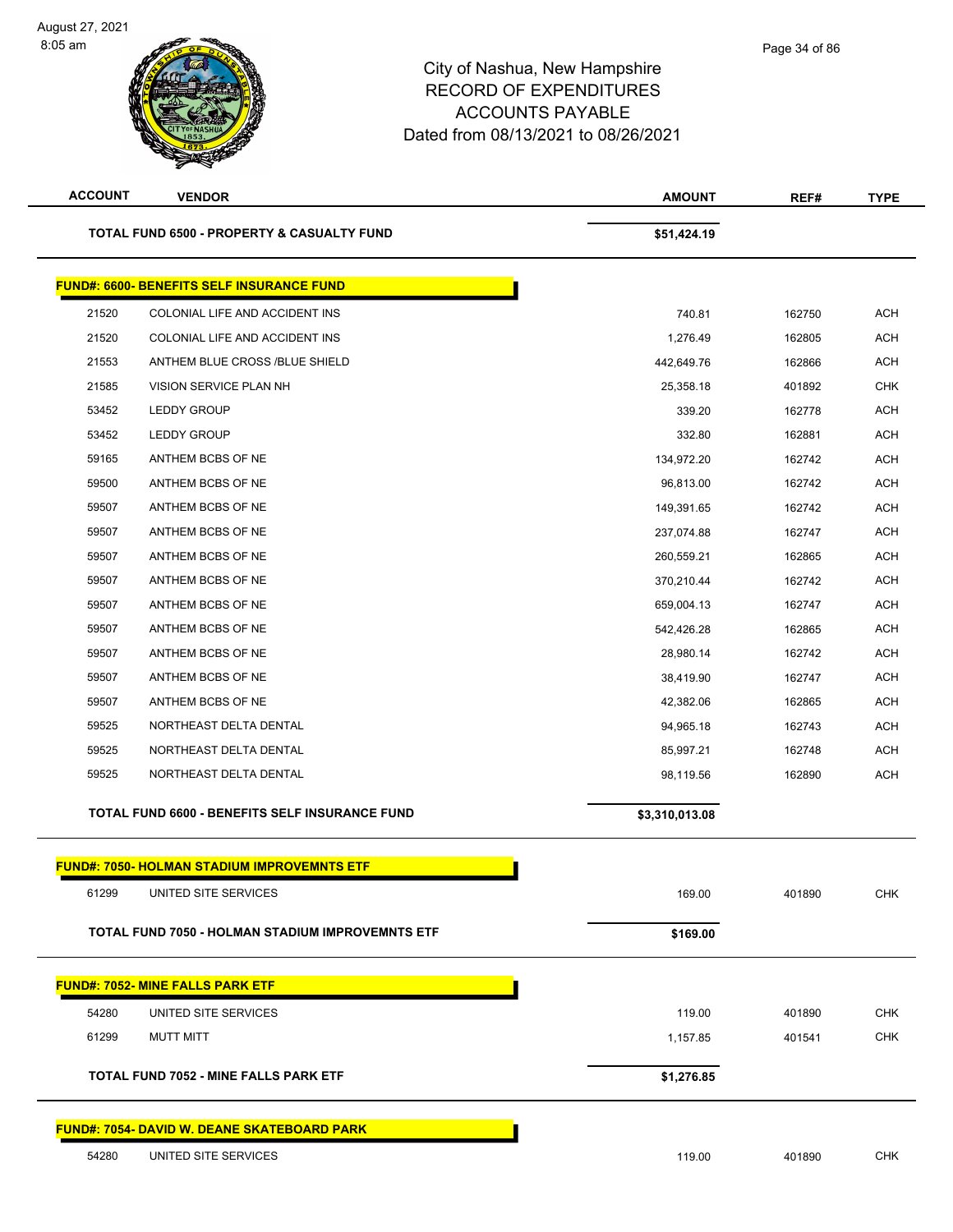| <b>ACCOUNT</b> | <b>VENDOR</b>                                           | <b>AMOUNT</b>  | REF#   | <b>TYPE</b> |
|----------------|---------------------------------------------------------|----------------|--------|-------------|
|                | <b>TOTAL FUND 6500 - PROPERTY &amp; CASUALTY FUND</b>   | \$51,424.19    |        |             |
|                | <b>FUND#: 6600- BENEFITS SELF INSURANCE FUND</b>        |                |        |             |
| 21520          | COLONIAL LIFE AND ACCIDENT INS                          | 740.81         | 162750 | <b>ACH</b>  |
| 21520          | COLONIAL LIFE AND ACCIDENT INS                          | 1,276.49       | 162805 | <b>ACH</b>  |
| 21553          | ANTHEM BLUE CROSS /BLUE SHIELD                          | 442,649.76     | 162866 | <b>ACH</b>  |
| 21585          | <b>VISION SERVICE PLAN NH</b>                           | 25,358.18      | 401892 | <b>CHK</b>  |
| 53452          | <b>LEDDY GROUP</b>                                      | 339.20         | 162778 | <b>ACH</b>  |
| 53452          | <b>LEDDY GROUP</b>                                      | 332.80         | 162881 | <b>ACH</b>  |
| 59165          | ANTHEM BCBS OF NE                                       | 134,972.20     | 162742 | <b>ACH</b>  |
| 59500          | ANTHEM BCBS OF NE                                       | 96,813.00      | 162742 | <b>ACH</b>  |
| 59507          | ANTHEM BCBS OF NE                                       | 149,391.65     | 162742 | <b>ACH</b>  |
| 59507          | ANTHEM BCBS OF NE                                       | 237,074.88     | 162747 | <b>ACH</b>  |
| 59507          | ANTHEM BCBS OF NE                                       | 260,559.21     | 162865 | <b>ACH</b>  |
| 59507          | ANTHEM BCBS OF NE                                       | 370,210.44     | 162742 | <b>ACH</b>  |
| 59507          | ANTHEM BCBS OF NE                                       | 659,004.13     | 162747 | <b>ACH</b>  |
| 59507          | ANTHEM BCBS OF NE                                       | 542,426.28     | 162865 | <b>ACH</b>  |
| 59507          | ANTHEM BCBS OF NE                                       | 28,980.14      | 162742 | <b>ACH</b>  |
| 59507          | ANTHEM BCBS OF NE                                       | 38,419.90      | 162747 | <b>ACH</b>  |
| 59507          | ANTHEM BCBS OF NE                                       | 42,382.06      | 162865 | <b>ACH</b>  |
| 59525          | NORTHEAST DELTA DENTAL                                  | 94,965.18      | 162743 | <b>ACH</b>  |
| 59525          | NORTHEAST DELTA DENTAL                                  | 85,997.21      | 162748 | <b>ACH</b>  |
| 59525          | NORTHEAST DELTA DENTAL                                  | 98,119.56      | 162890 | <b>ACH</b>  |
|                | TOTAL FUND 6600 - BENEFITS SELF INSURANCE FUND          | \$3,310,013.08 |        |             |
|                | <b>FUND#: 7050- HOLMAN STADIUM IMPROVEMNTS ETF</b>      |                |        |             |
| 61299          | UNITED SITE SERVICES                                    | 169.00         | 401890 | <b>CHK</b>  |
|                | <b>TOTAL FUND 7050 - HOLMAN STADIUM IMPROVEMNTS ETF</b> | \$169.00       |        |             |
|                | <b>FUND#: 7052- MINE FALLS PARK ETF</b>                 |                |        |             |
| 54280          | UNITED SITE SERVICES                                    | 119.00         | 401890 | <b>CHK</b>  |
| 61299          | <b>MUTT MITT</b>                                        | 1,157.85       | 401541 | <b>CHK</b>  |
|                | <b>TOTAL FUND 7052 - MINE FALLS PARK ETF</b>            | \$1,276.85     |        |             |
|                |                                                         |                |        |             |
|                | <b>FUND#: 7054- DAVID W. DEANE SKATEBOARD PARK</b>      |                |        |             |
| 54280          | UNITED SITE SERVICES                                    | 119.00         | 401890 | <b>CHK</b>  |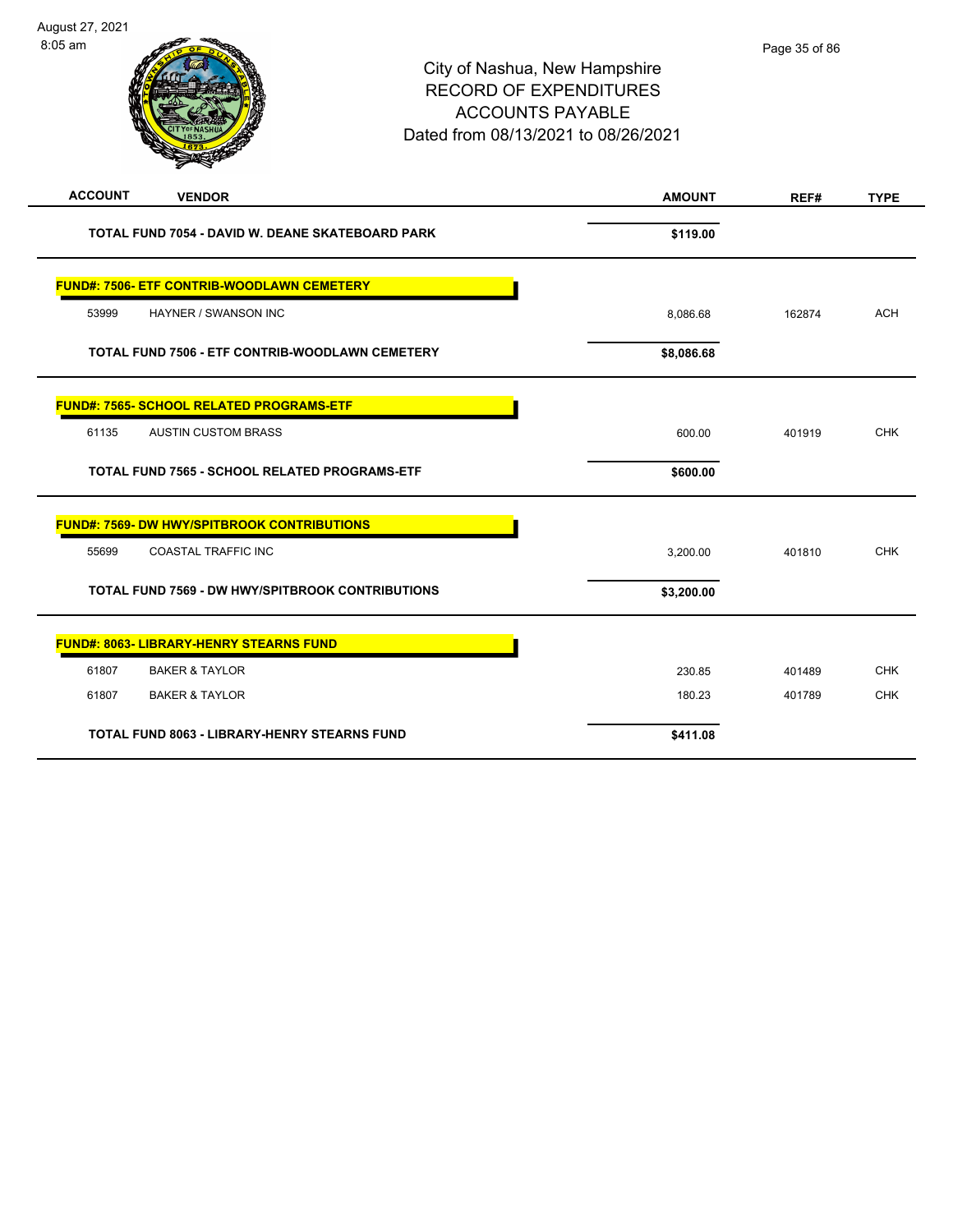| August 27, 2021 |                                                                                                                                  |
|-----------------|----------------------------------------------------------------------------------------------------------------------------------|
| $8:05$ am       | City of Nashua, New Hampshire<br><b>RECORD OF EXPENDITURES</b><br><b>ACCOUNTS PAYABLE</b><br>Dated from 08/13/2021 to 08/26/2021 |

| <b>ACCOUNT</b><br><b>VENDOR</b>                         | <b>AMOUNT</b> | REF#   | <b>TYPE</b> |
|---------------------------------------------------------|---------------|--------|-------------|
| TOTAL FUND 7054 - DAVID W. DEANE SKATEBOARD PARK        | \$119.00      |        |             |
| <b>FUND#: 7506- ETF CONTRIB-WOODLAWN CEMETERY</b>       |               |        |             |
| 53999<br>HAYNER / SWANSON INC                           | 8,086.68      | 162874 | <b>ACH</b>  |
| TOTAL FUND 7506 - ETF CONTRIB-WOODLAWN CEMETERY         | \$8,086.68    |        |             |
| <b>FUND#: 7565- SCHOOL RELATED PROGRAMS-ETF</b>         |               |        |             |
| 61135<br><b>AUSTIN CUSTOM BRASS</b>                     | 600.00        | 401919 | <b>CHK</b>  |
| TOTAL FUND 7565 - SCHOOL RELATED PROGRAMS-ETF           | \$600.00      |        |             |
| <b>FUND#: 7569- DW HWY/SPITBROOK CONTRIBUTIONS</b>      |               |        |             |
| 55699<br><b>COASTAL TRAFFIC INC</b>                     | 3,200.00      | 401810 | <b>CHK</b>  |
| <b>TOTAL FUND 7569 - DW HWY/SPITBROOK CONTRIBUTIONS</b> | \$3,200.00    |        |             |
| <b>FUND#: 8063- LIBRARY-HENRY STEARNS FUND</b>          |               |        |             |
| 61807<br><b>BAKER &amp; TAYLOR</b>                      | 230.85        | 401489 | <b>CHK</b>  |
| <b>BAKER &amp; TAYLOR</b><br>61807                      | 180.23        | 401789 | <b>CHK</b>  |
| <b>TOTAL FUND 8063 - LIBRARY-HENRY STEARNS FUND</b>     | \$411.08      |        |             |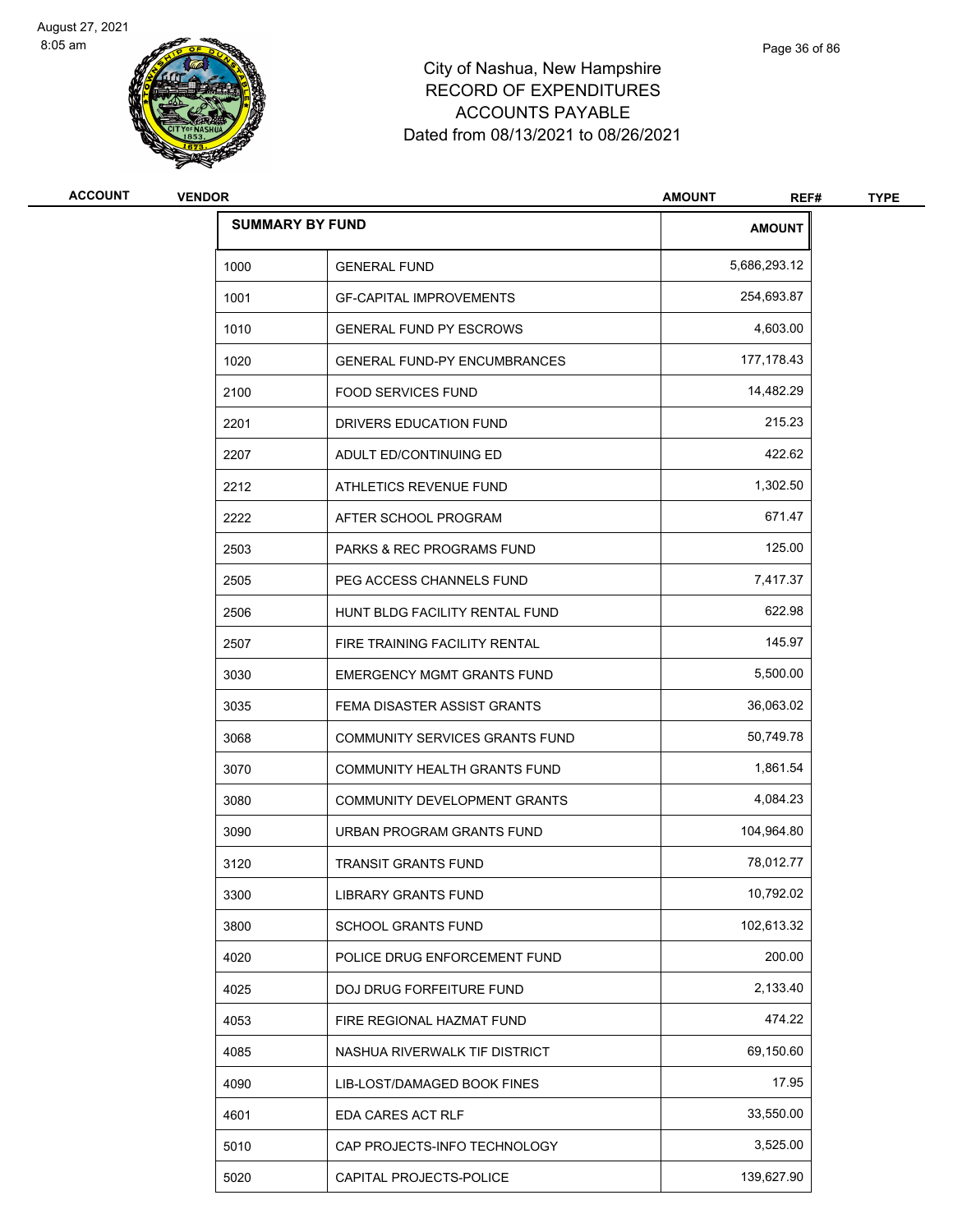

| <b>ACCOUNT</b> | <b>VENDOR</b>          |                                     | <b>AMOUNT</b><br>REF# | <b>TYPE</b> |
|----------------|------------------------|-------------------------------------|-----------------------|-------------|
|                | <b>SUMMARY BY FUND</b> |                                     | <b>AMOUNT</b>         |             |
|                | 1000                   | <b>GENERAL FUND</b>                 | 5,686,293.12          |             |
|                | 1001                   | <b>GF-CAPITAL IMPROVEMENTS</b>      | 254,693.87            |             |
|                | 1010                   | <b>GENERAL FUND PY ESCROWS</b>      | 4,603.00              |             |
|                | 1020                   | <b>GENERAL FUND-PY ENCUMBRANCES</b> | 177,178.43            |             |
|                | 2100                   | <b>FOOD SERVICES FUND</b>           | 14,482.29             |             |
|                | 2201                   | DRIVERS EDUCATION FUND              | 215.23                |             |
|                | 2207                   | ADULT ED/CONTINUING ED              | 422.62                |             |
|                | 2212                   | ATHLETICS REVENUE FUND              | 1,302.50              |             |
|                | 2222                   | AFTER SCHOOL PROGRAM                | 671.47                |             |
|                | 2503                   | PARKS & REC PROGRAMS FUND           | 125.00                |             |
|                | 2505                   | PEG ACCESS CHANNELS FUND            | 7,417.37              |             |
|                | 2506                   | HUNT BLDG FACILITY RENTAL FUND      | 622.98                |             |
|                | 2507                   | FIRE TRAINING FACILITY RENTAL       | 145.97                |             |
|                | 3030                   | <b>EMERGENCY MGMT GRANTS FUND</b>   | 5,500.00              |             |
|                | 3035                   | FEMA DISASTER ASSIST GRANTS         | 36,063.02             |             |
|                | 3068                   | COMMUNITY SERVICES GRANTS FUND      | 50,749.78             |             |
|                | 3070                   | COMMUNITY HEALTH GRANTS FUND        | 1,861.54              |             |
|                | 3080                   | COMMUNITY DEVELOPMENT GRANTS        | 4,084.23              |             |
|                | 3090                   | URBAN PROGRAM GRANTS FUND           | 104,964.80            |             |
|                | 3120                   | <b>TRANSIT GRANTS FUND</b>          | 78,012.77             |             |
|                | 3300                   | <b>LIBRARY GRANTS FUND</b>          | 10,792.02             |             |
|                | 3800                   | <b>SCHOOL GRANTS FUND</b>           | 102,613.32            |             |
|                | 4020                   | POLICE DRUG ENFORCEMENT FUND        | 200.00                |             |
|                | 4025                   | DOJ DRUG FORFEITURE FUND            | 2,133.40              |             |
|                | 4053                   | FIRE REGIONAL HAZMAT FUND           | 474.22                |             |
|                | 4085                   | NASHUA RIVERWALK TIF DISTRICT       | 69,150.60             |             |
|                | 4090                   | LIB-LOST/DAMAGED BOOK FINES         | 17.95                 |             |
|                | 4601                   | EDA CARES ACT RLF                   | 33,550.00             |             |
|                | 5010                   | CAP PROJECTS-INFO TECHNOLOGY        | 3,525.00              |             |
|                | 5020                   | CAPITAL PROJECTS-POLICE             | 139,627.90            |             |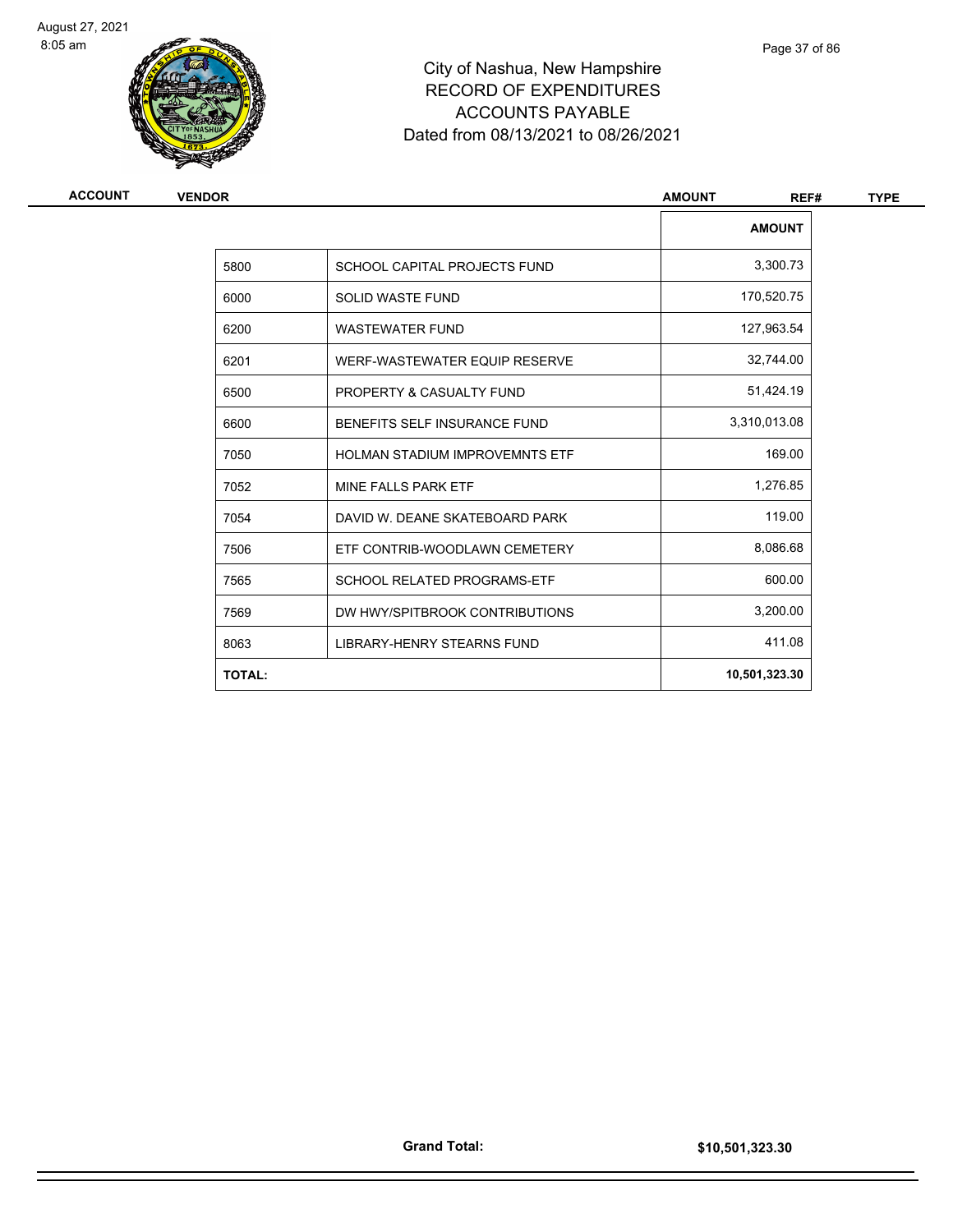

# City of Nashua, New Hampshire RECORD OF EXPENDITURES ACCOUNTS PAYABLE Dated from 08/13/2021 to 08/26/2021

| <b>ACCOUNT</b> | <b>VENDOR</b> |                                       | <b>AMOUNT</b><br>REF# | <b>TYPE</b> |
|----------------|---------------|---------------------------------------|-----------------------|-------------|
|                |               |                                       | <b>AMOUNT</b>         |             |
|                | 5800          | SCHOOL CAPITAL PROJECTS FUND          | 3,300.73              |             |
|                | 6000          | <b>SOLID WASTE FUND</b>               | 170,520.75            |             |
|                | 6200          | <b>WASTEWATER FUND</b>                | 127,963.54            |             |
|                | 6201          | WERF-WASTEWATER EQUIP RESERVE         | 32,744.00             |             |
|                | 6500          | PROPERTY & CASUALTY FUND              | 51,424.19             |             |
|                | 6600          | BENEFITS SELF INSURANCE FUND          | 3,310,013.08          |             |
|                | 7050          | <b>HOLMAN STADIUM IMPROVEMNTS ETF</b> | 169.00                |             |
|                | 7052          | MINE FALLS PARK ETF                   | 1,276.85              |             |
|                | 7054          | DAVID W. DEANE SKATEBOARD PARK        | 119.00                |             |
|                | 7506          | ETF CONTRIB-WOODLAWN CEMETERY         | 8,086.68              |             |
|                | 7565          | SCHOOL RELATED PROGRAMS-ETF           | 600.00                |             |
|                | 7569          | DW HWY/SPITBROOK CONTRIBUTIONS        | 3,200.00              |             |
|                | 8063          | LIBRARY-HENRY STEARNS FUND            | 411.08                |             |
|                | <b>TOTAL:</b> |                                       | 10,501,323.30         |             |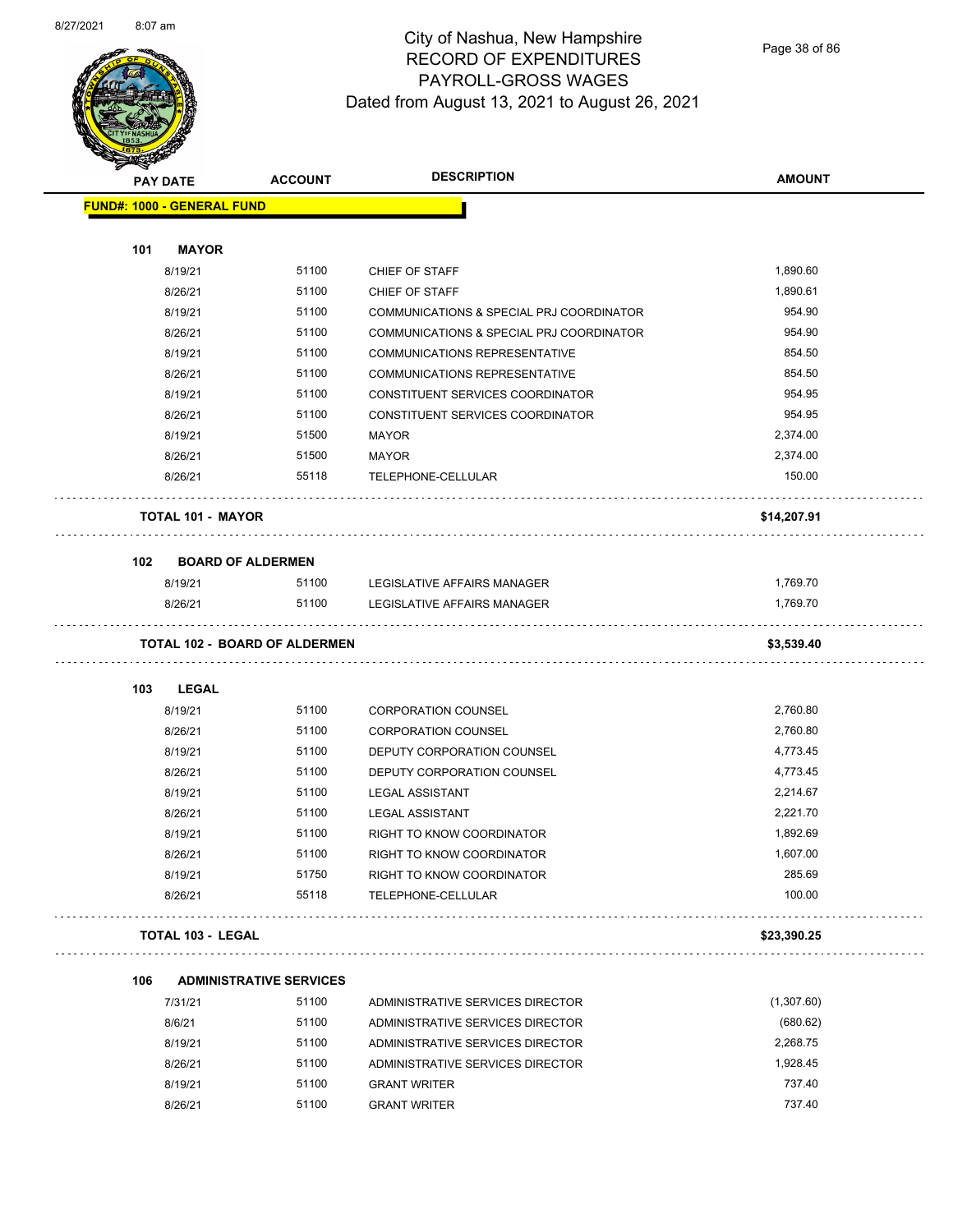

Page 38 of 86

|     | <b>PAY DATE</b>                      | <b>DESCRIPTION</b><br><b>ACCOUNT</b> |                                          | <b>AMOUNT</b> |
|-----|--------------------------------------|--------------------------------------|------------------------------------------|---------------|
|     | <b>FUND#: 1000 - GENERAL FUND</b>    |                                      |                                          |               |
|     |                                      |                                      |                                          |               |
| 101 | <b>MAYOR</b>                         |                                      |                                          |               |
|     | 8/19/21                              | 51100                                | CHIEF OF STAFF                           | 1,890.60      |
|     | 8/26/21                              | 51100                                | CHIEF OF STAFF                           | 1,890.61      |
|     | 8/19/21                              | 51100                                | COMMUNICATIONS & SPECIAL PRJ COORDINATOR | 954.90        |
|     | 8/26/21                              | 51100                                | COMMUNICATIONS & SPECIAL PRJ COORDINATOR | 954.90        |
|     | 8/19/21                              | 51100                                | COMMUNICATIONS REPRESENTATIVE            | 854.50        |
|     | 8/26/21                              | 51100                                | <b>COMMUNICATIONS REPRESENTATIVE</b>     | 854.50        |
|     | 8/19/21                              | 51100                                | CONSTITUENT SERVICES COORDINATOR         | 954.95        |
|     | 8/26/21                              | 51100                                | CONSTITUENT SERVICES COORDINATOR         | 954.95        |
|     | 8/19/21                              | 51500                                | MAYOR                                    | 2,374.00      |
|     | 8/26/21                              | 51500                                | MAYOR                                    | 2,374.00      |
|     | 8/26/21                              | 55118                                | TELEPHONE-CELLULAR                       | 150.00        |
|     | <b>TOTAL 101 - MAYOR</b>             |                                      |                                          | \$14,207.91   |
| 102 | <b>BOARD OF ALDERMEN</b>             |                                      |                                          |               |
|     | 8/19/21                              | 51100                                | LEGISLATIVE AFFAIRS MANAGER              | 1,769.70      |
|     | 8/26/21                              | 51100                                | LEGISLATIVE AFFAIRS MANAGER              | 1,769.70      |
|     | <b>TOTAL 102 - BOARD OF ALDERMEN</b> |                                      |                                          | \$3,539.40    |
|     |                                      |                                      |                                          |               |
| 103 | <b>LEGAL</b>                         |                                      |                                          |               |
|     | 8/19/21                              | 51100                                | <b>CORPORATION COUNSEL</b>               | 2,760.80      |
|     | 8/26/21                              | 51100                                | <b>CORPORATION COUNSEL</b>               | 2,760.80      |
|     | 8/19/21                              | 51100                                | DEPUTY CORPORATION COUNSEL               | 4,773.45      |
|     | 8/26/21                              | 51100                                | DEPUTY CORPORATION COUNSEL               | 4,773.45      |
|     | 8/19/21                              | 51100                                | <b>LEGAL ASSISTANT</b>                   | 2,214.67      |
|     | 8/26/21                              | 51100                                | <b>LEGAL ASSISTANT</b>                   | 2,221.70      |
|     | 8/19/21                              | 51100                                | RIGHT TO KNOW COORDINATOR                | 1,892.69      |
|     | 8/26/21                              | 51100                                | RIGHT TO KNOW COORDINATOR                | 1,607.00      |
|     | 8/19/21                              | 51750                                | RIGHT TO KNOW COORDINATOR                | 285.69        |
|     | 8/26/21                              | 55118                                | TELEPHONE-CELLULAR                       | 100.00        |
|     | <b>TOTAL 103 - LEGAL</b>             |                                      |                                          | \$23,390.25   |
| 106 |                                      | <b>ADMINISTRATIVE SERVICES</b>       |                                          |               |
|     | 7/31/21                              | 51100                                | ADMINISTRATIVE SERVICES DIRECTOR         | (1,307.60)    |
|     | 8/6/21                               | 51100                                | ADMINISTRATIVE SERVICES DIRECTOR         | (680.62)      |
|     | 8/19/21                              | 51100                                | ADMINISTRATIVE SERVICES DIRECTOR         | 2,268.75      |
|     | 8/26/21                              | 51100                                | ADMINISTRATIVE SERVICES DIRECTOR         | 1,928.45      |
|     | 8/19/21                              | 51100                                | <b>GRANT WRITER</b>                      | 737.40        |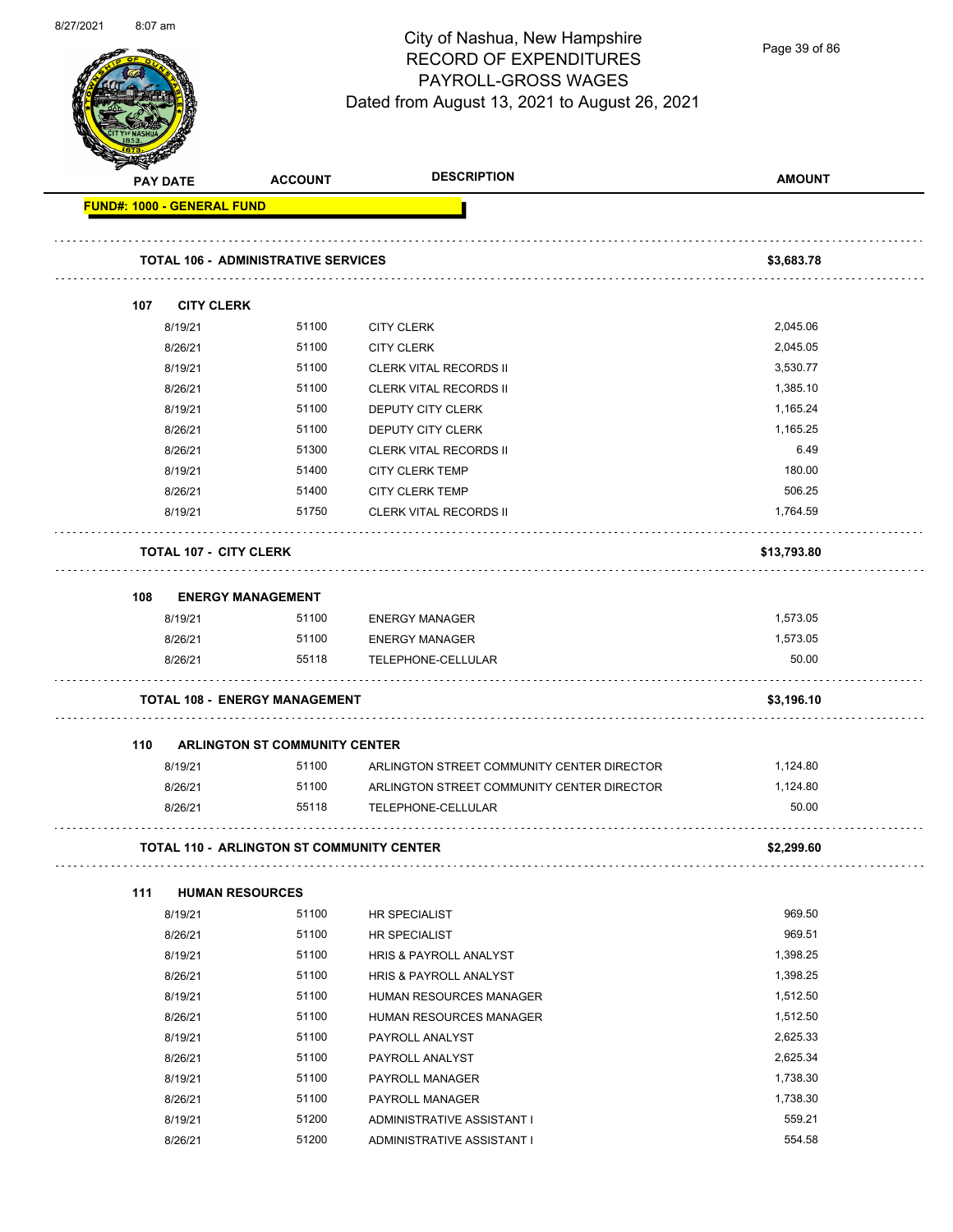

Page 39 of 86

|     | <b>PAY DATE</b>               | <b>ACCOUNT</b>                             | <b>DESCRIPTION</b>                         | <b>AMOUNT</b> |
|-----|-------------------------------|--------------------------------------------|--------------------------------------------|---------------|
|     | FUND#: 1000 - GENERAL FUND    |                                            |                                            |               |
|     |                               | <b>TOTAL 106 - ADMINISTRATIVE SERVICES</b> |                                            | \$3,683.78    |
|     |                               |                                            |                                            |               |
| 107 | <b>CITY CLERK</b>             |                                            |                                            |               |
|     | 8/19/21                       | 51100                                      | <b>CITY CLERK</b>                          | 2,045.06      |
|     | 8/26/21                       | 51100                                      | <b>CITY CLERK</b>                          | 2,045.05      |
|     | 8/19/21                       | 51100                                      | <b>CLERK VITAL RECORDS II</b>              | 3,530.77      |
|     | 8/26/21                       | 51100                                      | <b>CLERK VITAL RECORDS II</b>              | 1,385.10      |
|     | 8/19/21                       | 51100                                      | DEPUTY CITY CLERK                          | 1,165.24      |
|     | 8/26/21                       | 51100                                      | DEPUTY CITY CLERK                          | 1,165.25      |
|     | 8/26/21                       | 51300                                      | <b>CLERK VITAL RECORDS II</b>              | 6.49          |
|     | 8/19/21                       | 51400                                      | <b>CITY CLERK TEMP</b>                     | 180.00        |
|     | 8/26/21                       | 51400                                      | <b>CITY CLERK TEMP</b>                     | 506.25        |
|     | 8/19/21                       | 51750                                      | <b>CLERK VITAL RECORDS II</b>              | 1,764.59      |
|     | <b>TOTAL 107 - CITY CLERK</b> |                                            |                                            | \$13,793.80   |
| 108 | <b>ENERGY MANAGEMENT</b>      |                                            |                                            |               |
|     | 8/19/21                       | 51100                                      | <b>ENERGY MANAGER</b>                      | 1,573.05      |
|     | 8/26/21                       | 51100                                      | <b>ENERGY MANAGER</b>                      | 1,573.05      |
|     | 8/26/21                       | 55118                                      | TELEPHONE-CELLULAR                         | 50.00         |
|     |                               | <b>TOTAL 108 - ENERGY MANAGEMENT</b>       |                                            | \$3,196.10    |
| 110 |                               | <b>ARLINGTON ST COMMUNITY CENTER</b>       |                                            |               |
|     | 8/19/21                       | 51100                                      | ARLINGTON STREET COMMUNITY CENTER DIRECTOR | 1,124.80      |
|     | 8/26/21                       | 51100                                      | ARLINGTON STREET COMMUNITY CENTER DIRECTOR | 1,124.80      |
|     | 8/26/21                       | 55118                                      | TELEPHONE-CELLULAR                         | 50.00         |
|     |                               | TOTAL 110 - ARLINGTON ST COMMUNITY CENTER  |                                            | \$2,299.60    |
|     |                               |                                            |                                            |               |
| 111 | <b>HUMAN RESOURCES</b>        |                                            |                                            |               |
|     | 8/19/21                       | 51100                                      | HR SPECIALIST                              | 969.50        |
|     | 8/26/21                       | 51100                                      | <b>HR SPECIALIST</b>                       | 969.51        |
|     | 8/19/21                       | 51100                                      | HRIS & PAYROLL ANALYST                     | 1,398.25      |
|     | 8/26/21                       | 51100                                      | HRIS & PAYROLL ANALYST                     | 1,398.25      |
|     | 8/19/21                       | 51100                                      | HUMAN RESOURCES MANAGER                    | 1,512.50      |
|     | 8/26/21                       | 51100                                      | HUMAN RESOURCES MANAGER                    | 1,512.50      |
|     | 8/19/21                       | 51100                                      | PAYROLL ANALYST                            | 2,625.33      |
|     | 8/26/21                       | 51100                                      | PAYROLL ANALYST                            | 2,625.34      |
|     | 8/19/21                       | 51100                                      | PAYROLL MANAGER                            | 1,738.30      |
|     | 8/26/21                       | 51100                                      | PAYROLL MANAGER                            | 1,738.30      |
|     | 8/19/21                       | 51200                                      | ADMINISTRATIVE ASSISTANT I                 | 559.21        |
|     | 8/26/21                       | 51200                                      | ADMINISTRATIVE ASSISTANT I                 | 554.58        |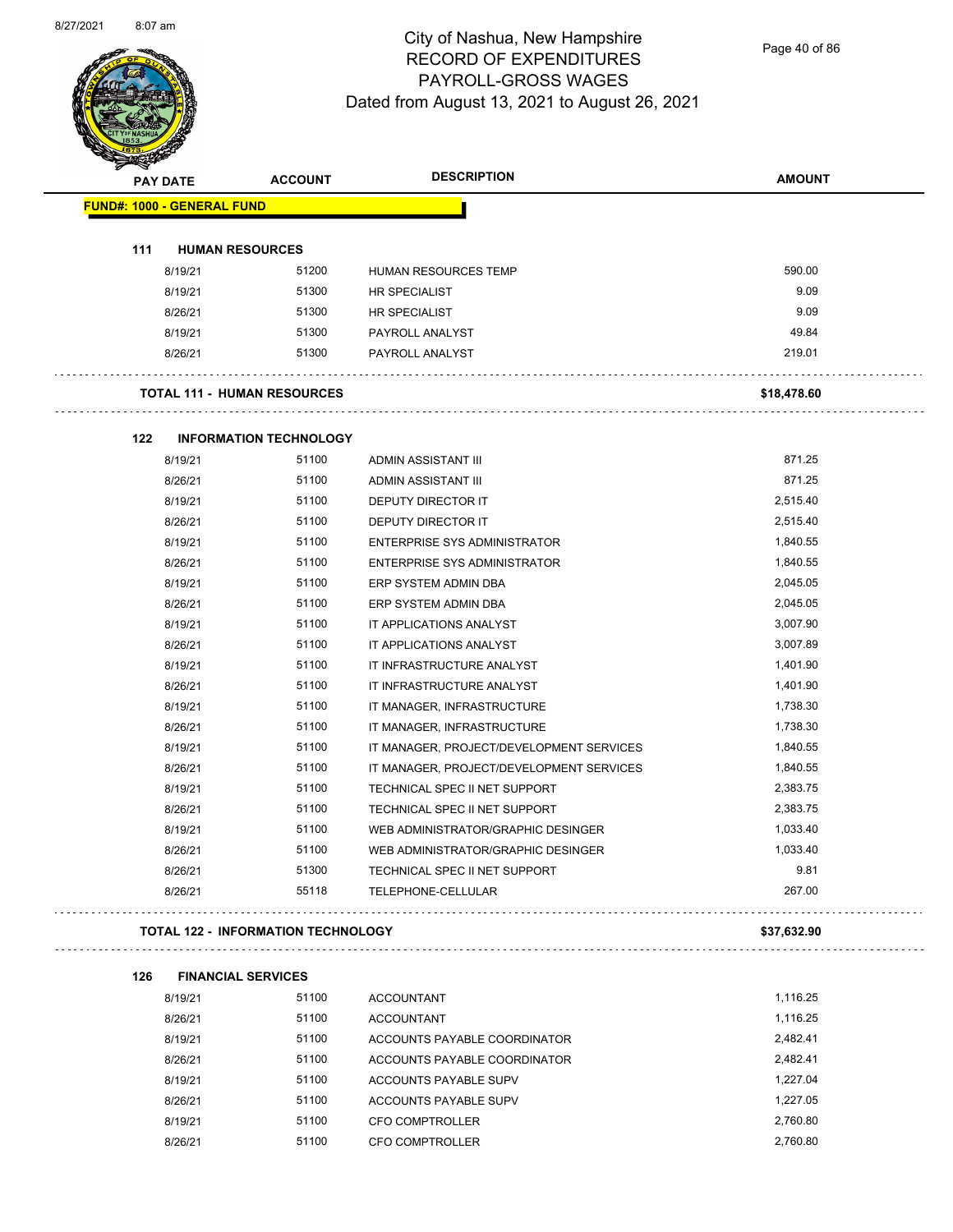

Page 40 of 86

| <b>PAY DATE</b>                   | <b>ACCOUNT</b>                            | <b>DESCRIPTION</b>                       | <b>AMOUNT</b> |
|-----------------------------------|-------------------------------------------|------------------------------------------|---------------|
| <b>FUND#: 1000 - GENERAL FUND</b> |                                           |                                          |               |
|                                   |                                           |                                          |               |
| 111<br>8/19/21                    | <b>HUMAN RESOURCES</b><br>51200           | <b>HUMAN RESOURCES TEMP</b>              | 590.00        |
| 8/19/21                           | 51300                                     | HR SPECIALIST                            | 9.09          |
| 8/26/21                           | 51300                                     | HR SPECIALIST                            | 9.09          |
| 8/19/21                           | 51300                                     | PAYROLL ANALYST                          | 49.84         |
| 8/26/21                           | 51300                                     | PAYROLL ANALYST                          | 219.01        |
|                                   |                                           |                                          |               |
|                                   | <b>TOTAL 111 - HUMAN RESOURCES</b>        |                                          | \$18,478.60   |
| 122                               | <b>INFORMATION TECHNOLOGY</b>             |                                          |               |
| 8/19/21                           | 51100                                     | ADMIN ASSISTANT III                      | 871.25        |
| 8/26/21                           | 51100                                     | ADMIN ASSISTANT III                      | 871.25        |
| 8/19/21                           | 51100                                     | DEPUTY DIRECTOR IT                       | 2,515.40      |
| 8/26/21                           | 51100                                     | <b>DEPUTY DIRECTOR IT</b>                | 2,515.40      |
| 8/19/21                           | 51100                                     | <b>ENTERPRISE SYS ADMINISTRATOR</b>      | 1,840.55      |
| 8/26/21                           | 51100                                     | <b>ENTERPRISE SYS ADMINISTRATOR</b>      | 1,840.55      |
| 8/19/21                           | 51100                                     | ERP SYSTEM ADMIN DBA                     | 2,045.05      |
| 8/26/21                           | 51100                                     | ERP SYSTEM ADMIN DBA                     | 2,045.05      |
| 8/19/21                           | 51100                                     | IT APPLICATIONS ANALYST                  | 3,007.90      |
| 8/26/21                           | 51100                                     | IT APPLICATIONS ANALYST                  | 3,007.89      |
| 8/19/21                           | 51100                                     | IT INFRASTRUCTURE ANALYST                | 1,401.90      |
| 8/26/21                           | 51100                                     | IT INFRASTRUCTURE ANALYST                | 1,401.90      |
| 8/19/21                           | 51100                                     | IT MANAGER, INFRASTRUCTURE               | 1,738.30      |
| 8/26/21                           | 51100                                     | IT MANAGER, INFRASTRUCTURE               | 1,738.30      |
| 8/19/21                           | 51100                                     | IT MANAGER, PROJECT/DEVELOPMENT SERVICES | 1,840.55      |
| 8/26/21                           | 51100                                     | IT MANAGER, PROJECT/DEVELOPMENT SERVICES | 1,840.55      |
| 8/19/21                           | 51100                                     | TECHNICAL SPEC II NET SUPPORT            | 2,383.75      |
| 8/26/21                           | 51100                                     | TECHNICAL SPEC II NET SUPPORT            | 2,383.75      |
| 8/19/21                           | 51100                                     | WEB ADMINISTRATOR/GRAPHIC DESINGER       | 1,033.40      |
| 8/26/21                           | 51100                                     | WEB ADMINISTRATOR/GRAPHIC DESINGER       | 1,033.40      |
| 8/26/21                           | 51300                                     | TECHNICAL SPEC II NET SUPPORT            | 9.81          |
| 8/26/21                           | 55118                                     | TELEPHONE-CELLULAR                       | 267.00        |
|                                   | <b>TOTAL 122 - INFORMATION TECHNOLOGY</b> |                                          | \$37,632.90   |
| 126                               | <b>FINANCIAL SERVICES</b>                 |                                          |               |
| 8/19/21                           | 51100                                     | <b>ACCOUNTANT</b>                        | 1,116.25      |
| 8/26/21                           | 51100                                     | <b>ACCOUNTANT</b>                        | 1,116.25      |
| 8/19/21                           | 51100                                     | ACCOUNTS PAYABLE COORDINATOR             | 2,482.41      |
| 8/26/21                           | 51100                                     | ACCOUNTS PAYABLE COORDINATOR             | 2,482.41      |
| 8/19/21                           | 51100                                     | ACCOUNTS PAYABLE SUPV                    | 1,227.04      |
| 8/26/21                           | 51100                                     | ACCOUNTS PAYABLE SUPV                    | 1,227.05      |
| 8/19/21                           | 51100                                     | CFO COMPTROLLER                          | 2,760.80      |
| 8/26/21                           | 51100                                     | CFO COMPTROLLER                          | 2,760.80      |
|                                   |                                           |                                          |               |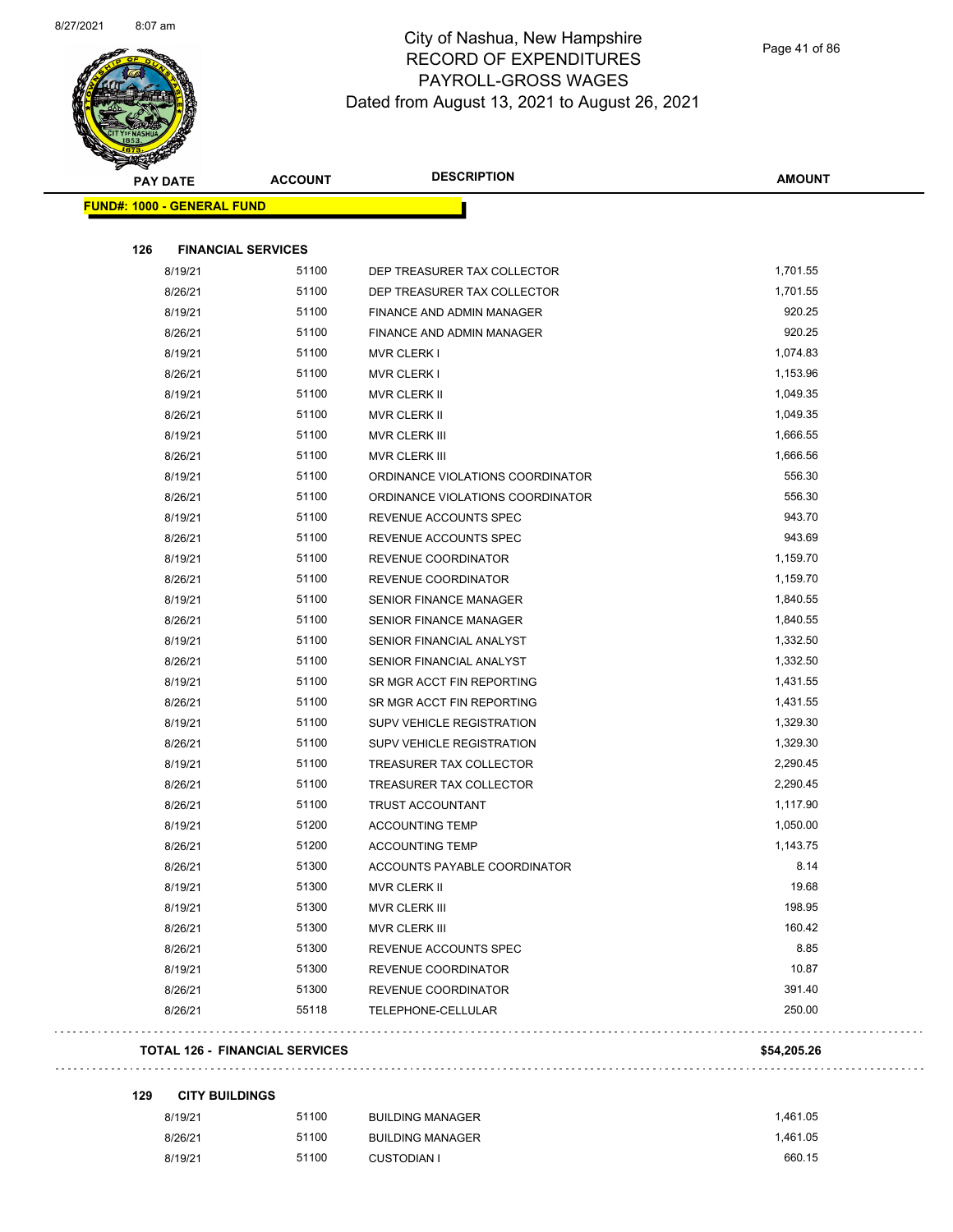

Page 41 of 86

| <b>PAY DATE</b>                   | <b>ACCOUNT</b>            |                                  | <b>AMOUNT</b> |
|-----------------------------------|---------------------------|----------------------------------|---------------|
| <b>FUND#: 1000 - GENERAL FUND</b> |                           |                                  |               |
| 126                               | <b>FINANCIAL SERVICES</b> |                                  |               |
| 8/19/21                           | 51100                     | DEP TREASURER TAX COLLECTOR      | 1,701.55      |
| 8/26/21                           | 51100                     | DEP TREASURER TAX COLLECTOR      | 1,701.55      |
| 8/19/21                           | 51100                     | <b>FINANCE AND ADMIN MANAGER</b> | 920.25        |
| 8/26/21                           | 51100                     | <b>FINANCE AND ADMIN MANAGER</b> | 920.25        |
| 8/19/21                           | 51100                     | <b>MVR CLERK I</b>               | 1,074.83      |
| 8/26/21                           | 51100                     | <b>MVR CLERK I</b>               | 1,153.96      |
| 8/19/21                           | 51100                     | <b>MVR CLERK II</b>              | 1,049.35      |
| 8/26/21                           | 51100                     | MVR CLERK II                     | 1,049.35      |
| 8/19/21                           | 51100                     | MVR CLERK III                    | 1,666.55      |
| 8/26/21                           | 51100                     | MVR CLERK III                    | 1,666.56      |
| 8/19/21                           | 51100                     | ORDINANCE VIOLATIONS COORDINATOR | 556.30        |
| 8/26/21                           | 51100                     | ORDINANCE VIOLATIONS COORDINATOR | 556.30        |
| 8/19/21                           | 51100                     | REVENUE ACCOUNTS SPEC            | 943.70        |
| 8/26/21                           | 51100                     | REVENUE ACCOUNTS SPEC            | 943.69        |
| 8/19/21                           | 51100                     | REVENUE COORDINATOR              | 1,159.70      |
| 8/26/21                           | 51100                     | REVENUE COORDINATOR              | 1,159.70      |
| 8/19/21                           | 51100                     | <b>SENIOR FINANCE MANAGER</b>    | 1,840.55      |
| 8/26/21                           | 51100                     | <b>SENIOR FINANCE MANAGER</b>    | 1,840.55      |
| 8/19/21                           | 51100                     | SENIOR FINANCIAL ANALYST         | 1,332.50      |
| 8/26/21                           | 51100                     | SENIOR FINANCIAL ANALYST         | 1,332.50      |
| 8/19/21                           | 51100                     | SR MGR ACCT FIN REPORTING        | 1,431.55      |
| 8/26/21                           | 51100                     | SR MGR ACCT FIN REPORTING        | 1,431.55      |
| 8/19/21                           | 51100                     | SUPV VEHICLE REGISTRATION        | 1,329.30      |
| 8/26/21                           | 51100                     | SUPV VEHICLE REGISTRATION        | 1,329.30      |
| 8/19/21                           | 51100                     | <b>TREASURER TAX COLLECTOR</b>   | 2,290.45      |
| 8/26/21                           | 51100                     | TREASURER TAX COLLECTOR          | 2,290.45      |
| 8/26/21                           | 51100                     | TRUST ACCOUNTANT                 | 1,117.90      |
| 8/19/21                           | 51200                     | <b>ACCOUNTING TEMP</b>           | 1,050.00      |
| 8/26/21                           | 51200                     | <b>ACCOUNTING TEMP</b>           | 1,143.75      |
| 8/26/21                           | 51300                     | ACCOUNTS PAYABLE COORDINATOR     | 8.14          |
| 8/19/21                           | 51300                     | MVR CLERK II                     | 19.68         |
| 8/19/21                           | 51300                     | MVR CLERK III                    | 198.95        |
| 8/26/21                           | 51300                     | MVR CLERK III                    | 160.42        |
| 8/26/21                           | 51300                     | REVENUE ACCOUNTS SPEC            | 8.85          |
| 8/19/21                           | 51300                     | REVENUE COORDINATOR              | 10.87         |
| 8/26/21                           | 51300                     | REVENUE COORDINATOR              | 391.40        |
| 8/26/21                           | 55118                     | TELEPHONE-CELLULAR               | 250.00        |
|                                   |                           |                                  |               |

**129 CITY BUILDINGS**

 $\bar{\mathcal{L}}$  .

| 8/19/21 | 51100 | <b>BUILDING MANAGER</b> | 1.461.05 |
|---------|-------|-------------------------|----------|
| 8/26/21 | 51100 | <b>BUILDING MANAGER</b> | 1.461.05 |
| 8/19/21 | 51100 | CUSTODIAN I             | 660.15   |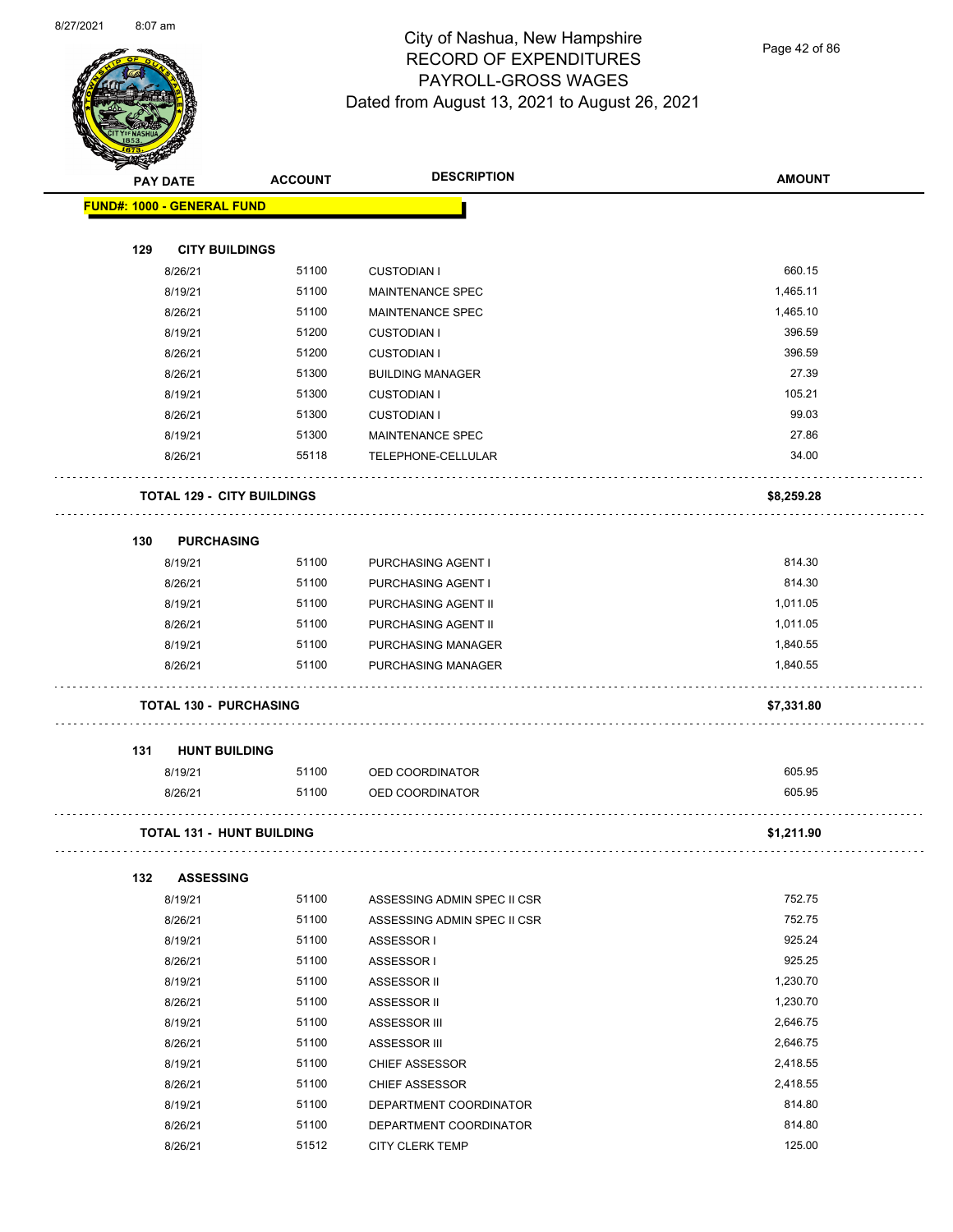

Page 42 of 86

| <b>MERSEN</b> |                                   |                                      |                             |               |
|---------------|-----------------------------------|--------------------------------------|-----------------------------|---------------|
|               | <b>PAY DATE</b>                   | <b>DESCRIPTION</b><br><b>ACCOUNT</b> |                             | <b>AMOUNT</b> |
|               | <b>FUND#: 1000 - GENERAL FUND</b> |                                      |                             |               |
|               |                                   |                                      |                             |               |
| 129           | <b>CITY BUILDINGS</b>             |                                      |                             |               |
|               | 8/26/21                           | 51100                                | <b>CUSTODIAN I</b>          | 660.15        |
|               | 8/19/21                           | 51100                                | MAINTENANCE SPEC            | 1,465.11      |
|               | 8/26/21                           | 51100                                | MAINTENANCE SPEC            | 1,465.10      |
|               | 8/19/21                           | 51200                                | <b>CUSTODIAN I</b>          | 396.59        |
|               | 8/26/21                           | 51200                                | <b>CUSTODIAN I</b>          | 396.59        |
|               | 8/26/21                           | 51300                                | <b>BUILDING MANAGER</b>     | 27.39         |
|               | 8/19/21                           | 51300                                | <b>CUSTODIAN I</b>          | 105.21        |
|               | 8/26/21                           | 51300                                | <b>CUSTODIAN I</b>          | 99.03         |
|               | 8/19/21                           | 51300                                | MAINTENANCE SPEC            | 27.86         |
|               | 8/26/21                           | 55118                                | TELEPHONE-CELLULAR          | 34.00         |
|               | <b>TOTAL 129 - CITY BUILDINGS</b> |                                      |                             | \$8,259.28    |
| 130           | <b>PURCHASING</b>                 |                                      |                             |               |
|               | 8/19/21                           | 51100                                | PURCHASING AGENT I          | 814.30        |
|               | 8/26/21                           | 51100                                | PURCHASING AGENT I          | 814.30        |
|               | 8/19/21                           | 51100                                | PURCHASING AGENT II         | 1,011.05      |
|               | 8/26/21                           | 51100                                | PURCHASING AGENT II         | 1,011.05      |
|               | 8/19/21                           | 51100                                | PURCHASING MANAGER          | 1,840.55      |
|               | 8/26/21                           | 51100                                | PURCHASING MANAGER          | 1,840.55      |
|               | <b>TOTAL 130 - PURCHASING</b>     |                                      |                             | \$7,331.80    |
| 131           | <b>HUNT BUILDING</b>              |                                      |                             |               |
|               | 8/19/21                           | 51100                                | OED COORDINATOR             | 605.95        |
|               | 8/26/21                           | 51100                                | OED COORDINATOR             | 605.95        |
|               | <b>TOTAL 131 - HUNT BUILDING</b>  |                                      |                             | \$1,211.90    |
| 132           | <b>ASSESSING</b>                  |                                      |                             |               |
|               | 8/19/21                           | 51100                                | ASSESSING ADMIN SPEC II CSR | 752.75        |
|               | 8/26/21                           | 51100                                | ASSESSING ADMIN SPEC II CSR | 752.75        |
|               | 8/19/21                           | 51100                                | ASSESSOR I                  | 925.24        |
|               | 8/26/21                           | 51100                                | ASSESSOR I                  | 925.25        |
|               | 8/19/21                           | 51100                                | ASSESSOR II                 | 1,230.70      |
|               | 8/26/21                           | 51100                                | ASSESSOR II                 | 1,230.70      |
|               | 8/19/21                           | 51100                                | ASSESSOR III                | 2,646.75      |
|               | 8/26/21                           | 51100                                | ASSESSOR III                | 2,646.75      |
|               | 8/19/21                           | 51100                                | <b>CHIEF ASSESSOR</b>       | 2,418.55      |
|               | 8/26/21                           | 51100                                | <b>CHIEF ASSESSOR</b>       | 2,418.55      |
|               | 8/19/21                           | 51100                                | DEPARTMENT COORDINATOR      | 814.80        |
|               | 8/26/21                           | 51100                                | DEPARTMENT COORDINATOR      | 814.80        |

8/26/21 51512 CITY CLERK TEMP 125.00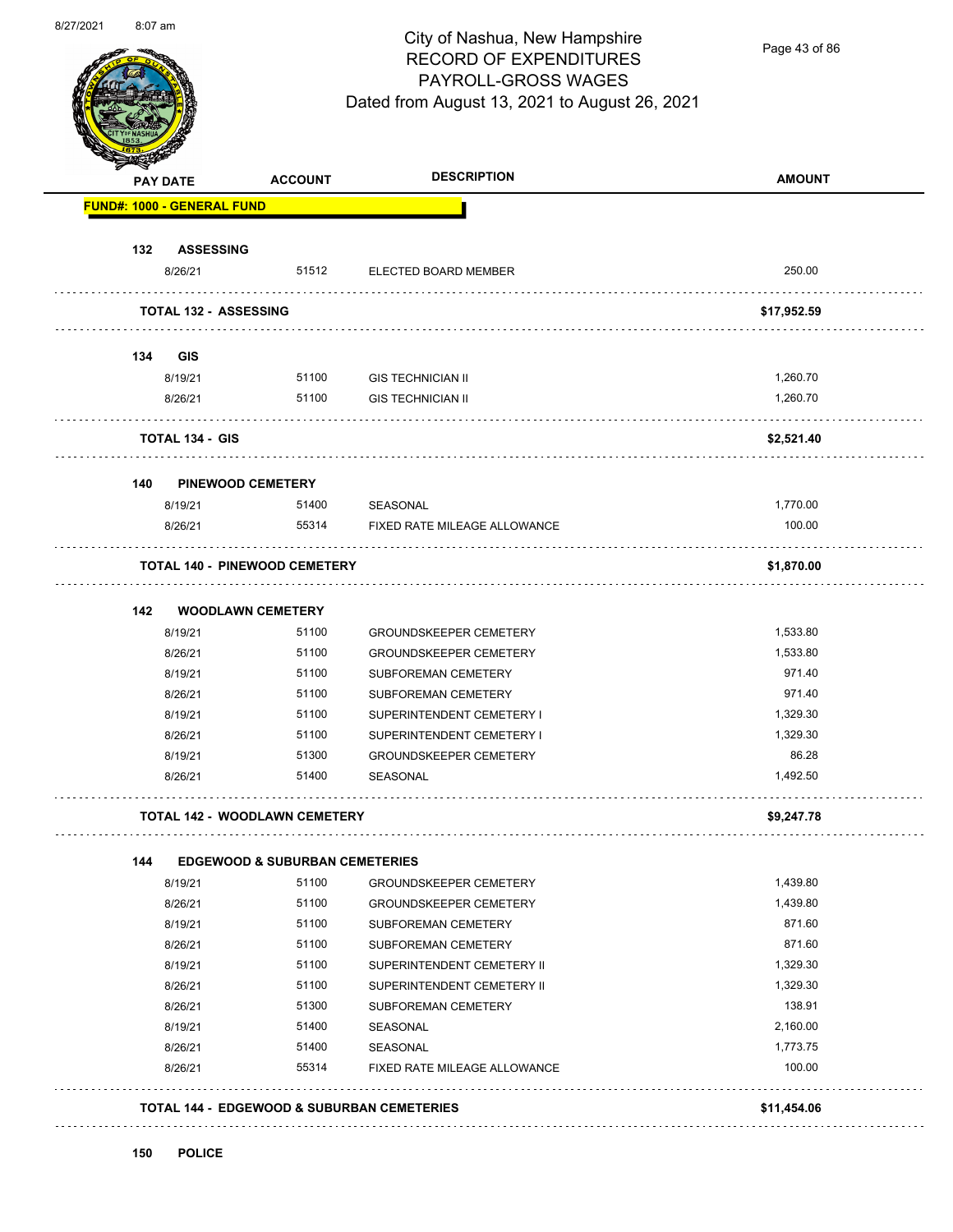

Page 43 of 86

|     | PAY DATE                          | <b>ACCOUNT</b>                            | <b>DESCRIPTION</b>            | <b>AMOUNT</b> |
|-----|-----------------------------------|-------------------------------------------|-------------------------------|---------------|
|     | <b>FUND#: 1000 - GENERAL FUND</b> |                                           |                               |               |
| 132 | <b>ASSESSING</b>                  |                                           |                               |               |
|     | 8/26/21                           | 51512                                     | ELECTED BOARD MEMBER          | 250.00        |
|     | <b>TOTAL 132 - ASSESSING</b>      |                                           |                               | \$17,952.59   |
| 134 | <b>GIS</b>                        |                                           |                               |               |
|     | 8/19/21                           | 51100                                     | <b>GIS TECHNICIAN II</b>      | 1,260.70      |
|     | 8/26/21                           | 51100                                     | <b>GIS TECHNICIAN II</b>      | 1,260.70      |
|     | <b>TOTAL 134 - GIS</b>            |                                           |                               | \$2,521.40    |
| 140 | <b>PINEWOOD CEMETERY</b>          |                                           |                               |               |
|     | 8/19/21                           | 51400                                     | SEASONAL                      | 1,770.00      |
|     | 8/26/21                           | 55314                                     | FIXED RATE MILEAGE ALLOWANCE  | 100.00        |
|     |                                   | <b>TOTAL 140 - PINEWOOD CEMETERY</b>      |                               | \$1,870.00    |
| 142 |                                   | <b>WOODLAWN CEMETERY</b>                  |                               |               |
|     | 8/19/21                           | 51100                                     | <b>GROUNDSKEEPER CEMETERY</b> | 1,533.80      |
|     | 8/26/21                           | 51100                                     | <b>GROUNDSKEEPER CEMETERY</b> | 1,533.80      |
|     | 8/19/21                           | 51100                                     | SUBFOREMAN CEMETERY           | 971.40        |
|     | 8/26/21                           | 51100                                     | SUBFOREMAN CEMETERY           | 971.40        |
|     | 8/19/21                           | 51100                                     | SUPERINTENDENT CEMETERY I     | 1,329.30      |
|     | 8/26/21                           | 51100                                     | SUPERINTENDENT CEMETERY I     | 1,329.30      |
|     | 8/19/21                           | 51300                                     | <b>GROUNDSKEEPER CEMETERY</b> | 86.28         |
|     | 8/26/21                           | 51400                                     | <b>SEASONAL</b>               | 1,492.50      |
|     |                                   | <b>TOTAL 142 - WOODLAWN CEMETERY</b>      |                               | \$9,247.78    |
| 144 |                                   | <b>EDGEWOOD &amp; SUBURBAN CEMETERIES</b> |                               |               |
|     | 8/19/21                           | 51100                                     | <b>GROUNDSKEEPER CEMETERY</b> | 1,439.80      |
|     | 8/26/21                           | 51100                                     | <b>GROUNDSKEEPER CEMETERY</b> | 1,439.80      |
|     | 8/19/21                           | 51100                                     | SUBFOREMAN CEMETERY           | 871.60        |
|     | 8/26/21                           | 51100                                     | SUBFOREMAN CEMETERY           | 871.60        |
|     | 8/19/21                           | 51100                                     | SUPERINTENDENT CEMETERY II    | 1,329.30      |
|     | 8/26/21                           | 51100                                     | SUPERINTENDENT CEMETERY II    | 1,329.30      |
|     | 8/26/21                           | 51300                                     | SUBFOREMAN CEMETERY           | 138.91        |
|     | 8/19/21                           | 51400                                     | SEASONAL                      | 2,160.00      |
|     | 8/26/21                           | 51400                                     | SEASONAL                      | 1,773.75      |
|     | 8/26/21                           | 55314                                     | FIXED RATE MILEAGE ALLOWANCE  | 100.00        |
|     |                                   |                                           |                               |               |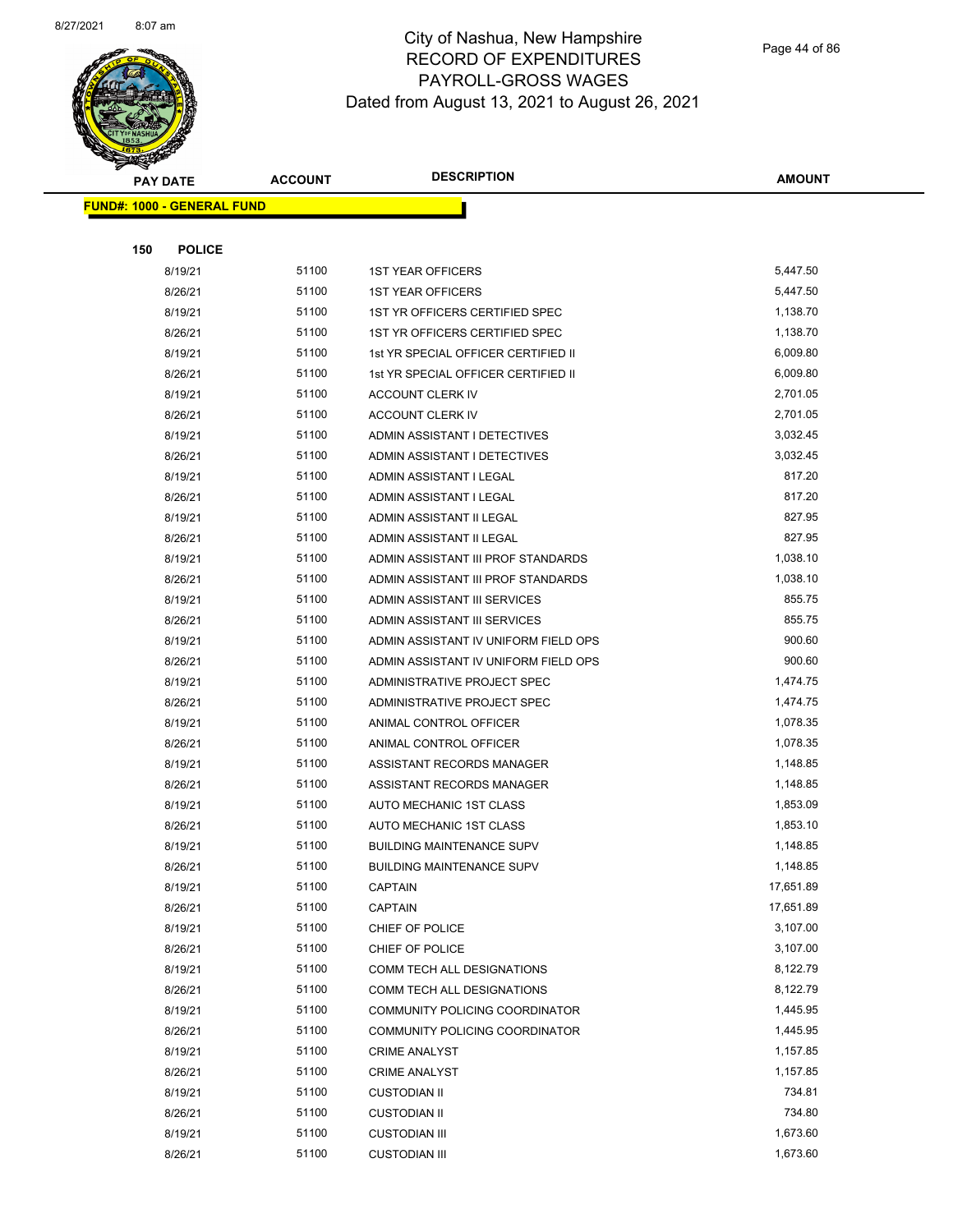

Page 44 of 86

|     | <b>PAY DATE</b>                   | <b>ACCOUNT</b> | <b>DESCRIPTION</b>                   | <b>AMOUNT</b> |
|-----|-----------------------------------|----------------|--------------------------------------|---------------|
|     | <b>FUND#: 1000 - GENERAL FUND</b> |                |                                      |               |
|     |                                   |                |                                      |               |
| 150 | <b>POLICE</b>                     |                |                                      |               |
|     | 8/19/21                           | 51100          | <b>1ST YEAR OFFICERS</b>             | 5,447.50      |
|     | 8/26/21                           | 51100          | <b>1ST YEAR OFFICERS</b>             | 5,447.50      |
|     | 8/19/21                           | 51100          | 1ST YR OFFICERS CERTIFIED SPEC       | 1,138.70      |
|     | 8/26/21                           | 51100          | 1ST YR OFFICERS CERTIFIED SPEC       | 1,138.70      |
|     | 8/19/21                           | 51100          | 1st YR SPECIAL OFFICER CERTIFIED II  | 6,009.80      |
|     | 8/26/21                           | 51100          | 1st YR SPECIAL OFFICER CERTIFIED II  | 6,009.80      |
|     | 8/19/21                           | 51100          | ACCOUNT CLERK IV                     | 2,701.05      |
|     | 8/26/21                           | 51100          | ACCOUNT CLERK IV                     | 2,701.05      |
|     | 8/19/21                           | 51100          | ADMIN ASSISTANT I DETECTIVES         | 3,032.45      |
|     | 8/26/21                           | 51100          | ADMIN ASSISTANT I DETECTIVES         | 3,032.45      |
|     | 8/19/21                           | 51100          | ADMIN ASSISTANT I LEGAL              | 817.20        |
|     | 8/26/21                           | 51100          | ADMIN ASSISTANT I LEGAL              | 817.20        |
|     | 8/19/21                           | 51100          | ADMIN ASSISTANT II LEGAL             | 827.95        |
|     | 8/26/21                           | 51100          | ADMIN ASSISTANT II LEGAL             | 827.95        |
|     | 8/19/21                           | 51100          | ADMIN ASSISTANT III PROF STANDARDS   | 1,038.10      |
|     | 8/26/21                           | 51100          | ADMIN ASSISTANT III PROF STANDARDS   | 1,038.10      |
|     | 8/19/21                           | 51100          | ADMIN ASSISTANT III SERVICES         | 855.75        |
|     | 8/26/21                           | 51100          | ADMIN ASSISTANT III SERVICES         | 855.75        |
|     | 8/19/21                           | 51100          | ADMIN ASSISTANT IV UNIFORM FIELD OPS | 900.60        |
|     | 8/26/21                           | 51100          | ADMIN ASSISTANT IV UNIFORM FIELD OPS | 900.60        |
|     | 8/19/21                           | 51100          | ADMINISTRATIVE PROJECT SPEC          | 1,474.75      |
|     | 8/26/21                           | 51100          | ADMINISTRATIVE PROJECT SPEC          | 1,474.75      |
|     | 8/19/21                           | 51100          | ANIMAL CONTROL OFFICER               | 1,078.35      |
|     | 8/26/21                           | 51100          | ANIMAL CONTROL OFFICER               | 1,078.35      |
|     | 8/19/21                           | 51100          | ASSISTANT RECORDS MANAGER            | 1,148.85      |
|     | 8/26/21                           | 51100          | ASSISTANT RECORDS MANAGER            | 1,148.85      |
|     | 8/19/21                           | 51100          | AUTO MECHANIC 1ST CLASS              | 1,853.09      |
|     | 8/26/21                           | 51100          | AUTO MECHANIC 1ST CLASS              | 1,853.10      |
|     | 8/19/21                           | 51100          | <b>BUILDING MAINTENANCE SUPV</b>     | 1,148.85      |
|     | 8/26/21                           | 51100          | <b>BUILDING MAINTENANCE SUPV</b>     | 1,148.85      |
|     | 8/19/21                           | 51100          | <b>CAPTAIN</b>                       | 17,651.89     |
|     | 8/26/21                           | 51100          | <b>CAPTAIN</b>                       | 17,651.89     |
|     | 8/19/21                           | 51100          | CHIEF OF POLICE                      | 3,107.00      |
|     | 8/26/21                           | 51100          | CHIEF OF POLICE                      | 3,107.00      |
|     | 8/19/21                           | 51100          | COMM TECH ALL DESIGNATIONS           | 8,122.79      |
|     | 8/26/21                           | 51100          | COMM TECH ALL DESIGNATIONS           | 8,122.79      |
|     | 8/19/21                           | 51100          | COMMUNITY POLICING COORDINATOR       | 1,445.95      |
|     | 8/26/21                           | 51100          | COMMUNITY POLICING COORDINATOR       | 1,445.95      |
|     | 8/19/21                           | 51100          | <b>CRIME ANALYST</b>                 | 1,157.85      |
|     | 8/26/21                           | 51100          | <b>CRIME ANALYST</b>                 | 1,157.85      |
|     | 8/19/21                           | 51100          | <b>CUSTODIAN II</b>                  | 734.81        |
|     | 8/26/21                           | 51100          | <b>CUSTODIAN II</b>                  | 734.80        |
|     | 8/19/21                           | 51100          | <b>CUSTODIAN III</b>                 | 1,673.60      |
|     | 8/26/21                           | 51100          | <b>CUSTODIAN III</b>                 | 1,673.60      |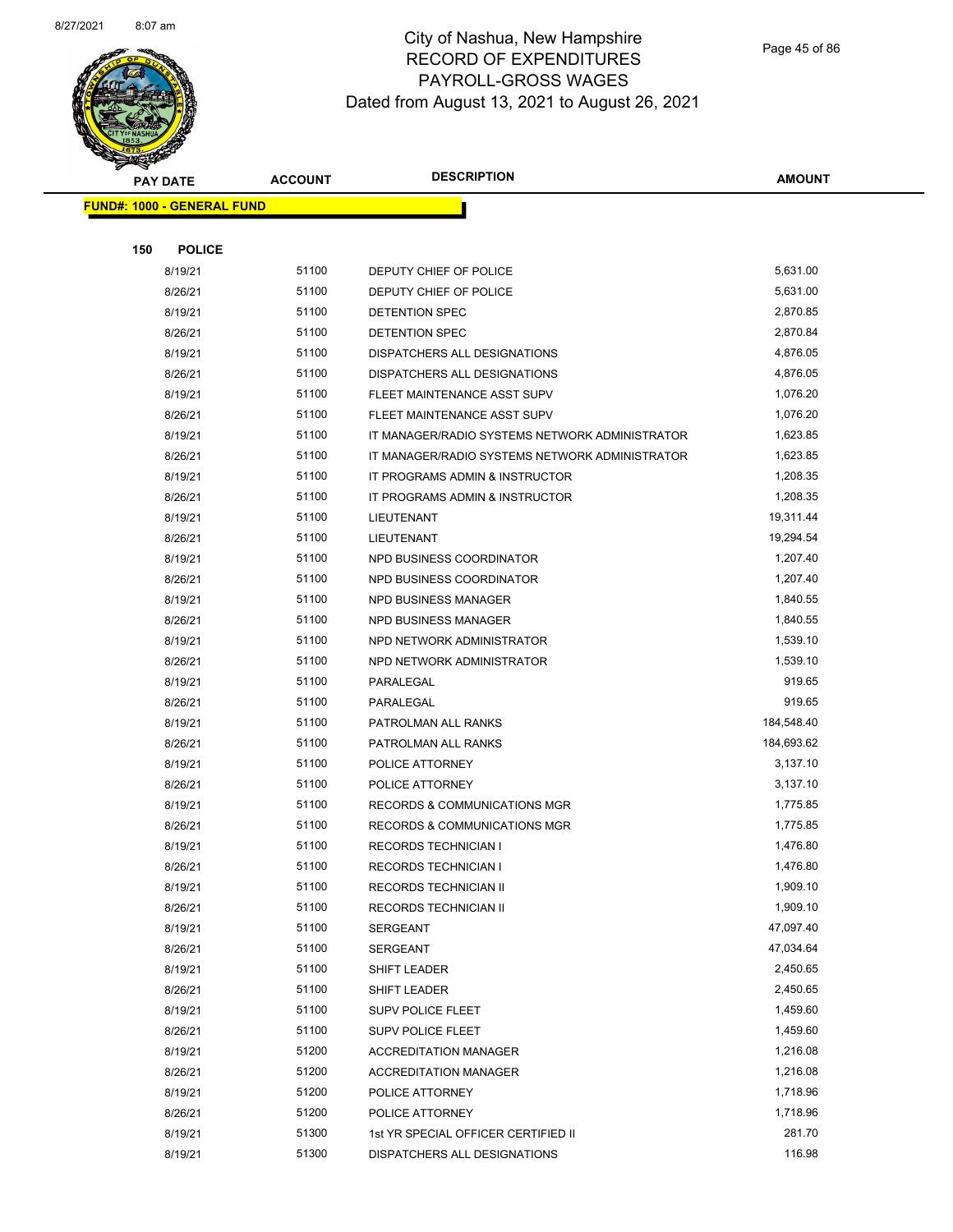

Page 45 of 86

|     | <b>PAY DATE</b>                   | <b>ACCOUNT</b> | <b>DESCRIPTION</b>                             | <b>AMOUNT</b>        |
|-----|-----------------------------------|----------------|------------------------------------------------|----------------------|
|     | <b>FUND#: 1000 - GENERAL FUND</b> |                |                                                |                      |
|     |                                   |                |                                                |                      |
| 150 | <b>POLICE</b>                     |                |                                                |                      |
|     | 8/19/21                           | 51100          | DEPUTY CHIEF OF POLICE                         | 5,631.00             |
|     | 8/26/21                           | 51100          | DEPUTY CHIEF OF POLICE                         | 5,631.00             |
|     | 8/19/21                           | 51100          | DETENTION SPEC                                 | 2,870.85             |
|     | 8/26/21                           | 51100          | <b>DETENTION SPEC</b>                          | 2,870.84             |
|     | 8/19/21                           | 51100          | DISPATCHERS ALL DESIGNATIONS                   | 4,876.05             |
|     | 8/26/21                           | 51100          | DISPATCHERS ALL DESIGNATIONS                   | 4,876.05             |
|     | 8/19/21                           | 51100          | FLEET MAINTENANCE ASST SUPV                    | 1,076.20             |
|     | 8/26/21                           | 51100          | FLEET MAINTENANCE ASST SUPV                    | 1,076.20             |
|     | 8/19/21                           | 51100          | IT MANAGER/RADIO SYSTEMS NETWORK ADMINISTRATOR | 1,623.85             |
|     | 8/26/21                           | 51100          | IT MANAGER/RADIO SYSTEMS NETWORK ADMINISTRATOR | 1,623.85             |
|     | 8/19/21                           | 51100          | IT PROGRAMS ADMIN & INSTRUCTOR                 | 1,208.35             |
|     | 8/26/21                           | 51100          | IT PROGRAMS ADMIN & INSTRUCTOR                 | 1,208.35             |
|     | 8/19/21                           | 51100          | LIEUTENANT                                     | 19,311.44            |
|     | 8/26/21                           | 51100          | LIEUTENANT                                     | 19,294.54            |
|     | 8/19/21                           | 51100          | NPD BUSINESS COORDINATOR                       | 1,207.40             |
|     | 8/26/21                           | 51100          | NPD BUSINESS COORDINATOR                       | 1,207.40             |
|     | 8/19/21                           | 51100          | <b>NPD BUSINESS MANAGER</b>                    | 1,840.55             |
|     | 8/26/21                           | 51100          | <b>NPD BUSINESS MANAGER</b>                    | 1,840.55             |
|     | 8/19/21                           | 51100          | NPD NETWORK ADMINISTRATOR                      | 1,539.10             |
|     | 8/26/21                           | 51100          | NPD NETWORK ADMINISTRATOR                      | 1,539.10             |
|     | 8/19/21                           | 51100          | PARALEGAL                                      | 919.65               |
|     | 8/26/21                           | 51100          | PARALEGAL                                      | 919.65               |
|     | 8/19/21                           | 51100          | PATROLMAN ALL RANKS                            | 184,548.40           |
|     | 8/26/21                           | 51100          | PATROLMAN ALL RANKS                            | 184,693.62           |
|     | 8/19/21                           | 51100          | POLICE ATTORNEY                                | 3,137.10             |
|     | 8/26/21                           | 51100          | POLICE ATTORNEY                                | 3,137.10             |
|     | 8/19/21                           | 51100          | RECORDS & COMMUNICATIONS MGR                   | 1,775.85             |
|     | 8/26/21                           | 51100          | <b>RECORDS &amp; COMMUNICATIONS MGR</b>        | 1,775.85             |
|     | 8/19/21                           | 51100          | <b>RECORDS TECHNICIAN I</b>                    | 1.476.80             |
|     | 8/26/21                           | 51100          | RECORDS TECHNICIAN I                           | 1,476.80             |
|     | 8/19/21                           | 51100<br>51100 | RECORDS TECHNICIAN II                          | 1,909.10<br>1,909.10 |
|     | 8/26/21<br>8/19/21                | 51100          | RECORDS TECHNICIAN II                          | 47,097.40            |
|     | 8/26/21                           | 51100          | SERGEANT<br><b>SERGEANT</b>                    | 47,034.64            |
|     | 8/19/21                           | 51100          | SHIFT LEADER                                   | 2,450.65             |
|     | 8/26/21                           | 51100          | SHIFT LEADER                                   | 2,450.65             |
|     | 8/19/21                           | 51100          | <b>SUPV POLICE FLEET</b>                       | 1,459.60             |
|     | 8/26/21                           | 51100          | SUPV POLICE FLEET                              | 1,459.60             |
|     | 8/19/21                           | 51200          | <b>ACCREDITATION MANAGER</b>                   | 1,216.08             |
|     | 8/26/21                           | 51200          | <b>ACCREDITATION MANAGER</b>                   | 1,216.08             |
|     | 8/19/21                           | 51200          | POLICE ATTORNEY                                | 1,718.96             |
|     | 8/26/21                           | 51200          | POLICE ATTORNEY                                | 1,718.96             |
|     | 8/19/21                           | 51300          | 1st YR SPECIAL OFFICER CERTIFIED II            | 281.70               |
|     | 8/19/21                           | 51300          | DISPATCHERS ALL DESIGNATIONS                   | 116.98               |
|     |                                   |                |                                                |                      |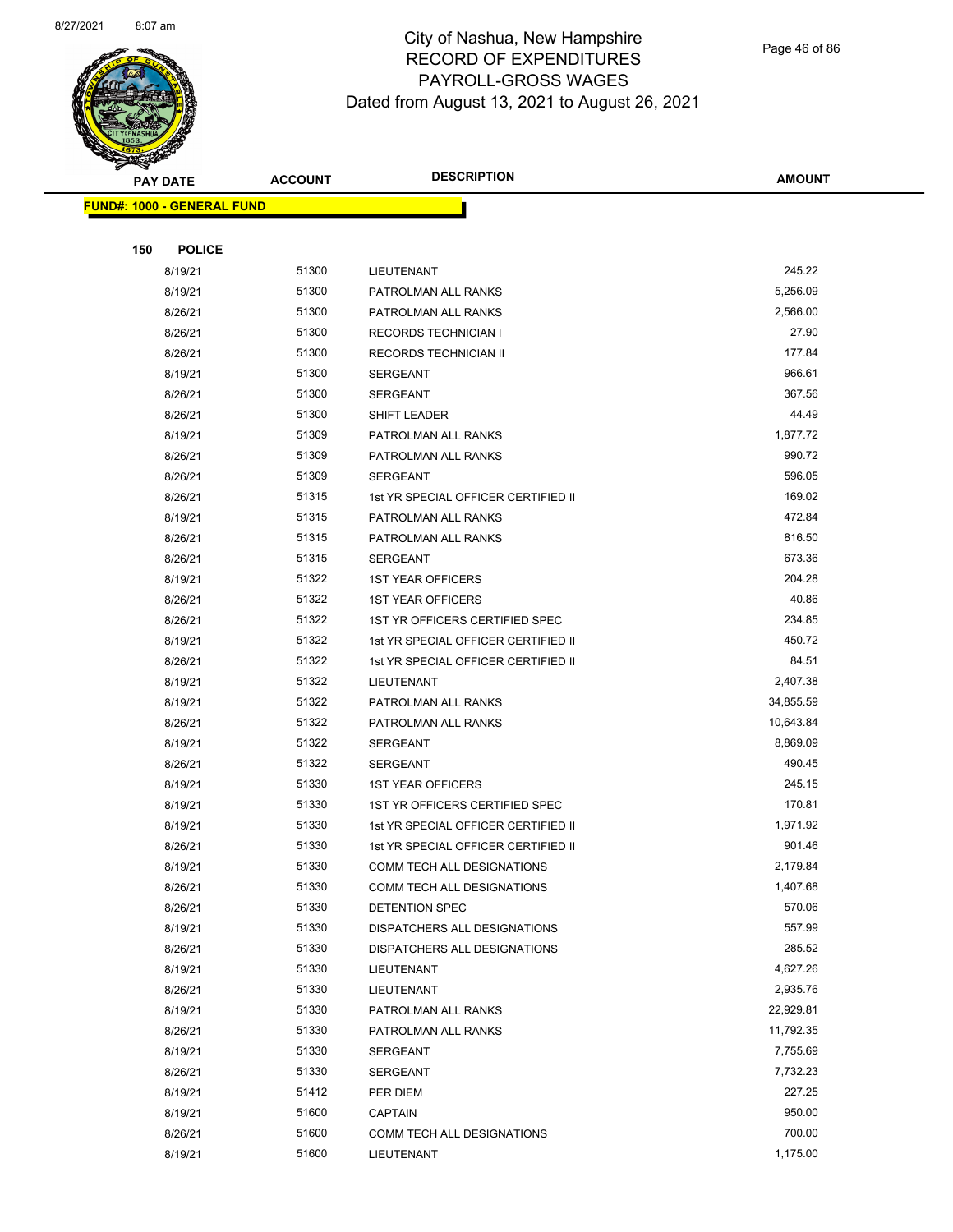

Page 46 of 86

| PAY DATE                          | <b>ACCOUNT</b> | <b>DESCRIPTION</b>                  | <b>AMOUNT</b>      |
|-----------------------------------|----------------|-------------------------------------|--------------------|
| <b>FUND#: 1000 - GENERAL FUND</b> |                |                                     |                    |
|                                   |                |                                     |                    |
| 150<br><b>POLICE</b>              |                |                                     |                    |
| 8/19/21                           | 51300          | LIEUTENANT                          | 245.22             |
| 8/19/21                           | 51300          | PATROLMAN ALL RANKS                 | 5,256.09           |
| 8/26/21                           | 51300          | PATROLMAN ALL RANKS                 | 2,566.00           |
| 8/26/21                           | 51300          | <b>RECORDS TECHNICIAN I</b>         | 27.90              |
| 8/26/21                           | 51300          | RECORDS TECHNICIAN II               | 177.84             |
| 8/19/21                           | 51300          | <b>SERGEANT</b>                     | 966.61             |
| 8/26/21                           | 51300          | SERGEANT                            | 367.56             |
| 8/26/21                           | 51300          | SHIFT LEADER                        | 44.49              |
| 8/19/21                           | 51309          | PATROLMAN ALL RANKS                 | 1,877.72           |
| 8/26/21                           | 51309          | PATROLMAN ALL RANKS                 | 990.72             |
| 8/26/21                           | 51309          | SERGEANT                            | 596.05             |
| 8/26/21                           | 51315          | 1st YR SPECIAL OFFICER CERTIFIED II | 169.02             |
| 8/19/21                           | 51315          | PATROLMAN ALL RANKS                 | 472.84             |
| 8/26/21                           | 51315          | PATROLMAN ALL RANKS                 | 816.50             |
| 8/26/21                           | 51315          | SERGEANT                            | 673.36             |
| 8/19/21                           | 51322          | <b>1ST YEAR OFFICERS</b>            | 204.28             |
| 8/26/21                           | 51322          | <b>1ST YEAR OFFICERS</b>            | 40.86              |
| 8/26/21                           | 51322          | 1ST YR OFFICERS CERTIFIED SPEC      | 234.85             |
| 8/19/21                           | 51322          | 1st YR SPECIAL OFFICER CERTIFIED II | 450.72             |
| 8/26/21                           | 51322          | 1st YR SPECIAL OFFICER CERTIFIED II | 84.51              |
| 8/19/21                           | 51322          | LIEUTENANT                          | 2,407.38           |
| 8/19/21                           | 51322          | PATROLMAN ALL RANKS                 | 34,855.59          |
| 8/26/21                           | 51322          | PATROLMAN ALL RANKS                 | 10,643.84          |
| 8/19/21                           | 51322          | SERGEANT                            | 8,869.09           |
| 8/26/21                           | 51322          | SERGEANT                            | 490.45             |
| 8/19/21                           | 51330          | <b>1ST YEAR OFFICERS</b>            | 245.15             |
| 8/19/21                           | 51330          | 1ST YR OFFICERS CERTIFIED SPEC      | 170.81             |
| 8/19/21                           | 51330          | 1st YR SPECIAL OFFICER CERTIFIED II | 1,971.92           |
| 8/26/21                           | 51330          | 1st YR SPECIAL OFFICER CERTIFIED II | 901.46             |
| 8/19/21                           | 51330          | COMM TECH ALL DESIGNATIONS          | 2,179.84           |
| 8/26/21                           | 51330          | COMM TECH ALL DESIGNATIONS          | 1,407.68           |
| 8/26/21                           | 51330          | DETENTION SPEC                      | 570.06             |
| 8/19/21                           | 51330          | DISPATCHERS ALL DESIGNATIONS        | 557.99             |
| 8/26/21                           | 51330          | DISPATCHERS ALL DESIGNATIONS        | 285.52             |
| 8/19/21                           | 51330          | LIEUTENANT                          | 4,627.26           |
| 8/26/21                           | 51330          | LIEUTENANT                          | 2,935.76           |
| 8/19/21                           | 51330          | PATROLMAN ALL RANKS                 | 22,929.81          |
| 8/26/21                           | 51330          | PATROLMAN ALL RANKS                 | 11,792.35          |
| 8/19/21                           | 51330          | SERGEANT                            | 7,755.69           |
| 8/26/21                           | 51330          | SERGEANT                            | 7,732.23           |
| 8/19/21                           | 51412          | PER DIEM                            | 227.25             |
| 8/19/21                           | 51600          | <b>CAPTAIN</b>                      | 950.00             |
| 8/26/21                           | 51600          | COMM TECH ALL DESIGNATIONS          | 700.00<br>1,175.00 |
| 8/19/21                           | 51600          | LIEUTENANT                          |                    |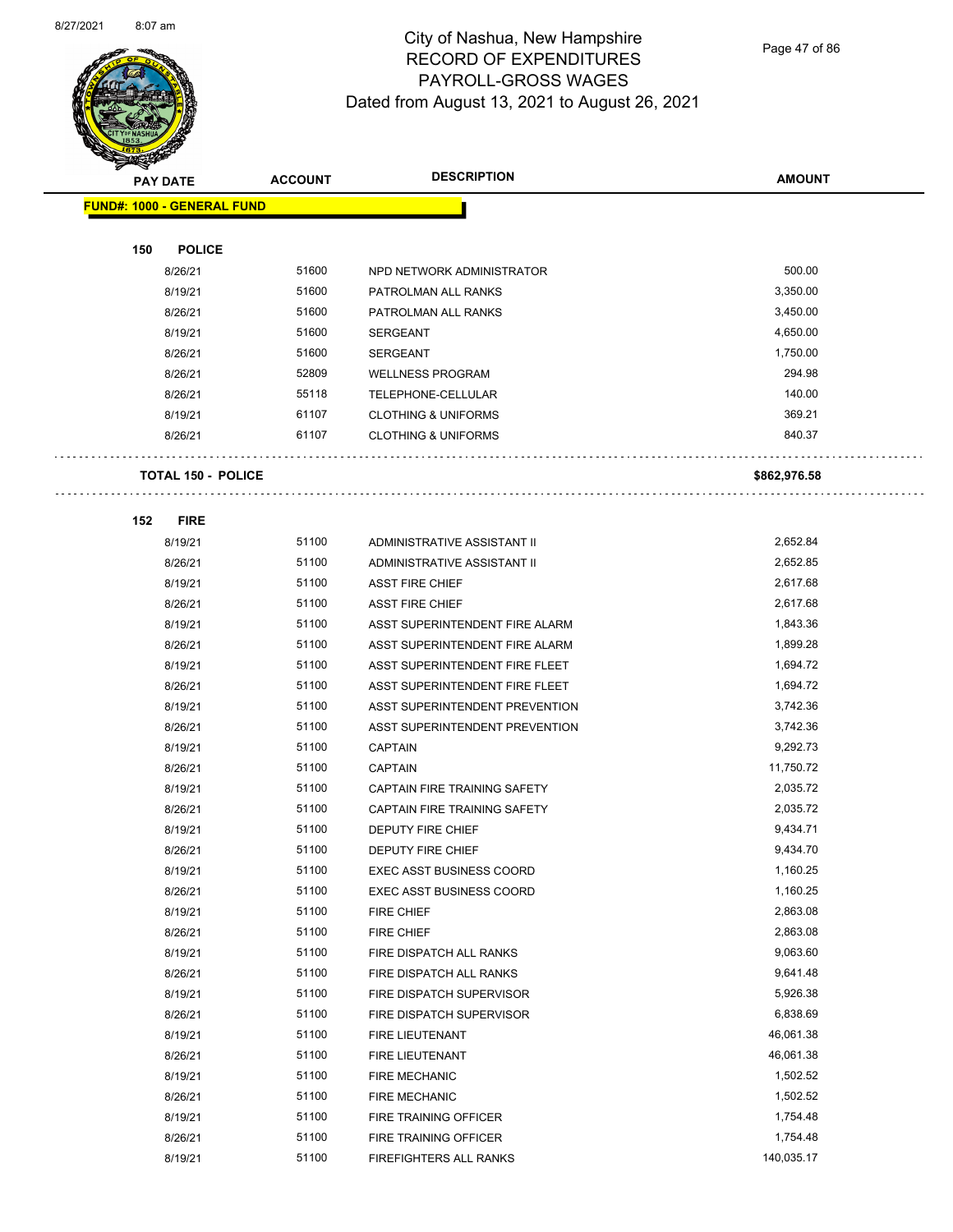

Page 47 of 86

|     | <b>PAY DATE</b>                   | <b>ACCOUNT</b> | <b>DESCRIPTION</b>              | <b>AMOUNT</b> |
|-----|-----------------------------------|----------------|---------------------------------|---------------|
|     | <b>FUND#: 1000 - GENERAL FUND</b> |                |                                 |               |
|     |                                   |                |                                 |               |
| 150 | <b>POLICE</b>                     |                |                                 |               |
|     | 8/26/21                           | 51600          | NPD NETWORK ADMINISTRATOR       | 500.00        |
|     | 8/19/21                           | 51600          | PATROLMAN ALL RANKS             | 3,350.00      |
|     | 8/26/21                           | 51600          | PATROLMAN ALL RANKS             | 3,450.00      |
|     | 8/19/21                           | 51600          | <b>SERGEANT</b>                 | 4,650.00      |
|     | 8/26/21                           | 51600          | <b>SERGEANT</b>                 | 1,750.00      |
|     | 8/26/21                           | 52809          | <b>WELLNESS PROGRAM</b>         | 294.98        |
|     | 8/26/21                           | 55118          | TELEPHONE-CELLULAR              | 140.00        |
|     | 8/19/21                           | 61107          | <b>CLOTHING &amp; UNIFORMS</b>  | 369.21        |
|     | 8/26/21                           | 61107          | <b>CLOTHING &amp; UNIFORMS</b>  | 840.37        |
|     | <b>TOTAL 150 - POLICE</b>         |                |                                 | \$862,976.58  |
|     |                                   |                |                                 |               |
| 152 | <b>FIRE</b><br>8/19/21            | 51100          | ADMINISTRATIVE ASSISTANT II     | 2,652.84      |
|     | 8/26/21                           | 51100          | ADMINISTRATIVE ASSISTANT II     | 2,652.85      |
|     | 8/19/21                           | 51100          | <b>ASST FIRE CHIEF</b>          | 2,617.68      |
|     | 8/26/21                           | 51100          | <b>ASST FIRE CHIEF</b>          | 2,617.68      |
|     | 8/19/21                           | 51100          | ASST SUPERINTENDENT FIRE ALARM  | 1,843.36      |
|     | 8/26/21                           | 51100          | ASST SUPERINTENDENT FIRE ALARM  | 1,899.28      |
|     | 8/19/21                           | 51100          | ASST SUPERINTENDENT FIRE FLEET  | 1,694.72      |
|     | 8/26/21                           | 51100          | ASST SUPERINTENDENT FIRE FLEET  | 1,694.72      |
|     | 8/19/21                           | 51100          | ASST SUPERINTENDENT PREVENTION  | 3,742.36      |
|     | 8/26/21                           | 51100          | ASST SUPERINTENDENT PREVENTION  | 3,742.36      |
|     | 8/19/21                           | 51100          | <b>CAPTAIN</b>                  | 9,292.73      |
|     | 8/26/21                           | 51100          | <b>CAPTAIN</b>                  | 11,750.72     |
|     | 8/19/21                           | 51100          | CAPTAIN FIRE TRAINING SAFETY    | 2,035.72      |
|     | 8/26/21                           | 51100          | CAPTAIN FIRE TRAINING SAFETY    | 2,035.72      |
|     | 8/19/21                           | 51100          | DEPUTY FIRE CHIEF               | 9,434.71      |
|     | 8/26/21                           | 51100          | <b>DEPUTY FIRE CHIEF</b>        | 9,434.70      |
|     | 8/19/21                           | 51100          | <b>EXEC ASST BUSINESS COORD</b> | 1,160.25      |
|     | 8/26/21                           | 51100          | <b>EXEC ASST BUSINESS COORD</b> | 1,160.25      |
|     | 8/19/21                           | 51100          | FIRE CHIEF                      | 2,863.08      |
|     | 8/26/21                           | 51100          | FIRE CHIEF                      | 2,863.08      |
|     | 8/19/21                           | 51100          | FIRE DISPATCH ALL RANKS         | 9,063.60      |
|     | 8/26/21                           | 51100          | FIRE DISPATCH ALL RANKS         | 9,641.48      |
|     | 8/19/21                           | 51100          | FIRE DISPATCH SUPERVISOR        | 5,926.38      |
|     | 8/26/21                           | 51100          | FIRE DISPATCH SUPERVISOR        | 6,838.69      |
|     | 8/19/21                           | 51100          | FIRE LIEUTENANT                 | 46,061.38     |
|     | 8/26/21                           | 51100          | FIRE LIEUTENANT                 | 46,061.38     |
|     | 8/19/21                           | 51100          | FIRE MECHANIC                   | 1,502.52      |
|     | 8/26/21                           | 51100          | <b>FIRE MECHANIC</b>            | 1,502.52      |
|     | 8/19/21                           | 51100          | FIRE TRAINING OFFICER           | 1,754.48      |
|     | 8/26/21                           | 51100          | FIRE TRAINING OFFICER           | 1,754.48      |
|     | 8/19/21                           | 51100          | FIREFIGHTERS ALL RANKS          | 140,035.17    |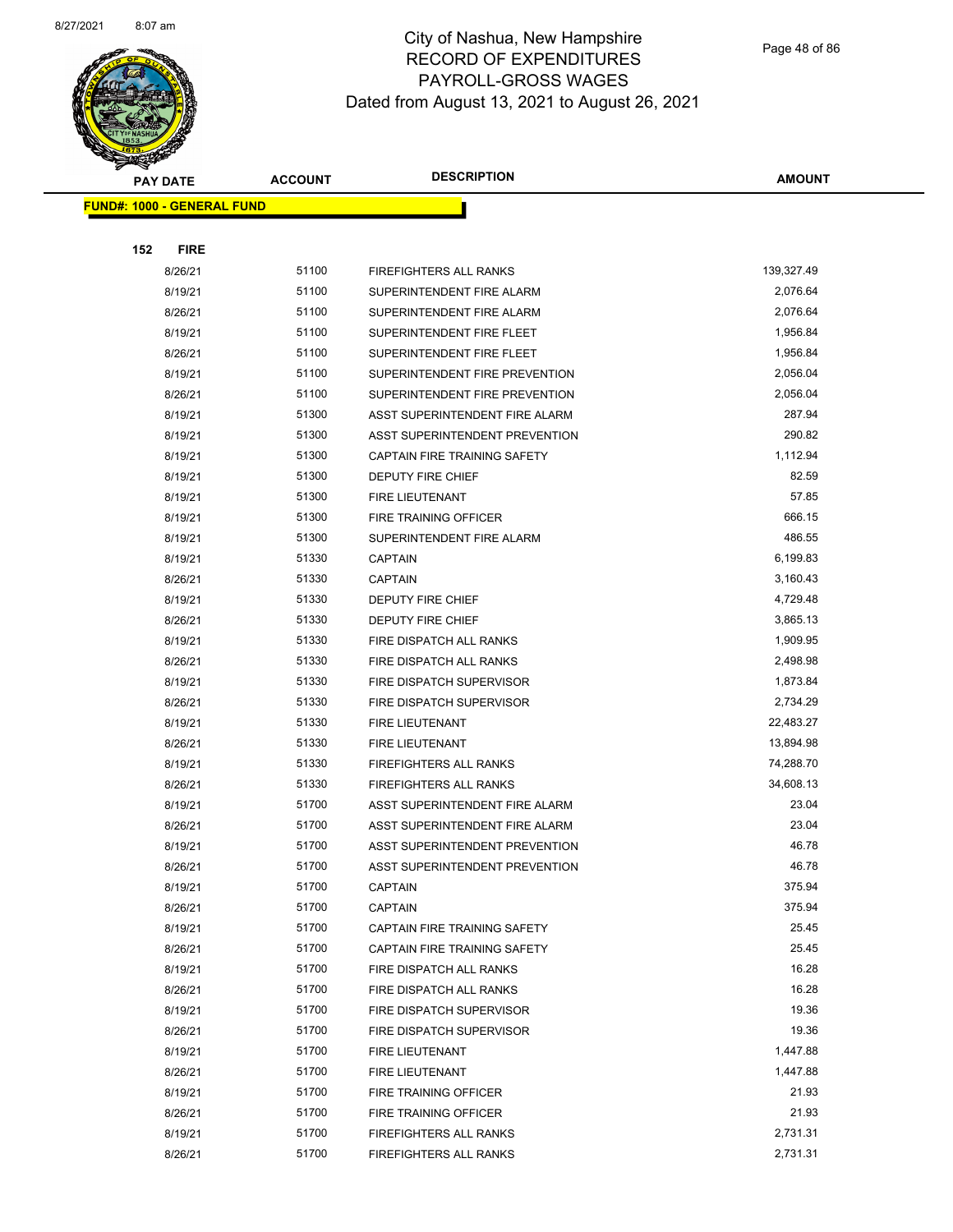

Page 48 of 86

|     | <b>PAY DATE</b>                    | <b>ACCOUNT</b> | <b>DESCRIPTION</b>             | <b>AMOUNT</b> |
|-----|------------------------------------|----------------|--------------------------------|---------------|
|     | <u> FUND#: 1000 - GENERAL FUND</u> |                |                                |               |
|     |                                    |                |                                |               |
| 152 | <b>FIRE</b>                        |                |                                |               |
|     | 8/26/21                            | 51100          | FIREFIGHTERS ALL RANKS         | 139,327.49    |
|     | 8/19/21                            | 51100          | SUPERINTENDENT FIRE ALARM      | 2,076.64      |
|     | 8/26/21                            | 51100          | SUPERINTENDENT FIRE ALARM      | 2,076.64      |
|     | 8/19/21                            | 51100          | SUPERINTENDENT FIRE FLEET      | 1,956.84      |
|     | 8/26/21                            | 51100          | SUPERINTENDENT FIRE FLEET      | 1,956.84      |
|     | 8/19/21                            | 51100          | SUPERINTENDENT FIRE PREVENTION | 2,056.04      |
|     | 8/26/21                            | 51100          | SUPERINTENDENT FIRE PREVENTION | 2,056.04      |
|     | 8/19/21                            | 51300          | ASST SUPERINTENDENT FIRE ALARM | 287.94        |
|     | 8/19/21                            | 51300          | ASST SUPERINTENDENT PREVENTION | 290.82        |
|     | 8/19/21                            | 51300          | CAPTAIN FIRE TRAINING SAFETY   | 1,112.94      |
|     | 8/19/21                            | 51300          | <b>DEPUTY FIRE CHIEF</b>       | 82.59         |
|     | 8/19/21                            | 51300          | <b>FIRE LIEUTENANT</b>         | 57.85         |
|     | 8/19/21                            | 51300          | FIRE TRAINING OFFICER          | 666.15        |
|     | 8/19/21                            | 51300          | SUPERINTENDENT FIRE ALARM      | 486.55        |
|     | 8/19/21                            | 51330          | <b>CAPTAIN</b>                 | 6,199.83      |
|     | 8/26/21                            | 51330          | <b>CAPTAIN</b>                 | 3,160.43      |
|     | 8/19/21                            | 51330          | <b>DEPUTY FIRE CHIEF</b>       | 4,729.48      |
|     | 8/26/21                            | 51330          | DEPUTY FIRE CHIEF              | 3,865.13      |
|     | 8/19/21                            | 51330          | FIRE DISPATCH ALL RANKS        | 1,909.95      |
|     | 8/26/21                            | 51330          | FIRE DISPATCH ALL RANKS        | 2,498.98      |
|     | 8/19/21                            | 51330          | FIRE DISPATCH SUPERVISOR       | 1,873.84      |
|     | 8/26/21                            | 51330          | FIRE DISPATCH SUPERVISOR       | 2,734.29      |
|     | 8/19/21                            | 51330          | FIRE LIEUTENANT                | 22,483.27     |
|     | 8/26/21                            | 51330          | FIRE LIEUTENANT                | 13,894.98     |
|     | 8/19/21                            | 51330          | <b>FIREFIGHTERS ALL RANKS</b>  | 74,288.70     |
|     | 8/26/21                            | 51330          | <b>FIREFIGHTERS ALL RANKS</b>  | 34,608.13     |
|     | 8/19/21                            | 51700          | ASST SUPERINTENDENT FIRE ALARM | 23.04         |
|     | 8/26/21                            | 51700          | ASST SUPERINTENDENT FIRE ALARM | 23.04         |
|     | 8/19/21                            | 51700          | ASST SUPERINTENDENT PREVENTION | 46.78         |
|     | 8/26/21                            | 51700          | ASST SUPERINTENDENT PREVENTION | 46.78         |
|     | 8/19/21                            | 51700          | <b>CAPTAIN</b>                 | 375.94        |
|     | 8/26/21                            | 51700          | <b>CAPTAIN</b>                 | 375.94        |
|     | 8/19/21                            | 51700          | CAPTAIN FIRE TRAINING SAFETY   | 25.45         |
|     | 8/26/21                            | 51700          | CAPTAIN FIRE TRAINING SAFETY   | 25.45         |
|     | 8/19/21                            | 51700          | FIRE DISPATCH ALL RANKS        | 16.28         |
|     | 8/26/21                            | 51700          | FIRE DISPATCH ALL RANKS        | 16.28         |
|     | 8/19/21                            | 51700          | FIRE DISPATCH SUPERVISOR       | 19.36         |
|     | 8/26/21                            | 51700          | FIRE DISPATCH SUPERVISOR       | 19.36         |
|     | 8/19/21                            | 51700          | FIRE LIEUTENANT                | 1,447.88      |
|     | 8/26/21                            | 51700          | FIRE LIEUTENANT                | 1,447.88      |
|     | 8/19/21                            | 51700          | FIRE TRAINING OFFICER          | 21.93         |
|     | 8/26/21                            | 51700          | FIRE TRAINING OFFICER          | 21.93         |
|     | 8/19/21                            | 51700          | FIREFIGHTERS ALL RANKS         | 2,731.31      |
|     | 8/26/21                            | 51700          | FIREFIGHTERS ALL RANKS         | 2,731.31      |
|     |                                    |                |                                |               |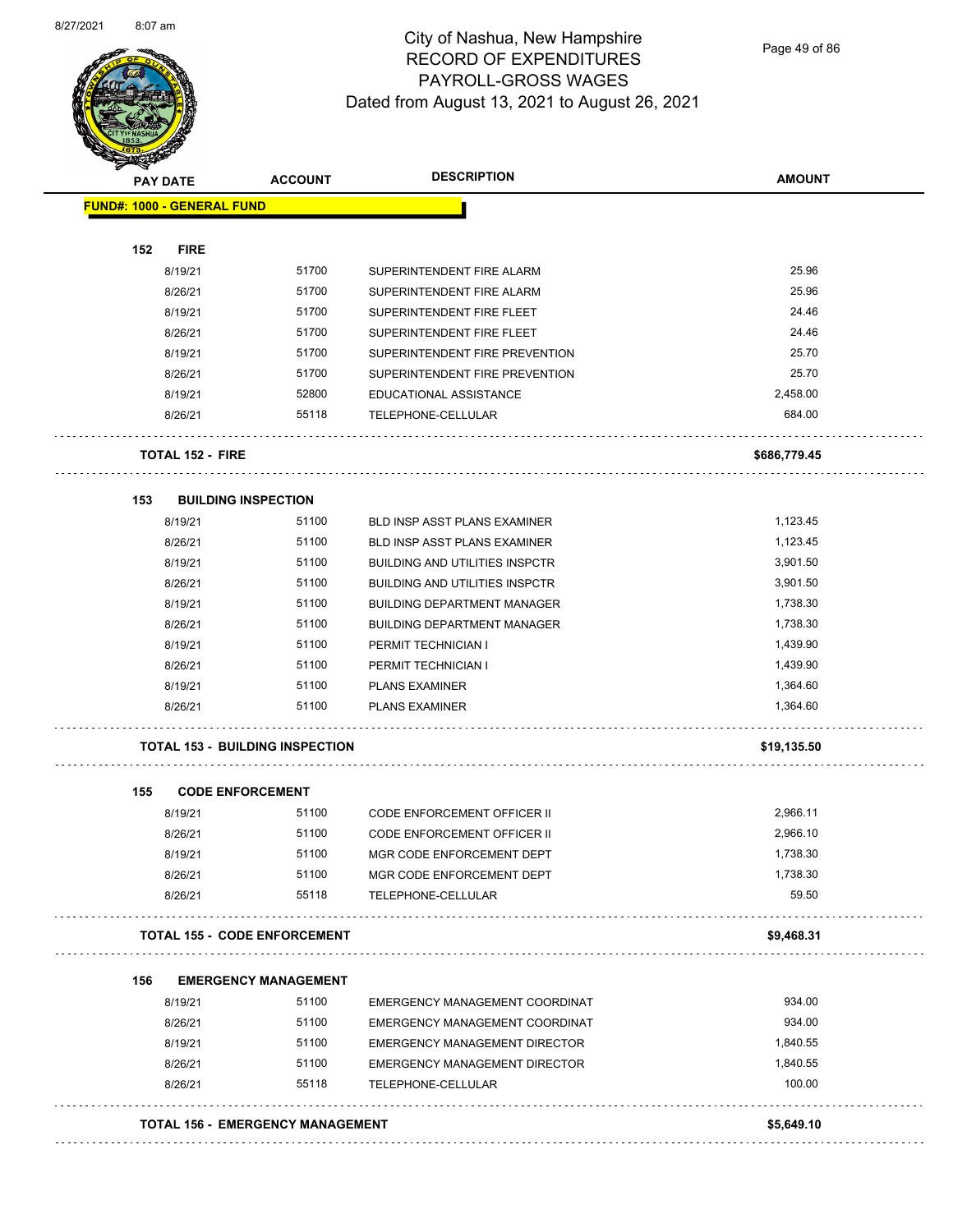

Page 49 of 86

| <b>PAY DATE</b>                        | <b>ACCOUNT</b>                          | <b>DESCRIPTION</b>                    | <b>AMOUNT</b> |
|----------------------------------------|-----------------------------------------|---------------------------------------|---------------|
| <b>FUND#: 1000 - GENERAL FUND</b>      |                                         |                                       |               |
| 152<br><b>FIRE</b>                     |                                         |                                       |               |
| 8/19/21                                | 51700                                   | SUPERINTENDENT FIRE ALARM             | 25.96         |
| 8/26/21                                | 51700                                   | SUPERINTENDENT FIRE ALARM             | 25.96         |
| 8/19/21                                | 51700                                   | SUPERINTENDENT FIRE FLEET             | 24.46         |
| 8/26/21                                | 51700                                   | SUPERINTENDENT FIRE FLEET             | 24.46         |
| 8/19/21                                | 51700                                   | SUPERINTENDENT FIRE PREVENTION        | 25.70         |
| 8/26/21                                | 51700                                   | SUPERINTENDENT FIRE PREVENTION        | 25.70         |
| 8/19/21                                | 52800                                   | EDUCATIONAL ASSISTANCE                | 2,458.00      |
| 8/26/21                                | 55118                                   | TELEPHONE-CELLULAR                    | 684.00        |
| TOTAL 152 - FIRE                       |                                         |                                       | \$686,779.45  |
| 153<br><b>BUILDING INSPECTION</b>      |                                         |                                       |               |
| 8/19/21                                | 51100                                   | BLD INSP ASST PLANS EXAMINER          | 1,123.45      |
| 8/26/21                                | 51100                                   | BLD INSP ASST PLANS EXAMINER          | 1,123.45      |
| 8/19/21                                | 51100                                   | <b>BUILDING AND UTILITIES INSPCTR</b> | 3,901.50      |
| 8/26/21                                | 51100                                   | <b>BUILDING AND UTILITIES INSPCTR</b> | 3,901.50      |
| 8/19/21                                | 51100                                   | <b>BUILDING DEPARTMENT MANAGER</b>    | 1,738.30      |
| 8/26/21                                | 51100                                   | <b>BUILDING DEPARTMENT MANAGER</b>    | 1,738.30      |
| 8/19/21                                | 51100                                   | PERMIT TECHNICIAN I                   | 1,439.90      |
| 8/26/21                                | 51100                                   | PERMIT TECHNICIAN I                   | 1,439.90      |
| 8/19/21                                | 51100                                   | <b>PLANS EXAMINER</b>                 | 1,364.60      |
| 8/26/21                                | 51100                                   | <b>PLANS EXAMINER</b>                 | 1,364.60      |
| <b>TOTAL 153 - BUILDING INSPECTION</b> |                                         |                                       | \$19,135.50   |
| 155<br><b>CODE ENFORCEMENT</b>         |                                         |                                       |               |
| 8/19/21                                | 51100                                   | CODE ENFORCEMENT OFFICER II           | 2,966.11      |
| 8/26/21                                | 51100                                   | <b>CODE ENFORCEMENT OFFICER II</b>    | 2,966.10      |
| 8/19/21                                | 51100                                   | MGR CODE ENFORCEMENT DEPT             | 1,738.30      |
| 8/26/21                                | 51100                                   | MGR CODE ENFORCEMENT DEPT             | 1,738.30      |
| 8/26/21                                | 55118                                   | TELEPHONE-CELLULAR                    | 59.50         |
| <b>TOTAL 155 - CODE ENFORCEMENT</b>    |                                         |                                       | \$9,468.31    |
| 156                                    | <b>EMERGENCY MANAGEMENT</b>             |                                       |               |
| 8/19/21                                | 51100                                   | EMERGENCY MANAGEMENT COORDINAT        | 934.00        |
| 8/26/21                                | 51100                                   | EMERGENCY MANAGEMENT COORDINAT        | 934.00        |
| 8/19/21                                | 51100                                   | EMERGENCY MANAGEMENT DIRECTOR         | 1,840.55      |
| 8/26/21                                | 51100                                   | EMERGENCY MANAGEMENT DIRECTOR         | 1,840.55      |
| 8/26/21                                | 55118                                   | TELEPHONE-CELLULAR                    | 100.00        |
|                                        | <b>TOTAL 156 - EMERGENCY MANAGEMENT</b> |                                       | \$5,649.10    |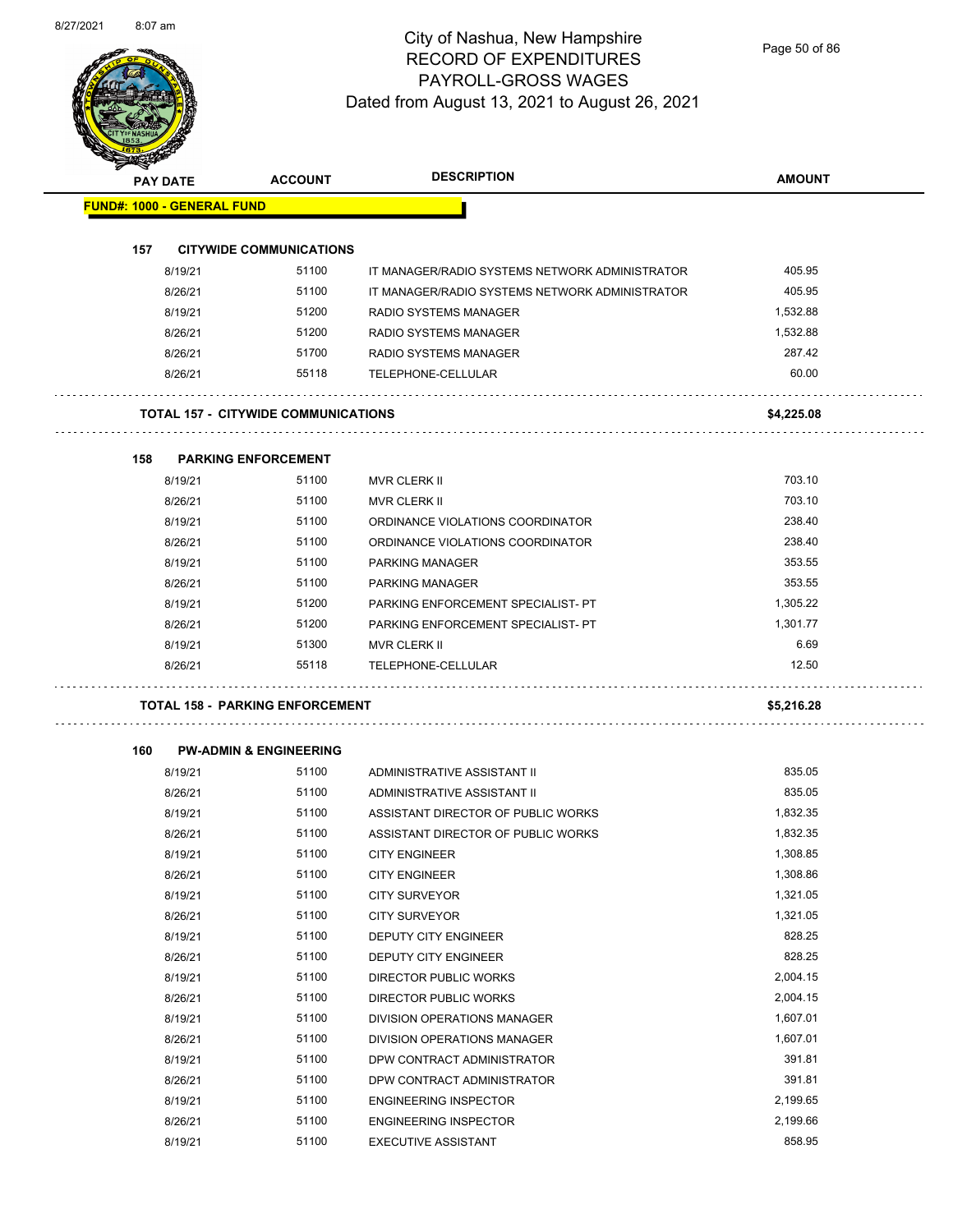

Page 50 of 86

|     | <b>PAY DATE</b>                   | <b>ACCOUNT</b>                             | <b>DESCRIPTION</b>                             | <b>AMOUNT</b> |
|-----|-----------------------------------|--------------------------------------------|------------------------------------------------|---------------|
|     | <b>FUND#: 1000 - GENERAL FUND</b> |                                            |                                                |               |
| 157 |                                   | <b>CITYWIDE COMMUNICATIONS</b>             |                                                |               |
|     | 8/19/21                           | 51100                                      | IT MANAGER/RADIO SYSTEMS NETWORK ADMINISTRATOR | 405.95        |
|     | 8/26/21                           | 51100                                      | IT MANAGER/RADIO SYSTEMS NETWORK ADMINISTRATOR | 405.95        |
|     | 8/19/21                           | 51200                                      | RADIO SYSTEMS MANAGER                          | 1,532.88      |
|     | 8/26/21                           | 51200                                      | <b>RADIO SYSTEMS MANAGER</b>                   | 1,532.88      |
|     | 8/26/21                           | 51700                                      | <b>RADIO SYSTEMS MANAGER</b>                   | 287.42        |
|     | 8/26/21                           | 55118                                      | TELEPHONE-CELLULAR                             | 60.00         |
|     |                                   | <b>TOTAL 157 - CITYWIDE COMMUNICATIONS</b> |                                                | \$4,225.08    |
|     |                                   |                                            |                                                |               |
| 158 |                                   | <b>PARKING ENFORCEMENT</b>                 |                                                |               |
|     | 8/19/21                           | 51100                                      | MVR CLERK II                                   | 703.10        |
|     | 8/26/21                           | 51100                                      | <b>MVR CLERK II</b>                            | 703.10        |
|     | 8/19/21                           | 51100                                      | ORDINANCE VIOLATIONS COORDINATOR               | 238.40        |
|     | 8/26/21                           | 51100                                      | ORDINANCE VIOLATIONS COORDINATOR               | 238.40        |
|     | 8/19/21                           | 51100                                      | <b>PARKING MANAGER</b>                         | 353.55        |
|     | 8/26/21                           | 51100                                      | <b>PARKING MANAGER</b>                         | 353.55        |
|     | 8/19/21                           | 51200                                      | PARKING ENFORCEMENT SPECIALIST- PT             | 1,305.22      |
|     | 8/26/21                           | 51200                                      | PARKING ENFORCEMENT SPECIALIST- PT             | 1,301.77      |
|     | 8/19/21                           | 51300                                      | MVR CLERK II                                   | 6.69          |
|     | 8/26/21                           | 55118                                      | TELEPHONE-CELLULAR                             | 12.50         |
|     |                                   | <b>TOTAL 158 - PARKING ENFORCEMENT</b>     |                                                | \$5,216.28    |
|     |                                   |                                            |                                                |               |
| 160 |                                   | <b>PW-ADMIN &amp; ENGINEERING</b>          |                                                |               |
|     | 8/19/21                           | 51100                                      | ADMINISTRATIVE ASSISTANT II                    | 835.05        |
|     | 8/26/21                           | 51100                                      | ADMINISTRATIVE ASSISTANT II                    | 835.05        |
|     | 8/19/21                           | 51100                                      | ASSISTANT DIRECTOR OF PUBLIC WORKS             | 1,832.35      |
|     | 8/26/21                           | 51100                                      | ASSISTANT DIRECTOR OF PUBLIC WORKS             | 1,832.35      |
|     | 8/19/21                           | 51100                                      | <b>CITY ENGINEER</b>                           | 1,308.85      |
|     | 8/26/21                           | 51100                                      | <b>CITY ENGINEER</b>                           | 1,308.86      |
|     | 8/19/21                           | 51100                                      | <b>CITY SURVEYOR</b>                           | 1,321.05      |
|     | 8/26/21                           | 51100                                      | <b>CITY SURVEYOR</b>                           | 1,321.05      |
|     | 8/19/21                           | 51100                                      | DEPUTY CITY ENGINEER                           | 828.25        |
|     | 8/26/21                           | 51100                                      | <b>DEPUTY CITY ENGINEER</b>                    | 828.25        |
|     | 8/19/21                           | 51100                                      | DIRECTOR PUBLIC WORKS                          | 2,004.15      |
|     | 8/26/21                           | 51100                                      | DIRECTOR PUBLIC WORKS                          | 2,004.15      |
|     | 8/19/21                           | 51100                                      | DIVISION OPERATIONS MANAGER                    | 1,607.01      |
|     | 8/26/21                           | 51100                                      | DIVISION OPERATIONS MANAGER                    | 1,607.01      |
|     | 8/19/21                           | 51100                                      | DPW CONTRACT ADMINISTRATOR                     | 391.81        |
|     | 8/26/21                           | 51100                                      | DPW CONTRACT ADMINISTRATOR                     | 391.81        |
|     |                                   | 51100                                      | <b>ENGINEERING INSPECTOR</b>                   | 2,199.65      |
|     | 8/19/21<br>8/26/21                | 51100                                      | <b>ENGINEERING INSPECTOR</b>                   | 2,199.66      |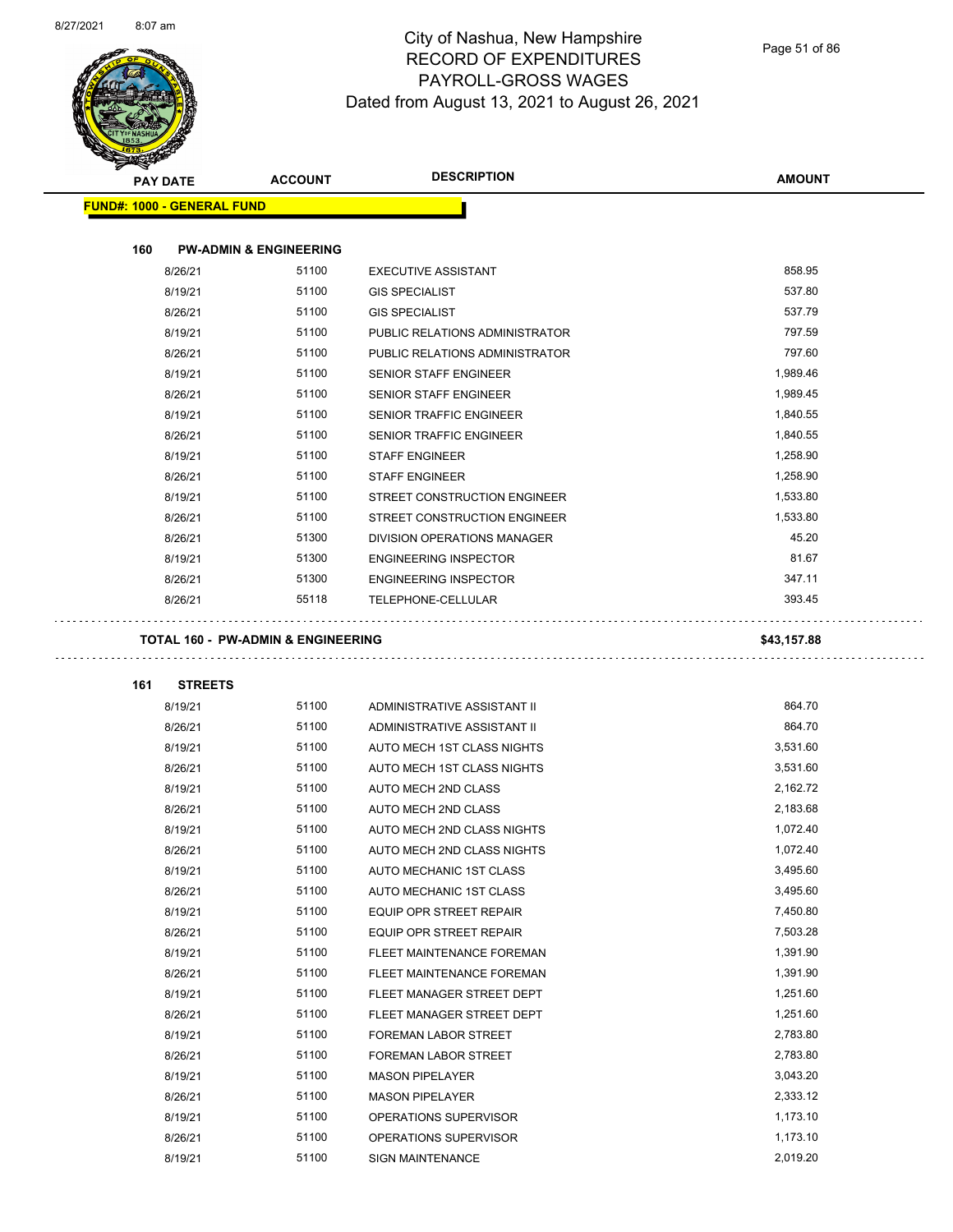$\overline{\phantom{0}}$ 



# City of Nashua, New Hampshire RECORD OF EXPENDITURES PAYROLL-GROSS WAGES Dated from August 13, 2021 to August 26, 2021

Page 51 of 86

| <b>REAL PROPERTY</b><br><b>DESCRIPTION</b><br><b>AMOUNT</b><br><b>ACCOUNT</b><br><b>PAY DATE</b><br><b>FUND#: 1000 - GENERAL FUND</b><br>160<br><b>PW-ADMIN &amp; ENGINEERING</b><br>858.95<br>51100<br>8/26/21<br><b>EXECUTIVE ASSISTANT</b><br>51100<br>537.80<br>8/19/21<br><b>GIS SPECIALIST</b><br>51100<br>537.79<br>8/26/21<br><b>GIS SPECIALIST</b><br>51100<br>797.59<br>8/19/21<br>PUBLIC RELATIONS ADMINISTRATOR<br>51100<br>797.60<br>8/26/21<br>PUBLIC RELATIONS ADMINISTRATOR<br>51100<br>1,989.46<br>8/19/21<br><b>SENIOR STAFF ENGINEER</b><br>51100<br>1,989.45<br>8/26/21<br><b>SENIOR STAFF ENGINEER</b><br>51100<br>1,840.55<br>8/19/21<br><b>SENIOR TRAFFIC ENGINEER</b><br>8/26/21<br>51100<br>SENIOR TRAFFIC ENGINEER<br>1,840.55<br>51100<br>1,258.90<br>8/19/21<br><b>STAFF ENGINEER</b><br>51100<br>1,258.90<br>8/26/21<br><b>STAFF ENGINEER</b> |  |
|----------------------------------------------------------------------------------------------------------------------------------------------------------------------------------------------------------------------------------------------------------------------------------------------------------------------------------------------------------------------------------------------------------------------------------------------------------------------------------------------------------------------------------------------------------------------------------------------------------------------------------------------------------------------------------------------------------------------------------------------------------------------------------------------------------------------------------------------------------------------------|--|
|                                                                                                                                                                                                                                                                                                                                                                                                                                                                                                                                                                                                                                                                                                                                                                                                                                                                            |  |
|                                                                                                                                                                                                                                                                                                                                                                                                                                                                                                                                                                                                                                                                                                                                                                                                                                                                            |  |
|                                                                                                                                                                                                                                                                                                                                                                                                                                                                                                                                                                                                                                                                                                                                                                                                                                                                            |  |
|                                                                                                                                                                                                                                                                                                                                                                                                                                                                                                                                                                                                                                                                                                                                                                                                                                                                            |  |
|                                                                                                                                                                                                                                                                                                                                                                                                                                                                                                                                                                                                                                                                                                                                                                                                                                                                            |  |
|                                                                                                                                                                                                                                                                                                                                                                                                                                                                                                                                                                                                                                                                                                                                                                                                                                                                            |  |
|                                                                                                                                                                                                                                                                                                                                                                                                                                                                                                                                                                                                                                                                                                                                                                                                                                                                            |  |
|                                                                                                                                                                                                                                                                                                                                                                                                                                                                                                                                                                                                                                                                                                                                                                                                                                                                            |  |
|                                                                                                                                                                                                                                                                                                                                                                                                                                                                                                                                                                                                                                                                                                                                                                                                                                                                            |  |
|                                                                                                                                                                                                                                                                                                                                                                                                                                                                                                                                                                                                                                                                                                                                                                                                                                                                            |  |
|                                                                                                                                                                                                                                                                                                                                                                                                                                                                                                                                                                                                                                                                                                                                                                                                                                                                            |  |
|                                                                                                                                                                                                                                                                                                                                                                                                                                                                                                                                                                                                                                                                                                                                                                                                                                                                            |  |
|                                                                                                                                                                                                                                                                                                                                                                                                                                                                                                                                                                                                                                                                                                                                                                                                                                                                            |  |
|                                                                                                                                                                                                                                                                                                                                                                                                                                                                                                                                                                                                                                                                                                                                                                                                                                                                            |  |
|                                                                                                                                                                                                                                                                                                                                                                                                                                                                                                                                                                                                                                                                                                                                                                                                                                                                            |  |
| 51100<br>1,533.80<br>8/19/21<br>STREET CONSTRUCTION ENGINEER                                                                                                                                                                                                                                                                                                                                                                                                                                                                                                                                                                                                                                                                                                                                                                                                               |  |
| 51100<br>1,533.80<br>8/26/21<br>STREET CONSTRUCTION ENGINEER                                                                                                                                                                                                                                                                                                                                                                                                                                                                                                                                                                                                                                                                                                                                                                                                               |  |
| 51300<br>45.20<br>8/26/21<br><b>DIVISION OPERATIONS MANAGER</b>                                                                                                                                                                                                                                                                                                                                                                                                                                                                                                                                                                                                                                                                                                                                                                                                            |  |
| 51300<br>81.67<br>8/19/21<br><b>ENGINEERING INSPECTOR</b>                                                                                                                                                                                                                                                                                                                                                                                                                                                                                                                                                                                                                                                                                                                                                                                                                  |  |
| 51300<br>347.11<br>8/26/21<br><b>ENGINEERING INSPECTOR</b>                                                                                                                                                                                                                                                                                                                                                                                                                                                                                                                                                                                                                                                                                                                                                                                                                 |  |
| 55118<br>393.45<br>8/26/21<br>TELEPHONE-CELLULAR                                                                                                                                                                                                                                                                                                                                                                                                                                                                                                                                                                                                                                                                                                                                                                                                                           |  |
| <b>TOTAL 160 - PW-ADMIN &amp; ENGINEERING</b><br>\$43,157.88                                                                                                                                                                                                                                                                                                                                                                                                                                                                                                                                                                                                                                                                                                                                                                                                               |  |
|                                                                                                                                                                                                                                                                                                                                                                                                                                                                                                                                                                                                                                                                                                                                                                                                                                                                            |  |
| 161<br><b>STREETS</b>                                                                                                                                                                                                                                                                                                                                                                                                                                                                                                                                                                                                                                                                                                                                                                                                                                                      |  |
| 51100<br>864.70<br>8/19/21<br>ADMINISTRATIVE ASSISTANT II                                                                                                                                                                                                                                                                                                                                                                                                                                                                                                                                                                                                                                                                                                                                                                                                                  |  |
|                                                                                                                                                                                                                                                                                                                                                                                                                                                                                                                                                                                                                                                                                                                                                                                                                                                                            |  |
| 51100<br>864.70<br>8/26/21<br>ADMINISTRATIVE ASSISTANT II                                                                                                                                                                                                                                                                                                                                                                                                                                                                                                                                                                                                                                                                                                                                                                                                                  |  |
| 51100<br>3,531.60<br>8/19/21<br>AUTO MECH 1ST CLASS NIGHTS                                                                                                                                                                                                                                                                                                                                                                                                                                                                                                                                                                                                                                                                                                                                                                                                                 |  |
| 51100<br>3,531.60<br>8/26/21<br>AUTO MECH 1ST CLASS NIGHTS                                                                                                                                                                                                                                                                                                                                                                                                                                                                                                                                                                                                                                                                                                                                                                                                                 |  |
| 8/19/21<br>51100<br>2,162.72<br>AUTO MECH 2ND CLASS                                                                                                                                                                                                                                                                                                                                                                                                                                                                                                                                                                                                                                                                                                                                                                                                                        |  |
| 51100<br>2,183.68<br>8/26/21<br>AUTO MECH 2ND CLASS                                                                                                                                                                                                                                                                                                                                                                                                                                                                                                                                                                                                                                                                                                                                                                                                                        |  |
| 8/19/21<br>51100<br>AUTO MECH 2ND CLASS NIGHTS<br>1,072.40                                                                                                                                                                                                                                                                                                                                                                                                                                                                                                                                                                                                                                                                                                                                                                                                                 |  |
| 8/26/21<br>51100<br>1,072.40<br>AUTO MECH 2ND CLASS NIGHTS                                                                                                                                                                                                                                                                                                                                                                                                                                                                                                                                                                                                                                                                                                                                                                                                                 |  |
| 51100<br>3,495.60<br>8/19/21<br>AUTO MECHANIC 1ST CLASS                                                                                                                                                                                                                                                                                                                                                                                                                                                                                                                                                                                                                                                                                                                                                                                                                    |  |
| 51100<br>3,495.60<br>8/26/21<br>AUTO MECHANIC 1ST CLASS                                                                                                                                                                                                                                                                                                                                                                                                                                                                                                                                                                                                                                                                                                                                                                                                                    |  |
| 51100<br>7,450.80<br>8/19/21<br>EQUIP OPR STREET REPAIR                                                                                                                                                                                                                                                                                                                                                                                                                                                                                                                                                                                                                                                                                                                                                                                                                    |  |
| 51100<br>8/26/21<br>EQUIP OPR STREET REPAIR<br>7,503.28                                                                                                                                                                                                                                                                                                                                                                                                                                                                                                                                                                                                                                                                                                                                                                                                                    |  |
| 51100<br>1,391.90<br>8/19/21<br>FLEET MAINTENANCE FOREMAN                                                                                                                                                                                                                                                                                                                                                                                                                                                                                                                                                                                                                                                                                                                                                                                                                  |  |
| 51100<br>1,391.90<br>8/26/21<br>FLEET MAINTENANCE FOREMAN                                                                                                                                                                                                                                                                                                                                                                                                                                                                                                                                                                                                                                                                                                                                                                                                                  |  |
| 51100<br>1,251.60<br>8/19/21<br>FLEET MANAGER STREET DEPT                                                                                                                                                                                                                                                                                                                                                                                                                                                                                                                                                                                                                                                                                                                                                                                                                  |  |
| 51100<br>1,251.60<br>8/26/21<br>FLEET MANAGER STREET DEPT                                                                                                                                                                                                                                                                                                                                                                                                                                                                                                                                                                                                                                                                                                                                                                                                                  |  |
| 51100<br>2,783.80<br>8/19/21<br>FOREMAN LABOR STREET                                                                                                                                                                                                                                                                                                                                                                                                                                                                                                                                                                                                                                                                                                                                                                                                                       |  |
| 8/26/21<br>51100<br>2,783.80<br>FOREMAN LABOR STREET                                                                                                                                                                                                                                                                                                                                                                                                                                                                                                                                                                                                                                                                                                                                                                                                                       |  |
| 51100<br>3,043.20<br>8/19/21<br><b>MASON PIPELAYER</b>                                                                                                                                                                                                                                                                                                                                                                                                                                                                                                                                                                                                                                                                                                                                                                                                                     |  |
| 51100<br>2,333.12<br>8/26/21<br><b>MASON PIPELAYER</b>                                                                                                                                                                                                                                                                                                                                                                                                                                                                                                                                                                                                                                                                                                                                                                                                                     |  |
| 51100<br>1,173.10<br>8/19/21<br>OPERATIONS SUPERVISOR                                                                                                                                                                                                                                                                                                                                                                                                                                                                                                                                                                                                                                                                                                                                                                                                                      |  |
| 51100<br>1,173.10<br>8/26/21<br>OPERATIONS SUPERVISOR                                                                                                                                                                                                                                                                                                                                                                                                                                                                                                                                                                                                                                                                                                                                                                                                                      |  |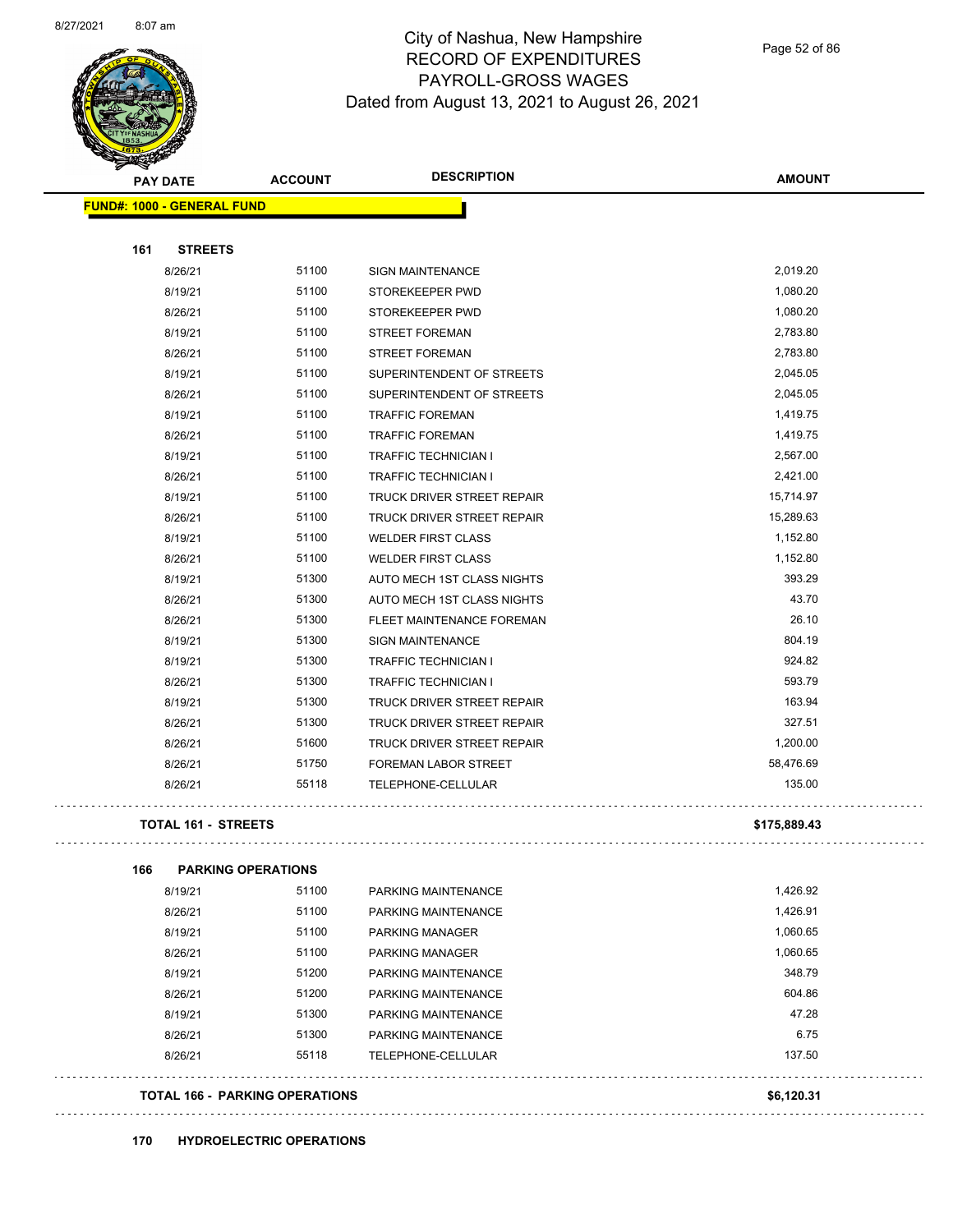

Page 52 of 86

| <b>PAY DATE</b>                   | <b>ACCOUNT</b>                 | <b>DESCRIPTION</b>          | <b>AMOUNT</b> |
|-----------------------------------|--------------------------------|-----------------------------|---------------|
| <b>FUND#: 1000 - GENERAL FUND</b> |                                |                             |               |
| 161<br><b>STREETS</b>             |                                |                             |               |
| 8/26/21                           | 51100                          | <b>SIGN MAINTENANCE</b>     | 2,019.20      |
| 8/19/21                           | 51100                          | STOREKEEPER PWD             | 1,080.20      |
| 8/26/21                           | 51100                          | STOREKEEPER PWD             | 1,080.20      |
| 8/19/21                           | 51100                          | <b>STREET FOREMAN</b>       | 2,783.80      |
| 8/26/21                           | 51100                          | <b>STREET FOREMAN</b>       | 2,783.80      |
| 8/19/21                           | 51100                          | SUPERINTENDENT OF STREETS   | 2,045.05      |
| 8/26/21                           | 51100                          | SUPERINTENDENT OF STREETS   | 2,045.05      |
| 8/19/21                           | 51100                          | <b>TRAFFIC FOREMAN</b>      | 1,419.75      |
| 8/26/21                           | 51100                          | <b>TRAFFIC FOREMAN</b>      | 1,419.75      |
| 8/19/21                           | 51100                          | <b>TRAFFIC TECHNICIAN I</b> | 2,567.00      |
| 8/26/21                           | 51100                          | <b>TRAFFIC TECHNICIAN I</b> | 2,421.00      |
| 8/19/21                           | 51100                          | TRUCK DRIVER STREET REPAIR  | 15,714.97     |
| 8/26/21                           | 51100                          | TRUCK DRIVER STREET REPAIR  | 15,289.63     |
| 8/19/21                           | 51100                          | <b>WELDER FIRST CLASS</b>   | 1,152.80      |
| 8/26/21                           | 51100                          | <b>WELDER FIRST CLASS</b>   | 1,152.80      |
| 8/19/21                           | 51300                          | AUTO MECH 1ST CLASS NIGHTS  | 393.29        |
| 8/26/21                           | 51300                          | AUTO MECH 1ST CLASS NIGHTS  | 43.70         |
| 8/26/21                           | 51300                          | FLEET MAINTENANCE FOREMAN   | 26.10         |
| 8/19/21                           | 51300                          | <b>SIGN MAINTENANCE</b>     | 804.19        |
| 8/19/21                           | 51300                          | <b>TRAFFIC TECHNICIAN I</b> | 924.82        |
| 8/26/21                           | 51300                          | <b>TRAFFIC TECHNICIAN I</b> | 593.79        |
| 8/19/21                           | 51300                          | TRUCK DRIVER STREET REPAIR  | 163.94        |
| 8/26/21                           | 51300                          | TRUCK DRIVER STREET REPAIR  | 327.51        |
| 8/26/21                           | 51600                          | TRUCK DRIVER STREET REPAIR  | 1,200.00      |
| 8/26/21                           | 51750                          | FOREMAN LABOR STREET        | 58,476.69     |
| 8/26/21                           | 55118                          | TELEPHONE-CELLULAR          | 135.00        |
| <b>TOTAL 161 - STREETS</b>        |                                |                             | \$175,889.43  |
| 166                               | <b>PARKING OPERATIONS</b>      |                             |               |
| 8/19/21                           | 51100                          | PARKING MAINTENANCE         | 1,426.92      |
| 8/26/21                           | 51100                          | PARKING MAINTENANCE         | 1,426.91      |
| 8/19/21                           | 51100                          | PARKING MANAGER             | 1,060.65      |
| 8/26/21                           | 51100                          | PARKING MANAGER             | 1,060.65      |
| 8/19/21                           | 51200                          | PARKING MAINTENANCE         | 348.79        |
| 8/26/21                           | 51200                          | PARKING MAINTENANCE         | 604.86        |
| 8/19/21                           | 51300                          | PARKING MAINTENANCE         | 47.28         |
| 8/26/21                           | 51300                          | PARKING MAINTENANCE         | 6.75          |
| 8/26/21                           | 55118                          | TELEPHONE-CELLULAR          | 137.50        |
|                                   |                                |                             |               |
|                                   | TOTAL 166 - PARKING OPERATIONS |                             | \$6,120.31    |
|                                   |                                |                             |               |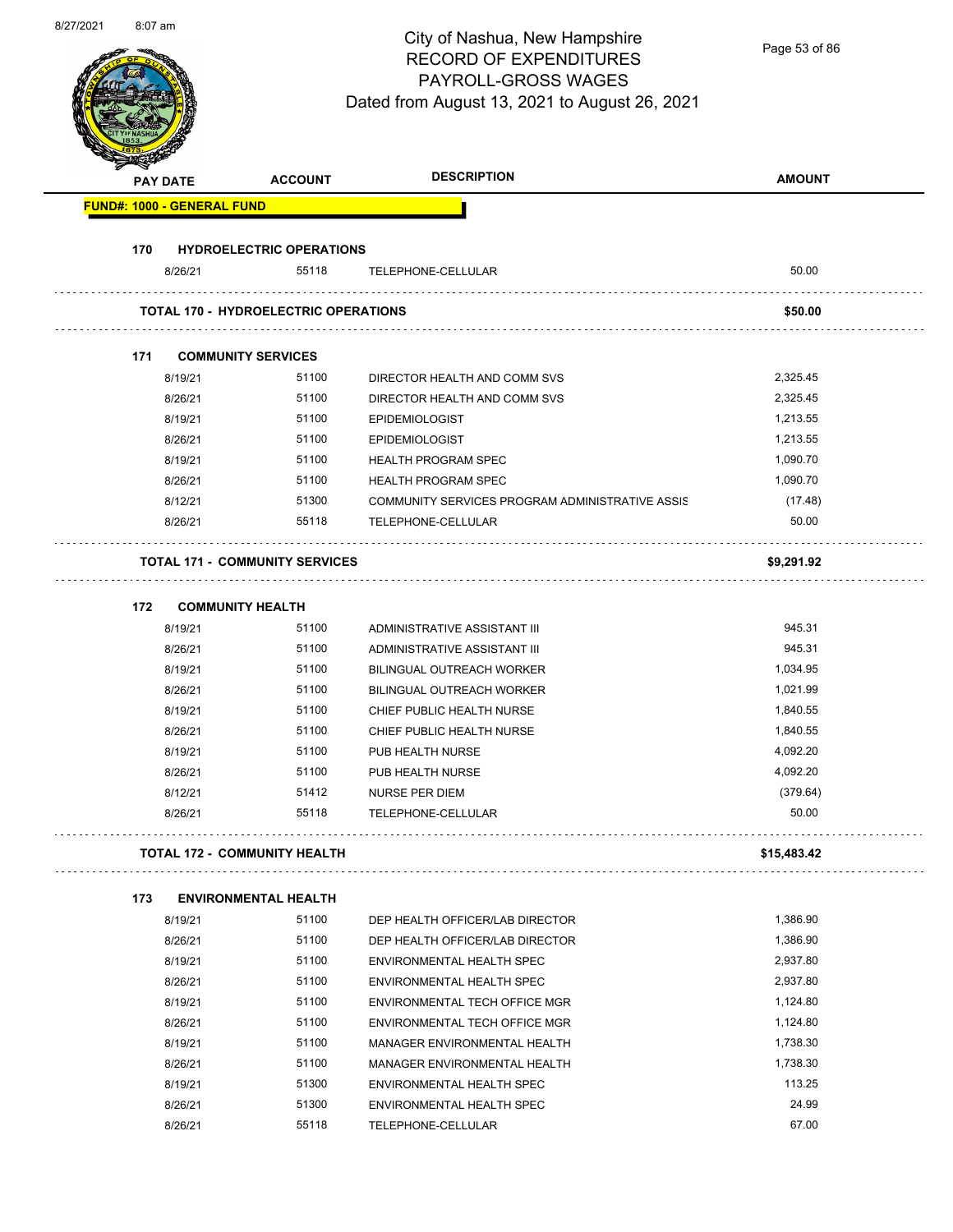| 8/27/2021 | $8:07$ am |                                   |                                             | City of Nashua, New Hampshire<br><b>RECORD OF EXPENDITURES</b><br>PAYROLL-GROSS WAGES<br>Dated from August 13, 2021 to August 26, 2021 | Page 53 of 86     |
|-----------|-----------|-----------------------------------|---------------------------------------------|----------------------------------------------------------------------------------------------------------------------------------------|-------------------|
|           |           | PAY DATE                          | <b>ACCOUNT</b>                              | <b>DESCRIPTION</b>                                                                                                                     | <b>AMOUNT</b>     |
|           |           | <b>FUND#: 1000 - GENERAL FUND</b> |                                             |                                                                                                                                        |                   |
|           |           |                                   |                                             |                                                                                                                                        |                   |
|           | 170       | 8/26/21                           | <b>HYDROELECTRIC OPERATIONS</b><br>55118    | TELEPHONE-CELLULAR                                                                                                                     | 50.00             |
|           |           |                                   |                                             |                                                                                                                                        |                   |
|           |           |                                   | <b>TOTAL 170 - HYDROELECTRIC OPERATIONS</b> |                                                                                                                                        | \$50.00           |
|           | 171       |                                   | <b>COMMUNITY SERVICES</b>                   |                                                                                                                                        |                   |
|           |           | 8/19/21                           | 51100                                       | DIRECTOR HEALTH AND COMM SVS                                                                                                           | 2,325.45          |
|           |           | 8/26/21                           | 51100                                       | DIRECTOR HEALTH AND COMM SVS                                                                                                           | 2,325.45          |
|           |           | 8/19/21                           | 51100                                       | <b>EPIDEMIOLOGIST</b>                                                                                                                  | 1,213.55          |
|           |           | 8/26/21                           | 51100                                       | <b>EPIDEMIOLOGIST</b>                                                                                                                  | 1,213.55          |
|           |           | 8/19/21                           | 51100                                       | <b>HEALTH PROGRAM SPEC</b>                                                                                                             | 1,090.70          |
|           |           | 8/26/21                           | 51100                                       | <b>HEALTH PROGRAM SPEC</b>                                                                                                             | 1,090.70          |
|           |           | 8/12/21                           | 51300                                       | COMMUNITY SERVICES PROGRAM ADMINISTRATIVE ASSIS                                                                                        | (17.48)           |
|           |           | 8/26/21                           | 55118                                       | TELEPHONE-CELLULAR                                                                                                                     | 50.00             |
|           |           |                                   | <b>TOTAL 171 - COMMUNITY SERVICES</b>       |                                                                                                                                        | \$9,291.92        |
|           | 172       |                                   | <b>COMMUNITY HEALTH</b>                     |                                                                                                                                        |                   |
|           |           | 8/19/21                           | 51100                                       | ADMINISTRATIVE ASSISTANT III                                                                                                           | 945.31            |
|           |           | 8/26/21                           | 51100                                       | ADMINISTRATIVE ASSISTANT III                                                                                                           | 945.31            |
|           |           | 8/19/21                           | 51100                                       | BILINGUAL OUTREACH WORKER                                                                                                              | 1,034.95          |
|           |           | 8/26/21                           | 51100                                       | BILINGUAL OUTREACH WORKER                                                                                                              | 1,021.99          |
|           |           | 8/19/21                           | 51100                                       | CHIEF PUBLIC HEALTH NURSE                                                                                                              | 1,840.55          |
|           |           | 8/26/21                           | 51100                                       | CHIEF PUBLIC HEALTH NURSE                                                                                                              | 1,840.55          |
|           |           | 8/19/21                           | 51100                                       | PUB HEALTH NURSE                                                                                                                       | 4,092.20          |
|           |           | 8/26/21                           | 51100                                       | PUB HEALTH NURSE                                                                                                                       | 4,092.20          |
|           |           | 8/12/21<br>8/26/21                | 51412<br>55118                              | <b>NURSE PER DIEM</b><br>TELEPHONE-CELLULAR                                                                                            | (379.64)<br>50.00 |
|           |           |                                   |                                             |                                                                                                                                        |                   |
|           |           |                                   | TOTAL 172 - COMMUNITY HEALTH                |                                                                                                                                        | \$15,483.42       |
|           | 173       |                                   | <b>ENVIRONMENTAL HEALTH</b>                 |                                                                                                                                        |                   |
|           |           | 8/19/21                           | 51100                                       | DEP HEALTH OFFICER/LAB DIRECTOR                                                                                                        | 1,386.90          |
|           |           | 8/26/21                           | 51100                                       | DEP HEALTH OFFICER/LAB DIRECTOR                                                                                                        | 1,386.90          |
|           |           | 8/19/21                           | 51100                                       | ENVIRONMENTAL HEALTH SPEC                                                                                                              | 2,937.80          |
|           |           | 8/26/21                           | 51100                                       | ENVIRONMENTAL HEALTH SPEC                                                                                                              | 2,937.80          |
|           |           | 8/19/21                           | 51100                                       | ENVIRONMENTAL TECH OFFICE MGR                                                                                                          | 1,124.80          |
|           |           | 8/26/21                           | 51100                                       | ENVIRONMENTAL TECH OFFICE MGR                                                                                                          | 1,124.80          |
|           |           | 8/19/21                           | 51100                                       | MANAGER ENVIRONMENTAL HEALTH                                                                                                           | 1,738.30          |
|           |           | 8/26/21                           | 51100                                       | MANAGER ENVIRONMENTAL HEALTH                                                                                                           | 1,738.30          |
|           |           | 8/19/21                           | 51300                                       | ENVIRONMENTAL HEALTH SPEC                                                                                                              | 113.25            |

8/26/21 51300 ENVIRONMENTAL HEALTH SPEC 8/26/21 55118 TELEPHONE-CELLULAR 67.00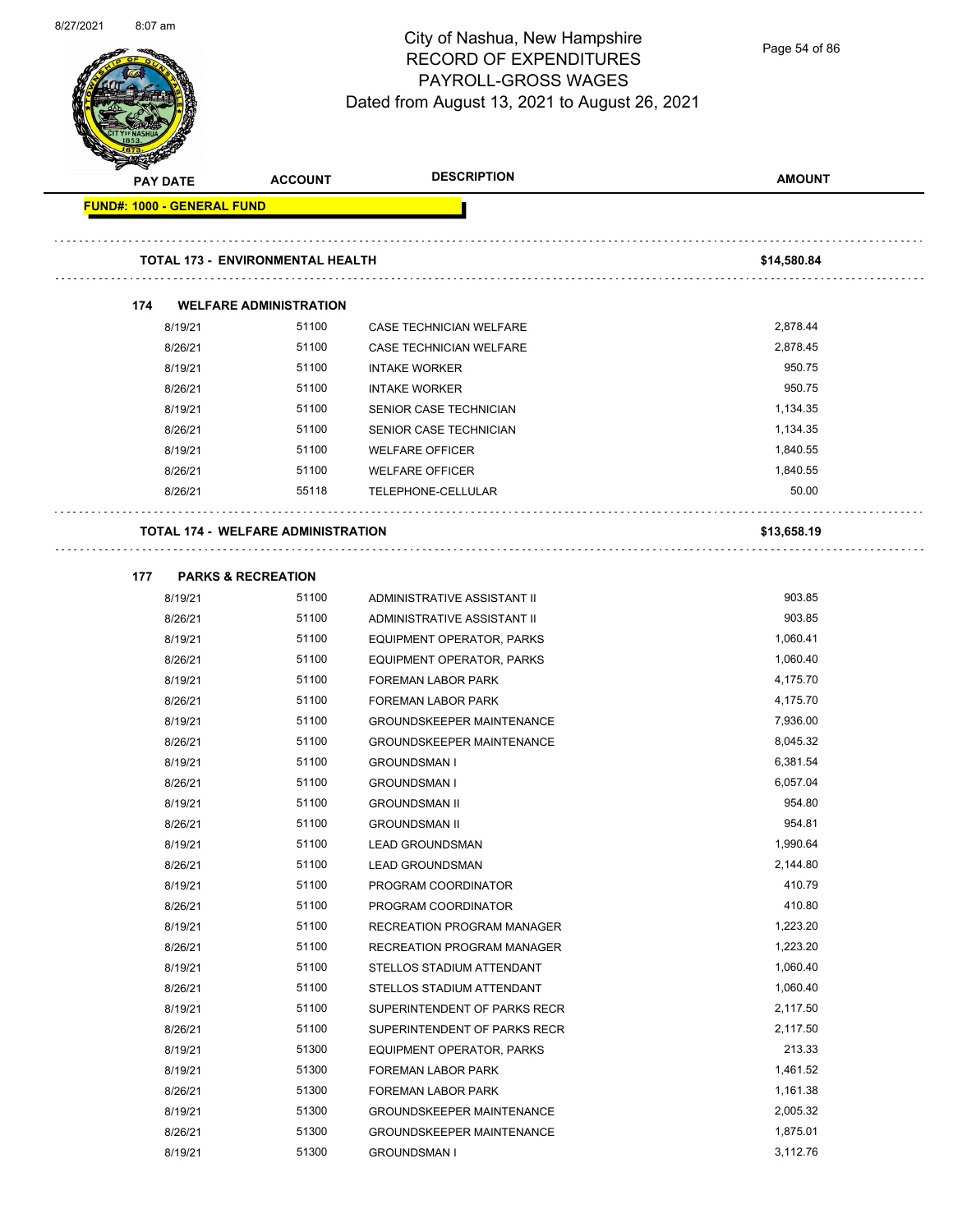

Page 54 of 86

| <b>PAY DATE</b>                   | <b>ACCOUNT</b>                            | <b>DESCRIPTION</b>               | <b>AMOUNT</b> |
|-----------------------------------|-------------------------------------------|----------------------------------|---------------|
| <b>FUND#: 1000 - GENERAL FUND</b> |                                           |                                  |               |
|                                   | <b>TOTAL 173 - ENVIRONMENTAL HEALTH</b>   |                                  | \$14,580.84   |
|                                   |                                           |                                  |               |
| 174                               | <b>WELFARE ADMINISTRATION</b>             |                                  |               |
| 8/19/21                           | 51100                                     | CASE TECHNICIAN WELFARE          | 2,878.44      |
| 8/26/21                           | 51100                                     | CASE TECHNICIAN WELFARE          | 2,878.45      |
| 8/19/21                           | 51100                                     | <b>INTAKE WORKER</b>             | 950.75        |
| 8/26/21                           | 51100                                     | <b>INTAKE WORKER</b>             | 950.75        |
| 8/19/21                           | 51100                                     | SENIOR CASE TECHNICIAN           | 1,134.35      |
| 8/26/21                           | 51100                                     | SENIOR CASE TECHNICIAN           | 1,134.35      |
| 8/19/21                           | 51100                                     | <b>WELFARE OFFICER</b>           | 1,840.55      |
| 8/26/21                           | 51100                                     | <b>WELFARE OFFICER</b>           | 1,840.55      |
| 8/26/21                           | 55118                                     | TELEPHONE-CELLULAR               | 50.00         |
|                                   | <b>TOTAL 174 - WELFARE ADMINISTRATION</b> |                                  | \$13,658.19   |
| 177                               | <b>PARKS &amp; RECREATION</b>             |                                  |               |
| 8/19/21                           | 51100                                     | ADMINISTRATIVE ASSISTANT II      | 903.85        |
| 8/26/21                           | 51100                                     | ADMINISTRATIVE ASSISTANT II      | 903.85        |
| 8/19/21                           | 51100                                     | EQUIPMENT OPERATOR, PARKS        | 1,060.41      |
| 8/26/21                           | 51100                                     | EQUIPMENT OPERATOR, PARKS        | 1,060.40      |
| 8/19/21                           | 51100                                     | FOREMAN LABOR PARK               | 4,175.70      |
| 8/26/21                           | 51100                                     | <b>FOREMAN LABOR PARK</b>        | 4,175.70      |
| 8/19/21                           | 51100                                     | <b>GROUNDSKEEPER MAINTENANCE</b> | 7,936.00      |
| 8/26/21                           | 51100                                     | <b>GROUNDSKEEPER MAINTENANCE</b> | 8,045.32      |
| 8/19/21                           | 51100                                     | <b>GROUNDSMAN I</b>              | 6,381.54      |
| 8/26/21                           | 51100                                     | <b>GROUNDSMAN I</b>              | 6,057.04      |
| 8/19/21                           | 51100                                     | <b>GROUNDSMAN II</b>             | 954.80        |
| 8/26/21                           | 51100                                     | <b>GROUNDSMAN II</b>             | 954.81        |
| 8/19/21                           | 51100                                     | <b>LEAD GROUNDSMAN</b>           | 1,990.64      |
| 8/26/21                           | 51100                                     | <b>LEAD GROUNDSMAN</b>           | 2,144.80      |
| 8/19/21                           | 51100                                     | PROGRAM COORDINATOR              | 410.79        |
| 8/26/21                           | 51100                                     | PROGRAM COORDINATOR              | 410.80        |
| 8/19/21                           | 51100                                     | RECREATION PROGRAM MANAGER       | 1,223.20      |
| 8/26/21                           | 51100                                     | RECREATION PROGRAM MANAGER       | 1,223.20      |
| 8/19/21                           | 51100                                     | STELLOS STADIUM ATTENDANT        | 1,060.40      |
| 8/26/21                           | 51100                                     | STELLOS STADIUM ATTENDANT        | 1,060.40      |
| 8/19/21                           | 51100                                     | SUPERINTENDENT OF PARKS RECR     | 2,117.50      |
| 8/26/21                           | 51100                                     | SUPERINTENDENT OF PARKS RECR     | 2,117.50      |
| 8/19/21                           | 51300                                     | EQUIPMENT OPERATOR, PARKS        | 213.33        |
| 8/19/21                           | 51300                                     | FOREMAN LABOR PARK               | 1,461.52      |
| 8/26/21                           | 51300                                     | FOREMAN LABOR PARK               | 1,161.38      |
| 8/19/21                           | 51300                                     | <b>GROUNDSKEEPER MAINTENANCE</b> | 2,005.32      |
| 8/26/21                           | 51300                                     | <b>GROUNDSKEEPER MAINTENANCE</b> | 1,875.01      |
| 8/19/21                           | 51300                                     | <b>GROUNDSMAN I</b>              | 3,112.76      |
|                                   |                                           |                                  |               |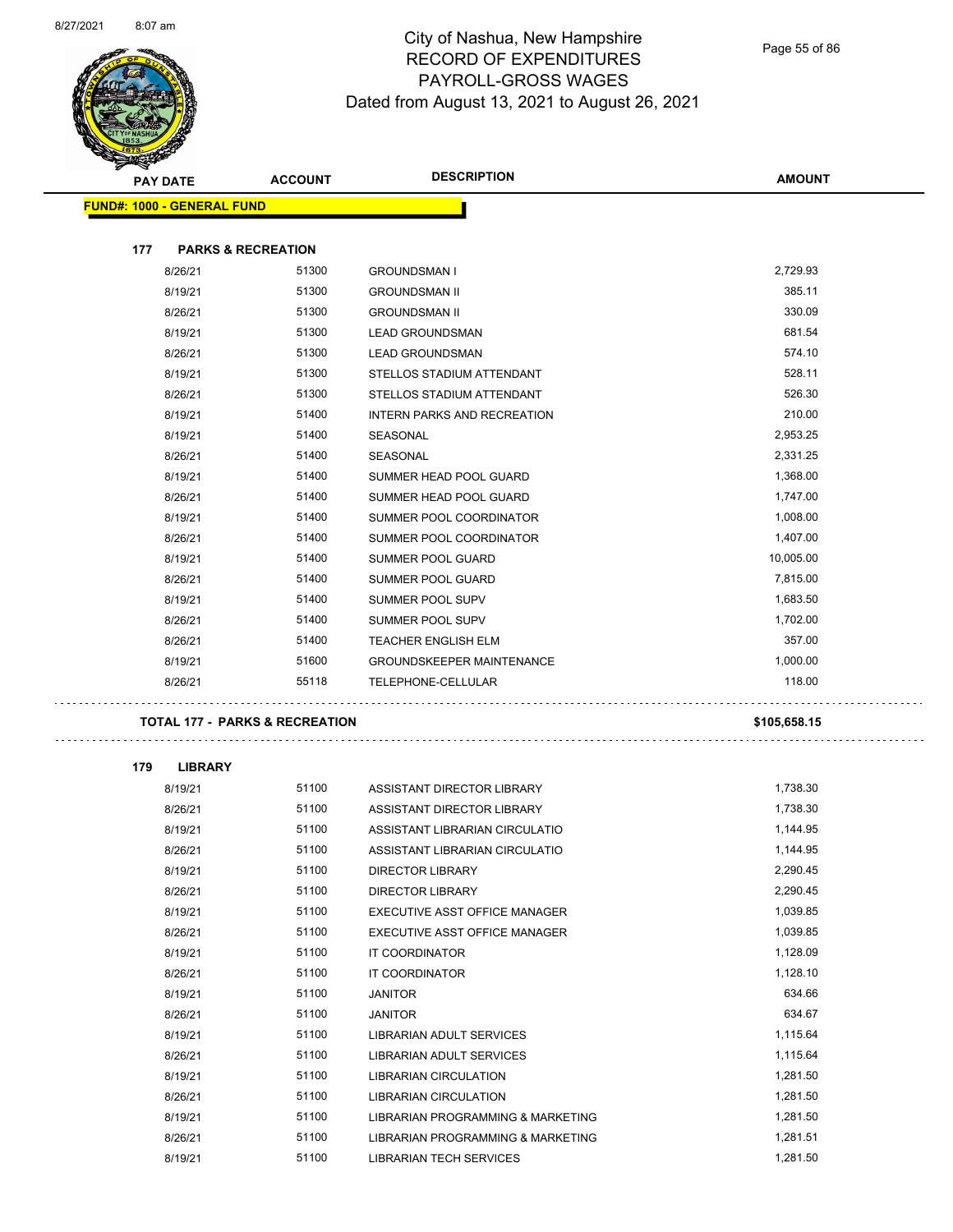$\sim$ 



# City of Nashua, New Hampshire RECORD OF EXPENDITURES PAYROLL-GROSS WAGES Dated from August 13, 2021 to August 26, 2021

Page 55 of 86

| PAY DATE                          | <b>ACCOUNT</b>                            | <b>DESCRIPTION</b>                | <b>AMOUNT</b> |
|-----------------------------------|-------------------------------------------|-----------------------------------|---------------|
| <b>FUND#: 1000 - GENERAL FUND</b> |                                           |                                   |               |
|                                   |                                           |                                   |               |
| 177                               | <b>PARKS &amp; RECREATION</b>             |                                   |               |
| 8/26/21                           | 51300                                     | <b>GROUNDSMAN I</b>               | 2,729.93      |
| 8/19/21                           | 51300                                     | <b>GROUNDSMAN II</b>              | 385.11        |
| 8/26/21                           | 51300                                     | <b>GROUNDSMAN II</b>              | 330.09        |
| 8/19/21                           | 51300                                     | <b>LEAD GROUNDSMAN</b>            | 681.54        |
| 8/26/21                           | 51300                                     | <b>LEAD GROUNDSMAN</b>            | 574.10        |
| 8/19/21                           | 51300                                     | STELLOS STADIUM ATTENDANT         | 528.11        |
| 8/26/21                           | 51300                                     | STELLOS STADIUM ATTENDANT         | 526.30        |
| 8/19/21                           | 51400                                     | INTERN PARKS AND RECREATION       | 210.00        |
| 8/19/21                           | 51400                                     | SEASONAL                          | 2,953.25      |
| 8/26/21                           | 51400                                     | SEASONAL                          | 2,331.25      |
| 8/19/21                           | 51400                                     | SUMMER HEAD POOL GUARD            | 1,368.00      |
| 8/26/21                           | 51400                                     | SUMMER HEAD POOL GUARD            | 1,747.00      |
| 8/19/21                           | 51400                                     | SUMMER POOL COORDINATOR           | 1,008.00      |
| 8/26/21                           | 51400                                     | SUMMER POOL COORDINATOR           | 1,407.00      |
| 8/19/21                           | 51400                                     | SUMMER POOL GUARD                 | 10,005.00     |
| 8/26/21                           | 51400                                     | SUMMER POOL GUARD                 | 7,815.00      |
| 8/19/21                           | 51400                                     | SUMMER POOL SUPV                  | 1,683.50      |
| 8/26/21                           | 51400                                     | SUMMER POOL SUPV                  | 1,702.00      |
| 8/26/21                           | 51400                                     | <b>TEACHER ENGLISH ELM</b>        | 357.00        |
| 8/19/21                           | 51600                                     | <b>GROUNDSKEEPER MAINTENANCE</b>  | 1,000.00      |
| 8/26/21                           | 55118                                     | TELEPHONE-CELLULAR                | 118.00        |
|                                   | <b>TOTAL 177 - PARKS &amp; RECREATION</b> |                                   | \$105,658.15  |
| 179<br><b>LIBRARY</b>             |                                           |                                   |               |
| 8/19/21                           | 51100                                     | ASSISTANT DIRECTOR LIBRARY        | 1,738.30      |
| 8/26/21                           | 51100                                     | ASSISTANT DIRECTOR LIBRARY        | 1,738.30      |
| 8/19/21                           | 51100                                     | ASSISTANT LIBRARIAN CIRCULATIO    | 1,144.95      |
| 8/26/21                           | 51100                                     | ASSISTANT LIBRARIAN CIRCULATIO    | 1,144.95      |
| 8/19/21                           | 51100                                     | <b>DIRECTOR LIBRARY</b>           | 2,290.45      |
| 8/26/21                           | 51100                                     | <b>DIRECTOR LIBRARY</b>           | 2,290.45      |
| 8/19/21                           | 51100                                     | EXECUTIVE ASST OFFICE MANAGER     | 1,039.85      |
| 8/26/21                           | 51100                                     | EXECUTIVE ASST OFFICE MANAGER     | 1,039.85      |
| 8/19/21                           | 51100                                     | <b>IT COORDINATOR</b>             | 1,128.09      |
| 8/26/21                           | 51100                                     | IT COORDINATOR                    | 1,128.10      |
| 8/19/21                           | 51100                                     | JANITOR                           | 634.66        |
| 8/26/21                           | 51100                                     | JANITOR                           | 634.67        |
| 8/19/21                           | 51100                                     | LIBRARIAN ADULT SERVICES          | 1,115.64      |
| 8/26/21                           | 51100                                     | LIBRARIAN ADULT SERVICES          | 1,115.64      |
| 8/19/21                           | 51100                                     | LIBRARIAN CIRCULATION             | 1,281.50      |
| 8/26/21                           | 51100                                     | LIBRARIAN CIRCULATION             | 1,281.50      |
| 8/19/21                           | 51100                                     | LIBRARIAN PROGRAMMING & MARKETING | 1,281.50      |
| 8/26/21                           | 51100                                     | LIBRARIAN PROGRAMMING & MARKETING | 1,281.51      |
| 8/19/21                           | 51100                                     | LIBRARIAN TECH SERVICES           | 1,281.50      |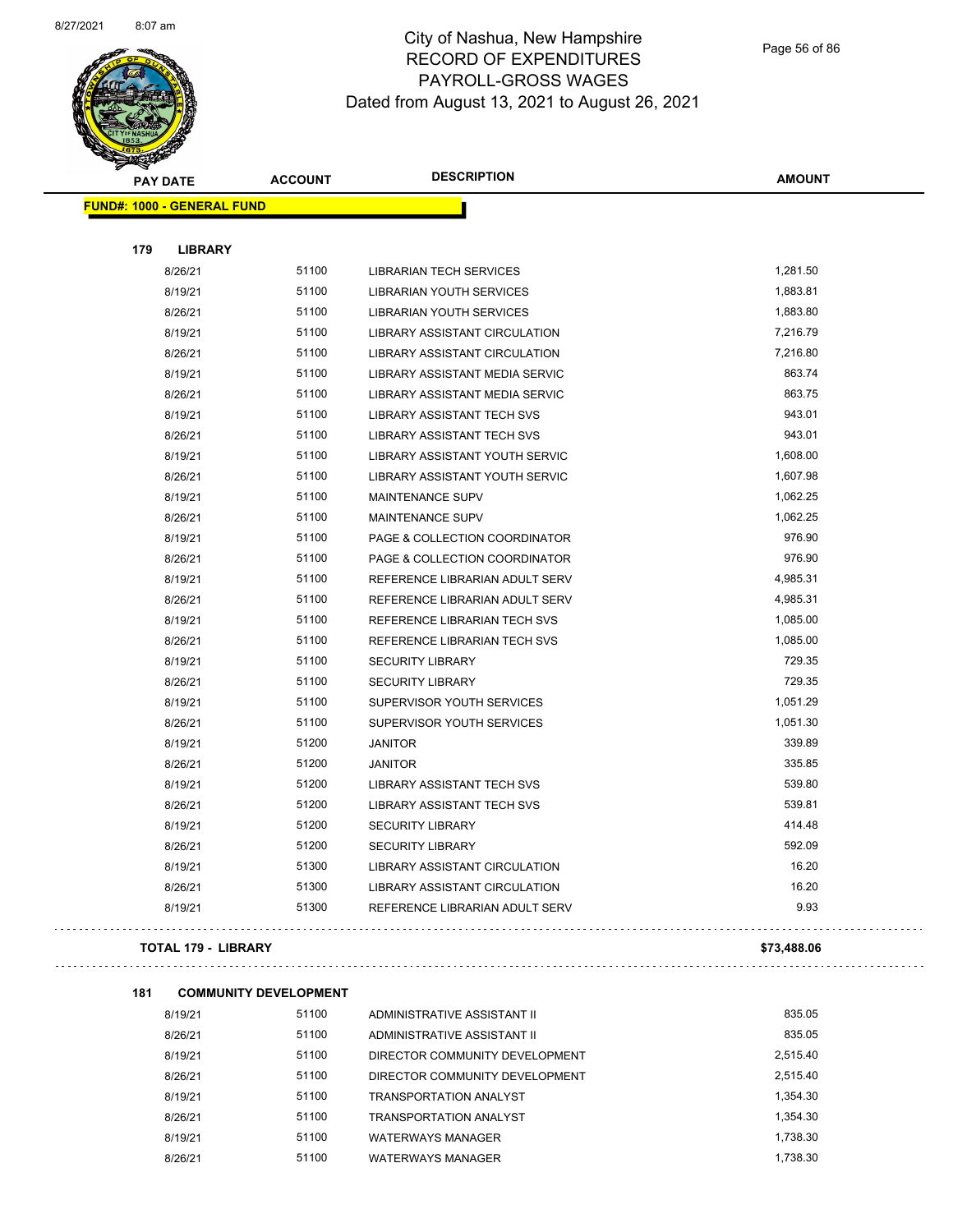

Page 56 of 86

| <b>PAY DATE</b>                   | <b>ACCOUNT</b> | <b>DESCRIPTION</b>                   | <b>AMOUNT</b> |
|-----------------------------------|----------------|--------------------------------------|---------------|
| <b>FUND#: 1000 - GENERAL FUND</b> |                |                                      |               |
|                                   |                |                                      |               |
| 179<br><b>LIBRARY</b>             |                |                                      |               |
| 8/26/21                           | 51100          | <b>LIBRARIAN TECH SERVICES</b>       | 1,281.50      |
| 8/19/21                           | 51100          | <b>LIBRARIAN YOUTH SERVICES</b>      | 1,883.81      |
| 8/26/21                           | 51100          | <b>LIBRARIAN YOUTH SERVICES</b>      | 1,883.80      |
| 8/19/21                           | 51100          | <b>LIBRARY ASSISTANT CIRCULATION</b> | 7,216.79      |
| 8/26/21                           | 51100          | LIBRARY ASSISTANT CIRCULATION        | 7,216.80      |
| 8/19/21                           | 51100          | LIBRARY ASSISTANT MEDIA SERVIC       | 863.74        |
| 8/26/21                           | 51100          | LIBRARY ASSISTANT MEDIA SERVIC       | 863.75        |
| 8/19/21                           | 51100          | <b>LIBRARY ASSISTANT TECH SVS</b>    | 943.01        |
| 8/26/21                           | 51100          | <b>LIBRARY ASSISTANT TECH SVS</b>    | 943.01        |
| 8/19/21                           | 51100          | LIBRARY ASSISTANT YOUTH SERVIC       | 1,608.00      |
| 8/26/21                           | 51100          | LIBRARY ASSISTANT YOUTH SERVIC       | 1,607.98      |
| 8/19/21                           | 51100          | <b>MAINTENANCE SUPV</b>              | 1,062.25      |
| 8/26/21                           | 51100          | MAINTENANCE SUPV                     | 1,062.25      |
| 8/19/21                           | 51100          | PAGE & COLLECTION COORDINATOR        | 976.90        |
| 8/26/21                           | 51100          | PAGE & COLLECTION COORDINATOR        | 976.90        |
| 8/19/21                           | 51100          | REFERENCE LIBRARIAN ADULT SERV       | 4,985.31      |
| 8/26/21                           | 51100          | REFERENCE LIBRARIAN ADULT SERV       | 4,985.31      |
| 8/19/21                           | 51100          | REFERENCE LIBRARIAN TECH SVS         | 1,085.00      |
| 8/26/21                           | 51100          | REFERENCE LIBRARIAN TECH SVS         | 1,085.00      |
| 8/19/21                           | 51100          | <b>SECURITY LIBRARY</b>              | 729.35        |
| 8/26/21                           | 51100          | <b>SECURITY LIBRARY</b>              | 729.35        |
| 8/19/21                           | 51100          | SUPERVISOR YOUTH SERVICES            | 1,051.29      |
| 8/26/21                           | 51100          | SUPERVISOR YOUTH SERVICES            | 1,051.30      |
| 8/19/21                           | 51200          | <b>JANITOR</b>                       | 339.89        |
| 8/26/21                           | 51200          | <b>JANITOR</b>                       | 335.85        |
| 8/19/21                           | 51200          | <b>LIBRARY ASSISTANT TECH SVS</b>    | 539.80        |
| 8/26/21                           | 51200          | <b>LIBRARY ASSISTANT TECH SVS</b>    | 539.81        |
| 8/19/21                           | 51200          | <b>SECURITY LIBRARY</b>              | 414.48        |
| 8/26/21                           | 51200          | <b>SECURITY LIBRARY</b>              | 592.09        |
| 8/19/21                           | 51300          | LIBRARY ASSISTANT CIRCULATION        | 16.20         |
| 8/26/21                           | 51300          | <b>LIBRARY ASSISTANT CIRCULATION</b> | 16.20         |
| 8/19/21                           | 51300          | REFERENCE LIBRARIAN ADULT SERV       | 9.93          |
|                                   |                |                                      |               |

#### **TOTAL 179 - LIBRARY \$73,488.06**

 $\Box$ 

```
181 COMMUNITY DEVELOPMENT
```

| 8/19/21 | 51100 | ADMINISTRATIVE ASSISTANT II    | 835.05   |
|---------|-------|--------------------------------|----------|
| 8/26/21 | 51100 | ADMINISTRATIVE ASSISTANT II    | 835.05   |
| 8/19/21 | 51100 | DIRECTOR COMMUNITY DEVELOPMENT | 2.515.40 |
| 8/26/21 | 51100 | DIRECTOR COMMUNITY DEVELOPMENT | 2.515.40 |
| 8/19/21 | 51100 | TRANSPORTATION ANALYST         | 1.354.30 |
| 8/26/21 | 51100 | TRANSPORTATION ANALYST         | 1.354.30 |
| 8/19/21 | 51100 | WATERWAYS MANAGER              | 1.738.30 |
| 8/26/21 | 51100 | <b>WATERWAYS MANAGER</b>       | 1.738.30 |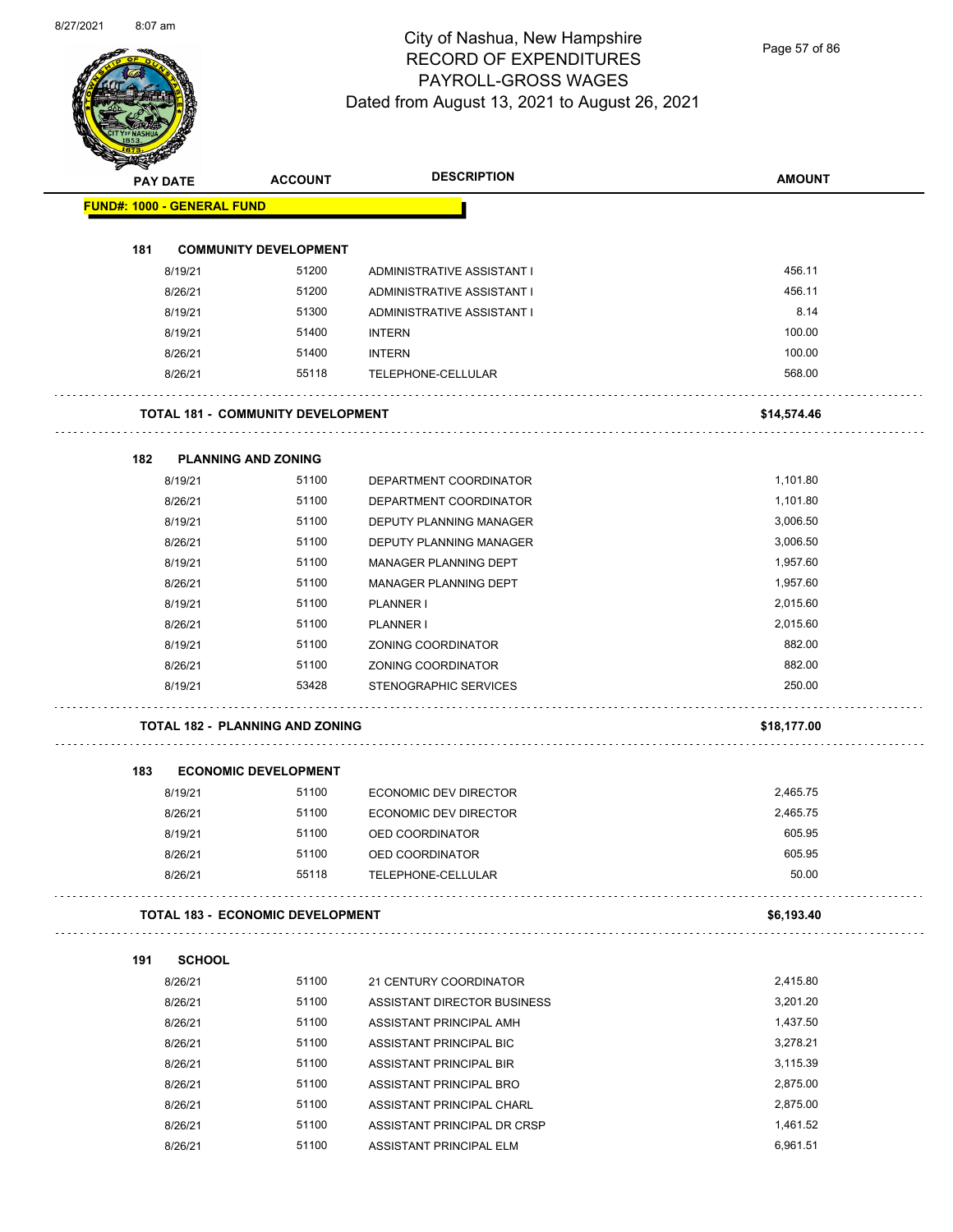

Page 57 of 86

|     | <b>PAY DATE</b>                   | <b>ACCOUNT</b>                           | <b>DESCRIPTION</b>           | <b>AMOUNT</b> |
|-----|-----------------------------------|------------------------------------------|------------------------------|---------------|
|     | <b>FUND#: 1000 - GENERAL FUND</b> |                                          |                              |               |
| 181 |                                   | <b>COMMUNITY DEVELOPMENT</b>             |                              |               |
|     | 8/19/21                           | 51200                                    | ADMINISTRATIVE ASSISTANT I   | 456.11        |
|     | 8/26/21                           | 51200                                    | ADMINISTRATIVE ASSISTANT I   | 456.11        |
|     | 8/19/21                           | 51300                                    | ADMINISTRATIVE ASSISTANT I   | 8.14          |
|     | 8/19/21                           | 51400                                    | <b>INTERN</b>                | 100.00        |
|     | 8/26/21                           | 51400                                    | <b>INTERN</b>                | 100.00        |
|     | 8/26/21                           | 55118                                    | TELEPHONE-CELLULAR           | 568.00        |
|     |                                   | <b>TOTAL 181 - COMMUNITY DEVELOPMENT</b> |                              | \$14,574.46   |
|     |                                   |                                          |                              |               |
| 182 | <b>PLANNING AND ZONING</b>        |                                          |                              |               |
|     | 8/19/21                           | 51100                                    | DEPARTMENT COORDINATOR       | 1,101.80      |
|     | 8/26/21                           | 51100                                    | DEPARTMENT COORDINATOR       | 1,101.80      |
|     | 8/19/21                           | 51100                                    | DEPUTY PLANNING MANAGER      | 3,006.50      |
|     | 8/26/21                           | 51100                                    | DEPUTY PLANNING MANAGER      | 3,006.50      |
|     | 8/19/21                           | 51100                                    | <b>MANAGER PLANNING DEPT</b> | 1,957.60      |
|     | 8/26/21                           | 51100                                    | MANAGER PLANNING DEPT        | 1,957.60      |
|     | 8/19/21                           | 51100                                    | PLANNER I                    | 2,015.60      |
|     | 8/26/21                           | 51100                                    | PLANNER I                    | 2,015.60      |
|     | 8/19/21                           | 51100                                    | ZONING COORDINATOR           | 882.00        |
|     | 8/26/21                           | 51100                                    | ZONING COORDINATOR           | 882.00        |
|     | 8/19/21                           | 53428                                    | <b>STENOGRAPHIC SERVICES</b> | 250.00        |
|     |                                   | <b>TOTAL 182 - PLANNING AND ZONING</b>   |                              | \$18,177.00   |
| 183 |                                   | <b>ECONOMIC DEVELOPMENT</b>              |                              |               |
|     | 8/19/21                           | 51100                                    | <b>ECONOMIC DEV DIRECTOR</b> | 2,465.75      |
|     | 8/26/21                           | 51100                                    | ECONOMIC DEV DIRECTOR        | 2,465.75      |
|     | 8/19/21                           | 51100                                    | OED COORDINATOR              | 605.95        |
|     | 8/26/21                           | 51100                                    | OED COORDINATOR              | 605.95        |
|     | 8/26/21                           | 55118                                    | TELEPHONE-CELLULAR           | 50.00         |
|     |                                   |                                          |                              | \$6,193.40    |
|     |                                   | <b>TOTAL 183 - ECONOMIC DEVELOPMENT</b>  |                              |               |
| 191 | <b>SCHOOL</b>                     |                                          |                              |               |
|     | 8/26/21                           | 51100                                    | 21 CENTURY COORDINATOR       | 2,415.80      |
|     | 8/26/21                           | 51100                                    | ASSISTANT DIRECTOR BUSINESS  | 3,201.20      |
|     | 8/26/21                           | 51100                                    | ASSISTANT PRINCIPAL AMH      | 1,437.50      |
|     | 8/26/21                           | 51100                                    | ASSISTANT PRINCIPAL BIC      | 3,278.21      |
|     | 8/26/21                           | 51100                                    | ASSISTANT PRINCIPAL BIR      | 3,115.39      |
|     | 8/26/21                           | 51100                                    | ASSISTANT PRINCIPAL BRO      | 2,875.00      |
|     | 8/26/21                           | 51100                                    | ASSISTANT PRINCIPAL CHARL    | 2,875.00      |
|     |                                   |                                          |                              |               |
|     | 8/26/21                           | 51100                                    | ASSISTANT PRINCIPAL DR CRSP  | 1,461.52      |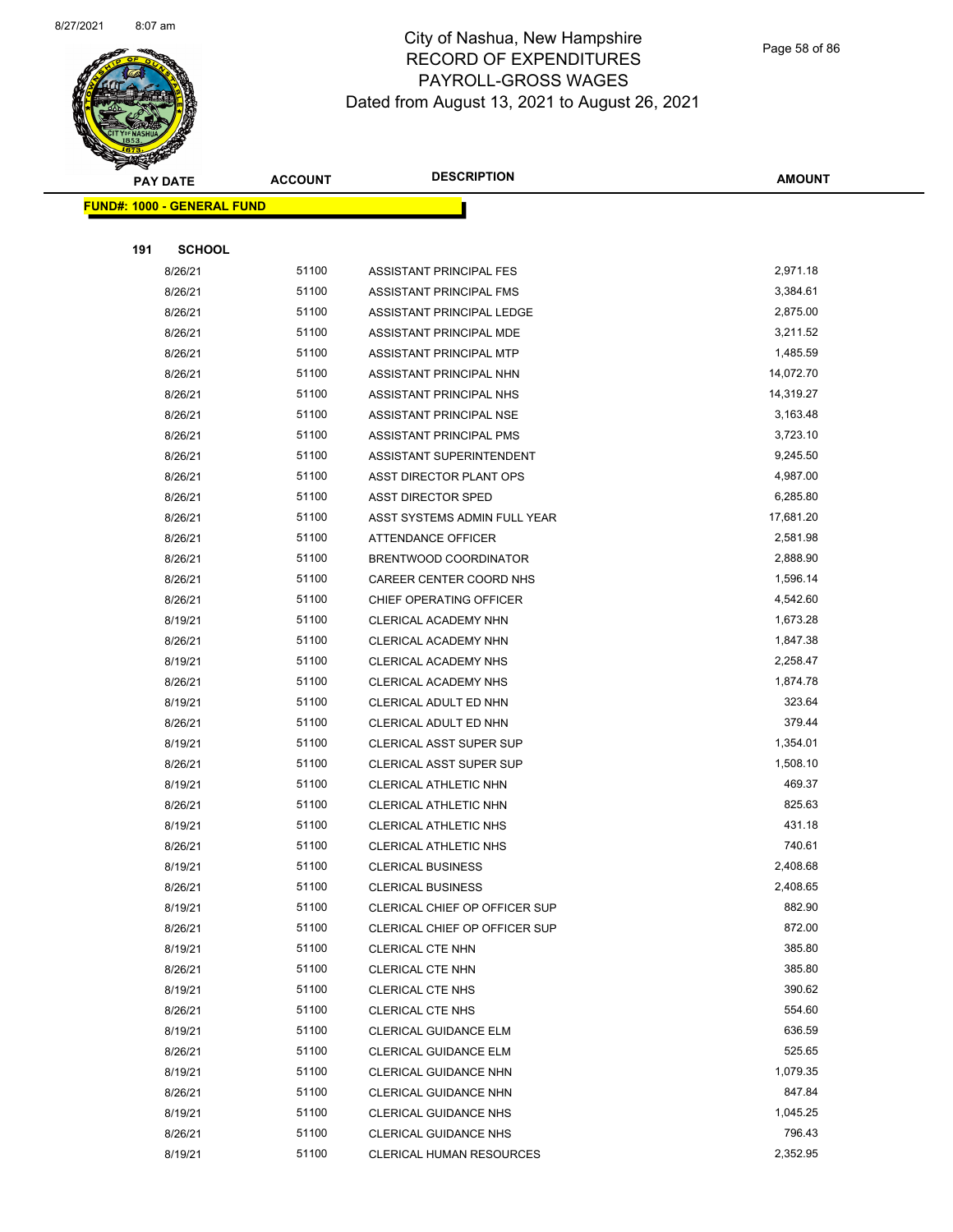

Page 58 of 86

|     | <b>PAY DATE</b>                   | <b>ACCOUNT</b> | <b>DESCRIPTION</b>                                    | <b>AMOUNT</b>    |
|-----|-----------------------------------|----------------|-------------------------------------------------------|------------------|
|     | <b>FUND#: 1000 - GENERAL FUND</b> |                |                                                       |                  |
|     |                                   |                |                                                       |                  |
| 191 | <b>SCHOOL</b>                     |                |                                                       |                  |
|     | 8/26/21                           | 51100          | ASSISTANT PRINCIPAL FES                               | 2,971.18         |
|     | 8/26/21                           | 51100          | ASSISTANT PRINCIPAL FMS                               | 3,384.61         |
|     | 8/26/21                           | 51100          | ASSISTANT PRINCIPAL LEDGE                             | 2,875.00         |
|     | 8/26/21                           | 51100          | ASSISTANT PRINCIPAL MDE                               | 3,211.52         |
|     | 8/26/21                           | 51100          | ASSISTANT PRINCIPAL MTP                               | 1,485.59         |
|     | 8/26/21                           | 51100          | ASSISTANT PRINCIPAL NHN                               | 14,072.70        |
|     | 8/26/21                           | 51100          | ASSISTANT PRINCIPAL NHS                               | 14,319.27        |
|     | 8/26/21                           | 51100          | ASSISTANT PRINCIPAL NSE                               | 3,163.48         |
|     | 8/26/21                           | 51100          | ASSISTANT PRINCIPAL PMS                               | 3,723.10         |
|     | 8/26/21                           | 51100          | ASSISTANT SUPERINTENDENT                              | 9,245.50         |
|     | 8/26/21                           | 51100          | ASST DIRECTOR PLANT OPS                               | 4,987.00         |
|     | 8/26/21                           | 51100          | <b>ASST DIRECTOR SPED</b>                             | 6,285.80         |
|     | 8/26/21                           | 51100          | ASST SYSTEMS ADMIN FULL YEAR                          | 17,681.20        |
|     | 8/26/21                           | 51100          | <b>ATTENDANCE OFFICER</b>                             | 2,581.98         |
|     | 8/26/21                           | 51100          | BRENTWOOD COORDINATOR                                 | 2,888.90         |
|     | 8/26/21                           | 51100          | CAREER CENTER COORD NHS                               | 1,596.14         |
|     | 8/26/21                           | 51100          | CHIEF OPERATING OFFICER                               | 4,542.60         |
|     | 8/19/21                           | 51100          | CLERICAL ACADEMY NHN                                  | 1,673.28         |
|     | 8/26/21                           | 51100          | CLERICAL ACADEMY NHN                                  | 1,847.38         |
|     | 8/19/21                           | 51100          | CLERICAL ACADEMY NHS                                  | 2,258.47         |
|     | 8/26/21                           | 51100          | CLERICAL ACADEMY NHS                                  | 1,874.78         |
|     | 8/19/21                           | 51100          | CLERICAL ADULT ED NHN                                 | 323.64           |
|     | 8/26/21                           | 51100          | CLERICAL ADULT ED NHN                                 | 379.44           |
|     | 8/19/21                           | 51100          | CLERICAL ASST SUPER SUP                               | 1,354.01         |
|     | 8/26/21                           | 51100          | <b>CLERICAL ASST SUPER SUP</b>                        | 1,508.10         |
|     | 8/19/21                           | 51100          | CLERICAL ATHLETIC NHN                                 | 469.37           |
|     | 8/26/21                           | 51100          | CLERICAL ATHLETIC NHN                                 | 825.63           |
|     | 8/19/21                           | 51100          | <b>CLERICAL ATHLETIC NHS</b>                          | 431.18           |
|     | 8/26/21                           | 51100          | <b>CLERICAL ATHLETIC NHS</b>                          | 740.61           |
|     | 8/19/21                           | 51100          | <b>CLERICAL BUSINESS</b>                              | 2,408.68         |
|     | 8/26/21                           | 51100          | <b>CLERICAL BUSINESS</b>                              | 2,408.65         |
|     | 8/19/21                           | 51100          | CLERICAL CHIEF OP OFFICER SUP                         | 882.90           |
|     | 8/26/21                           | 51100          | CLERICAL CHIEF OP OFFICER SUP                         | 872.00           |
|     | 8/19/21                           | 51100          | CLERICAL CTE NHN                                      | 385.80           |
|     | 8/26/21                           | 51100<br>51100 | CLERICAL CTE NHN                                      | 385.80<br>390.62 |
|     | 8/19/21                           | 51100          | <b>CLERICAL CTE NHS</b>                               | 554.60           |
|     | 8/26/21                           | 51100          | <b>CLERICAL CTE NHS</b>                               | 636.59           |
|     | 8/19/21<br>8/26/21                | 51100          | CLERICAL GUIDANCE ELM<br><b>CLERICAL GUIDANCE ELM</b> | 525.65           |
|     | 8/19/21                           | 51100          | CLERICAL GUIDANCE NHN                                 | 1,079.35         |
|     | 8/26/21                           | 51100          | CLERICAL GUIDANCE NHN                                 | 847.84           |
|     | 8/19/21                           | 51100          | <b>CLERICAL GUIDANCE NHS</b>                          | 1,045.25         |
|     | 8/26/21                           | 51100          | <b>CLERICAL GUIDANCE NHS</b>                          | 796.43           |
|     | 8/19/21                           | 51100          | <b>CLERICAL HUMAN RESOURCES</b>                       | 2,352.95         |
|     |                                   |                |                                                       |                  |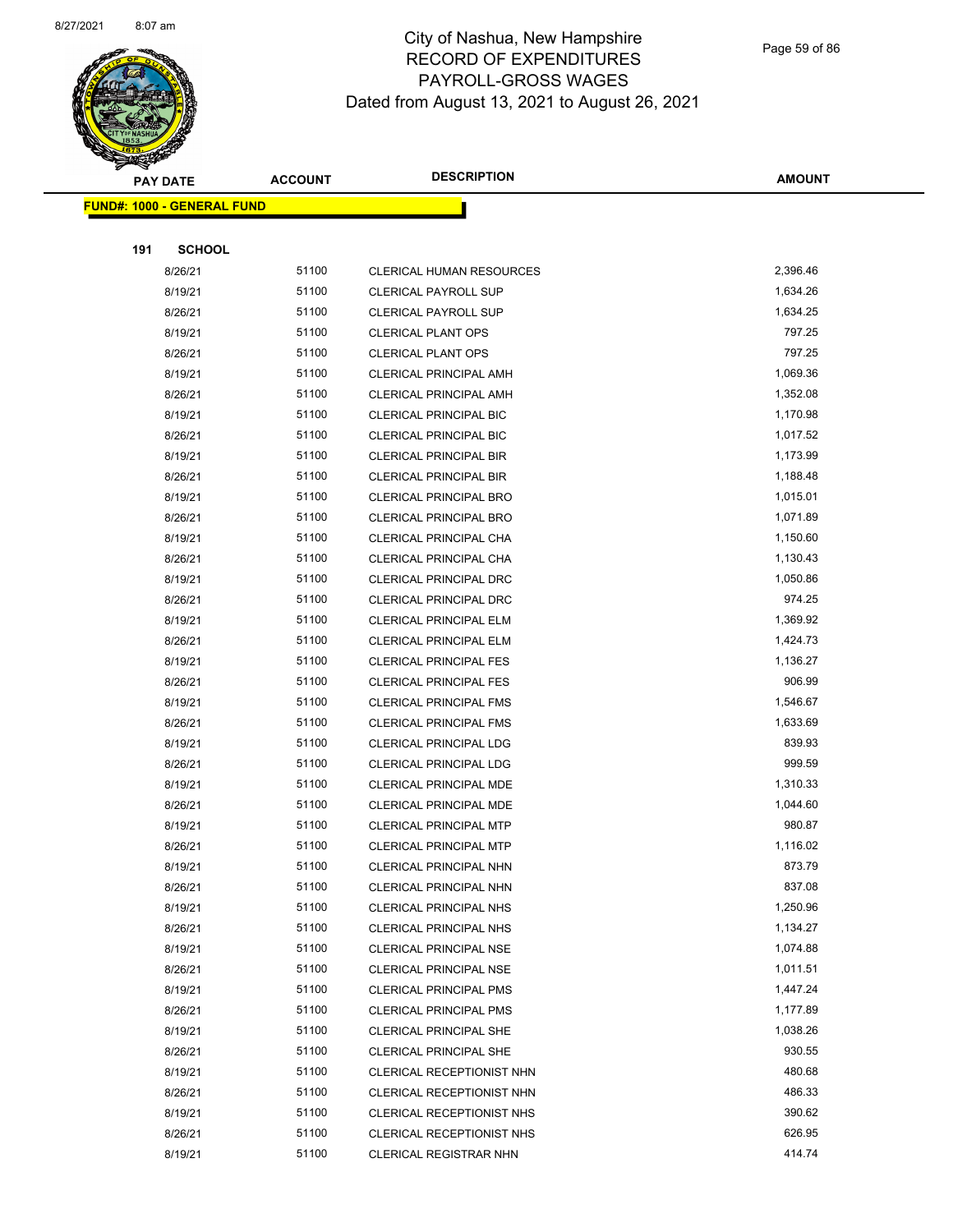

Page 59 of 86

|     | <b>PAY DATE</b>                   | <b>ACCOUNT</b> | <b>DESCRIPTION</b>              | <b>AMOUNT</b> |
|-----|-----------------------------------|----------------|---------------------------------|---------------|
|     | <b>FUND#: 1000 - GENERAL FUND</b> |                |                                 |               |
|     |                                   |                |                                 |               |
| 191 | <b>SCHOOL</b>                     |                |                                 |               |
|     | 8/26/21                           | 51100          | <b>CLERICAL HUMAN RESOURCES</b> | 2,396.46      |
|     | 8/19/21                           | 51100          | <b>CLERICAL PAYROLL SUP</b>     | 1,634.26      |
|     | 8/26/21                           | 51100          | <b>CLERICAL PAYROLL SUP</b>     | 1,634.25      |
|     | 8/19/21                           | 51100          | <b>CLERICAL PLANT OPS</b>       | 797.25        |
|     | 8/26/21                           | 51100          | <b>CLERICAL PLANT OPS</b>       | 797.25        |
|     | 8/19/21                           | 51100          | <b>CLERICAL PRINCIPAL AMH</b>   | 1,069.36      |
|     | 8/26/21                           | 51100          | <b>CLERICAL PRINCIPAL AMH</b>   | 1,352.08      |
|     | 8/19/21                           | 51100          | <b>CLERICAL PRINCIPAL BIC</b>   | 1,170.98      |
|     | 8/26/21                           | 51100          | <b>CLERICAL PRINCIPAL BIC</b>   | 1,017.52      |
|     | 8/19/21                           | 51100          | <b>CLERICAL PRINCIPAL BIR</b>   | 1,173.99      |
|     | 8/26/21                           | 51100          | CLERICAL PRINCIPAL BIR          | 1,188.48      |
|     | 8/19/21                           | 51100          | <b>CLERICAL PRINCIPAL BRO</b>   | 1,015.01      |
|     | 8/26/21                           | 51100          | <b>CLERICAL PRINCIPAL BRO</b>   | 1,071.89      |
|     | 8/19/21                           | 51100          | CLERICAL PRINCIPAL CHA          | 1,150.60      |
|     | 8/26/21                           | 51100          | CLERICAL PRINCIPAL CHA          | 1,130.43      |
|     | 8/19/21                           | 51100          | CLERICAL PRINCIPAL DRC          | 1,050.86      |
|     | 8/26/21                           | 51100          | CLERICAL PRINCIPAL DRC          | 974.25        |
|     | 8/19/21                           | 51100          | <b>CLERICAL PRINCIPAL ELM</b>   | 1,369.92      |
|     | 8/26/21                           | 51100          | <b>CLERICAL PRINCIPAL ELM</b>   | 1,424.73      |
|     | 8/19/21                           | 51100          | <b>CLERICAL PRINCIPAL FES</b>   | 1,136.27      |
|     | 8/26/21                           | 51100          | <b>CLERICAL PRINCIPAL FES</b>   | 906.99        |
|     | 8/19/21                           | 51100          | <b>CLERICAL PRINCIPAL FMS</b>   | 1,546.67      |
|     | 8/26/21                           | 51100          | <b>CLERICAL PRINCIPAL FMS</b>   | 1,633.69      |
|     | 8/19/21                           | 51100          | <b>CLERICAL PRINCIPAL LDG</b>   | 839.93        |
|     | 8/26/21                           | 51100          | <b>CLERICAL PRINCIPAL LDG</b>   | 999.59        |
|     | 8/19/21                           | 51100          | CLERICAL PRINCIPAL MDE          | 1,310.33      |
|     | 8/26/21                           | 51100          | CLERICAL PRINCIPAL MDE          | 1,044.60      |
|     | 8/19/21                           | 51100          | <b>CLERICAL PRINCIPAL MTP</b>   | 980.87        |
|     | 8/26/21                           | 51100          | <b>CLERICAL PRINCIPAL MTP</b>   | 1,116.02      |
|     | 8/19/21                           | 51100          | CLERICAL PRINCIPAL NHN          | 873.79        |
|     | 8/26/21                           | 51100          | CLERICAL PRINCIPAL NHN          | 837.08        |
|     | 8/19/21                           | 51100          | <b>CLERICAL PRINCIPAL NHS</b>   | 1,250.96      |
|     | 8/26/21                           | 51100          | <b>CLERICAL PRINCIPAL NHS</b>   | 1,134.27      |
|     | 8/19/21                           | 51100          | <b>CLERICAL PRINCIPAL NSE</b>   | 1,074.88      |
|     | 8/26/21                           | 51100          | <b>CLERICAL PRINCIPAL NSE</b>   | 1,011.51      |
|     | 8/19/21                           | 51100          | <b>CLERICAL PRINCIPAL PMS</b>   | 1,447.24      |
|     | 8/26/21                           | 51100          | <b>CLERICAL PRINCIPAL PMS</b>   | 1,177.89      |
|     | 8/19/21                           | 51100          | <b>CLERICAL PRINCIPAL SHE</b>   | 1,038.26      |
|     | 8/26/21                           | 51100          | <b>CLERICAL PRINCIPAL SHE</b>   | 930.55        |
|     | 8/19/21                           | 51100          | CLERICAL RECEPTIONIST NHN       | 480.68        |
|     | 8/26/21                           | 51100          | CLERICAL RECEPTIONIST NHN       | 486.33        |
|     | 8/19/21                           | 51100          | CLERICAL RECEPTIONIST NHS       | 390.62        |
|     | 8/26/21                           | 51100          | CLERICAL RECEPTIONIST NHS       | 626.95        |
|     | 8/19/21                           | 51100          | <b>CLERICAL REGISTRAR NHN</b>   | 414.74        |
|     |                                   |                |                                 |               |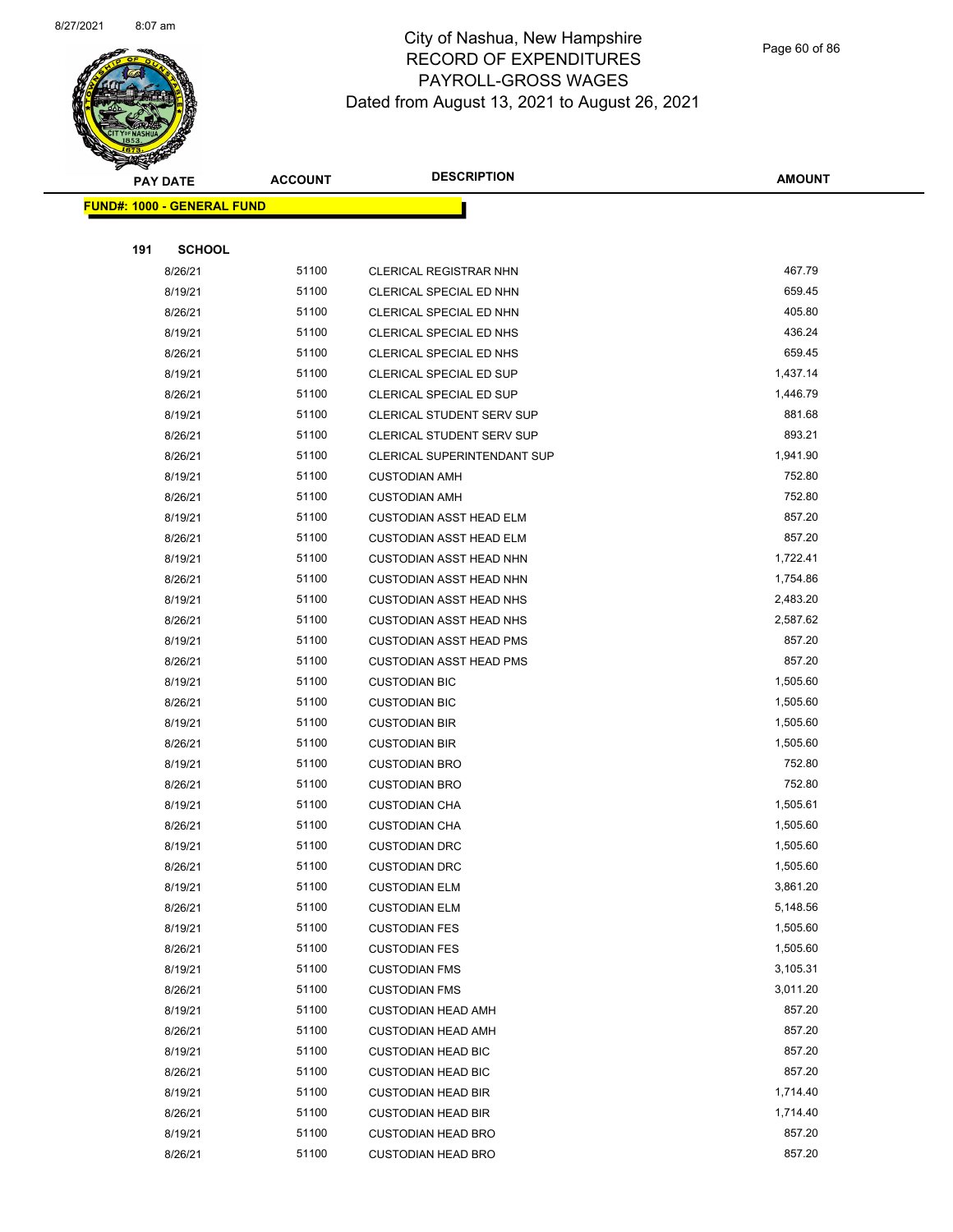

Page 60 of 86

|     | <b>PAY DATE</b>                   | <b>ACCOUNT</b> | <b>DESCRIPTION</b>                           | <b>AMOUNT</b>        |
|-----|-----------------------------------|----------------|----------------------------------------------|----------------------|
|     | <b>FUND#: 1000 - GENERAL FUND</b> |                |                                              |                      |
|     |                                   |                |                                              |                      |
| 191 | <b>SCHOOL</b>                     |                |                                              |                      |
|     | 8/26/21                           | 51100          | <b>CLERICAL REGISTRAR NHN</b>                | 467.79               |
|     | 8/19/21                           | 51100          | CLERICAL SPECIAL ED NHN                      | 659.45               |
|     | 8/26/21                           | 51100          | CLERICAL SPECIAL ED NHN                      | 405.80               |
|     | 8/19/21                           | 51100          | CLERICAL SPECIAL ED NHS                      | 436.24               |
|     | 8/26/21                           | 51100          | CLERICAL SPECIAL ED NHS                      | 659.45               |
|     | 8/19/21                           | 51100          | CLERICAL SPECIAL ED SUP                      | 1,437.14             |
|     | 8/26/21                           | 51100          | CLERICAL SPECIAL ED SUP                      | 1,446.79             |
|     | 8/19/21                           | 51100          | <b>CLERICAL STUDENT SERV SUP</b>             | 881.68               |
|     | 8/26/21                           | 51100          | <b>CLERICAL STUDENT SERV SUP</b>             | 893.21               |
|     | 8/26/21                           | 51100          | CLERICAL SUPERINTENDANT SUP                  | 1,941.90             |
|     | 8/19/21                           | 51100          | <b>CUSTODIAN AMH</b>                         | 752.80               |
|     | 8/26/21                           | 51100          | <b>CUSTODIAN AMH</b>                         | 752.80               |
|     | 8/19/21                           | 51100          | <b>CUSTODIAN ASST HEAD ELM</b>               | 857.20               |
|     | 8/26/21                           | 51100          | <b>CUSTODIAN ASST HEAD ELM</b>               | 857.20               |
|     | 8/19/21                           | 51100          | CUSTODIAN ASST HEAD NHN                      | 1,722.41             |
|     | 8/26/21                           | 51100          | <b>CUSTODIAN ASST HEAD NHN</b>               | 1,754.86             |
|     | 8/19/21                           | 51100          | <b>CUSTODIAN ASST HEAD NHS</b>               | 2,483.20             |
|     | 8/26/21                           | 51100          | <b>CUSTODIAN ASST HEAD NHS</b>               | 2,587.62             |
|     | 8/19/21                           | 51100          | <b>CUSTODIAN ASST HEAD PMS</b>               | 857.20               |
|     | 8/26/21                           | 51100          | <b>CUSTODIAN ASST HEAD PMS</b>               | 857.20               |
|     | 8/19/21                           | 51100          | <b>CUSTODIAN BIC</b>                         | 1,505.60             |
|     | 8/26/21                           | 51100          | <b>CUSTODIAN BIC</b>                         | 1,505.60             |
|     | 8/19/21                           | 51100          | <b>CUSTODIAN BIR</b>                         | 1,505.60             |
|     | 8/26/21                           | 51100          | <b>CUSTODIAN BIR</b>                         | 1,505.60             |
|     | 8/19/21                           | 51100          | <b>CUSTODIAN BRO</b>                         | 752.80               |
|     | 8/26/21                           | 51100          | <b>CUSTODIAN BRO</b>                         | 752.80               |
|     | 8/19/21                           | 51100          | <b>CUSTODIAN CHA</b>                         | 1,505.61             |
|     | 8/26/21                           | 51100          | <b>CUSTODIAN CHA</b>                         | 1,505.60             |
|     | 8/19/21                           | 51100          | <b>CUSTODIAN DRC</b>                         | 1,505.60<br>1,505.60 |
|     | 8/26/21                           | 51100<br>51100 | <b>CUSTODIAN DRC</b>                         | 3,861.20             |
|     | 8/19/21<br>8/26/21                | 51100          | <b>CUSTODIAN ELM</b>                         | 5,148.56             |
|     | 8/19/21                           | 51100          | <b>CUSTODIAN ELM</b><br><b>CUSTODIAN FES</b> | 1,505.60             |
|     | 8/26/21                           | 51100          | <b>CUSTODIAN FES</b>                         | 1,505.60             |
|     | 8/19/21                           | 51100          | <b>CUSTODIAN FMS</b>                         | 3,105.31             |
|     | 8/26/21                           | 51100          | <b>CUSTODIAN FMS</b>                         | 3,011.20             |
|     | 8/19/21                           | 51100          | <b>CUSTODIAN HEAD AMH</b>                    | 857.20               |
|     | 8/26/21                           | 51100          | <b>CUSTODIAN HEAD AMH</b>                    | 857.20               |
|     | 8/19/21                           | 51100          | <b>CUSTODIAN HEAD BIC</b>                    | 857.20               |
|     | 8/26/21                           | 51100          | <b>CUSTODIAN HEAD BIC</b>                    | 857.20               |
|     | 8/19/21                           | 51100          | <b>CUSTODIAN HEAD BIR</b>                    | 1,714.40             |
|     | 8/26/21                           | 51100          | <b>CUSTODIAN HEAD BIR</b>                    | 1,714.40             |
|     | 8/19/21                           | 51100          | <b>CUSTODIAN HEAD BRO</b>                    | 857.20               |
|     | 8/26/21                           | 51100          | <b>CUSTODIAN HEAD BRO</b>                    | 857.20               |
|     |                                   |                |                                              |                      |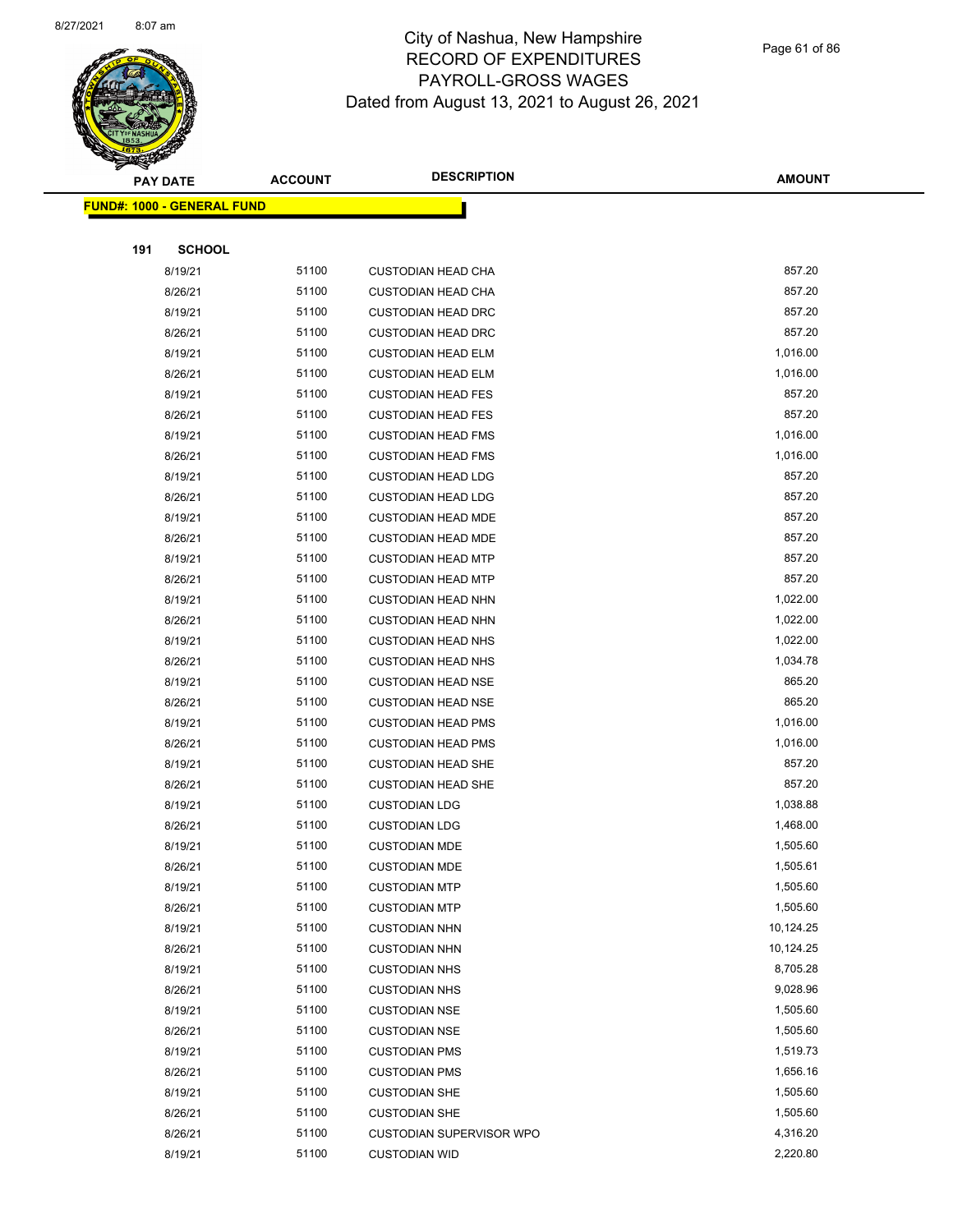

Page 61 of 86

|     | <b>PAY DATE</b>                    | <b>ACCOUNT</b> | <b>DESCRIPTION</b>              | <b>AMOUNT</b> |  |
|-----|------------------------------------|----------------|---------------------------------|---------------|--|
|     | <u> FUND#: 1000 - GENERAL FUND</u> |                |                                 |               |  |
|     |                                    |                |                                 |               |  |
| 191 | <b>SCHOOL</b>                      |                |                                 |               |  |
|     | 8/19/21                            | 51100          | <b>CUSTODIAN HEAD CHA</b>       | 857.20        |  |
|     | 8/26/21                            | 51100          | <b>CUSTODIAN HEAD CHA</b>       | 857.20        |  |
|     | 8/19/21                            | 51100          | <b>CUSTODIAN HEAD DRC</b>       | 857.20        |  |
|     | 8/26/21                            | 51100          | <b>CUSTODIAN HEAD DRC</b>       | 857.20        |  |
|     | 8/19/21                            | 51100          | <b>CUSTODIAN HEAD ELM</b>       | 1,016.00      |  |
|     | 8/26/21                            | 51100          | <b>CUSTODIAN HEAD ELM</b>       | 1,016.00      |  |
|     | 8/19/21                            | 51100          | <b>CUSTODIAN HEAD FES</b>       | 857.20        |  |
|     | 8/26/21                            | 51100          | <b>CUSTODIAN HEAD FES</b>       | 857.20        |  |
|     | 8/19/21                            | 51100          | <b>CUSTODIAN HEAD FMS</b>       | 1,016.00      |  |
|     | 8/26/21                            | 51100          | <b>CUSTODIAN HEAD FMS</b>       | 1,016.00      |  |
|     | 8/19/21                            | 51100          | <b>CUSTODIAN HEAD LDG</b>       | 857.20        |  |
|     | 8/26/21                            | 51100          | <b>CUSTODIAN HEAD LDG</b>       | 857.20        |  |
|     | 8/19/21                            | 51100          | <b>CUSTODIAN HEAD MDE</b>       | 857.20        |  |
|     | 8/26/21                            | 51100          | <b>CUSTODIAN HEAD MDE</b>       | 857.20        |  |
|     | 8/19/21                            | 51100          | <b>CUSTODIAN HEAD MTP</b>       | 857.20        |  |
|     | 8/26/21                            | 51100          | <b>CUSTODIAN HEAD MTP</b>       | 857.20        |  |
|     | 8/19/21                            | 51100          | <b>CUSTODIAN HEAD NHN</b>       | 1,022.00      |  |
|     | 8/26/21                            | 51100          | <b>CUSTODIAN HEAD NHN</b>       | 1,022.00      |  |
|     | 8/19/21                            | 51100          | <b>CUSTODIAN HEAD NHS</b>       | 1,022.00      |  |
|     | 8/26/21                            | 51100          | <b>CUSTODIAN HEAD NHS</b>       | 1,034.78      |  |
|     | 8/19/21                            | 51100          | <b>CUSTODIAN HEAD NSE</b>       | 865.20        |  |
|     | 8/26/21                            | 51100          | <b>CUSTODIAN HEAD NSE</b>       | 865.20        |  |
|     | 8/19/21                            | 51100          | <b>CUSTODIAN HEAD PMS</b>       | 1,016.00      |  |
|     | 8/26/21                            | 51100          | <b>CUSTODIAN HEAD PMS</b>       | 1,016.00      |  |
|     | 8/19/21                            | 51100          | <b>CUSTODIAN HEAD SHE</b>       | 857.20        |  |
|     | 8/26/21                            | 51100          | <b>CUSTODIAN HEAD SHE</b>       | 857.20        |  |
|     | 8/19/21                            | 51100          | <b>CUSTODIAN LDG</b>            | 1,038.88      |  |
|     | 8/26/21                            | 51100          | <b>CUSTODIAN LDG</b>            | 1,468.00      |  |
|     | 8/19/21                            | 51100          | <b>CUSTODIAN MDE</b>            | 1,505.60      |  |
|     | 8/26/21                            | 51100          | <b>CUSTODIAN MDE</b>            | 1,505.61      |  |
|     | 8/19/21                            | 51100          | <b>CUSTODIAN MTP</b>            | 1,505.60      |  |
|     | 8/26/21                            | 51100          | <b>CUSTODIAN MTP</b>            | 1,505.60      |  |
|     | 8/19/21                            | 51100          | <b>CUSTODIAN NHN</b>            | 10,124.25     |  |
|     | 8/26/21                            | 51100          | <b>CUSTODIAN NHN</b>            | 10,124.25     |  |
|     | 8/19/21                            | 51100          | <b>CUSTODIAN NHS</b>            | 8,705.28      |  |
|     | 8/26/21                            | 51100          | <b>CUSTODIAN NHS</b>            | 9,028.96      |  |
|     | 8/19/21                            | 51100          | <b>CUSTODIAN NSE</b>            | 1,505.60      |  |
|     | 8/26/21                            | 51100          | <b>CUSTODIAN NSE</b>            | 1,505.60      |  |
|     | 8/19/21                            | 51100          | <b>CUSTODIAN PMS</b>            | 1,519.73      |  |
|     | 8/26/21                            | 51100          | <b>CUSTODIAN PMS</b>            | 1,656.16      |  |
|     | 8/19/21                            | 51100          | <b>CUSTODIAN SHE</b>            | 1,505.60      |  |
|     | 8/26/21                            | 51100          | <b>CUSTODIAN SHE</b>            | 1,505.60      |  |
|     | 8/26/21                            | 51100          | <b>CUSTODIAN SUPERVISOR WPO</b> | 4,316.20      |  |
|     | 8/19/21                            | 51100          | <b>CUSTODIAN WID</b>            | 2,220.80      |  |
|     |                                    |                |                                 |               |  |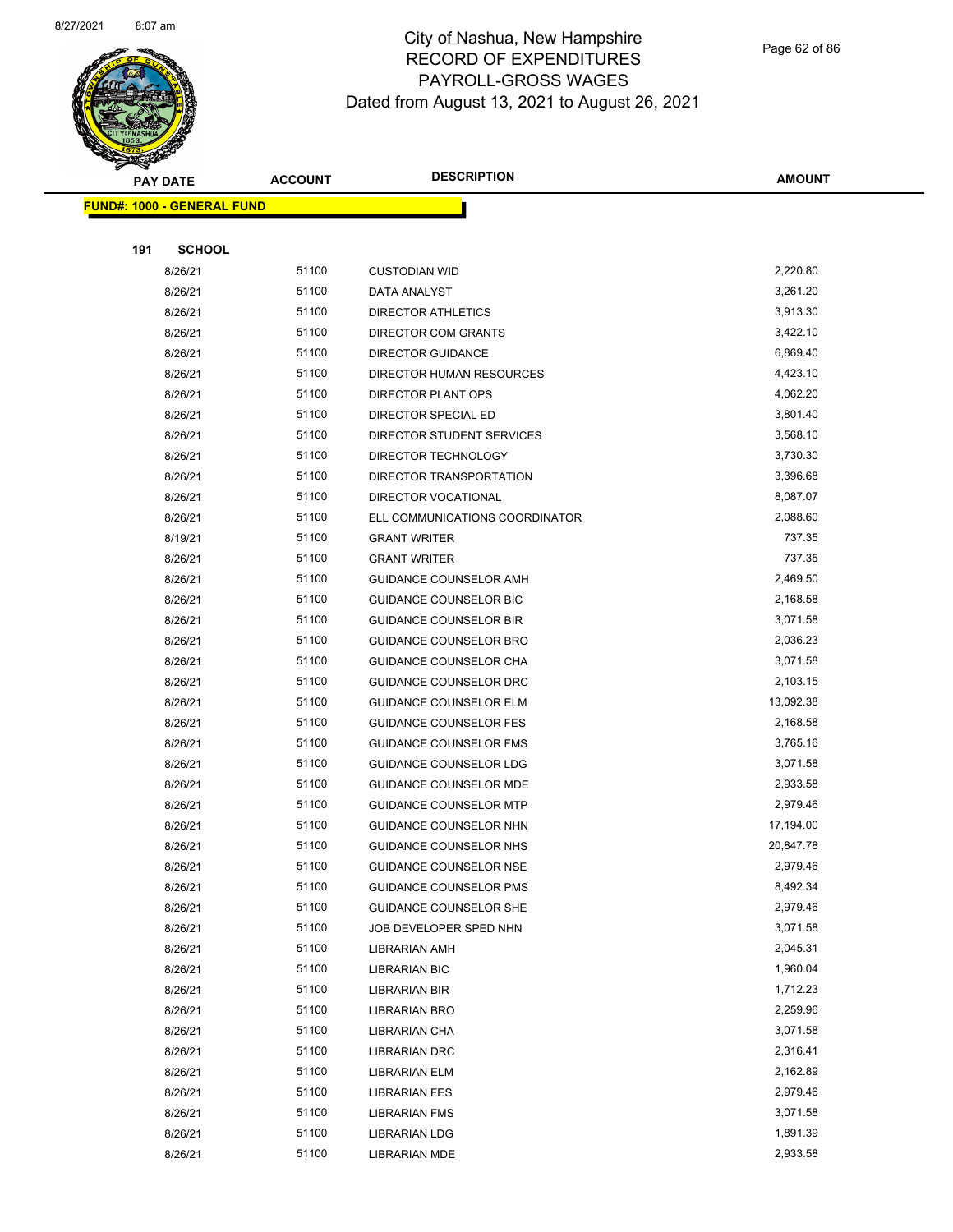

Page 62 of 86

| <b>PAY DATE</b>                   | <b>ACCOUNT</b> | <b>DESCRIPTION</b>                               | <b>AMOUNT</b>          |
|-----------------------------------|----------------|--------------------------------------------------|------------------------|
| <b>FUND#: 1000 - GENERAL FUND</b> |                |                                                  |                        |
|                                   |                |                                                  |                        |
| 191<br><b>SCHOOL</b>              |                |                                                  |                        |
| 8/26/21                           | 51100          | <b>CUSTODIAN WID</b>                             | 2,220.80               |
| 8/26/21                           | 51100          | DATA ANALYST                                     | 3,261.20               |
| 8/26/21                           | 51100          | <b>DIRECTOR ATHLETICS</b>                        | 3,913.30               |
| 8/26/21                           | 51100          | DIRECTOR COM GRANTS                              | 3,422.10               |
| 8/26/21                           | 51100          | <b>DIRECTOR GUIDANCE</b>                         | 6,869.40               |
| 8/26/21                           | 51100          | DIRECTOR HUMAN RESOURCES                         | 4,423.10               |
| 8/26/21                           | 51100          | DIRECTOR PLANT OPS                               | 4,062.20               |
| 8/26/21                           | 51100          | DIRECTOR SPECIAL ED                              | 3,801.40               |
| 8/26/21                           | 51100          | DIRECTOR STUDENT SERVICES                        | 3,568.10               |
| 8/26/21                           | 51100          | DIRECTOR TECHNOLOGY                              | 3,730.30               |
| 8/26/21                           | 51100          | DIRECTOR TRANSPORTATION                          | 3,396.68               |
| 8/26/21                           | 51100          | DIRECTOR VOCATIONAL                              | 8,087.07               |
| 8/26/21                           | 51100          | ELL COMMUNICATIONS COORDINATOR                   | 2,088.60               |
| 8/19/21                           | 51100          | <b>GRANT WRITER</b>                              | 737.35                 |
| 8/26/21                           | 51100          | <b>GRANT WRITER</b>                              | 737.35                 |
| 8/26/21                           | 51100          | GUIDANCE COUNSELOR AMH                           | 2,469.50               |
| 8/26/21                           | 51100          | GUIDANCE COUNSELOR BIC                           | 2,168.58               |
| 8/26/21                           | 51100          | <b>GUIDANCE COUNSELOR BIR</b>                    | 3,071.58               |
| 8/26/21                           | 51100          | GUIDANCE COUNSELOR BRO                           | 2,036.23               |
| 8/26/21                           | 51100          | GUIDANCE COUNSELOR CHA                           | 3,071.58               |
| 8/26/21                           | 51100          | GUIDANCE COUNSELOR DRC                           | 2,103.15               |
| 8/26/21                           | 51100          | <b>GUIDANCE COUNSELOR ELM</b>                    | 13,092.38              |
| 8/26/21                           | 51100          | <b>GUIDANCE COUNSELOR FES</b>                    | 2,168.58               |
| 8/26/21                           | 51100          | <b>GUIDANCE COUNSELOR FMS</b>                    | 3,765.16               |
| 8/26/21                           | 51100          | GUIDANCE COUNSELOR LDG                           | 3,071.58               |
| 8/26/21                           | 51100<br>51100 | GUIDANCE COUNSELOR MDE                           | 2,933.58<br>2,979.46   |
| 8/26/21                           | 51100          | <b>GUIDANCE COUNSELOR MTP</b>                    |                        |
| 8/26/21<br>8/26/21                | 51100          | GUIDANCE COUNSELOR NHN<br>GUIDANCE COUNSELOR NHS | 17,194.00<br>20,847.78 |
| 8/26/21                           | 51100          | GUIDANCE COUNSELOR NSE                           | 2,979.46               |
| 8/26/21                           | 51100          | <b>GUIDANCE COUNSELOR PMS</b>                    | 8,492.34               |
| 8/26/21                           | 51100          | GUIDANCE COUNSELOR SHE                           | 2,979.46               |
| 8/26/21                           | 51100          | JOB DEVELOPER SPED NHN                           | 3,071.58               |
| 8/26/21                           | 51100          | LIBRARIAN AMH                                    | 2,045.31               |
| 8/26/21                           | 51100          | <b>LIBRARIAN BIC</b>                             | 1,960.04               |
| 8/26/21                           | 51100          | LIBRARIAN BIR                                    | 1,712.23               |
| 8/26/21                           | 51100          | LIBRARIAN BRO                                    | 2,259.96               |
| 8/26/21                           | 51100          | LIBRARIAN CHA                                    | 3,071.58               |
| 8/26/21                           | 51100          | <b>LIBRARIAN DRC</b>                             | 2,316.41               |
| 8/26/21                           | 51100          | LIBRARIAN ELM                                    | 2,162.89               |
| 8/26/21                           | 51100          | <b>LIBRARIAN FES</b>                             | 2,979.46               |
| 8/26/21                           | 51100          | <b>LIBRARIAN FMS</b>                             | 3,071.58               |
| 8/26/21                           | 51100          | <b>LIBRARIAN LDG</b>                             | 1,891.39               |
| 8/26/21                           | 51100          | LIBRARIAN MDE                                    | 2,933.58               |
|                                   |                |                                                  |                        |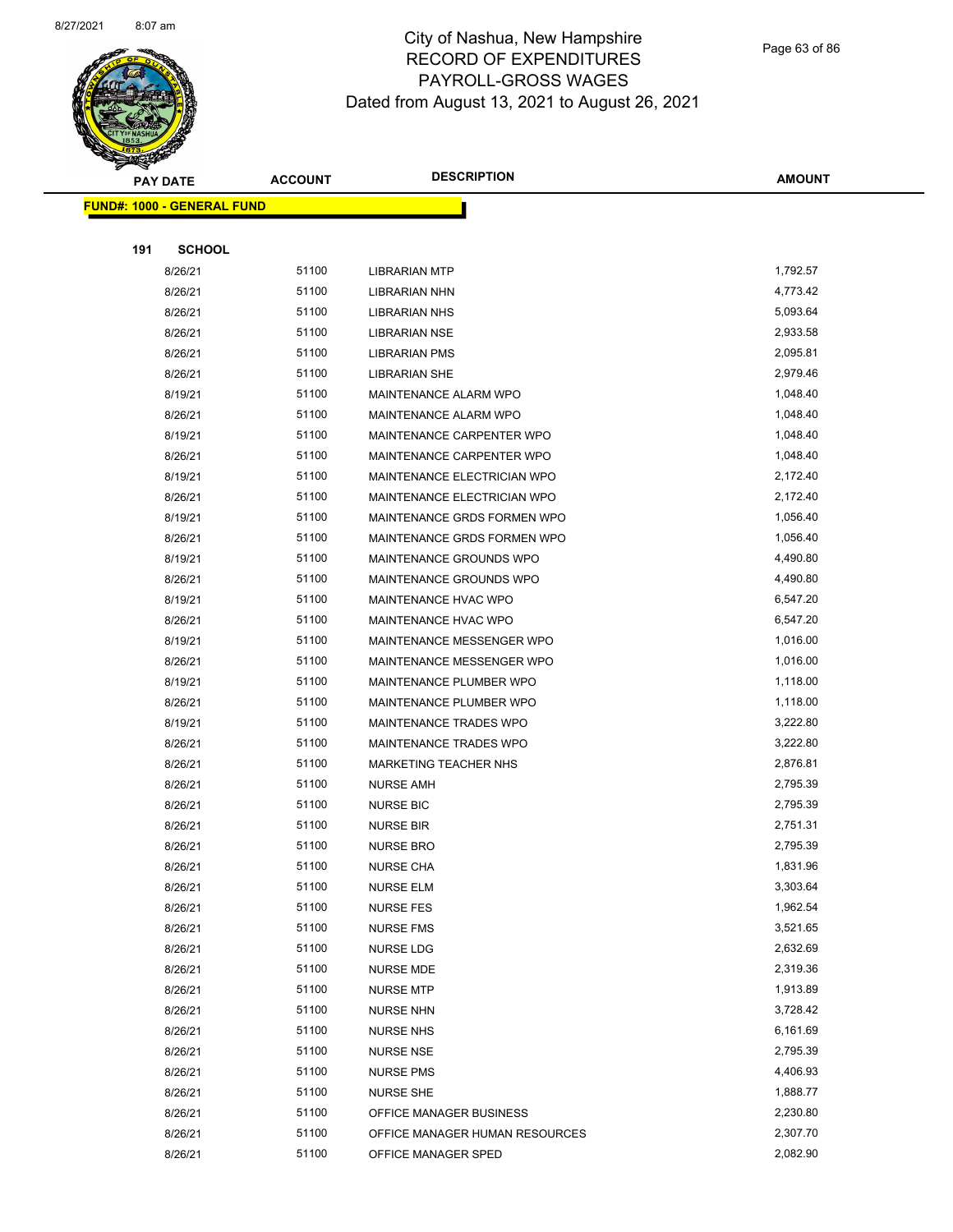

Page 63 of 86

| <b>PAY DATE</b>                   |               | <b>ACCOUNT</b> | <b>DESCRIPTION</b>             | <b>AMOUNT</b> |
|-----------------------------------|---------------|----------------|--------------------------------|---------------|
| <b>FUND#: 1000 - GENERAL FUND</b> |               |                |                                |               |
|                                   |               |                |                                |               |
| 191                               | <b>SCHOOL</b> |                |                                |               |
|                                   | 8/26/21       | 51100          | <b>LIBRARIAN MTP</b>           | 1,792.57      |
|                                   | 8/26/21       | 51100          | LIBRARIAN NHN                  | 4,773.42      |
|                                   | 8/26/21       | 51100          | <b>LIBRARIAN NHS</b>           | 5,093.64      |
|                                   | 8/26/21       | 51100          | <b>LIBRARIAN NSE</b>           | 2,933.58      |
|                                   | 8/26/21       | 51100          | LIBRARIAN PMS                  | 2,095.81      |
|                                   | 8/26/21       | 51100          | <b>LIBRARIAN SHE</b>           | 2,979.46      |
|                                   | 8/19/21       | 51100          | MAINTENANCE ALARM WPO          | 1,048.40      |
|                                   | 8/26/21       | 51100          | MAINTENANCE ALARM WPO          | 1,048.40      |
|                                   | 8/19/21       | 51100          | MAINTENANCE CARPENTER WPO      | 1,048.40      |
|                                   | 8/26/21       | 51100          | MAINTENANCE CARPENTER WPO      | 1,048.40      |
|                                   | 8/19/21       | 51100          | MAINTENANCE ELECTRICIAN WPO    | 2,172.40      |
|                                   | 8/26/21       | 51100          | MAINTENANCE ELECTRICIAN WPO    | 2,172.40      |
|                                   | 8/19/21       | 51100          | MAINTENANCE GRDS FORMEN WPO    | 1,056.40      |
|                                   | 8/26/21       | 51100          | MAINTENANCE GRDS FORMEN WPO    | 1,056.40      |
|                                   | 8/19/21       | 51100          | MAINTENANCE GROUNDS WPO        | 4,490.80      |
|                                   | 8/26/21       | 51100          | MAINTENANCE GROUNDS WPO        | 4,490.80      |
|                                   | 8/19/21       | 51100          | MAINTENANCE HVAC WPO           | 6,547.20      |
|                                   | 8/26/21       | 51100          | MAINTENANCE HVAC WPO           | 6,547.20      |
|                                   | 8/19/21       | 51100          | MAINTENANCE MESSENGER WPO      | 1,016.00      |
|                                   | 8/26/21       | 51100          | MAINTENANCE MESSENGER WPO      | 1,016.00      |
|                                   | 8/19/21       | 51100          | MAINTENANCE PLUMBER WPO        | 1,118.00      |
|                                   | 8/26/21       | 51100          | MAINTENANCE PLUMBER WPO        | 1,118.00      |
|                                   | 8/19/21       | 51100          | MAINTENANCE TRADES WPO         | 3,222.80      |
|                                   | 8/26/21       | 51100          | <b>MAINTENANCE TRADES WPO</b>  | 3,222.80      |
|                                   | 8/26/21       | 51100          | <b>MARKETING TEACHER NHS</b>   | 2,876.81      |
|                                   | 8/26/21       | 51100          | <b>NURSE AMH</b>               | 2,795.39      |
|                                   | 8/26/21       | 51100          | <b>NURSE BIC</b>               | 2,795.39      |
|                                   | 8/26/21       | 51100          | <b>NURSE BIR</b>               | 2,751.31      |
|                                   | 8/26/21       | 51100          | <b>NURSE BRO</b>               | 2,795.39      |
|                                   | 8/26/21       | 51100          | NURSE CHA                      | 1,831.96      |
|                                   | 8/26/21       | 51100          | <b>NURSE ELM</b>               | 3,303.64      |
|                                   | 8/26/21       | 51100          | <b>NURSE FES</b>               | 1,962.54      |
|                                   | 8/26/21       | 51100          | <b>NURSE FMS</b>               | 3,521.65      |
|                                   | 8/26/21       | 51100          | NURSE LDG                      | 2,632.69      |
|                                   | 8/26/21       | 51100          | <b>NURSE MDE</b>               | 2,319.36      |
|                                   | 8/26/21       | 51100          | <b>NURSE MTP</b>               | 1,913.89      |
|                                   | 8/26/21       | 51100          | <b>NURSE NHN</b>               | 3,728.42      |
|                                   | 8/26/21       | 51100          | <b>NURSE NHS</b>               | 6,161.69      |
|                                   | 8/26/21       | 51100          | <b>NURSE NSE</b>               | 2,795.39      |
|                                   | 8/26/21       | 51100          | <b>NURSE PMS</b>               | 4,406.93      |
|                                   | 8/26/21       | 51100          | <b>NURSE SHE</b>               | 1,888.77      |
|                                   | 8/26/21       | 51100          | OFFICE MANAGER BUSINESS        | 2,230.80      |
|                                   | 8/26/21       | 51100          | OFFICE MANAGER HUMAN RESOURCES | 2,307.70      |
|                                   | 8/26/21       | 51100          | OFFICE MANAGER SPED            | 2,082.90      |
|                                   |               |                |                                |               |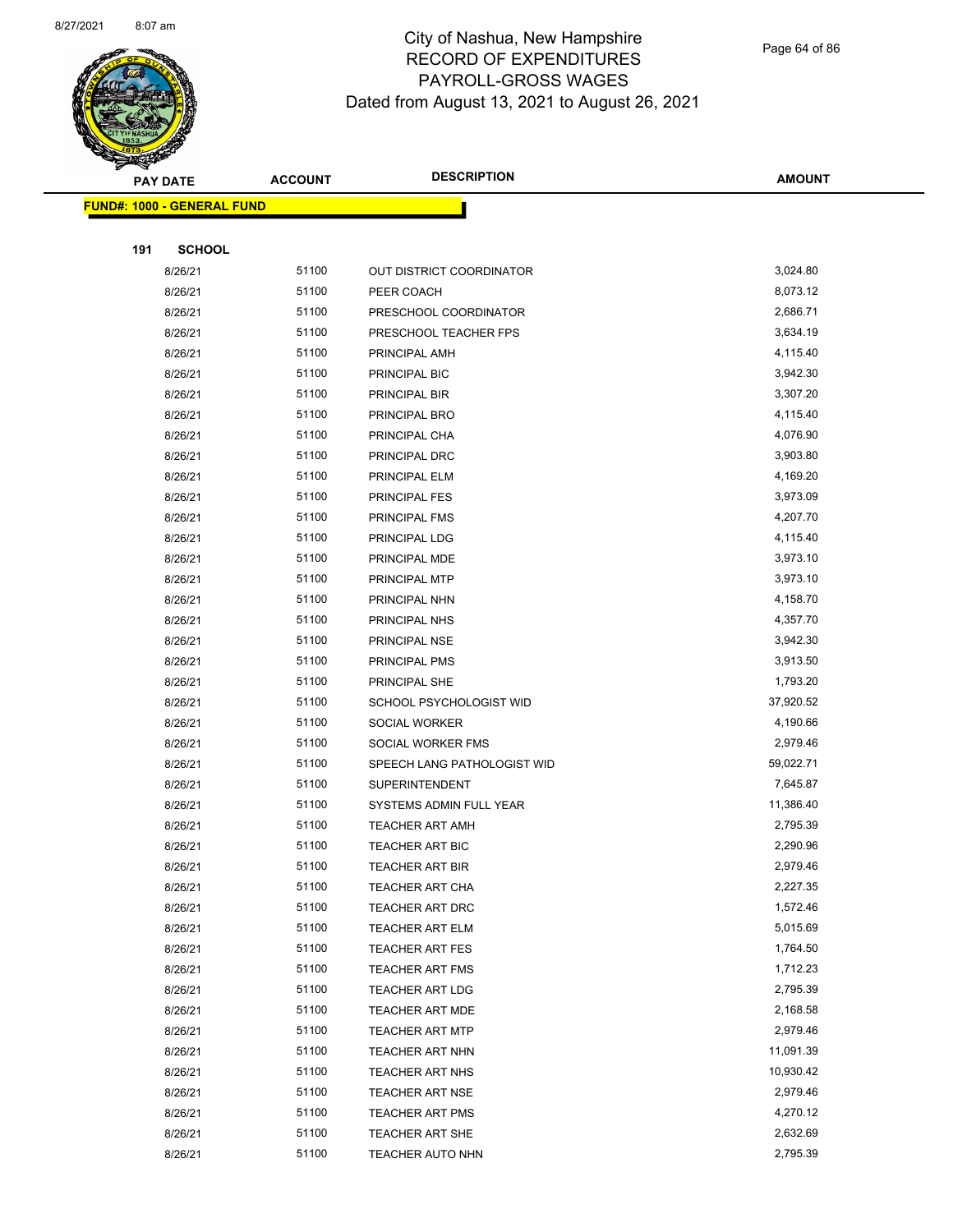

Page 64 of 86

|     | <b>PAY DATE</b>                   | <b>ACCOUNT</b> | <b>DESCRIPTION</b>          | <b>AMOUNT</b> |
|-----|-----------------------------------|----------------|-----------------------------|---------------|
|     | <b>FUND#: 1000 - GENERAL FUND</b> |                |                             |               |
|     |                                   |                |                             |               |
| 191 | <b>SCHOOL</b>                     |                |                             |               |
|     | 8/26/21                           | 51100          | OUT DISTRICT COORDINATOR    | 3,024.80      |
|     | 8/26/21                           | 51100          | PEER COACH                  | 8,073.12      |
|     | 8/26/21                           | 51100          | PRESCHOOL COORDINATOR       | 2,686.71      |
|     | 8/26/21                           | 51100          | PRESCHOOL TEACHER FPS       | 3,634.19      |
|     | 8/26/21                           | 51100          | PRINCIPAL AMH               | 4,115.40      |
|     | 8/26/21                           | 51100          | PRINCIPAL BIC               | 3,942.30      |
|     | 8/26/21                           | 51100          | PRINCIPAL BIR               | 3,307.20      |
|     | 8/26/21                           | 51100          | PRINCIPAL BRO               | 4,115.40      |
|     | 8/26/21                           | 51100          | PRINCIPAL CHA               | 4,076.90      |
|     | 8/26/21                           | 51100          | PRINCIPAL DRC               | 3,903.80      |
|     | 8/26/21                           | 51100          | PRINCIPAL ELM               | 4,169.20      |
|     | 8/26/21                           | 51100          | <b>PRINCIPAL FES</b>        | 3,973.09      |
|     | 8/26/21                           | 51100          | PRINCIPAL FMS               | 4,207.70      |
|     | 8/26/21                           | 51100          | PRINCIPAL LDG               | 4,115.40      |
|     | 8/26/21                           | 51100          | PRINCIPAL MDE               | 3,973.10      |
|     | 8/26/21                           | 51100          | PRINCIPAL MTP               | 3,973.10      |
|     | 8/26/21                           | 51100          | PRINCIPAL NHN               | 4,158.70      |
|     | 8/26/21                           | 51100          | PRINCIPAL NHS               | 4,357.70      |
|     | 8/26/21                           | 51100          | PRINCIPAL NSE               | 3,942.30      |
|     | 8/26/21                           | 51100          | PRINCIPAL PMS               | 3,913.50      |
|     | 8/26/21                           | 51100          | PRINCIPAL SHE               | 1,793.20      |
|     | 8/26/21                           | 51100          | SCHOOL PSYCHOLOGIST WID     | 37,920.52     |
|     | 8/26/21                           | 51100          | SOCIAL WORKER               | 4,190.66      |
|     | 8/26/21                           | 51100          | SOCIAL WORKER FMS           | 2,979.46      |
|     | 8/26/21                           | 51100          | SPEECH LANG PATHOLOGIST WID | 59,022.71     |
|     | 8/26/21                           | 51100          | <b>SUPERINTENDENT</b>       | 7,645.87      |
|     | 8/26/21                           | 51100          | SYSTEMS ADMIN FULL YEAR     | 11,386.40     |
|     | 8/26/21                           | 51100          | <b>TEACHER ART AMH</b>      | 2,795.39      |
|     | 8/26/21                           | 51100          | TEACHER ART BIC             | 2,290.96      |
|     | 8/26/21                           | 51100          | <b>TEACHER ART BIR</b>      | 2,979.46      |
|     | 8/26/21                           | 51100          | <b>TEACHER ART CHA</b>      | 2,227.35      |
|     | 8/26/21                           | 51100          | <b>TEACHER ART DRC</b>      | 1,572.46      |
|     | 8/26/21                           | 51100          | TEACHER ART ELM             | 5,015.69      |
|     | 8/26/21                           | 51100          | <b>TEACHER ART FES</b>      | 1,764.50      |
|     | 8/26/21                           | 51100          | <b>TEACHER ART FMS</b>      | 1,712.23      |
|     | 8/26/21                           | 51100          | <b>TEACHER ART LDG</b>      | 2,795.39      |
|     | 8/26/21                           | 51100          | <b>TEACHER ART MDE</b>      | 2,168.58      |
|     | 8/26/21                           | 51100          | <b>TEACHER ART MTP</b>      | 2,979.46      |
|     | 8/26/21                           | 51100          | TEACHER ART NHN             | 11,091.39     |
|     | 8/26/21                           | 51100          | TEACHER ART NHS             | 10,930.42     |
|     | 8/26/21                           | 51100          | <b>TEACHER ART NSE</b>      | 2,979.46      |
|     | 8/26/21                           | 51100          | <b>TEACHER ART PMS</b>      | 4,270.12      |
|     | 8/26/21                           | 51100          | TEACHER ART SHE             | 2,632.69      |
|     | 8/26/21                           | 51100          | <b>TEACHER AUTO NHN</b>     | 2,795.39      |
|     |                                   |                |                             |               |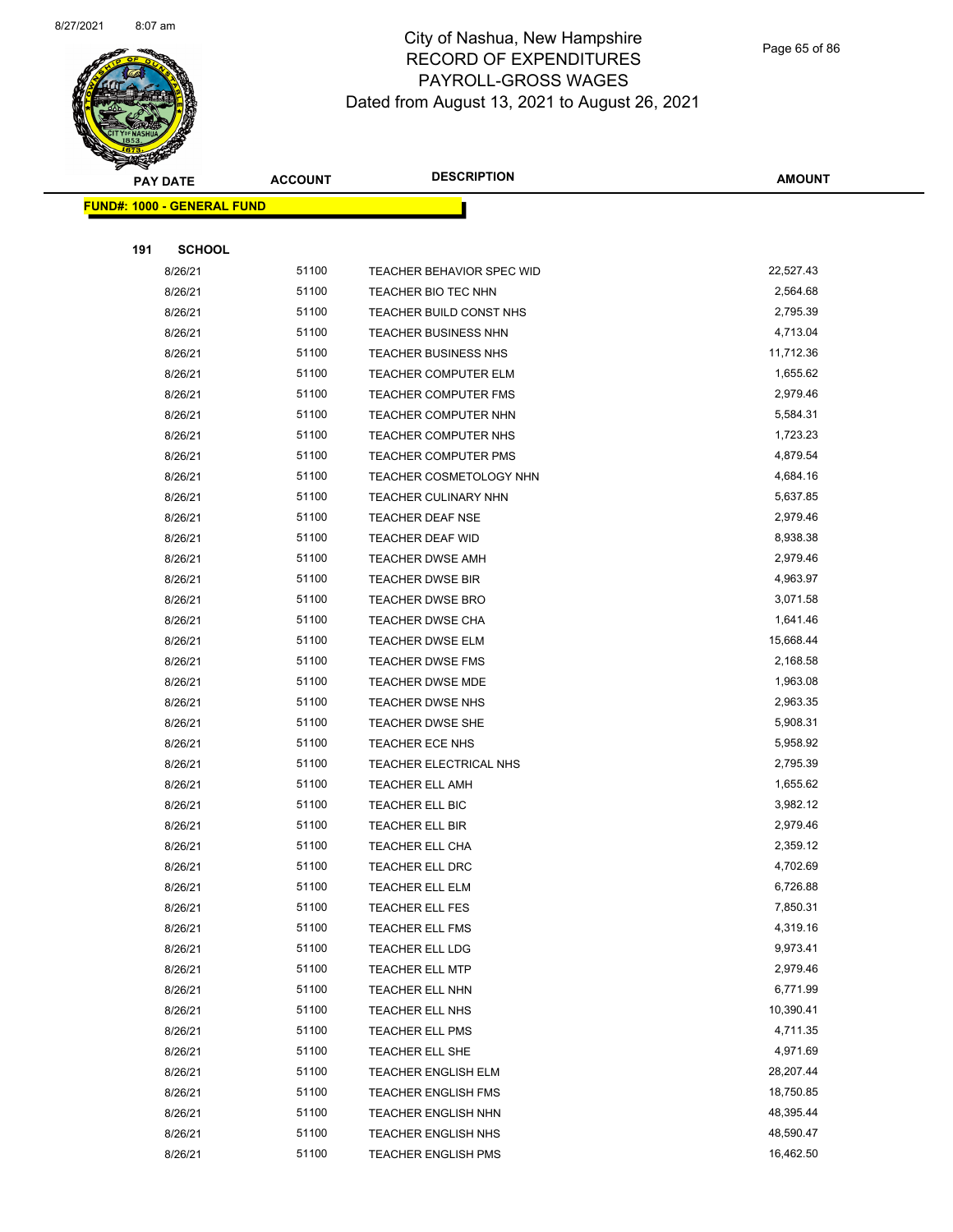

Page 65 of 86

|     | <b>PAY DATE</b>                   | <b>ACCOUNT</b> | <b>DESCRIPTION</b>             | <b>AMOUNT</b> |
|-----|-----------------------------------|----------------|--------------------------------|---------------|
|     | <b>FUND#: 1000 - GENERAL FUND</b> |                |                                |               |
|     |                                   |                |                                |               |
| 191 | <b>SCHOOL</b>                     |                |                                |               |
|     | 8/26/21                           | 51100          | TEACHER BEHAVIOR SPEC WID      | 22,527.43     |
|     | 8/26/21                           | 51100          | TEACHER BIO TEC NHN            | 2,564.68      |
|     | 8/26/21                           | 51100          | TEACHER BUILD CONST NHS        | 2,795.39      |
|     | 8/26/21                           | 51100          | <b>TEACHER BUSINESS NHN</b>    | 4,713.04      |
|     | 8/26/21                           | 51100          | <b>TEACHER BUSINESS NHS</b>    | 11,712.36     |
|     | 8/26/21                           | 51100          | <b>TEACHER COMPUTER ELM</b>    | 1,655.62      |
|     | 8/26/21                           | 51100          | <b>TEACHER COMPUTER FMS</b>    | 2,979.46      |
|     | 8/26/21                           | 51100          | TEACHER COMPUTER NHN           | 5,584.31      |
|     | 8/26/21                           | 51100          | <b>TEACHER COMPUTER NHS</b>    | 1,723.23      |
|     | 8/26/21                           | 51100          | TEACHER COMPUTER PMS           | 4,879.54      |
|     | 8/26/21                           | 51100          | <b>TEACHER COSMETOLOGY NHN</b> | 4,684.16      |
|     | 8/26/21                           | 51100          | <b>TEACHER CULINARY NHN</b>    | 5,637.85      |
|     | 8/26/21                           | 51100          | TEACHER DEAF NSE               | 2,979.46      |
|     | 8/26/21                           | 51100          | TEACHER DEAF WID               | 8,938.38      |
|     | 8/26/21                           | 51100          | <b>TEACHER DWSE AMH</b>        | 2,979.46      |
|     | 8/26/21                           | 51100          | <b>TEACHER DWSE BIR</b>        | 4,963.97      |
|     | 8/26/21                           | 51100          | <b>TEACHER DWSE BRO</b>        | 3,071.58      |
|     | 8/26/21                           | 51100          | <b>TEACHER DWSE CHA</b>        | 1,641.46      |
|     | 8/26/21                           | 51100          | <b>TEACHER DWSE ELM</b>        | 15,668.44     |
|     | 8/26/21                           | 51100          | TEACHER DWSE FMS               | 2,168.58      |
|     | 8/26/21                           | 51100          | TEACHER DWSE MDE               | 1,963.08      |
|     | 8/26/21                           | 51100          | <b>TEACHER DWSE NHS</b>        | 2,963.35      |
|     | 8/26/21                           | 51100          | <b>TEACHER DWSE SHE</b>        | 5,908.31      |
|     | 8/26/21                           | 51100          | <b>TEACHER ECE NHS</b>         | 5,958.92      |
|     | 8/26/21                           | 51100          | TEACHER ELECTRICAL NHS         | 2,795.39      |
|     | 8/26/21                           | 51100          | <b>TEACHER ELL AMH</b>         | 1,655.62      |
|     | 8/26/21                           | 51100          | TEACHER ELL BIC                | 3,982.12      |
|     | 8/26/21                           | 51100          | <b>TEACHER ELL BIR</b>         | 2,979.46      |
|     | 8/26/21                           | 51100          | TEACHER ELL CHA                | 2,359.12      |
|     | 8/26/21                           | 51100          | TEACHER ELL DRC                | 4,702.69      |
|     | 8/26/21                           | 51100          | TEACHER ELL ELM                | 6,726.88      |
|     | 8/26/21                           | 51100          | TEACHER ELL FES                | 7,850.31      |
|     | 8/26/21                           | 51100          | <b>TEACHER ELL FMS</b>         | 4,319.16      |
|     | 8/26/21                           | 51100          | TEACHER ELL LDG                | 9,973.41      |
|     | 8/26/21                           | 51100          | <b>TEACHER ELL MTP</b>         | 2,979.46      |
|     | 8/26/21                           | 51100          | TEACHER ELL NHN                | 6,771.99      |
|     | 8/26/21                           | 51100          | TEACHER ELL NHS                | 10,390.41     |
|     | 8/26/21                           | 51100          | TEACHER ELL PMS                | 4,711.35      |
|     | 8/26/21                           | 51100          | TEACHER ELL SHE                | 4,971.69      |
|     | 8/26/21                           | 51100          | TEACHER ENGLISH ELM            | 28,207.44     |
|     | 8/26/21                           | 51100          | <b>TEACHER ENGLISH FMS</b>     | 18,750.85     |
|     | 8/26/21                           | 51100          | <b>TEACHER ENGLISH NHN</b>     | 48,395.44     |
|     | 8/26/21                           | 51100          | TEACHER ENGLISH NHS            | 48,590.47     |
|     | 8/26/21                           | 51100          | <b>TEACHER ENGLISH PMS</b>     | 16,462.50     |
|     |                                   |                |                                |               |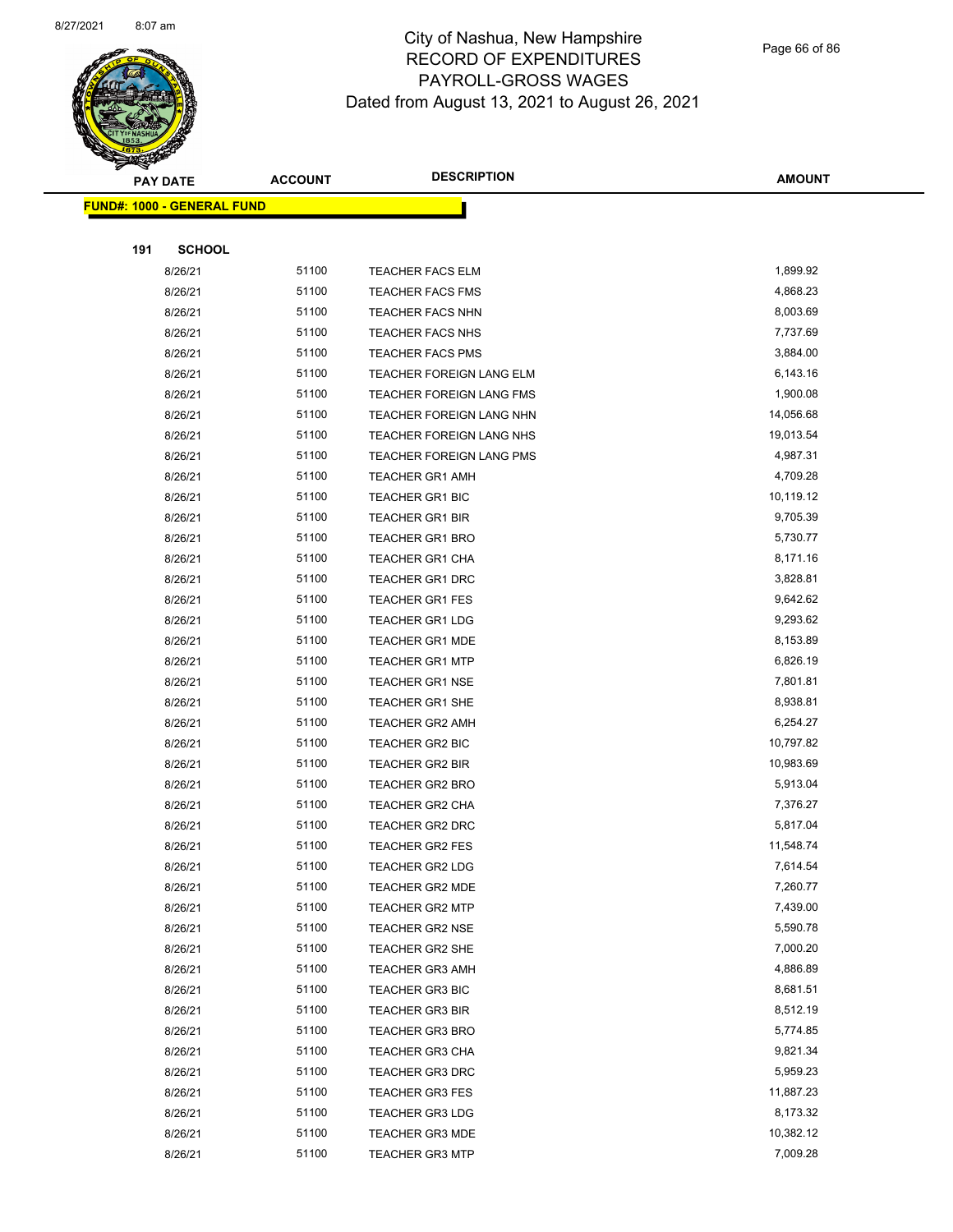

Page 66 of 86

|     | <b>PAY DATE</b>                   | <b>ACCOUNT</b> | <b>DESCRIPTION</b>                               | <b>AMOUNT</b>        |
|-----|-----------------------------------|----------------|--------------------------------------------------|----------------------|
|     | <b>FUND#: 1000 - GENERAL FUND</b> |                |                                                  |                      |
|     |                                   |                |                                                  |                      |
| 191 | <b>SCHOOL</b>                     |                |                                                  |                      |
|     | 8/26/21                           | 51100          | <b>TEACHER FACS ELM</b>                          | 1,899.92             |
|     | 8/26/21                           | 51100          | <b>TEACHER FACS FMS</b>                          | 4,868.23             |
|     | 8/26/21                           | 51100          | <b>TEACHER FACS NHN</b>                          | 8,003.69             |
|     | 8/26/21                           | 51100          | <b>TEACHER FACS NHS</b>                          | 7,737.69             |
|     | 8/26/21                           | 51100          | <b>TEACHER FACS PMS</b>                          | 3,884.00             |
|     | 8/26/21                           | 51100          | TEACHER FOREIGN LANG ELM                         | 6,143.16             |
|     | 8/26/21                           | 51100          | TEACHER FOREIGN LANG FMS                         | 1,900.08             |
|     | 8/26/21                           | 51100          | TEACHER FOREIGN LANG NHN                         | 14,056.68            |
|     | 8/26/21                           | 51100          | TEACHER FOREIGN LANG NHS                         | 19,013.54            |
|     | 8/26/21                           | 51100          | <b>TEACHER FOREIGN LANG PMS</b>                  | 4,987.31             |
|     | 8/26/21                           | 51100          | <b>TEACHER GR1 AMH</b>                           | 4,709.28             |
|     | 8/26/21                           | 51100          | <b>TEACHER GR1 BIC</b>                           | 10,119.12            |
|     | 8/26/21                           | 51100          | <b>TEACHER GR1 BIR</b>                           | 9,705.39             |
|     | 8/26/21                           | 51100          | <b>TEACHER GR1 BRO</b>                           | 5,730.77             |
|     | 8/26/21                           | 51100          | <b>TEACHER GR1 CHA</b>                           | 8,171.16             |
|     | 8/26/21                           | 51100          | <b>TEACHER GR1 DRC</b>                           | 3,828.81             |
|     | 8/26/21                           | 51100          | <b>TEACHER GR1 FES</b>                           | 9,642.62             |
|     | 8/26/21                           | 51100          | <b>TEACHER GR1 LDG</b>                           | 9,293.62             |
|     | 8/26/21                           | 51100          | <b>TEACHER GR1 MDE</b>                           | 8,153.89             |
|     | 8/26/21                           | 51100          | <b>TEACHER GR1 MTP</b>                           | 6,826.19             |
|     | 8/26/21                           | 51100          | <b>TEACHER GR1 NSE</b>                           | 7,801.81             |
|     | 8/26/21                           | 51100          | <b>TEACHER GR1 SHE</b>                           | 8,938.81             |
|     | 8/26/21                           | 51100          | <b>TEACHER GR2 AMH</b>                           | 6,254.27             |
|     | 8/26/21                           | 51100          | <b>TEACHER GR2 BIC</b>                           | 10,797.82            |
|     | 8/26/21                           | 51100          | <b>TEACHER GR2 BIR</b>                           | 10,983.69            |
|     | 8/26/21                           | 51100          | TEACHER GR2 BRO                                  | 5,913.04             |
|     | 8/26/21                           | 51100          | <b>TEACHER GR2 CHA</b>                           | 7,376.27             |
|     | 8/26/21                           | 51100          | <b>TEACHER GR2 DRC</b>                           | 5,817.04             |
|     | 8/26/21                           | 51100          | <b>TEACHER GR2 FES</b>                           | 11,548.74            |
|     | 8/26/21                           | 51100          | TEACHER GR2 LDG                                  | 7,614.54             |
|     | 8/26/21                           | 51100          | <b>TEACHER GR2 MDE</b>                           | 7,260.77             |
|     | 8/26/21                           | 51100          | <b>TEACHER GR2 MTP</b>                           | 7,439.00             |
|     | 8/26/21                           | 51100          | <b>TEACHER GR2 NSE</b>                           | 5,590.78             |
|     | 8/26/21                           | 51100          | <b>TEACHER GR2 SHE</b>                           | 7,000.20             |
|     | 8/26/21                           | 51100<br>51100 | <b>TEACHER GR3 AMH</b>                           | 4,886.89<br>8,681.51 |
|     | 8/26/21<br>8/26/21                | 51100          | <b>TEACHER GR3 BIC</b><br><b>TEACHER GR3 BIR</b> | 8,512.19             |
|     | 8/26/21                           | 51100          | <b>TEACHER GR3 BRO</b>                           | 5,774.85             |
|     | 8/26/21                           | 51100          |                                                  | 9,821.34             |
|     | 8/26/21                           | 51100          | <b>TEACHER GR3 CHA</b><br><b>TEACHER GR3 DRC</b> | 5,959.23             |
|     | 8/26/21                           | 51100          | <b>TEACHER GR3 FES</b>                           | 11,887.23            |
|     | 8/26/21                           | 51100          | <b>TEACHER GR3 LDG</b>                           | 8,173.32             |
|     | 8/26/21                           | 51100          | TEACHER GR3 MDE                                  | 10,382.12            |
|     | 8/26/21                           | 51100          | <b>TEACHER GR3 MTP</b>                           | 7,009.28             |
|     |                                   |                |                                                  |                      |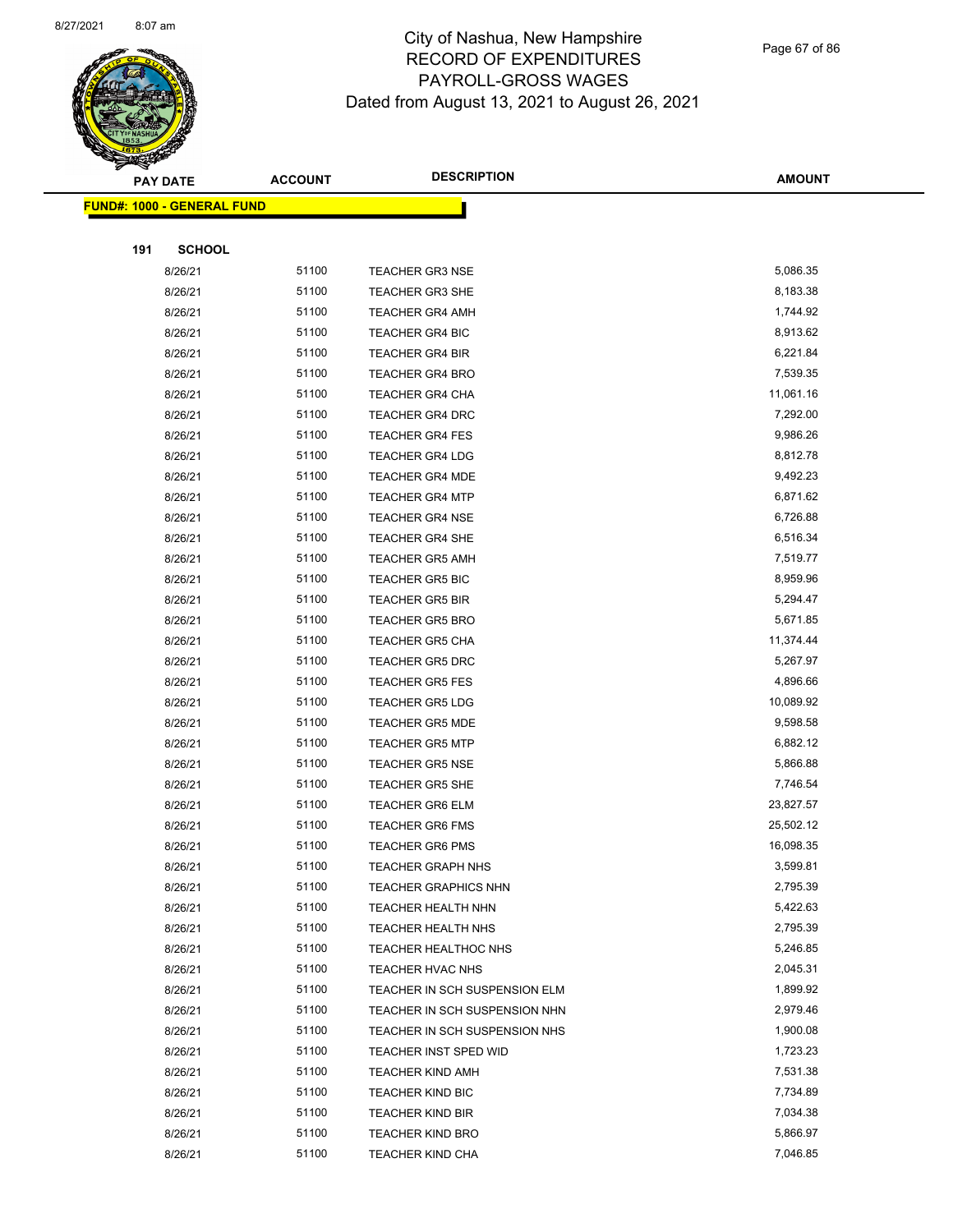

Page 67 of 86

|     | <b>PAY DATE</b>                   | <b>ACCOUNT</b> | <b>DESCRIPTION</b>                                 | <b>AMOUNT</b>        |
|-----|-----------------------------------|----------------|----------------------------------------------------|----------------------|
|     | <b>FUND#: 1000 - GENERAL FUND</b> |                |                                                    |                      |
|     |                                   |                |                                                    |                      |
| 191 | <b>SCHOOL</b>                     |                |                                                    |                      |
|     | 8/26/21                           | 51100          | <b>TEACHER GR3 NSE</b>                             | 5,086.35             |
|     | 8/26/21                           | 51100          | <b>TEACHER GR3 SHE</b>                             | 8,183.38             |
|     | 8/26/21                           | 51100          | <b>TEACHER GR4 AMH</b>                             | 1,744.92             |
|     | 8/26/21                           | 51100          | <b>TEACHER GR4 BIC</b>                             | 8,913.62             |
|     | 8/26/21                           | 51100          | <b>TEACHER GR4 BIR</b>                             | 6,221.84             |
|     | 8/26/21                           | 51100          | <b>TEACHER GR4 BRO</b>                             | 7,539.35             |
|     | 8/26/21                           | 51100          | <b>TEACHER GR4 CHA</b>                             | 11,061.16            |
|     | 8/26/21                           | 51100          | <b>TEACHER GR4 DRC</b>                             | 7,292.00             |
|     | 8/26/21                           | 51100          | <b>TEACHER GR4 FES</b>                             | 9,986.26             |
|     | 8/26/21                           | 51100          | <b>TEACHER GR4 LDG</b>                             | 8,812.78             |
|     | 8/26/21                           | 51100          | <b>TEACHER GR4 MDE</b>                             | 9,492.23             |
|     | 8/26/21                           | 51100          | <b>TEACHER GR4 MTP</b>                             | 6,871.62             |
|     | 8/26/21                           | 51100          | <b>TEACHER GR4 NSE</b>                             | 6,726.88             |
|     | 8/26/21                           | 51100          | <b>TEACHER GR4 SHE</b>                             | 6,516.34             |
|     | 8/26/21                           | 51100          | <b>TEACHER GR5 AMH</b>                             | 7,519.77             |
|     | 8/26/21                           | 51100          | <b>TEACHER GR5 BIC</b>                             | 8,959.96             |
|     | 8/26/21                           | 51100          | <b>TEACHER GR5 BIR</b>                             | 5,294.47             |
|     | 8/26/21                           | 51100          | <b>TEACHER GR5 BRO</b>                             | 5,671.85             |
|     | 8/26/21                           | 51100          | <b>TEACHER GR5 CHA</b>                             | 11,374.44            |
|     | 8/26/21                           | 51100          | <b>TEACHER GR5 DRC</b>                             | 5,267.97             |
|     | 8/26/21                           | 51100          | <b>TEACHER GR5 FES</b>                             | 4,896.66             |
|     | 8/26/21                           | 51100          | <b>TEACHER GR5 LDG</b>                             | 10,089.92            |
|     | 8/26/21                           | 51100          | <b>TEACHER GR5 MDE</b>                             | 9,598.58             |
|     | 8/26/21                           | 51100          | <b>TEACHER GR5 MTP</b>                             | 6,882.12             |
|     | 8/26/21                           | 51100          | <b>TEACHER GR5 NSE</b>                             | 5,866.88             |
|     | 8/26/21                           | 51100          | <b>TEACHER GR5 SHE</b>                             | 7,746.54             |
|     | 8/26/21                           | 51100          | <b>TEACHER GR6 ELM</b>                             | 23,827.57            |
|     | 8/26/21                           | 51100          | <b>TEACHER GR6 FMS</b>                             | 25,502.12            |
|     | 8/26/21                           | 51100          | <b>TEACHER GR6 PMS</b>                             | 16,098.35            |
|     | 8/26/21                           | 51100          | TEACHER GRAPH NHS                                  | 3,599.81             |
|     | 8/26/21                           | 51100          | <b>TEACHER GRAPHICS NHN</b>                        | 2,795.39             |
|     | 8/26/21                           | 51100          | <b>TEACHER HEALTH NHN</b>                          | 5,422.63             |
|     | 8/26/21                           | 51100          | <b>TEACHER HEALTH NHS</b>                          | 2,795.39             |
|     | 8/26/21                           | 51100          | <b>TEACHER HEALTHOC NHS</b>                        | 5,246.85             |
|     | 8/26/21                           | 51100          | <b>TEACHER HVAC NHS</b>                            | 2,045.31             |
|     | 8/26/21                           | 51100<br>51100 | TEACHER IN SCH SUSPENSION ELM                      | 1,899.92             |
|     | 8/26/21                           |                | TEACHER IN SCH SUSPENSION NHN                      | 2,979.46             |
|     | 8/26/21                           | 51100          | TEACHER IN SCH SUSPENSION NHS                      | 1,900.08             |
|     | 8/26/21                           | 51100          | TEACHER INST SPED WID                              | 1,723.23             |
|     | 8/26/21                           | 51100<br>51100 | <b>TEACHER KIND AMH</b>                            | 7,531.38<br>7,734.89 |
|     | 8/26/21                           | 51100          | <b>TEACHER KIND BIC</b>                            | 7,034.38             |
|     | 8/26/21<br>8/26/21                | 51100          | <b>TEACHER KIND BIR</b><br><b>TEACHER KIND BRO</b> | 5,866.97             |
|     | 8/26/21                           | 51100          | TEACHER KIND CHA                                   | 7,046.85             |
|     |                                   |                |                                                    |                      |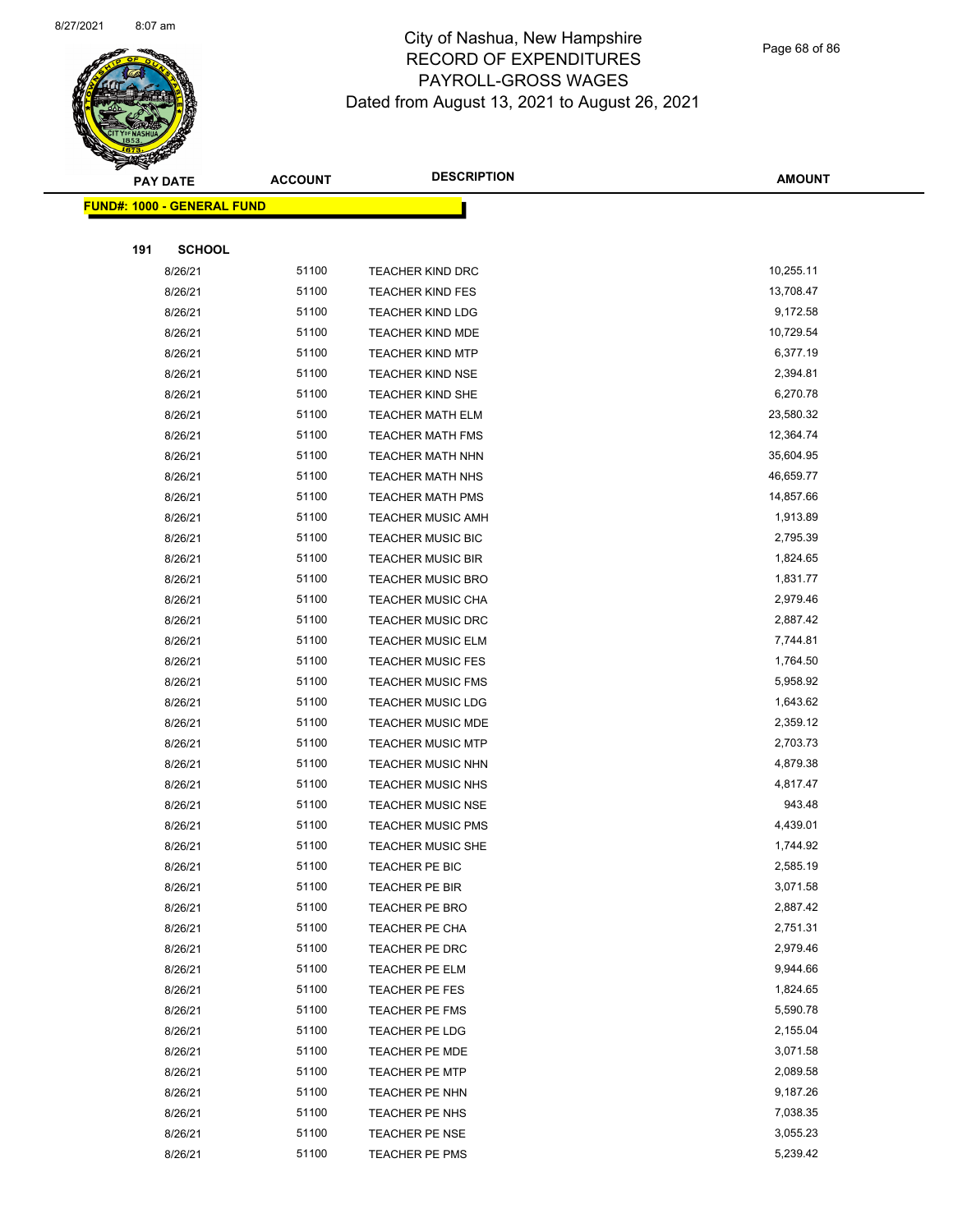

Page 68 of 86

|     | <b>PAY DATE</b>                   | <b>ACCOUNT</b> | <b>DESCRIPTION</b>       | <b>AMOUNT</b>        |
|-----|-----------------------------------|----------------|--------------------------|----------------------|
|     | <b>FUND#: 1000 - GENERAL FUND</b> |                |                          |                      |
|     |                                   |                |                          |                      |
| 191 | <b>SCHOOL</b>                     |                |                          |                      |
|     | 8/26/21                           | 51100          | <b>TEACHER KIND DRC</b>  | 10,255.11            |
|     | 8/26/21                           | 51100          | <b>TEACHER KIND FES</b>  | 13,708.47            |
|     | 8/26/21                           | 51100          | <b>TEACHER KIND LDG</b>  | 9,172.58             |
|     | 8/26/21                           | 51100          | <b>TEACHER KIND MDE</b>  | 10,729.54            |
|     | 8/26/21                           | 51100          | <b>TEACHER KIND MTP</b>  | 6,377.19             |
|     | 8/26/21                           | 51100          | <b>TEACHER KIND NSE</b>  | 2,394.81             |
|     | 8/26/21                           | 51100          | <b>TEACHER KIND SHE</b>  | 6,270.78             |
|     | 8/26/21                           | 51100          | <b>TEACHER MATH ELM</b>  | 23,580.32            |
|     | 8/26/21                           | 51100          | <b>TEACHER MATH FMS</b>  | 12,364.74            |
|     | 8/26/21                           | 51100          | <b>TEACHER MATH NHN</b>  | 35,604.95            |
|     | 8/26/21                           | 51100          | <b>TEACHER MATH NHS</b>  | 46,659.77            |
|     | 8/26/21                           | 51100          | <b>TEACHER MATH PMS</b>  | 14,857.66            |
|     | 8/26/21                           | 51100          | <b>TEACHER MUSIC AMH</b> | 1,913.89             |
|     | 8/26/21                           | 51100          | <b>TEACHER MUSIC BIC</b> | 2,795.39             |
|     | 8/26/21                           | 51100          | <b>TEACHER MUSIC BIR</b> | 1,824.65             |
|     | 8/26/21                           | 51100          | <b>TEACHER MUSIC BRO</b> | 1,831.77             |
|     | 8/26/21                           | 51100          | <b>TEACHER MUSIC CHA</b> | 2,979.46             |
|     | 8/26/21                           | 51100          | <b>TEACHER MUSIC DRC</b> | 2,887.42             |
|     | 8/26/21                           | 51100          | <b>TEACHER MUSIC ELM</b> | 7,744.81             |
|     | 8/26/21                           | 51100          | <b>TEACHER MUSIC FES</b> | 1,764.50             |
|     | 8/26/21                           | 51100          | <b>TEACHER MUSIC FMS</b> | 5,958.92             |
|     | 8/26/21                           | 51100          | <b>TEACHER MUSIC LDG</b> | 1,643.62             |
|     | 8/26/21                           | 51100          | <b>TEACHER MUSIC MDE</b> | 2,359.12             |
|     | 8/26/21                           | 51100          | <b>TEACHER MUSIC MTP</b> | 2,703.73             |
|     | 8/26/21                           | 51100          | <b>TEACHER MUSIC NHN</b> | 4,879.38             |
|     | 8/26/21                           | 51100          | <b>TEACHER MUSIC NHS</b> | 4,817.47             |
|     | 8/26/21                           | 51100          | <b>TEACHER MUSIC NSE</b> | 943.48               |
|     | 8/26/21                           | 51100          | <b>TEACHER MUSIC PMS</b> | 4,439.01             |
|     | 8/26/21                           | 51100          | <b>TEACHER MUSIC SHE</b> | 1,744.92             |
|     | 8/26/21                           | 51100          | <b>TEACHER PE BIC</b>    | 2,585.19             |
|     | 8/26/21                           | 51100          | TEACHER PE BIR           | 3,071.58             |
|     | 8/26/21                           | 51100          | <b>TEACHER PE BRO</b>    | 2,887.42             |
|     | 8/26/21                           | 51100          | TEACHER PE CHA           | 2,751.31             |
|     | 8/26/21                           | 51100          | TEACHER PE DRC           | 2,979.46             |
|     | 8/26/21                           | 51100          | TEACHER PE ELM           | 9,944.66             |
|     | 8/26/21                           | 51100          | TEACHER PE FES           | 1,824.65             |
|     | 8/26/21                           | 51100          | TEACHER PE FMS           | 5,590.78             |
|     | 8/26/21                           | 51100          | TEACHER PE LDG           | 2,155.04             |
|     | 8/26/21                           | 51100          | TEACHER PE MDE           | 3,071.58             |
|     | 8/26/21                           | 51100<br>51100 | <b>TEACHER PE MTP</b>    | 2,089.58<br>9,187.26 |
|     | 8/26/21                           | 51100          | TEACHER PE NHN           | 7,038.35             |
|     | 8/26/21                           |                | TEACHER PE NHS           |                      |
|     | 8/26/21                           | 51100<br>51100 | TEACHER PE NSE           | 3,055.23<br>5,239.42 |
|     | 8/26/21                           |                | TEACHER PE PMS           |                      |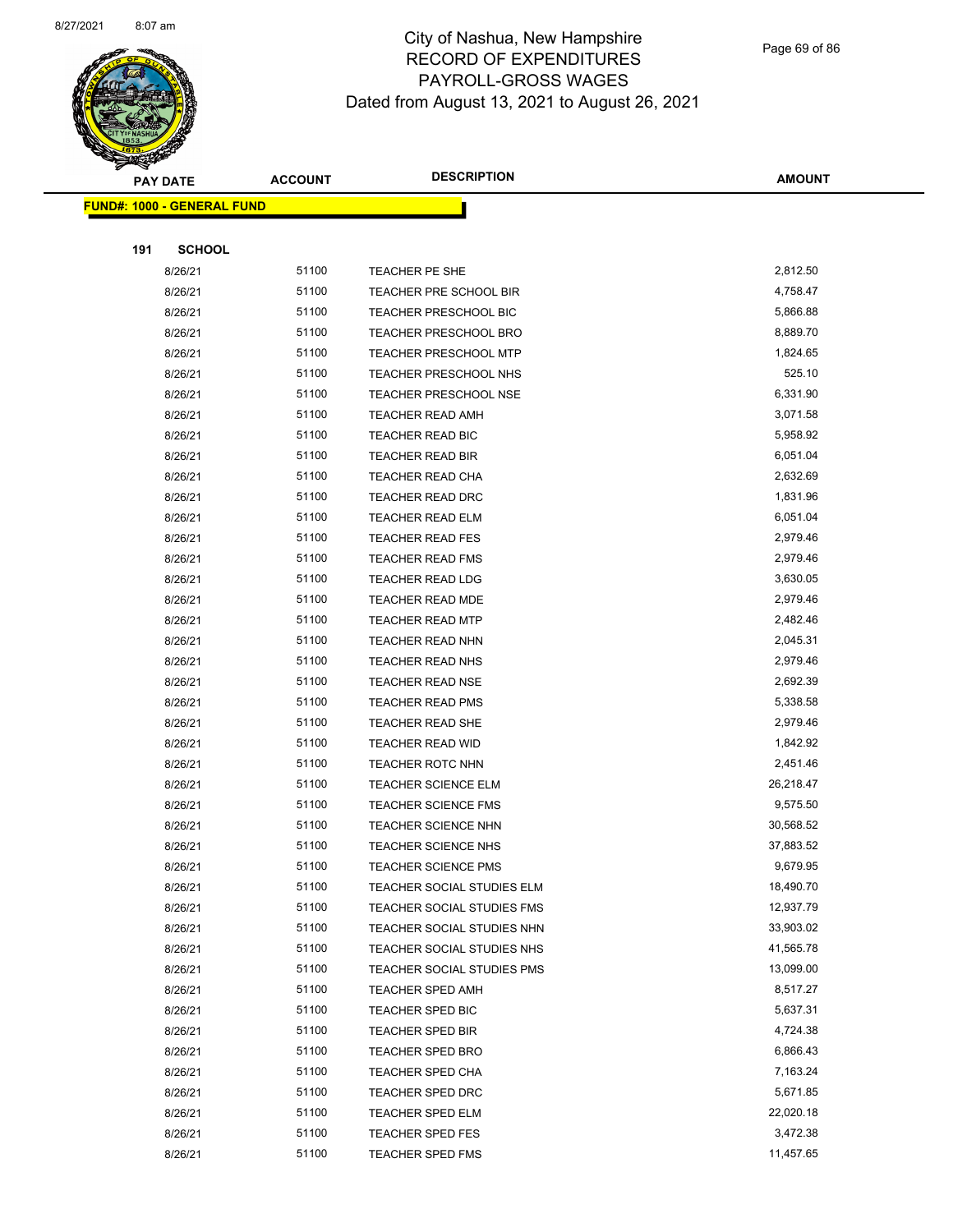

Page 69 of 86

|     | <b>PAY DATE</b>                    | <b>ACCOUNT</b> | <b>DESCRIPTION</b>           | <b>AMOUNT</b> |
|-----|------------------------------------|----------------|------------------------------|---------------|
|     | <u> FUND#: 1000 - GENERAL FUND</u> |                |                              |               |
|     |                                    |                |                              |               |
| 191 | <b>SCHOOL</b>                      |                |                              |               |
|     | 8/26/21                            | 51100          | TEACHER PE SHE               | 2,812.50      |
|     | 8/26/21                            | 51100          | TEACHER PRE SCHOOL BIR       | 4,758.47      |
|     | 8/26/21                            | 51100          | <b>TEACHER PRESCHOOL BIC</b> | 5,866.88      |
|     | 8/26/21                            | 51100          | <b>TEACHER PRESCHOOL BRO</b> | 8,889.70      |
|     | 8/26/21                            | 51100          | <b>TEACHER PRESCHOOL MTP</b> | 1,824.65      |
|     | 8/26/21                            | 51100          | <b>TEACHER PRESCHOOL NHS</b> | 525.10        |
|     | 8/26/21                            | 51100          | <b>TEACHER PRESCHOOL NSE</b> | 6,331.90      |
|     | 8/26/21                            | 51100          | <b>TEACHER READ AMH</b>      | 3,071.58      |
|     | 8/26/21                            | 51100          | TEACHER READ BIC             | 5,958.92      |
|     | 8/26/21                            | 51100          | <b>TEACHER READ BIR</b>      | 6,051.04      |
|     | 8/26/21                            | 51100          | <b>TEACHER READ CHA</b>      | 2,632.69      |
|     | 8/26/21                            | 51100          | <b>TEACHER READ DRC</b>      | 1,831.96      |
|     | 8/26/21                            | 51100          | <b>TEACHER READ ELM</b>      | 6,051.04      |
|     | 8/26/21                            | 51100          | <b>TEACHER READ FES</b>      | 2,979.46      |
|     | 8/26/21                            | 51100          | <b>TEACHER READ FMS</b>      | 2,979.46      |
|     | 8/26/21                            | 51100          | TEACHER READ LDG             | 3,630.05      |
|     | 8/26/21                            | 51100          | <b>TEACHER READ MDE</b>      | 2,979.46      |
|     | 8/26/21                            | 51100          | <b>TEACHER READ MTP</b>      | 2,482.46      |
|     | 8/26/21                            | 51100          | <b>TEACHER READ NHN</b>      | 2,045.31      |
|     | 8/26/21                            | 51100          | <b>TEACHER READ NHS</b>      | 2,979.46      |
|     | 8/26/21                            | 51100          | <b>TEACHER READ NSE</b>      | 2,692.39      |
|     | 8/26/21                            | 51100          | <b>TEACHER READ PMS</b>      | 5,338.58      |
|     | 8/26/21                            | 51100          | <b>TEACHER READ SHE</b>      | 2,979.46      |
|     | 8/26/21                            | 51100          | <b>TEACHER READ WID</b>      | 1,842.92      |
|     | 8/26/21                            | 51100          | <b>TEACHER ROTC NHN</b>      | 2,451.46      |
|     | 8/26/21                            | 51100          | <b>TEACHER SCIENCE ELM</b>   | 26,218.47     |
|     | 8/26/21                            | 51100          | <b>TEACHER SCIENCE FMS</b>   | 9,575.50      |
|     | 8/26/21                            | 51100          | <b>TEACHER SCIENCE NHN</b>   | 30,568.52     |
|     | 8/26/21                            | 51100          | <b>TEACHER SCIENCE NHS</b>   | 37,883.52     |
|     | 8/26/21                            | 51100          | <b>TEACHER SCIENCE PMS</b>   | 9,679.95      |
|     | 8/26/21                            | 51100          | TEACHER SOCIAL STUDIES ELM   | 18,490.70     |
|     | 8/26/21                            | 51100          | TEACHER SOCIAL STUDIES FMS   | 12,937.79     |
|     | 8/26/21                            | 51100          | TEACHER SOCIAL STUDIES NHN   | 33,903.02     |
|     | 8/26/21                            | 51100          | TEACHER SOCIAL STUDIES NHS   | 41,565.78     |
|     | 8/26/21                            | 51100          | TEACHER SOCIAL STUDIES PMS   | 13,099.00     |
|     | 8/26/21                            | 51100          | <b>TEACHER SPED AMH</b>      | 8,517.27      |
|     | 8/26/21                            | 51100          | <b>TEACHER SPED BIC</b>      | 5,637.31      |
|     | 8/26/21                            | 51100          | TEACHER SPED BIR             | 4,724.38      |
|     | 8/26/21                            | 51100          | <b>TEACHER SPED BRO</b>      | 6,866.43      |
|     | 8/26/21                            | 51100          | <b>TEACHER SPED CHA</b>      | 7,163.24      |
|     | 8/26/21                            | 51100          | TEACHER SPED DRC             | 5,671.85      |
|     | 8/26/21                            | 51100          | <b>TEACHER SPED ELM</b>      | 22,020.18     |
|     | 8/26/21                            | 51100          | <b>TEACHER SPED FES</b>      | 3,472.38      |
|     | 8/26/21                            | 51100          | <b>TEACHER SPED FMS</b>      | 11,457.65     |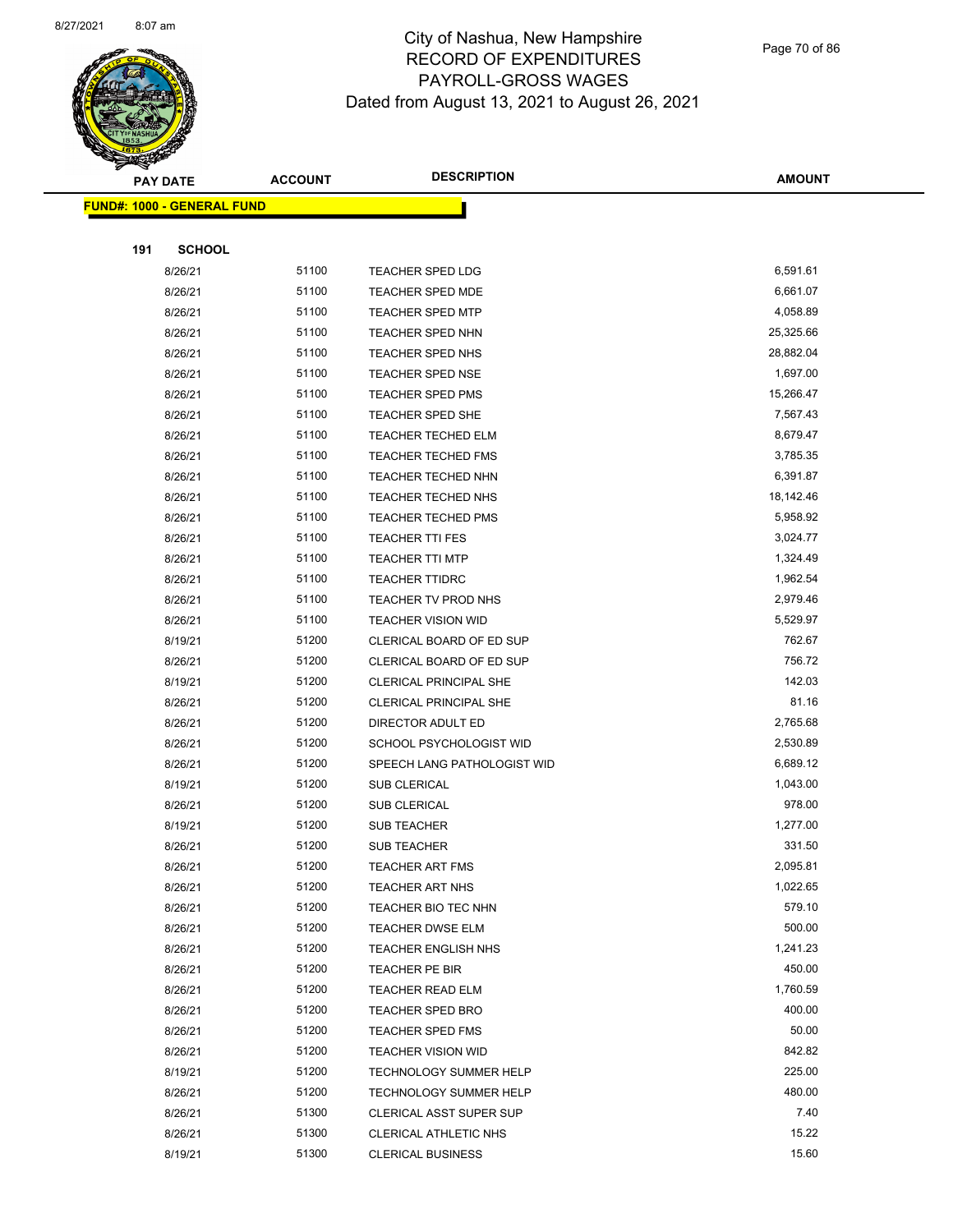

Page 70 of 86

|     | <b>PAY DATE</b>                   | <b>ACCOUNT</b> | <b>DESCRIPTION</b>                                              | <b>AMOUNT</b>      |
|-----|-----------------------------------|----------------|-----------------------------------------------------------------|--------------------|
|     | <b>FUND#: 1000 - GENERAL FUND</b> |                |                                                                 |                    |
|     |                                   |                |                                                                 |                    |
| 191 | <b>SCHOOL</b>                     |                |                                                                 |                    |
|     | 8/26/21                           | 51100          | <b>TEACHER SPED LDG</b>                                         | 6,591.61           |
|     | 8/26/21                           | 51100          | <b>TEACHER SPED MDE</b>                                         | 6,661.07           |
|     | 8/26/21                           | 51100          | <b>TEACHER SPED MTP</b>                                         | 4,058.89           |
|     | 8/26/21                           | 51100          | <b>TEACHER SPED NHN</b>                                         | 25,325.66          |
|     | 8/26/21                           | 51100          | <b>TEACHER SPED NHS</b>                                         | 28,882.04          |
|     | 8/26/21                           | 51100          | <b>TEACHER SPED NSE</b>                                         | 1,697.00           |
|     | 8/26/21                           | 51100          | <b>TEACHER SPED PMS</b>                                         | 15,266.47          |
|     | 8/26/21                           | 51100          | <b>TEACHER SPED SHE</b>                                         | 7,567.43           |
|     | 8/26/21                           | 51100          | <b>TEACHER TECHED ELM</b>                                       | 8,679.47           |
|     | 8/26/21                           | 51100          | <b>TEACHER TECHED FMS</b>                                       | 3,785.35           |
|     | 8/26/21                           | 51100          | <b>TEACHER TECHED NHN</b>                                       | 6,391.87           |
|     | 8/26/21                           | 51100          | <b>TEACHER TECHED NHS</b>                                       | 18,142.46          |
|     | 8/26/21                           | 51100          | <b>TEACHER TECHED PMS</b>                                       | 5,958.92           |
|     | 8/26/21                           | 51100          | <b>TEACHER TTI FES</b>                                          | 3,024.77           |
|     | 8/26/21                           | 51100          | <b>TEACHER TTI MTP</b>                                          | 1,324.49           |
|     | 8/26/21                           | 51100          | <b>TEACHER TTIDRC</b>                                           | 1,962.54           |
|     | 8/26/21                           | 51100          | TEACHER TV PROD NHS                                             | 2,979.46           |
|     | 8/26/21                           | 51100          | <b>TEACHER VISION WID</b>                                       | 5,529.97           |
|     | 8/19/21                           | 51200          | CLERICAL BOARD OF ED SUP                                        | 762.67             |
|     | 8/26/21                           | 51200          | CLERICAL BOARD OF ED SUP                                        | 756.72             |
|     | 8/19/21                           | 51200          | CLERICAL PRINCIPAL SHE                                          | 142.03             |
|     | 8/26/21                           | 51200          | CLERICAL PRINCIPAL SHE                                          | 81.16              |
|     | 8/26/21                           | 51200          | DIRECTOR ADULT ED                                               | 2,765.68           |
|     | 8/26/21                           | 51200          | SCHOOL PSYCHOLOGIST WID                                         | 2,530.89           |
|     | 8/26/21                           | 51200          | SPEECH LANG PATHOLOGIST WID                                     | 6,689.12           |
|     | 8/19/21                           | 51200          | SUB CLERICAL                                                    | 1,043.00           |
|     | 8/26/21                           | 51200          | <b>SUB CLERICAL</b>                                             | 978.00             |
|     | 8/19/21                           | 51200          | <b>SUB TEACHER</b>                                              | 1,277.00           |
|     | 8/26/21                           | 51200          | SUB TEACHER                                                     | 331.50             |
|     | 8/26/21                           | 51200          | <b>TEACHER ART FMS</b>                                          | 2,095.81           |
|     | 8/26/21                           | 51200          | <b>TEACHER ART NHS</b>                                          | 1,022.65           |
|     | 8/26/21                           | 51200          | TEACHER BIO TEC NHN                                             | 579.10             |
|     | 8/26/21                           | 51200          | <b>TEACHER DWSE ELM</b>                                         | 500.00             |
|     | 8/26/21                           | 51200          | <b>TEACHER ENGLISH NHS</b>                                      | 1,241.23           |
|     | 8/26/21                           | 51200          | <b>TEACHER PE BIR</b>                                           | 450.00             |
|     | 8/26/21                           | 51200          | <b>TEACHER READ ELM</b>                                         | 1,760.59<br>400.00 |
|     | 8/26/21                           | 51200          | <b>TEACHER SPED BRO</b>                                         |                    |
|     | 8/26/21                           | 51200          | <b>TEACHER SPED FMS</b>                                         | 50.00<br>842.82    |
|     | 8/26/21                           | 51200<br>51200 | <b>TEACHER VISION WID</b>                                       | 225.00             |
|     | 8/19/21<br>8/26/21                | 51200          | TECHNOLOGY SUMMER HELP                                          | 480.00             |
|     | 8/26/21                           | 51300          | <b>TECHNOLOGY SUMMER HELP</b><br><b>CLERICAL ASST SUPER SUP</b> | 7.40               |
|     | 8/26/21                           | 51300          | CLERICAL ATHLETIC NHS                                           | 15.22              |
|     | 8/19/21                           | 51300          | <b>CLERICAL BUSINESS</b>                                        | 15.60              |
|     |                                   |                |                                                                 |                    |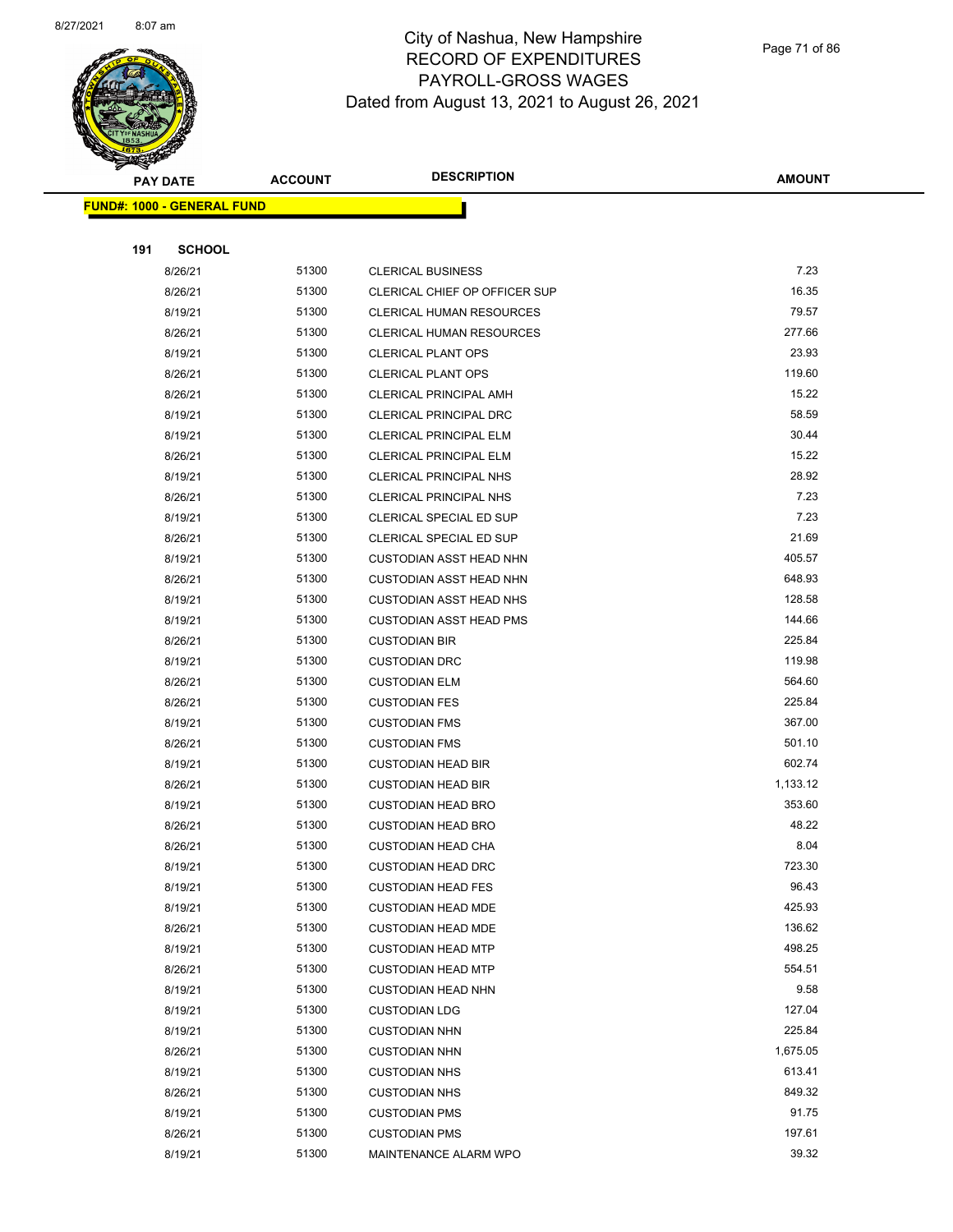

Page 71 of 86

| <b>PAY DATE</b>                   | <b>ACCOUNT</b> | <b>DESCRIPTION</b>              | <b>AMOUNT</b> |
|-----------------------------------|----------------|---------------------------------|---------------|
| <b>FUND#: 1000 - GENERAL FUND</b> |                |                                 |               |
|                                   |                |                                 |               |
| 191<br><b>SCHOOL</b>              |                |                                 |               |
| 8/26/21                           | 51300          | <b>CLERICAL BUSINESS</b>        | 7.23          |
| 8/26/21                           | 51300          | CLERICAL CHIEF OP OFFICER SUP   | 16.35         |
| 8/19/21                           | 51300          | <b>CLERICAL HUMAN RESOURCES</b> | 79.57         |
| 8/26/21                           | 51300          | <b>CLERICAL HUMAN RESOURCES</b> | 277.66        |
| 8/19/21                           | 51300          | <b>CLERICAL PLANT OPS</b>       | 23.93         |
| 8/26/21                           | 51300          | <b>CLERICAL PLANT OPS</b>       | 119.60        |
| 8/26/21                           | 51300          | <b>CLERICAL PRINCIPAL AMH</b>   | 15.22         |
| 8/19/21                           | 51300          | CLERICAL PRINCIPAL DRC          | 58.59         |
| 8/19/21                           | 51300          | <b>CLERICAL PRINCIPAL ELM</b>   | 30.44         |
| 8/26/21                           | 51300          | <b>CLERICAL PRINCIPAL ELM</b>   | 15.22         |
| 8/19/21                           | 51300          | CLERICAL PRINCIPAL NHS          | 28.92         |
| 8/26/21                           | 51300          | <b>CLERICAL PRINCIPAL NHS</b>   | 7.23          |
| 8/19/21                           | 51300          | CLERICAL SPECIAL ED SUP         | 7.23          |
| 8/26/21                           | 51300          | CLERICAL SPECIAL ED SUP         | 21.69         |
| 8/19/21                           | 51300          | <b>CUSTODIAN ASST HEAD NHN</b>  | 405.57        |
| 8/26/21                           | 51300          | <b>CUSTODIAN ASST HEAD NHN</b>  | 648.93        |
| 8/19/21                           | 51300          | <b>CUSTODIAN ASST HEAD NHS</b>  | 128.58        |
| 8/19/21                           | 51300          | <b>CUSTODIAN ASST HEAD PMS</b>  | 144.66        |
| 8/26/21                           | 51300          | <b>CUSTODIAN BIR</b>            | 225.84        |
| 8/19/21                           | 51300          | <b>CUSTODIAN DRC</b>            | 119.98        |
| 8/26/21                           | 51300          | <b>CUSTODIAN ELM</b>            | 564.60        |
| 8/26/21                           | 51300          | <b>CUSTODIAN FES</b>            | 225.84        |
| 8/19/21                           | 51300          | <b>CUSTODIAN FMS</b>            | 367.00        |
| 8/26/21                           | 51300          | <b>CUSTODIAN FMS</b>            | 501.10        |
| 8/19/21                           | 51300          | <b>CUSTODIAN HEAD BIR</b>       | 602.74        |
| 8/26/21                           | 51300          | <b>CUSTODIAN HEAD BIR</b>       | 1,133.12      |
| 8/19/21                           | 51300          | <b>CUSTODIAN HEAD BRO</b>       | 353.60        |
| 8/26/21                           | 51300          | <b>CUSTODIAN HEAD BRO</b>       | 48.22         |
| 8/26/21                           | 51300          | <b>CUSTODIAN HEAD CHA</b>       | 8.04          |
| 8/19/21                           | 51300          | <b>CUSTODIAN HEAD DRC</b>       | 723.30        |
| 8/19/21                           | 51300          | <b>CUSTODIAN HEAD FES</b>       | 96.43         |
| 8/19/21                           | 51300          | <b>CUSTODIAN HEAD MDE</b>       | 425.93        |
| 8/26/21                           | 51300          | <b>CUSTODIAN HEAD MDE</b>       | 136.62        |
| 8/19/21                           | 51300          | <b>CUSTODIAN HEAD MTP</b>       | 498.25        |
| 8/26/21                           | 51300          | <b>CUSTODIAN HEAD MTP</b>       | 554.51        |
| 8/19/21                           | 51300          | <b>CUSTODIAN HEAD NHN</b>       | 9.58          |
| 8/19/21                           | 51300          | <b>CUSTODIAN LDG</b>            | 127.04        |
| 8/19/21                           | 51300          | <b>CUSTODIAN NHN</b>            | 225.84        |
| 8/26/21                           | 51300          | <b>CUSTODIAN NHN</b>            | 1,675.05      |
| 8/19/21                           | 51300          | <b>CUSTODIAN NHS</b>            | 613.41        |
| 8/26/21                           | 51300          | <b>CUSTODIAN NHS</b>            | 849.32        |
| 8/19/21                           | 51300          | <b>CUSTODIAN PMS</b>            | 91.75         |
| 8/26/21                           | 51300          | <b>CUSTODIAN PMS</b>            | 197.61        |
| 8/19/21                           | 51300          | MAINTENANCE ALARM WPO           | 39.32         |
|                                   |                |                                 |               |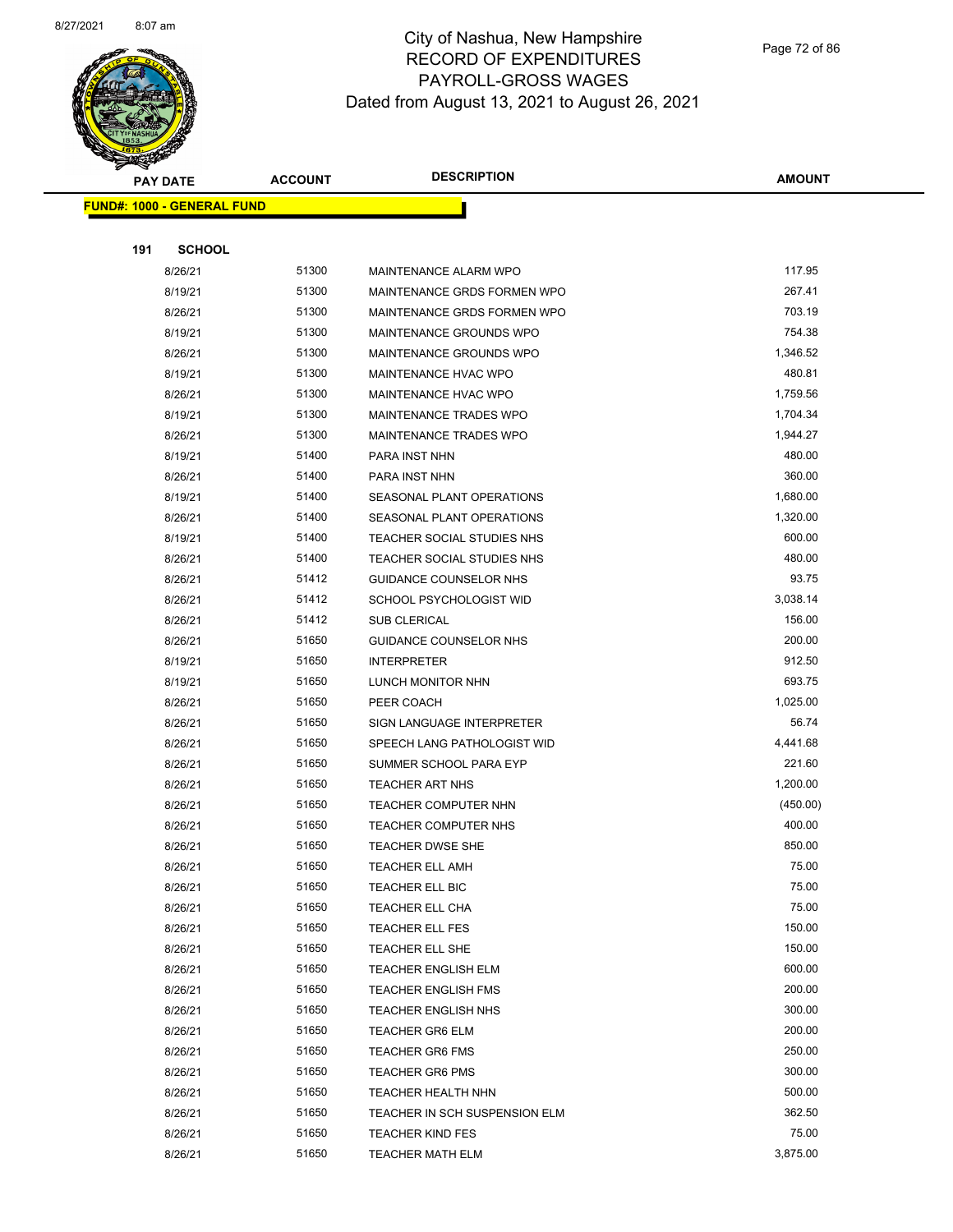

Page 72 of 86

| <b>PAY DATE</b><br><b>FUND#: 1000 - GENERAL FUND</b> |               | <b>ACCOUNT</b> | <b>DESCRIPTION</b>            | <b>AMOUNT</b>     |
|------------------------------------------------------|---------------|----------------|-------------------------------|-------------------|
|                                                      |               |                |                               |                   |
|                                                      |               |                |                               |                   |
| 191                                                  | <b>SCHOOL</b> |                |                               |                   |
|                                                      | 8/26/21       | 51300          | MAINTENANCE ALARM WPO         | 117.95            |
|                                                      | 8/19/21       | 51300          | MAINTENANCE GRDS FORMEN WPO   | 267.41            |
|                                                      | 8/26/21       | 51300          | MAINTENANCE GRDS FORMEN WPO   | 703.19            |
|                                                      | 8/19/21       | 51300          | MAINTENANCE GROUNDS WPO       | 754.38            |
|                                                      | 8/26/21       | 51300          | MAINTENANCE GROUNDS WPO       | 1,346.52          |
|                                                      | 8/19/21       | 51300          | MAINTENANCE HVAC WPO          | 480.81            |
|                                                      | 8/26/21       | 51300          | MAINTENANCE HVAC WPO          | 1,759.56          |
|                                                      | 8/19/21       | 51300          | MAINTENANCE TRADES WPO        | 1,704.34          |
|                                                      | 8/26/21       | 51300          | MAINTENANCE TRADES WPO        | 1,944.27          |
|                                                      | 8/19/21       | 51400          | PARA INST NHN                 | 480.00            |
|                                                      | 8/26/21       | 51400          | PARA INST NHN                 | 360.00            |
|                                                      | 8/19/21       | 51400          | SEASONAL PLANT OPERATIONS     | 1,680.00          |
|                                                      | 8/26/21       | 51400          | SEASONAL PLANT OPERATIONS     | 1,320.00          |
|                                                      | 8/19/21       | 51400          | TEACHER SOCIAL STUDIES NHS    | 600.00            |
|                                                      | 8/26/21       | 51400          | TEACHER SOCIAL STUDIES NHS    | 480.00            |
|                                                      | 8/26/21       | 51412          | GUIDANCE COUNSELOR NHS        | 93.75             |
|                                                      | 8/26/21       | 51412          | SCHOOL PSYCHOLOGIST WID       | 3,038.14          |
|                                                      | 8/26/21       | 51412          | SUB CLERICAL                  | 156.00            |
|                                                      | 8/26/21       | 51650          | <b>GUIDANCE COUNSELOR NHS</b> | 200.00            |
|                                                      | 8/19/21       | 51650          | <b>INTERPRETER</b>            | 912.50            |
|                                                      | 8/19/21       | 51650          | LUNCH MONITOR NHN             | 693.75            |
|                                                      | 8/26/21       | 51650          | PEER COACH                    | 1,025.00          |
|                                                      | 8/26/21       | 51650          | SIGN LANGUAGE INTERPRETER     | 56.74             |
|                                                      | 8/26/21       | 51650          | SPEECH LANG PATHOLOGIST WID   | 4,441.68          |
|                                                      | 8/26/21       | 51650          | SUMMER SCHOOL PARA EYP        | 221.60            |
|                                                      | 8/26/21       | 51650          | <b>TEACHER ART NHS</b>        | 1,200.00          |
|                                                      | 8/26/21       | 51650          | TEACHER COMPUTER NHN          | (450.00)          |
|                                                      | 8/26/21       | 51650          | TEACHER COMPUTER NHS          | 400.00            |
|                                                      | 8/26/21       | 51650          | TEACHER DWSE SHE              | 850.00            |
|                                                      | 8/26/21       | 51650          | TEACHER ELL AMH               | 75.00             |
|                                                      | 8/26/21       | 51650          | TEACHER ELL BIC               | 75.00             |
|                                                      | 8/26/21       | 51650          | TEACHER ELL CHA               | 75.00             |
|                                                      | 8/26/21       | 51650          | <b>TEACHER ELL FES</b>        | 150.00            |
|                                                      | 8/26/21       | 51650          | TEACHER ELL SHE               | 150.00            |
|                                                      | 8/26/21       | 51650          | TEACHER ENGLISH ELM           | 600.00            |
|                                                      | 8/26/21       | 51650          | <b>TEACHER ENGLISH FMS</b>    | 200.00            |
|                                                      | 8/26/21       | 51650          | <b>TEACHER ENGLISH NHS</b>    | 300.00            |
|                                                      | 8/26/21       | 51650          | <b>TEACHER GR6 ELM</b>        | 200.00            |
|                                                      | 8/26/21       | 51650          | <b>TEACHER GR6 FMS</b>        | 250.00            |
|                                                      | 8/26/21       | 51650          | TEACHER GR6 PMS               | 300.00            |
|                                                      | 8/26/21       | 51650          | TEACHER HEALTH NHN            | 500.00            |
|                                                      | 8/26/21       | 51650          | TEACHER IN SCH SUSPENSION ELM | 362.50            |
|                                                      | 8/26/21       | 51650          | TEACHER KIND FES              | 75.00<br>3,875.00 |
|                                                      | 8/26/21       | 51650          | TEACHER MATH ELM              |                   |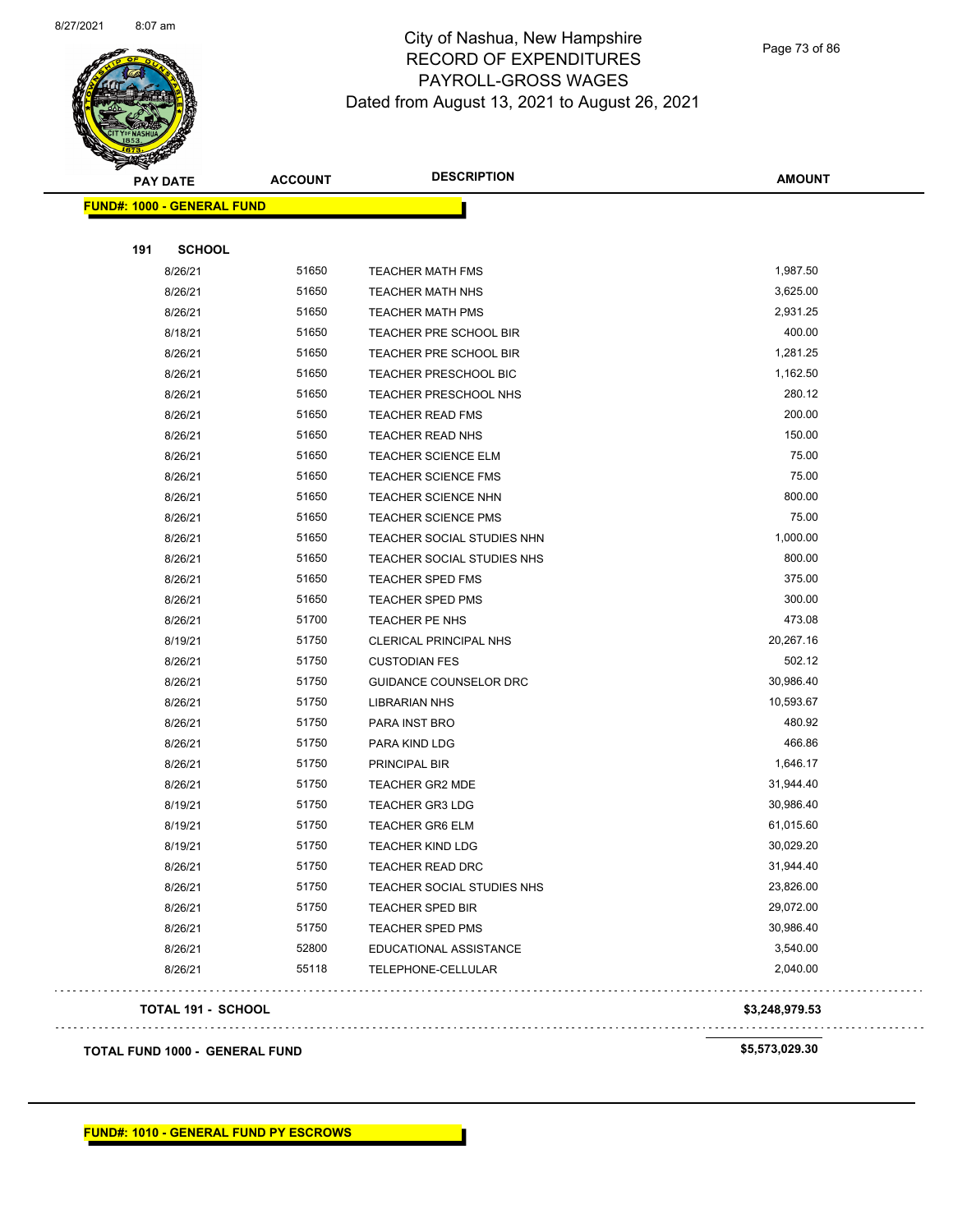

Page 73 of 86

| <b>PAY DATE</b>                       | <b>ACCOUNT</b> | <b>DESCRIPTION</b>           | <b>AMOUNT</b>  |
|---------------------------------------|----------------|------------------------------|----------------|
| <b>FUND#: 1000 - GENERAL FUND</b>     |                |                              |                |
|                                       |                |                              |                |
| 191<br><b>SCHOOL</b>                  |                |                              |                |
| 8/26/21                               | 51650          | <b>TEACHER MATH FMS</b>      | 1,987.50       |
| 8/26/21                               | 51650          | <b>TEACHER MATH NHS</b>      | 3,625.00       |
| 8/26/21                               | 51650          | <b>TEACHER MATH PMS</b>      | 2,931.25       |
| 8/18/21                               | 51650          | TEACHER PRE SCHOOL BIR       | 400.00         |
| 8/26/21                               | 51650          | TEACHER PRE SCHOOL BIR       | 1,281.25       |
| 8/26/21                               | 51650          | <b>TEACHER PRESCHOOL BIC</b> | 1,162.50       |
| 8/26/21                               | 51650          | TEACHER PRESCHOOL NHS        | 280.12         |
| 8/26/21                               | 51650          | <b>TEACHER READ FMS</b>      | 200.00         |
| 8/26/21                               | 51650          | <b>TEACHER READ NHS</b>      | 150.00         |
| 8/26/21                               | 51650          | <b>TEACHER SCIENCE ELM</b>   | 75.00          |
| 8/26/21                               | 51650          | <b>TEACHER SCIENCE FMS</b>   | 75.00          |
| 8/26/21                               | 51650          | <b>TEACHER SCIENCE NHN</b>   | 800.00         |
| 8/26/21                               | 51650          | <b>TEACHER SCIENCE PMS</b>   | 75.00          |
| 8/26/21                               | 51650          | TEACHER SOCIAL STUDIES NHN   | 1,000.00       |
| 8/26/21                               | 51650          | TEACHER SOCIAL STUDIES NHS   | 800.00         |
| 8/26/21                               | 51650          | <b>TEACHER SPED FMS</b>      | 375.00         |
| 8/26/21                               | 51650          | <b>TEACHER SPED PMS</b>      | 300.00         |
| 8/26/21                               | 51700          | TEACHER PE NHS               | 473.08         |
| 8/19/21                               | 51750          | CLERICAL PRINCIPAL NHS       | 20,267.16      |
| 8/26/21                               | 51750          | <b>CUSTODIAN FES</b>         | 502.12         |
| 8/26/21                               | 51750          | GUIDANCE COUNSELOR DRC       | 30,986.40      |
| 8/26/21                               | 51750          | <b>LIBRARIAN NHS</b>         | 10,593.67      |
| 8/26/21                               | 51750          | PARA INST BRO                | 480.92         |
| 8/26/21                               | 51750          | PARA KIND LDG                | 466.86         |
| 8/26/21                               | 51750          | PRINCIPAL BIR                | 1,646.17       |
| 8/26/21                               | 51750          | TEACHER GR2 MDE              | 31,944.40      |
| 8/19/21                               | 51750          | <b>TEACHER GR3 LDG</b>       | 30,986.40      |
| 8/19/21                               | 51750          | <b>TEACHER GR6 ELM</b>       | 61,015.60      |
| 8/19/21                               | 51750          | <b>TEACHER KIND LDG</b>      | 30,029.20      |
| 8/26/21                               | 51750          | TEACHER READ DRC             | 31,944.40      |
| 8/26/21                               | 51750          | TEACHER SOCIAL STUDIES NHS   | 23,826.00      |
| 8/26/21                               | 51750          | <b>TEACHER SPED BIR</b>      | 29,072.00      |
| 8/26/21                               | 51750          | <b>TEACHER SPED PMS</b>      | 30,986.40      |
| 8/26/21                               | 52800          | EDUCATIONAL ASSISTANCE       | 3,540.00       |
| 8/26/21                               | 55118          | TELEPHONE-CELLULAR           | 2,040.00       |
| <b>TOTAL 191 - SCHOOL</b>             |                |                              | \$3,248,979.53 |
| <b>TOTAL FUND 1000 - GENERAL FUND</b> |                |                              | \$5,573,029.30 |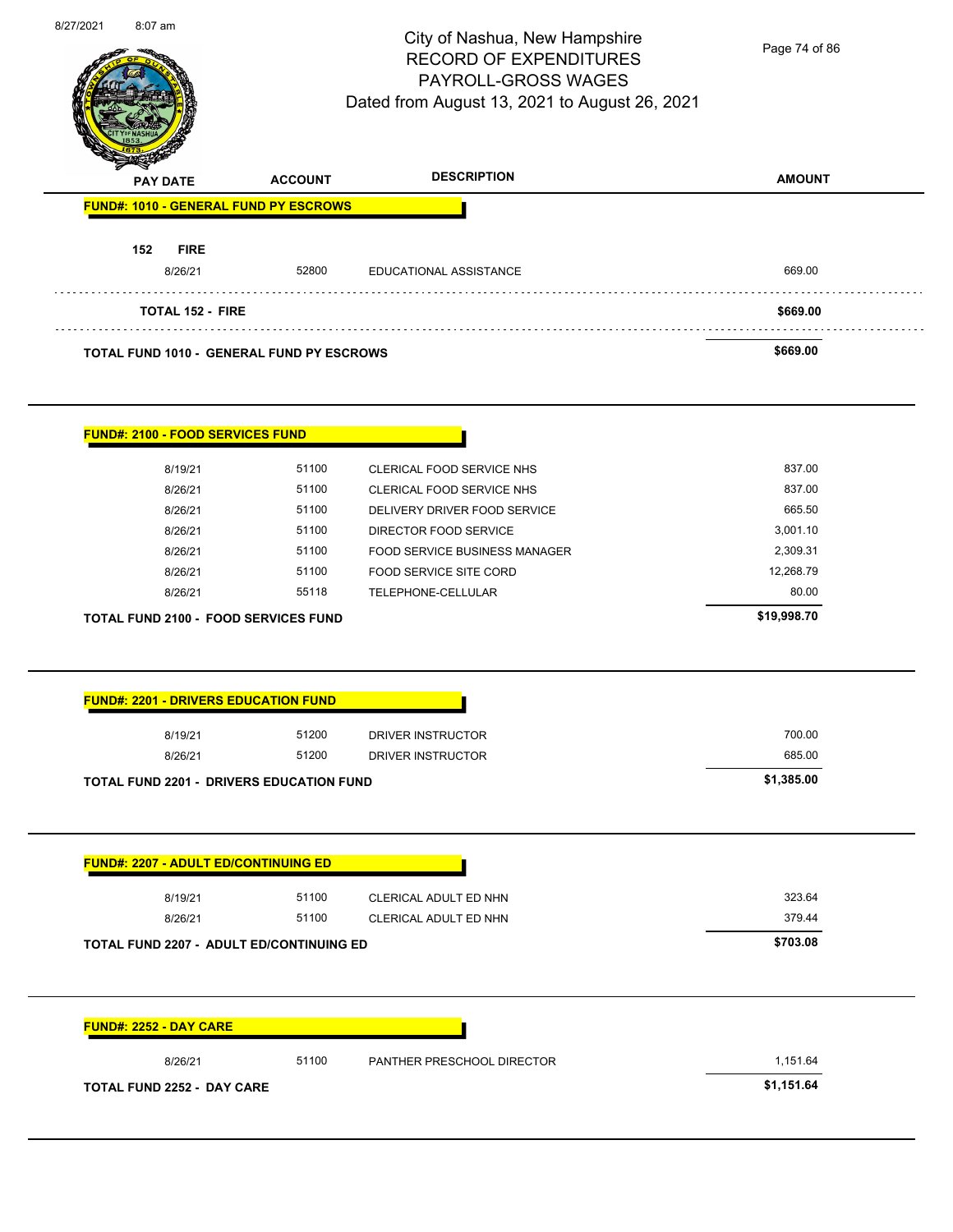| 8/27/2021 | 8:07 am                                          |                | City of Nashua, New Hampshire<br><b>RECORD OF EXPENDITURES</b><br>PAYROLL-GROSS WAGES<br>Dated from August 13, 2021 to August 26, 2021 | Page 74 of 86 |
|-----------|--------------------------------------------------|----------------|----------------------------------------------------------------------------------------------------------------------------------------|---------------|
|           | <b>PAY DATE</b>                                  | <b>ACCOUNT</b> | <b>DESCRIPTION</b>                                                                                                                     | <b>AMOUNT</b> |
|           | FUND#: 1010 - GENERAL FUND PY ESCROWS            |                |                                                                                                                                        |               |
|           | 152<br><b>FIRE</b><br>8/26/21                    | 52800          | EDUCATIONAL ASSISTANCE                                                                                                                 | 669.00        |
|           | <b>TOTAL 152 - FIRE</b>                          |                |                                                                                                                                        | \$669.00      |
|           | <b>TOTAL FUND 1010 - GENERAL FUND PY ESCROWS</b> |                |                                                                                                                                        | \$669.00      |
|           | <b>FUND#: 2100 - FOOD SERVICES FUND</b>          |                |                                                                                                                                        |               |
|           | 8/19/21                                          | 51100          | CLERICAL FOOD SERVICE NHS                                                                                                              | 837.00        |
|           | 8/26/21                                          | 51100          | CLERICAL FOOD SERVICE NHS                                                                                                              | 837.00        |
|           | 8/26/21                                          | 51100          | DELIVERY DRIVER FOOD SERVICE                                                                                                           | 665.50        |
|           | 8/26/21                                          | 51100          | DIRECTOR FOOD SERVICE                                                                                                                  | 3,001.10      |
|           | 8/26/21                                          | 51100          | FOOD SERVICE BUSINESS MANAGER                                                                                                          | 2,309.31      |
|           | 8/26/21                                          | 51100          | FOOD SERVICE SITE CORD                                                                                                                 | 12,268.79     |
|           | 8/26/21                                          | 55118          | TELEPHONE-CELLULAR                                                                                                                     | 80.00         |
|           | TOTAL FUND 2100 - FOOD SERVICES FUND             |                |                                                                                                                                        | \$19,998.70   |
|           | <b>FUND#: 2201 - DRIVERS EDUCATION FUND</b>      |                |                                                                                                                                        |               |
|           | 8/19/21                                          | 51200          | DRIVER INSTRUCTOR                                                                                                                      | 700.00        |
|           | 8/26/21                                          | 51200          | DRIVER INSTRUCTOR                                                                                                                      | 685.00        |
|           | <b>TOTAL FUND 2201 - DRIVERS EDUCATION FUND</b>  |                |                                                                                                                                        | \$1,385.00    |
|           | <b>FUND#: 2207 - ADULT ED/CONTINUING ED</b>      |                |                                                                                                                                        |               |
|           | 8/19/21                                          | 51100          | CLERICAL ADULT ED NHN                                                                                                                  | 323.64        |
|           | 8/26/21                                          | 51100          | CLERICAL ADULT ED NHN                                                                                                                  | 379.44        |
|           | TOTAL FUND 2207 - ADULT ED/CONTINUING ED         |                |                                                                                                                                        | \$703.08      |
|           | <b>FUND#: 2252 - DAY CARE</b>                    |                |                                                                                                                                        |               |
|           |                                                  |                |                                                                                                                                        |               |
|           | 8/26/21                                          | 51100          | PANTHER PRESCHOOL DIRECTOR                                                                                                             | 1,151.64      |
|           | <b>TOTAL FUND 2252 - DAY CARE</b>                |                |                                                                                                                                        | \$1,151.64    |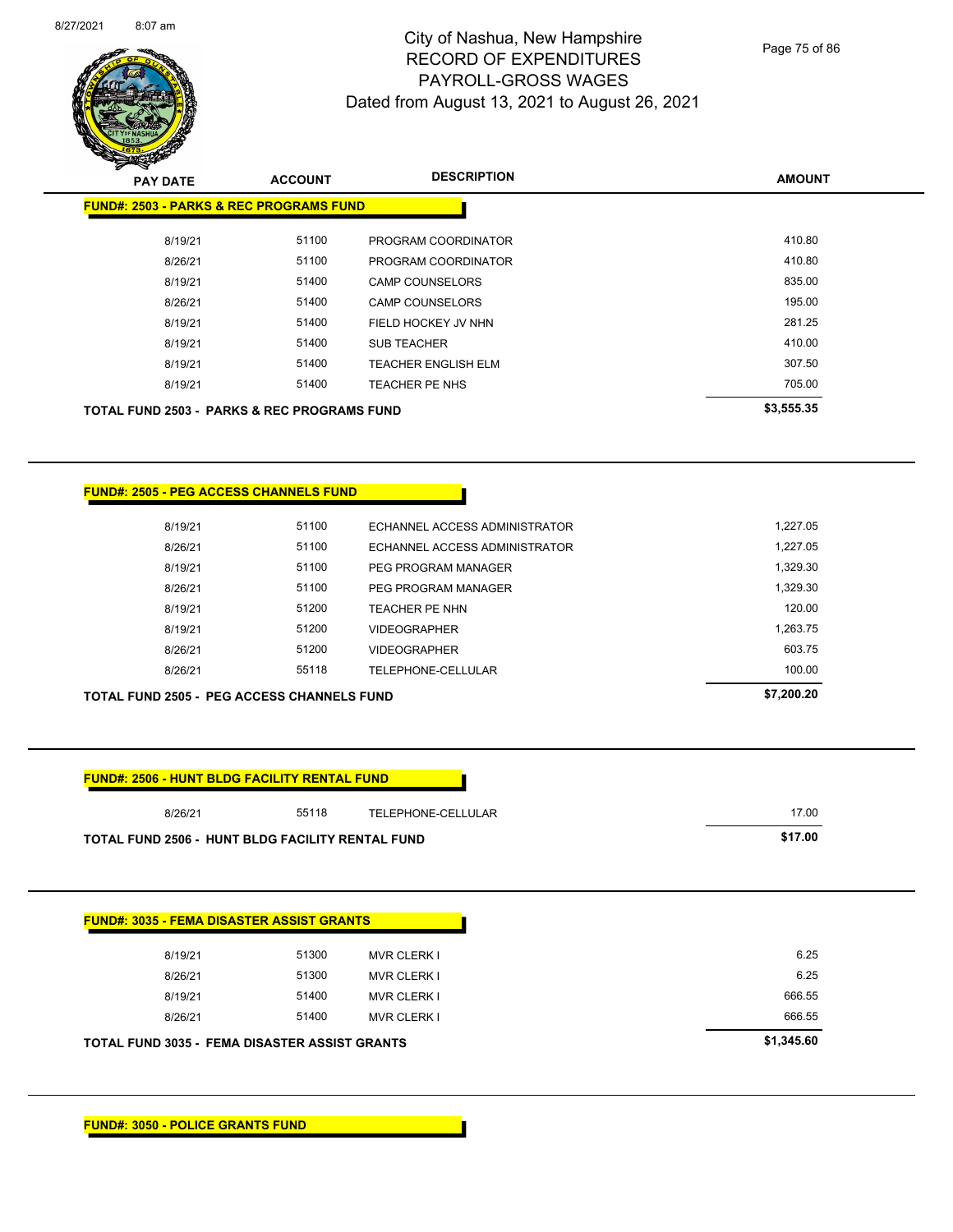

Page 75 of 86

| $\mathscr{D} \simeq$<br><b>PAY DATE</b>                | <b>ACCOUNT</b> | <b>DESCRIPTION</b>         | <b>AMOUNT</b> |
|--------------------------------------------------------|----------------|----------------------------|---------------|
| <b>FUND#: 2503 - PARKS &amp; REC PROGRAMS FUND</b>     |                |                            |               |
| 8/19/21                                                | 51100          | PROGRAM COORDINATOR        | 410.80        |
| 8/26/21                                                | 51100          | PROGRAM COORDINATOR        | 410.80        |
| 8/19/21                                                | 51400          | <b>CAMP COUNSELORS</b>     | 835.00        |
| 8/26/21                                                | 51400          | <b>CAMP COUNSELORS</b>     | 195.00        |
| 8/19/21                                                | 51400          | FIELD HOCKEY JV NHN        | 281.25        |
| 8/19/21                                                | 51400          | <b>SUB TEACHER</b>         | 410.00        |
| 8/19/21                                                | 51400          | <b>TEACHER ENGLISH ELM</b> | 307.50        |
| 8/19/21                                                | 51400          | TEACHER PE NHS             | 705.00        |
| <b>TOTAL FUND 2503 - PARKS &amp; REC PROGRAMS FUND</b> |                |                            | \$3,555.35    |

| TOTAL FUND 2505 - PEG ACCESS CHANNELS FUND |         |       |                               | \$7,200,20 |
|--------------------------------------------|---------|-------|-------------------------------|------------|
|                                            | 8/26/21 | 55118 | TELEPHONE-CELLULAR            | 100.00     |
|                                            | 8/26/21 | 51200 | <b>VIDEOGRAPHER</b>           | 603.75     |
|                                            | 8/19/21 | 51200 | <b>VIDEOGRAPHER</b>           | 1.263.75   |
|                                            | 8/19/21 | 51200 | TEACHER PE NHN                | 120.00     |
|                                            | 8/26/21 | 51100 | PEG PROGRAM MANAGER           | 1.329.30   |
|                                            | 8/19/21 | 51100 | PEG PROGRAM MANAGER           | 1,329.30   |
|                                            | 8/26/21 | 51100 | ECHANNEL ACCESS ADMINISTRATOR | 1,227.05   |
|                                            | 8/19/21 | 51100 | ECHANNEL ACCESS ADMINISTRATOR | 1,227.05   |
|                                            |         |       |                               |            |

| <b>FUND#: 2506 - HUNT BLDG FACILITY RENTAL FUND</b>     |       |                    |         |
|---------------------------------------------------------|-------|--------------------|---------|
| 8/26/21                                                 | 55118 | TELEPHONE-CELLULAR | 17.00   |
| <b>TOTAL FUND 2506 - HUNT BLDG FACILITY RENTAL FUND</b> |       |                    | \$17.00 |

| 8/19/21 | 51300 | <b>MVR CLERK I</b> | 6.25   |
|---------|-------|--------------------|--------|
| 8/26/21 | 51300 | <b>MVR CLERK I</b> | 6.25   |
| 8/19/21 | 51400 | <b>MVR CLERK I</b> | 666.55 |
| 8/26/21 | 51400 | <b>MVR CLERK I</b> | 666.55 |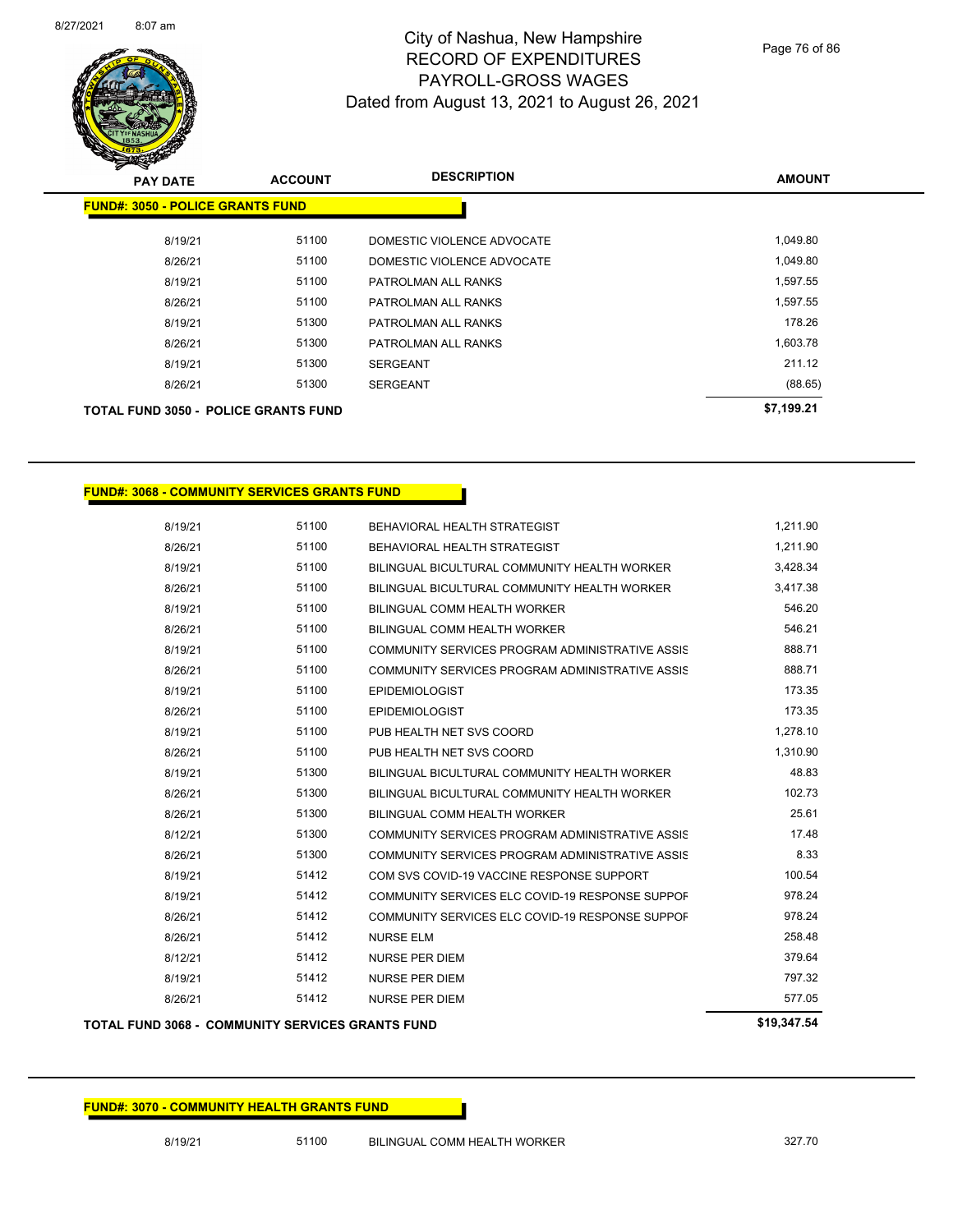

Page 76 of 86

| <b>PAY DATE</b>                             | <b>ACCOUNT</b> | <b>DESCRIPTION</b>         | <b>AMOUNT</b> |
|---------------------------------------------|----------------|----------------------------|---------------|
| <b>FUND#: 3050 - POLICE GRANTS FUND</b>     |                |                            |               |
| 8/19/21                                     | 51100          | DOMESTIC VIOLENCE ADVOCATE | 1,049.80      |
| 8/26/21                                     | 51100          | DOMESTIC VIOLENCE ADVOCATE | 1,049.80      |
| 8/19/21                                     | 51100          | PATROLMAN ALL RANKS        | 1,597.55      |
| 8/26/21                                     | 51100          | PATROLMAN ALL RANKS        | 1,597.55      |
| 8/19/21                                     | 51300          | PATROLMAN ALL RANKS        | 178.26        |
| 8/26/21                                     | 51300          | PATROLMAN ALL RANKS        | 1,603.78      |
| 8/19/21                                     | 51300          | <b>SERGEANT</b>            | 211.12        |
| 8/26/21                                     | 51300          | <b>SERGEANT</b>            | (88.65)       |
| <b>TOTAL FUND 3050 - POLICE GRANTS FUND</b> |                |                            | \$7,199.21    |

### **FUND#: 3068 - COMMUNITY SERVICES GRANTS FUND**

| 51100 | BEHAVIORAL HEALTH STRATEGIST                    | 1,211.90 |
|-------|-------------------------------------------------|----------|
| 51100 | BEHAVIORAL HEALTH STRATEGIST                    | 1,211.90 |
| 51100 | BILINGUAL BICULTURAL COMMUNITY HEALTH WORKER    | 3,428.34 |
| 51100 | BILINGUAL BICULTURAL COMMUNITY HEALTH WORKER    | 3,417.38 |
| 51100 | BILINGUAL COMM HEALTH WORKER                    | 546.20   |
| 51100 | <b>BILINGUAL COMM HEALTH WORKER</b>             | 546.21   |
| 51100 | COMMUNITY SERVICES PROGRAM ADMINISTRATIVE ASSIS | 888.71   |
| 51100 | COMMUNITY SERVICES PROGRAM ADMINISTRATIVE ASSIS | 888.71   |
| 51100 | <b>EPIDEMIOLOGIST</b>                           | 173.35   |
| 51100 | <b>EPIDEMIOLOGIST</b>                           | 173.35   |
| 51100 | PUB HEALTH NET SVS COORD                        | 1,278.10 |
| 51100 | PUB HEALTH NET SVS COORD                        | 1,310.90 |
| 51300 | BILINGUAL BICULTURAL COMMUNITY HEALTH WORKER    | 48.83    |
| 51300 | BILINGUAL BICULTURAL COMMUNITY HEALTH WORKER    | 102.73   |
| 51300 | BILINGUAL COMM HEALTH WORKER                    | 25.61    |
| 51300 | COMMUNITY SERVICES PROGRAM ADMINISTRATIVE ASSIS | 17.48    |
| 51300 | COMMUNITY SERVICES PROGRAM ADMINISTRATIVE ASSIS | 8.33     |
| 51412 | COM SVS COVID-19 VACCINE RESPONSE SUPPORT       | 100.54   |
| 51412 | COMMUNITY SERVICES ELC COVID-19 RESPONSE SUPPOF | 978.24   |
| 51412 | COMMUNITY SERVICES ELC COVID-19 RESPONSE SUPPOF | 978.24   |
| 51412 | <b>NURSE ELM</b>                                | 258.48   |
| 51412 | <b>NURSE PER DIEM</b>                           | 379.64   |
| 51412 | <b>NURSE PER DIEM</b>                           | 797.32   |
| 51412 | <b>NURSE PER DIEM</b>                           | 577.05   |
|       |                                                 |          |

### **TOTAL FUND 3068 - COMMUNITY SERVICES GRANTS FUND \$19,347.54**

### **FUND#: 3070 - COMMUNITY HEALTH GRANTS FUND**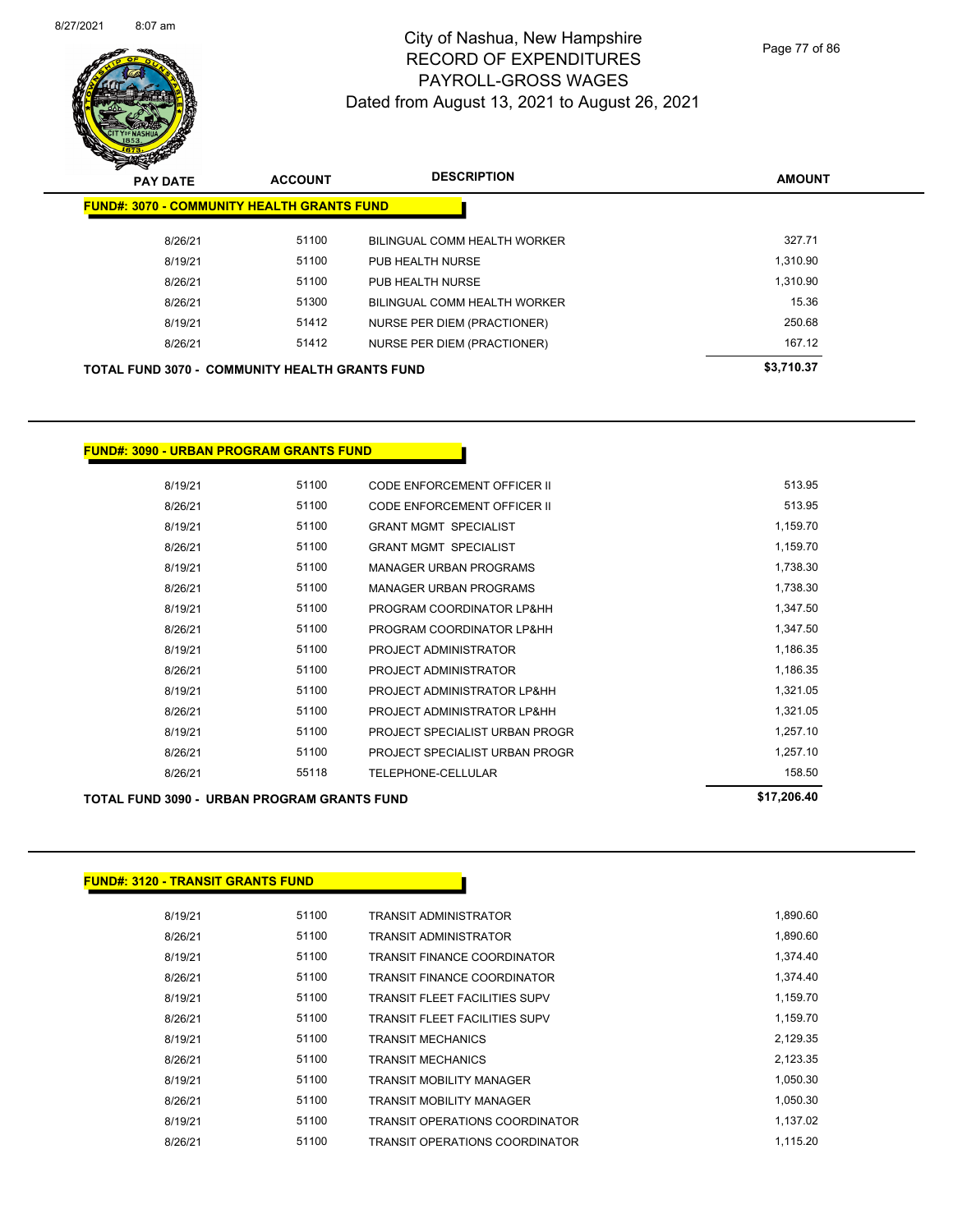

Page 77 of 86

| s<br>$\tilde{\phantom{a}}$<br><b>PAY DATE</b>         | <b>ACCOUNT</b> | <b>DESCRIPTION</b>                  | <b>AMOUNT</b> |
|-------------------------------------------------------|----------------|-------------------------------------|---------------|
| <b>FUND#: 3070 - COMMUNITY HEALTH GRANTS FUND</b>     |                |                                     |               |
| 8/26/21                                               | 51100          | BILINGUAL COMM HEALTH WORKER        | 327.71        |
| 8/19/21                                               | 51100          | PUB HEALTH NURSE                    | 1,310.90      |
| 8/26/21                                               | 51100          | PUB HEALTH NURSE                    | 1.310.90      |
| 8/26/21                                               | 51300          | <b>BILINGUAL COMM HEALTH WORKER</b> | 15.36         |
| 8/19/21                                               | 51412          | NURSE PER DIEM (PRACTIONER)         | 250.68        |
| 8/26/21                                               | 51412          | <b>NURSE PER DIEM (PRACTIONER)</b>  | 167.12        |
| <b>TOTAL FUND 3070 - COMMUNITY HEALTH GRANTS FUND</b> |                |                                     | \$3,710.37    |

### **FUND#: 3090 - URBAN PROGRAM GRANTS FUND**

| 8/19/21 | 51100 | CODE ENFORCEMENT OFFICER II        | 513.95   |
|---------|-------|------------------------------------|----------|
| 8/26/21 | 51100 | <b>CODE ENFORCEMENT OFFICER II</b> | 513.95   |
| 8/19/21 | 51100 | <b>GRANT MGMT SPECIALIST</b>       | 1,159.70 |
| 8/26/21 | 51100 | <b>GRANT MGMT SPECIALIST</b>       | 1,159.70 |
| 8/19/21 | 51100 | <b>MANAGER URBAN PROGRAMS</b>      | 1,738.30 |
| 8/26/21 | 51100 | <b>MANAGER URBAN PROGRAMS</b>      | 1,738.30 |
| 8/19/21 | 51100 | PROGRAM COORDINATOR LP&HH          | 1,347.50 |
| 8/26/21 | 51100 | PROGRAM COORDINATOR LP&HH          | 1,347.50 |
| 8/19/21 | 51100 | PROJECT ADMINISTRATOR              | 1,186.35 |
| 8/26/21 | 51100 | PROJECT ADMINISTRATOR              | 1,186.35 |
| 8/19/21 | 51100 | PROJECT ADMINISTRATOR LP&HH        | 1,321.05 |
| 8/26/21 | 51100 | PROJECT ADMINISTRATOR LP&HH        | 1,321.05 |
| 8/19/21 | 51100 | PROJECT SPECIALIST URBAN PROGR     | 1,257.10 |
| 8/26/21 | 51100 | PROJECT SPECIALIST URBAN PROGR     | 1,257.10 |
| 8/26/21 | 55118 | TELEPHONE-CELLULAR                 | 158.50   |
|         |       |                                    |          |

### **TOTAL FUND 3090 - URBAN PROGRAM GRANTS FUND \$17,206.40**

### **FUND#: 3120 - TRANSIT GRANTS FUND**

| 8/19/21 | 51100 | TRANSIT ADMINISTRATOR                 | 1,890.60 |
|---------|-------|---------------------------------------|----------|
| 8/26/21 | 51100 | <b>TRANSIT ADMINISTRATOR</b>          | 1,890.60 |
| 8/19/21 | 51100 | <b>TRANSIT FINANCE COORDINATOR</b>    | 1,374.40 |
| 8/26/21 | 51100 | <b>TRANSIT FINANCE COORDINATOR</b>    | 1.374.40 |
| 8/19/21 | 51100 | <b>TRANSIT FLEET FACILITIES SUPV</b>  | 1.159.70 |
| 8/26/21 | 51100 | <b>TRANSIT FLEET FACILITIES SUPV</b>  | 1,159.70 |
| 8/19/21 | 51100 | <b>TRANSIT MECHANICS</b>              | 2,129.35 |
| 8/26/21 | 51100 | <b>TRANSIT MECHANICS</b>              | 2,123.35 |
| 8/19/21 | 51100 | <b>TRANSIT MOBILITY MANAGER</b>       | 1.050.30 |
| 8/26/21 | 51100 | TRANSIT MOBILITY MANAGER              | 1.050.30 |
| 8/19/21 | 51100 | TRANSIT OPERATIONS COORDINATOR        | 1.137.02 |
| 8/26/21 | 51100 | <b>TRANSIT OPERATIONS COORDINATOR</b> | 1.115.20 |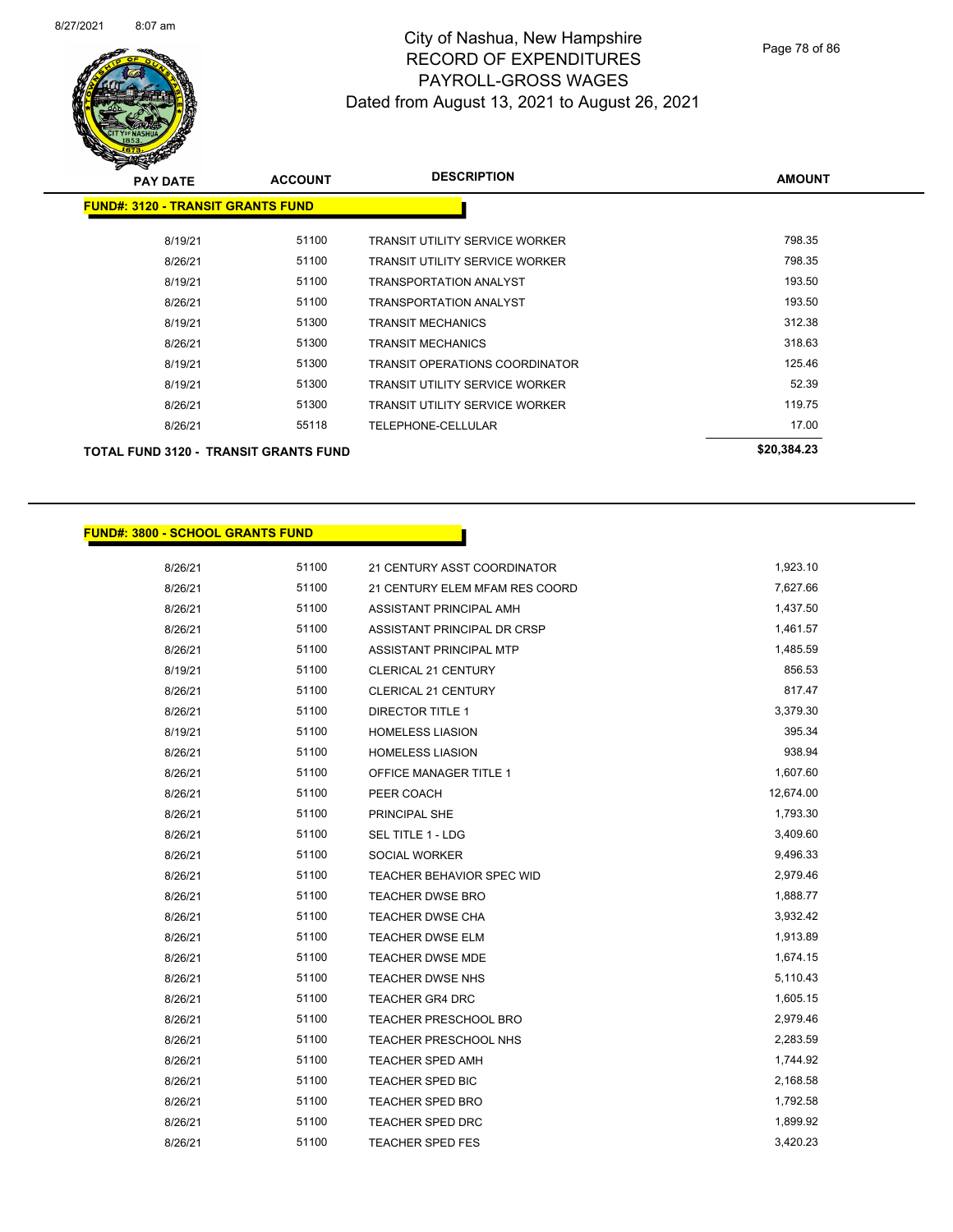

Page 78 of 86

| <b>PAY DATE</b>                          | <b>ACCOUNT</b> | <b>DESCRIPTION</b>                    | <b>AMOUNT</b> |
|------------------------------------------|----------------|---------------------------------------|---------------|
| <b>FUND#: 3120 - TRANSIT GRANTS FUND</b> |                |                                       |               |
| 8/19/21                                  | 51100          | TRANSIT UTILITY SERVICE WORKER        | 798.35        |
| 8/26/21                                  | 51100          | <b>TRANSIT UTILITY SERVICE WORKER</b> | 798.35        |
| 8/19/21                                  | 51100          | <b>TRANSPORTATION ANALYST</b>         | 193.50        |
| 8/26/21                                  | 51100          | <b>TRANSPORTATION ANALYST</b>         | 193.50        |
| 8/19/21                                  | 51300          | <b>TRANSIT MECHANICS</b>              | 312.38        |
| 8/26/21                                  | 51300          | TRANSIT MECHANICS                     | 318.63        |
| 8/19/21                                  | 51300          | <b>TRANSIT OPERATIONS COORDINATOR</b> | 125.46        |
| 8/19/21                                  | 51300          | TRANSIT UTILITY SERVICE WORKER        | 52.39         |
| 8/26/21                                  | 51300          | <b>TRANSIT UTILITY SERVICE WORKER</b> | 119.75        |
| 8/26/21                                  | 55118          | TELEPHONE-CELLULAR                    | 17.00         |
| TOTAL FUND 3120 - TRANSIT GRANTS FUND    |                |                                       | \$20,384.23   |

#### **FUND#: 3800 - SCHOOL GRANTS FUND**

8/26/21 51100 21 CENTURY ASST COORDINATOR 1,923.10 8/26/21 51100 21 CENTURY ELEM MFAM RES COORD 60 27,627.66 8/26/21 51100 ASSISTANT PRINCIPAL AMH 8/26/21 51100 ASSISTANT PRINCIPAL DR CRSP 1,461.57 8/26/21 51100 ASSISTANT PRINCIPAL MTP 1,485.59 8/19/21 51100 CLERICAL 21 CENTURY 856.53 8/26/21 51100 CLERICAL 21 CENTURY 517.47 8/26/21 51100 DIRECTOR TITLE 1 3,379.30 8/19/21 51100 HOMELESS LIASION 395.34 8/26/21 51100 HOMELESS LIASION 5088.94 8/26/21 51100 OFFICE MANAGER TITLE 1 307.60 1,607.60 8/26/21 51100 PEER COACH 561 12,674.00 8/26/21 51100 PRINCIPAL SHE 1,793.30 8/26/21 51100 SEL TITLE 1 - LDG 3,409.60 8/26/21 51100 SOCIAL WORKER 9,496.33 8/26/21 51100 TEACHER BEHAVIOR SPEC WID 2,979.46 8/26/21 51100 TEACHER DWSE BRO 1,888.77 8/26/21 51100 TEACHER DWSE CHA 3,932.42 8/26/21 51100 TEACHER DWSE ELM 1,913.89 8/26/21 51100 TEACHER DWSE MDE 1,674.15 8/26/21 51100 TEACHER DWSE NHS 5,110.43 8/26/21 51100 TEACHER GR4 DRC 1,605.15 8/26/21 51100 TEACHER PRESCHOOL BRO 2,979.46 8/26/21 51100 TEACHER PRESCHOOL NHS 32.263.59 8/26/21 51100 TEACHER SPED AMH 1,744.92 8/26/21 51100 TEACHER SPED BIC 30 2,168.58 8/26/21 51100 TEACHER SPED BRO 1,792.58 8/26/21 51100 TEACHER SPED DRC 56 1,899.92 8/26/21 51100 TEACHER SPED FES 3,420.23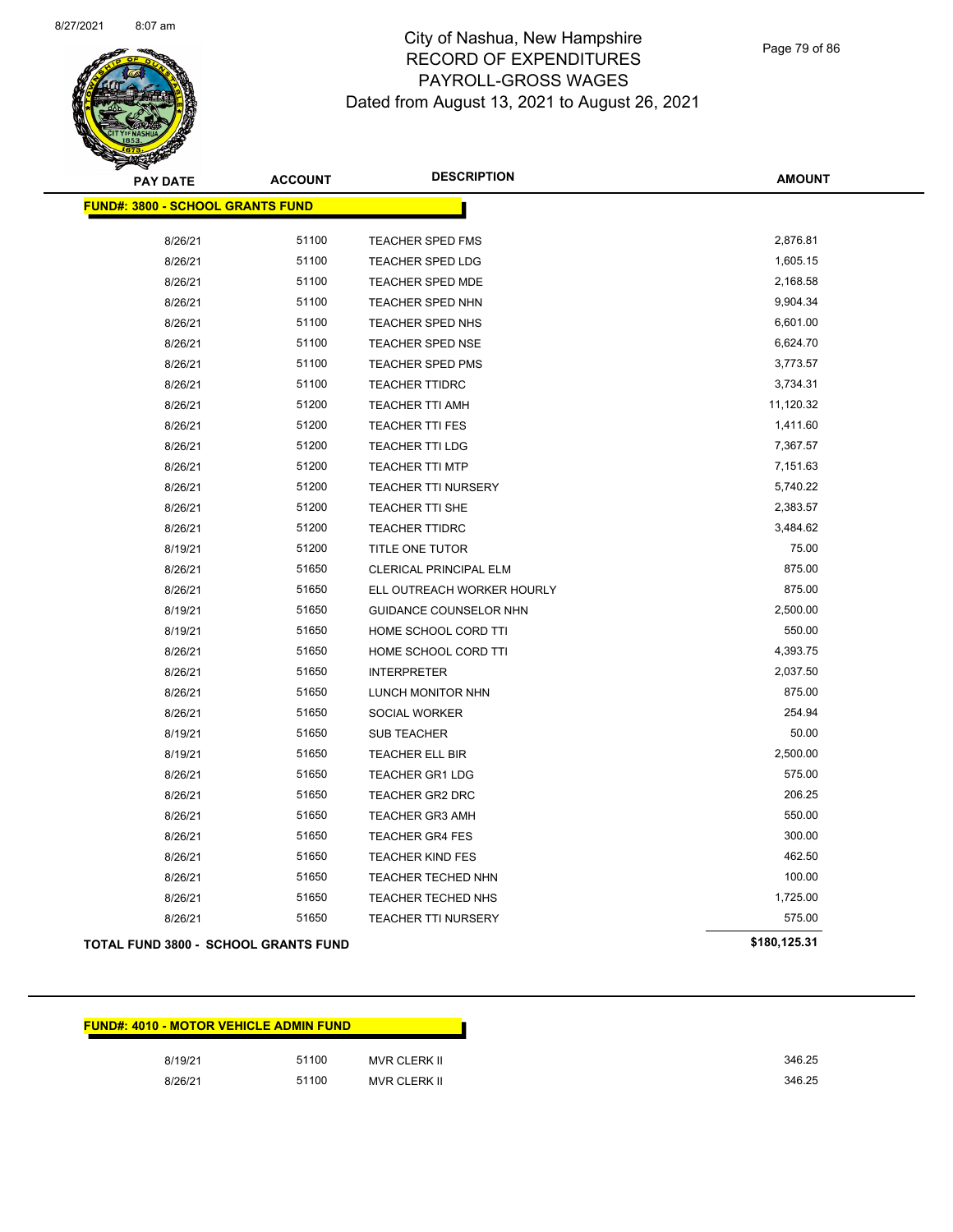

Page 79 of 86

| <b>PAY DATE</b>                             | <b>ACCOUNT</b> | <b>DESCRIPTION</b>         | <b>AMOUNT</b> |
|---------------------------------------------|----------------|----------------------------|---------------|
| <b>FUND#: 3800 - SCHOOL GRANTS FUND</b>     |                |                            |               |
| 8/26/21                                     | 51100          | <b>TEACHER SPED FMS</b>    | 2,876.81      |
| 8/26/21                                     | 51100          | TEACHER SPED LDG           | 1,605.15      |
| 8/26/21                                     | 51100          | <b>TEACHER SPED MDE</b>    | 2,168.58      |
| 8/26/21                                     | 51100          | <b>TEACHER SPED NHN</b>    | 9,904.34      |
| 8/26/21                                     | 51100          | TEACHER SPED NHS           | 6,601.00      |
| 8/26/21                                     | 51100          | <b>TEACHER SPED NSE</b>    | 6,624.70      |
| 8/26/21                                     | 51100          | <b>TEACHER SPED PMS</b>    | 3,773.57      |
| 8/26/21                                     | 51100          | <b>TEACHER TTIDRC</b>      | 3,734.31      |
| 8/26/21                                     | 51200          | TEACHER TTI AMH            | 11,120.32     |
| 8/26/21                                     | 51200          | <b>TEACHER TTI FES</b>     | 1,411.60      |
| 8/26/21                                     | 51200          | <b>TEACHER TTI LDG</b>     | 7,367.57      |
| 8/26/21                                     | 51200          | <b>TEACHER TTI MTP</b>     | 7,151.63      |
| 8/26/21                                     | 51200          | TEACHER TTI NURSERY        | 5,740.22      |
| 8/26/21                                     | 51200          | <b>TEACHER TTI SHE</b>     | 2,383.57      |
| 8/26/21                                     | 51200          | <b>TEACHER TTIDRC</b>      | 3,484.62      |
| 8/19/21                                     | 51200          | TITLE ONE TUTOR            | 75.00         |
| 8/26/21                                     | 51650          | CLERICAL PRINCIPAL ELM     | 875.00        |
| 8/26/21                                     | 51650          | ELL OUTREACH WORKER HOURLY | 875.00        |
| 8/19/21                                     | 51650          | GUIDANCE COUNSELOR NHN     | 2,500.00      |
| 8/19/21                                     | 51650          | HOME SCHOOL CORD TTI       | 550.00        |
| 8/26/21                                     | 51650          | HOME SCHOOL CORD TTI       | 4,393.75      |
| 8/26/21                                     | 51650          | <b>INTERPRETER</b>         | 2,037.50      |
| 8/26/21                                     | 51650          | LUNCH MONITOR NHN          | 875.00        |
| 8/26/21                                     | 51650          | SOCIAL WORKER              | 254.94        |
| 8/19/21                                     | 51650          | <b>SUB TEACHER</b>         | 50.00         |
| 8/19/21                                     | 51650          | TEACHER ELL BIR            | 2,500.00      |
| 8/26/21                                     | 51650          | <b>TEACHER GR1 LDG</b>     | 575.00        |
| 8/26/21                                     | 51650          | <b>TEACHER GR2 DRC</b>     | 206.25        |
| 8/26/21                                     | 51650          | <b>TEACHER GR3 AMH</b>     | 550.00        |
| 8/26/21                                     | 51650          | <b>TEACHER GR4 FES</b>     | 300.00        |
| 8/26/21                                     | 51650          | <b>TEACHER KIND FES</b>    | 462.50        |
| 8/26/21                                     | 51650          | TEACHER TECHED NHN         | 100.00        |
| 8/26/21                                     | 51650          | <b>TEACHER TECHED NHS</b>  | 1,725.00      |
| 8/26/21                                     | 51650          | <b>TEACHER TTI NURSERY</b> | 575.00        |
| <b>TOTAL FUND 3800 - SCHOOL GRANTS FUND</b> |                |                            | \$180,125.31  |

| <b>FUND#: 4010 - MOTOR VEHICLE ADMIN FUND</b> |       |              |
|-----------------------------------------------|-------|--------------|
| 8/19/21                                       | 51100 | MVR CLERK II |
| 8/26/21                                       | 51100 | MVR CLERK II |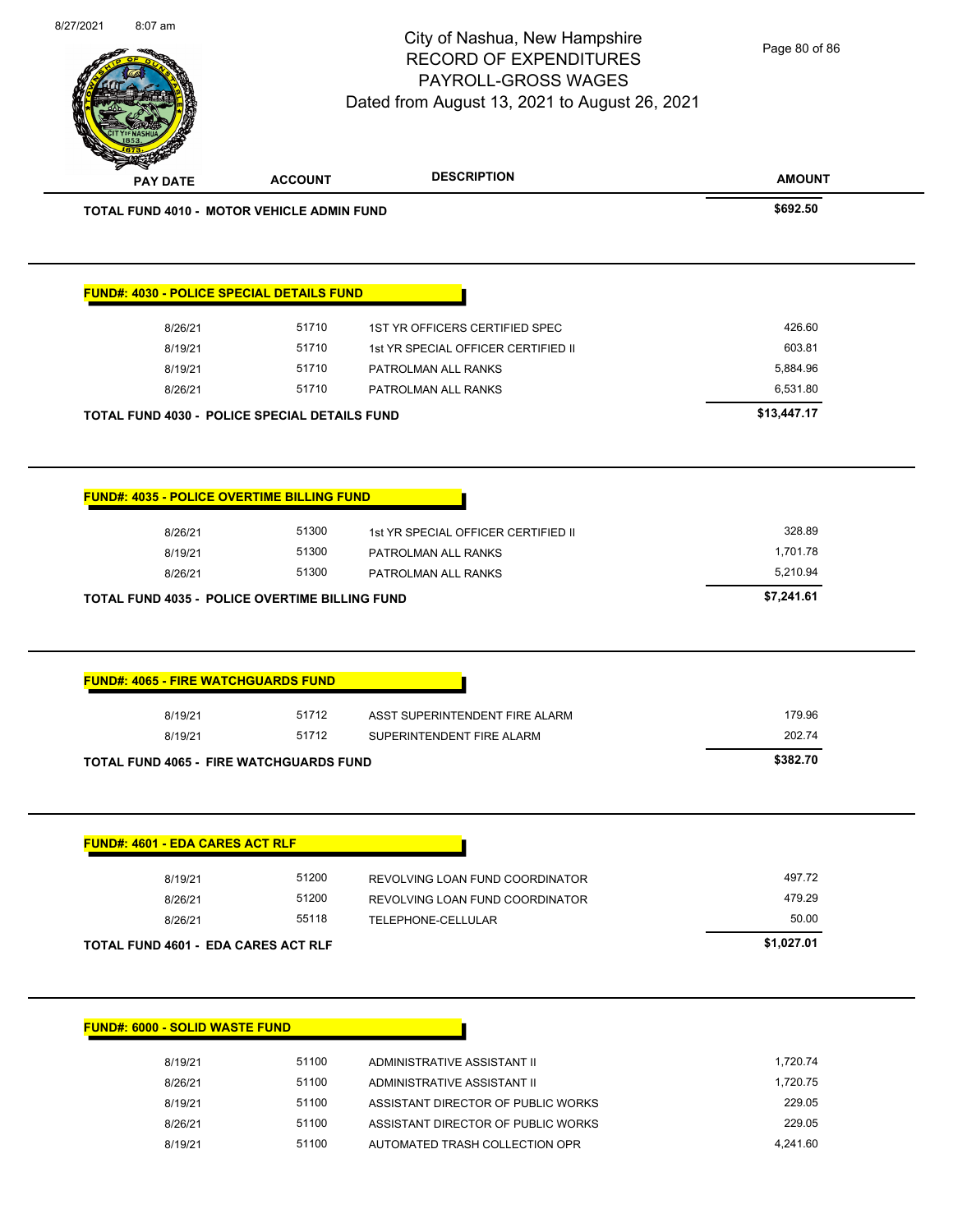|                                                       |       |                                     | <b>AMOUNT</b> |
|-------------------------------------------------------|-------|-------------------------------------|---------------|
| <b>TOTAL FUND 4010 - MOTOR VEHICLE ADMIN FUND</b>     |       |                                     | \$692.50      |
|                                                       |       |                                     |               |
| <b>FUND#: 4030 - POLICE SPECIAL DETAILS FUND</b>      |       |                                     |               |
| 8/26/21                                               | 51710 | 1ST YR OFFICERS CERTIFIED SPEC      | 426.60        |
| 8/19/21                                               | 51710 | 1st YR SPECIAL OFFICER CERTIFIED II | 603.81        |
| 8/19/21                                               | 51710 | PATROLMAN ALL RANKS                 | 5,884.96      |
| 8/26/21                                               | 51710 | PATROLMAN ALL RANKS                 | 6,531.80      |
| <b>TOTAL FUND 4030 - POLICE SPECIAL DETAILS FUND</b>  |       |                                     | \$13,447.17   |
|                                                       |       |                                     |               |
| <b>FUND#: 4035 - POLICE OVERTIME BILLING FUND</b>     |       |                                     |               |
|                                                       |       |                                     |               |
| 8/26/21                                               | 51300 | 1st YR SPECIAL OFFICER CERTIFIED II | 328.89        |
|                                                       |       |                                     |               |
| 8/19/21                                               | 51300 | PATROLMAN ALL RANKS                 | 1,701.78      |
| 8/26/21                                               | 51300 | PATROLMAN ALL RANKS                 | 5,210.94      |
|                                                       |       |                                     | \$7,241.61    |
| <b>TOTAL FUND 4035 - POLICE OVERTIME BILLING FUND</b> |       |                                     |               |
| <b>FUND#: 4065 - FIRE WATCHGUARDS FUND</b>            |       |                                     |               |
| 8/19/21                                               | 51712 | ASST SUPERINTENDENT FIRE ALARM      | 179.96        |
| 8/19/21                                               | 51712 | SUPERINTENDENT FIRE ALARM           | 202.74        |
|                                                       |       |                                     | \$382.70      |
| <b>TOTAL FUND 4065 - FIRE WATCHGUARDS FUND</b>        |       |                                     |               |
| <b>FUND#: 4601 - EDA CARES ACT RLF</b>                |       |                                     |               |
| 8/19/21                                               | 51200 | REVOLVING LOAN FUND COORDINATOR     | 497.72        |
| 8/26/21                                               | 51200 | REVOLVING LOAN FUND COORDINATOR     | 479.29        |
| 8/26/21                                               | 55118 | TELEPHONE-CELLULAR                  | 50.00         |

### **FUND#: 6000 - SOLID WASTE FUND**

8/27/2021 8:07 am

| 8/19/21 | 51100 | ADMINISTRATIVE ASSISTANT II        | 1.720.74 |
|---------|-------|------------------------------------|----------|
| 8/26/21 | 51100 | ADMINISTRATIVE ASSISTANT II        | 1.720.75 |
| 8/19/21 | 51100 | ASSISTANT DIRECTOR OF PUBLIC WORKS | 229.05   |
| 8/26/21 | 51100 | ASSISTANT DIRECTOR OF PUBLIC WORKS | 229.05   |
| 8/19/21 | 51100 | AUTOMATED TRASH COLLECTION OPR     | 4.241.60 |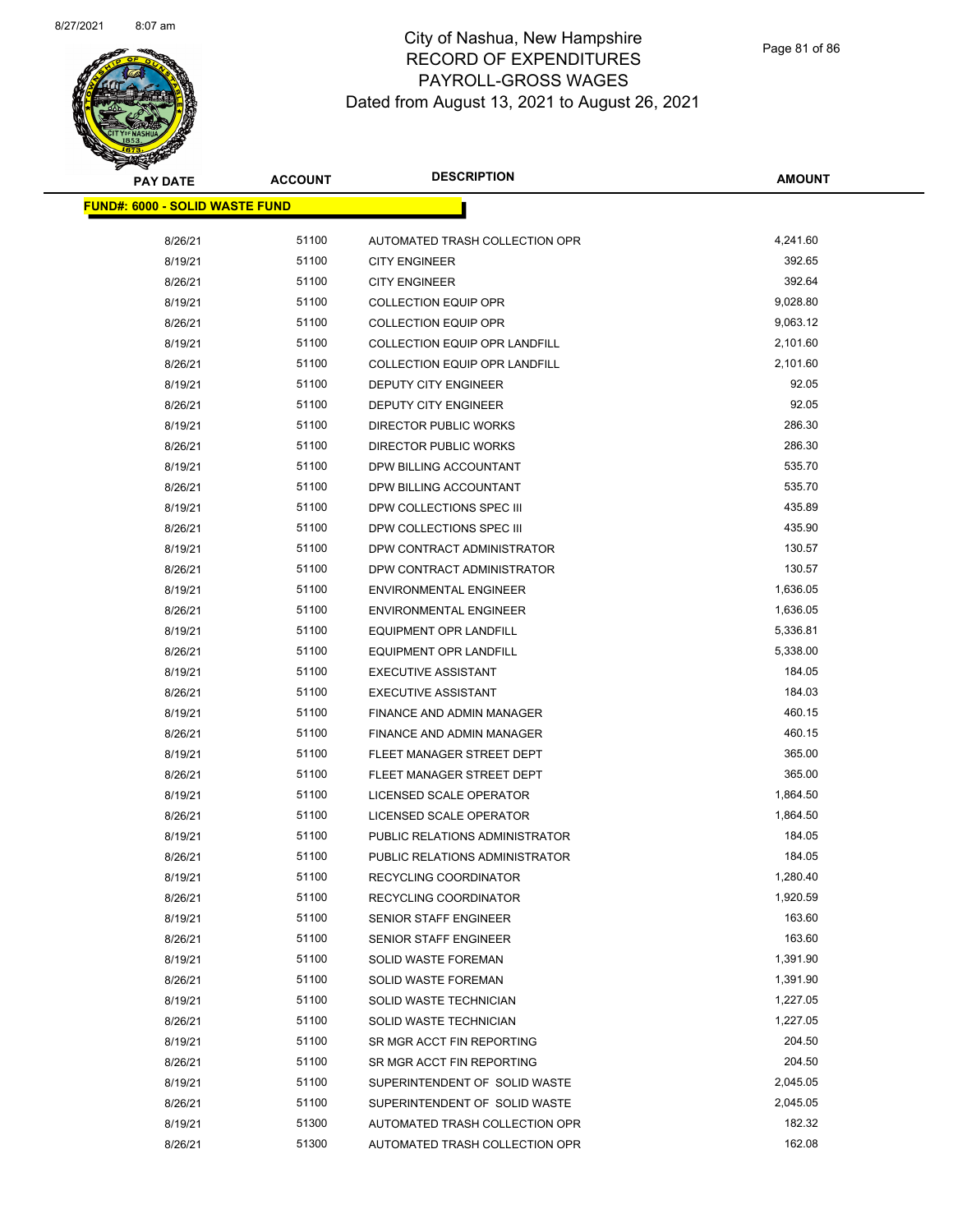

Page 81 of 86

| <b>PAY DATE</b>                       | <b>ACCOUNT</b> | <b>DESCRIPTION</b>                   | <b>AMOUNT</b> |
|---------------------------------------|----------------|--------------------------------------|---------------|
| <b>FUND#: 6000 - SOLID WASTE FUND</b> |                |                                      |               |
|                                       |                |                                      |               |
| 8/26/21                               | 51100          | AUTOMATED TRASH COLLECTION OPR       | 4,241.60      |
| 8/19/21                               | 51100          | <b>CITY ENGINEER</b>                 | 392.65        |
| 8/26/21                               | 51100          | <b>CITY ENGINEER</b>                 | 392.64        |
| 8/19/21                               | 51100          | <b>COLLECTION EQUIP OPR</b>          | 9,028.80      |
| 8/26/21                               | 51100          | <b>COLLECTION EQUIP OPR</b>          | 9,063.12      |
| 8/19/21                               | 51100          | <b>COLLECTION EQUIP OPR LANDFILL</b> | 2,101.60      |
| 8/26/21                               | 51100          | <b>COLLECTION EQUIP OPR LANDFILL</b> | 2,101.60      |
| 8/19/21                               | 51100          | <b>DEPUTY CITY ENGINEER</b>          | 92.05         |
| 8/26/21                               | 51100          | DEPUTY CITY ENGINEER                 | 92.05         |
| 8/19/21                               | 51100          | DIRECTOR PUBLIC WORKS                | 286.30        |
| 8/26/21                               | 51100          | DIRECTOR PUBLIC WORKS                | 286.30        |
| 8/19/21                               | 51100          | DPW BILLING ACCOUNTANT               | 535.70        |
| 8/26/21                               | 51100          | DPW BILLING ACCOUNTANT               | 535.70        |
| 8/19/21                               | 51100          | DPW COLLECTIONS SPEC III             | 435.89        |
| 8/26/21                               | 51100          | DPW COLLECTIONS SPEC III             | 435.90        |
| 8/19/21                               | 51100          | DPW CONTRACT ADMINISTRATOR           | 130.57        |
| 8/26/21                               | 51100          | DPW CONTRACT ADMINISTRATOR           | 130.57        |
| 8/19/21                               | 51100          | <b>ENVIRONMENTAL ENGINEER</b>        | 1,636.05      |
| 8/26/21                               | 51100          | <b>ENVIRONMENTAL ENGINEER</b>        | 1,636.05      |
| 8/19/21                               | 51100          | <b>EQUIPMENT OPR LANDFILL</b>        | 5,336.81      |
| 8/26/21                               | 51100          | <b>EQUIPMENT OPR LANDFILL</b>        | 5,338.00      |
| 8/19/21                               | 51100          | <b>EXECUTIVE ASSISTANT</b>           | 184.05        |
| 8/26/21                               | 51100          | <b>EXECUTIVE ASSISTANT</b>           | 184.03        |
| 8/19/21                               | 51100          | FINANCE AND ADMIN MANAGER            | 460.15        |
| 8/26/21                               | 51100          | FINANCE AND ADMIN MANAGER            | 460.15        |
| 8/19/21                               | 51100          | FLEET MANAGER STREET DEPT            | 365.00        |
| 8/26/21                               | 51100          | FLEET MANAGER STREET DEPT            | 365.00        |
| 8/19/21                               | 51100          | LICENSED SCALE OPERATOR              | 1,864.50      |
| 8/26/21                               | 51100          | LICENSED SCALE OPERATOR              | 1,864.50      |
| 8/19/21                               | 51100          | PUBLIC RELATIONS ADMINISTRATOR       | 184.05        |
| 8/26/21                               | 51100          | PUBLIC RELATIONS ADMINISTRATOR       | 184.05        |
| 8/19/21                               | 51100          | RECYCLING COORDINATOR                | 1,280.40      |
| 8/26/21                               | 51100          | RECYCLING COORDINATOR                | 1,920.59      |
| 8/19/21                               | 51100          | SENIOR STAFF ENGINEER                | 163.60        |
| 8/26/21                               | 51100          | SENIOR STAFF ENGINEER                | 163.60        |
| 8/19/21                               | 51100          | <b>SOLID WASTE FOREMAN</b>           | 1,391.90      |
| 8/26/21                               | 51100          | <b>SOLID WASTE FOREMAN</b>           | 1,391.90      |
| 8/19/21                               | 51100          | SOLID WASTE TECHNICIAN               | 1,227.05      |
| 8/26/21                               | 51100          | SOLID WASTE TECHNICIAN               | 1,227.05      |
| 8/19/21                               | 51100          | SR MGR ACCT FIN REPORTING            | 204.50        |
| 8/26/21                               | 51100          | SR MGR ACCT FIN REPORTING            | 204.50        |
| 8/19/21                               | 51100          | SUPERINTENDENT OF SOLID WASTE        | 2,045.05      |
| 8/26/21                               | 51100          | SUPERINTENDENT OF SOLID WASTE        | 2,045.05      |
| 8/19/21                               | 51300          | AUTOMATED TRASH COLLECTION OPR       | 182.32        |
| 8/26/21                               | 51300          | AUTOMATED TRASH COLLECTION OPR       | 162.08        |
|                                       |                |                                      |               |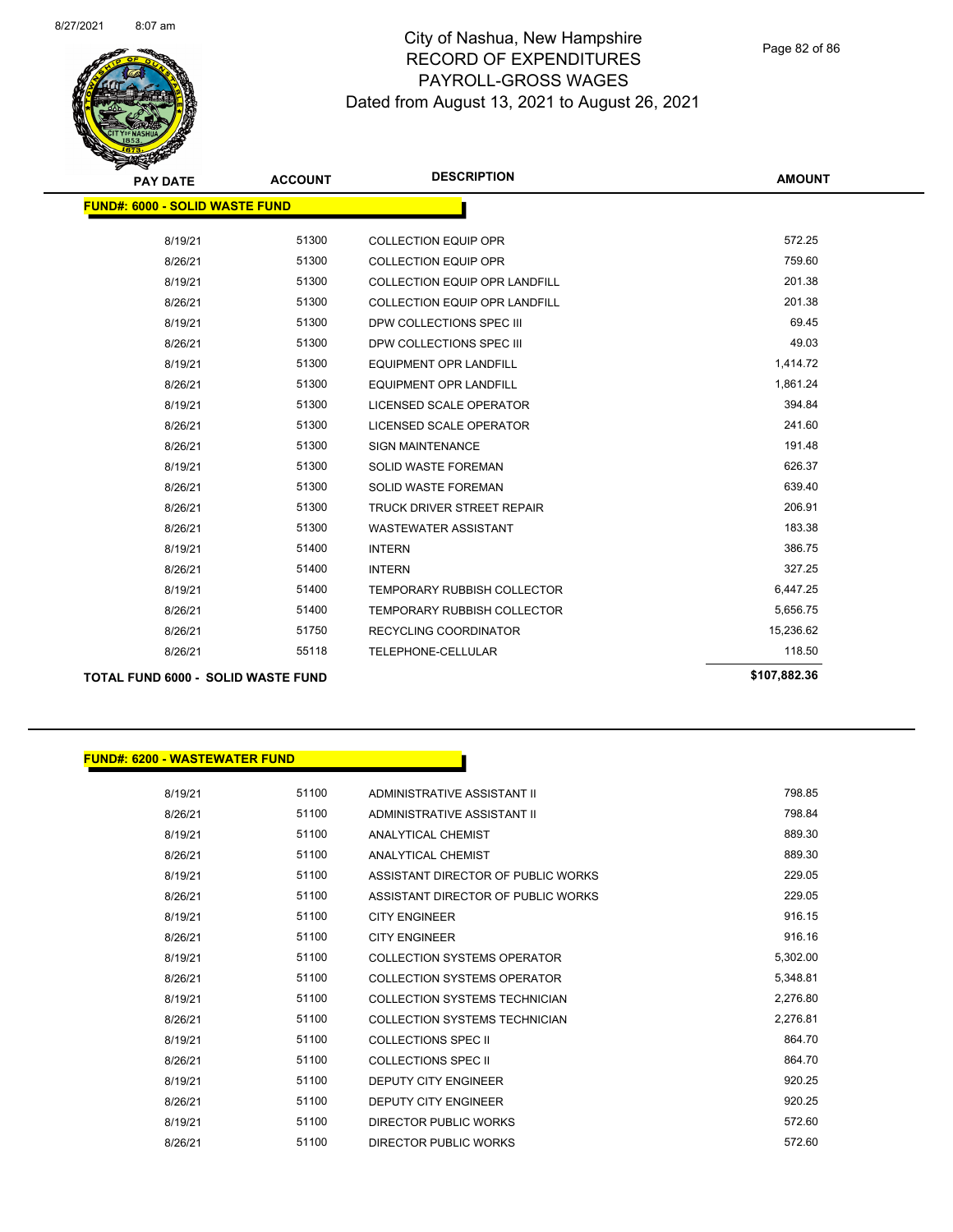

**FUND#: 6200 - WASTEWATER FUND**

### City of Nashua, New Hampshire RECORD OF EXPENDITURES PAYROLL-GROSS WAGES Dated from August 13, 2021 to August 26, 2021

Page 82 of 86

| <b>PAY DATE</b>                           | <b>ACCOUNT</b> | <b>DESCRIPTION</b>                   | <b>AMOUNT</b> |
|-------------------------------------------|----------------|--------------------------------------|---------------|
| <b>FUND#: 6000 - SOLID WASTE FUND</b>     |                |                                      |               |
| 8/19/21                                   | 51300          | <b>COLLECTION EQUIP OPR</b>          | 572.25        |
|                                           |                |                                      | 759.60        |
| 8/26/21                                   | 51300          | <b>COLLECTION EQUIP OPR</b>          |               |
| 8/19/21                                   | 51300          | <b>COLLECTION EQUIP OPR LANDFILL</b> | 201.38        |
| 8/26/21                                   | 51300          | <b>COLLECTION EQUIP OPR LANDFILL</b> | 201.38        |
| 8/19/21                                   | 51300          | DPW COLLECTIONS SPEC III             | 69.45         |
| 8/26/21                                   | 51300          | DPW COLLECTIONS SPEC III             | 49.03         |
| 8/19/21                                   | 51300          | <b>EQUIPMENT OPR LANDFILL</b>        | 1,414.72      |
| 8/26/21                                   | 51300          | <b>EQUIPMENT OPR LANDFILL</b>        | 1,861.24      |
| 8/19/21                                   | 51300          | LICENSED SCALE OPERATOR              | 394.84        |
| 8/26/21                                   | 51300          | LICENSED SCALE OPERATOR              | 241.60        |
| 8/26/21                                   | 51300          | <b>SIGN MAINTENANCE</b>              | 191.48        |
| 8/19/21                                   | 51300          | <b>SOLID WASTE FOREMAN</b>           | 626.37        |
| 8/26/21                                   | 51300          | <b>SOLID WASTE FOREMAN</b>           | 639.40        |
| 8/26/21                                   | 51300          | <b>TRUCK DRIVER STREET REPAIR</b>    | 206.91        |
| 8/26/21                                   | 51300          | <b>WASTEWATER ASSISTANT</b>          | 183.38        |
| 8/19/21                                   | 51400          | <b>INTERN</b>                        | 386.75        |
| 8/26/21                                   | 51400          | <b>INTERN</b>                        | 327.25        |
| 8/19/21                                   | 51400          | TEMPORARY RUBBISH COLLECTOR          | 6,447.25      |
| 8/26/21                                   | 51400          | <b>TEMPORARY RUBBISH COLLECTOR</b>   | 5,656.75      |
| 8/26/21                                   | 51750          | <b>RECYCLING COORDINATOR</b>         | 15,236.62     |
| 8/26/21                                   | 55118          | TELEPHONE-CELLULAR                   | 118.50        |
| <b>TOTAL FUND 6000 - SOLID WASTE FUND</b> |                |                                      | \$107,882.36  |

# 8/19/21 51100 ADMINISTRATIVE ASSISTANT II 798.85 8/26/21 51100 ADMINISTRATIVE ASSISTANT II 798.84 8/19/21 51100 ANALYTICAL CHEMIST 689.30 8/26/21 51100 ANALYTICAL CHEMIST 689.30 8/19/21 51100 ASSISTANT DIRECTOR OF PUBLIC WORKS 229.05 8/26/21 51100 ASSISTANT DIRECTOR OF PUBLIC WORKS 229.05 8/19/21 51100 CITY ENGINEER 916.15 8/26/21 51100 CITY ENGINEER 916.16 8/19/21 51100 COLLECTION SYSTEMS OPERATOR 5.302.00 8/26/21 51100 COLLECTION SYSTEMS OPERATOR 57348.81 8/19/21 51100 COLLECTION SYSTEMS TECHNICIAN 2,276.80 8/26/21 51100 COLLECTION SYSTEMS TECHNICIAN 2,276.81 8/19/21 51100 COLLECTIONS SPEC II 3664.70 8/26/21 51100 COLLECTIONS SPEC II 364.70 8/19/21 51100 DEPUTY CITY ENGINEER 520.25 8/26/21 51100 DEPUTY CITY ENGINEER 520.25 8/19/21 51100 DIRECTOR PUBLIC WORKS 572.60 8/26/21 51100 DIRECTOR PUBLIC WORKS 572.60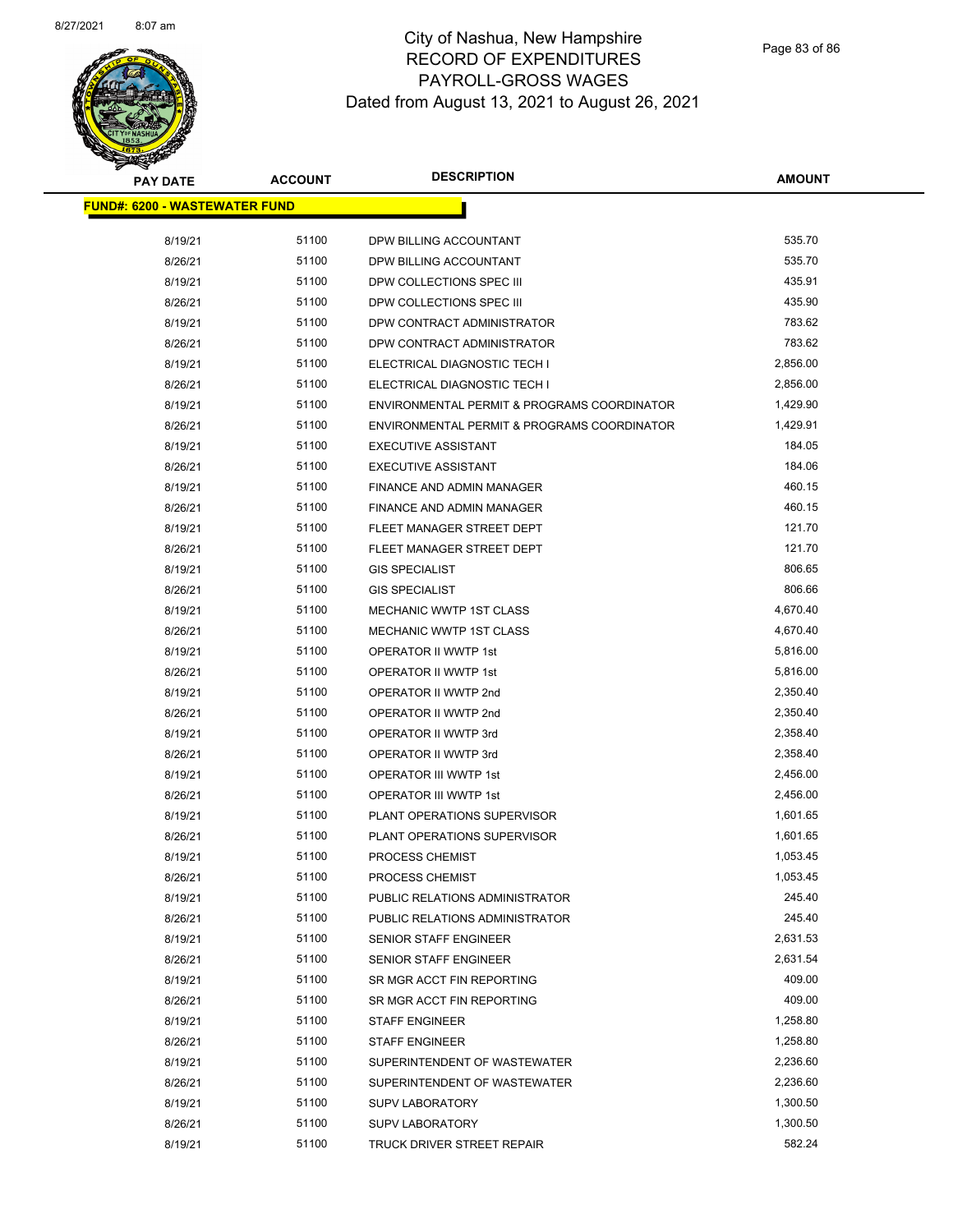

Page 83 of 86

| <b>PAY DATE</b>                      | <b>ACCOUNT</b> | <b>DESCRIPTION</b>                          | <b>AMOUNT</b> |
|--------------------------------------|----------------|---------------------------------------------|---------------|
| <b>FUND#: 6200 - WASTEWATER FUND</b> |                |                                             |               |
|                                      |                |                                             |               |
| 8/19/21                              | 51100          | DPW BILLING ACCOUNTANT                      | 535.70        |
| 8/26/21                              | 51100          | DPW BILLING ACCOUNTANT                      | 535.70        |
| 8/19/21                              | 51100          | DPW COLLECTIONS SPEC III                    | 435.91        |
| 8/26/21                              | 51100          | DPW COLLECTIONS SPEC III                    | 435.90        |
| 8/19/21                              | 51100          | DPW CONTRACT ADMINISTRATOR                  | 783.62        |
| 8/26/21                              | 51100          | DPW CONTRACT ADMINISTRATOR                  | 783.62        |
| 8/19/21                              | 51100          | ELECTRICAL DIAGNOSTIC TECH I                | 2,856.00      |
| 8/26/21                              | 51100          | ELECTRICAL DIAGNOSTIC TECH I                | 2,856.00      |
| 8/19/21                              | 51100          | ENVIRONMENTAL PERMIT & PROGRAMS COORDINATOR | 1,429.90      |
| 8/26/21                              | 51100          | ENVIRONMENTAL PERMIT & PROGRAMS COORDINATOR | 1,429.91      |
| 8/19/21                              | 51100          | <b>EXECUTIVE ASSISTANT</b>                  | 184.05        |
| 8/26/21                              | 51100          | <b>EXECUTIVE ASSISTANT</b>                  | 184.06        |
| 8/19/21                              | 51100          | <b>FINANCE AND ADMIN MANAGER</b>            | 460.15        |
| 8/26/21                              | 51100          | FINANCE AND ADMIN MANAGER                   | 460.15        |
| 8/19/21                              | 51100          | FLEET MANAGER STREET DEPT                   | 121.70        |
| 8/26/21                              | 51100          | FLEET MANAGER STREET DEPT                   | 121.70        |
| 8/19/21                              | 51100          | <b>GIS SPECIALIST</b>                       | 806.65        |
| 8/26/21                              | 51100          | <b>GIS SPECIALIST</b>                       | 806.66        |
| 8/19/21                              | 51100          | MECHANIC WWTP 1ST CLASS                     | 4,670.40      |
| 8/26/21                              | 51100          | <b>MECHANIC WWTP 1ST CLASS</b>              | 4,670.40      |
| 8/19/21                              | 51100          | OPERATOR II WWTP 1st                        | 5,816.00      |
| 8/26/21                              | 51100          | OPERATOR II WWTP 1st                        | 5,816.00      |
| 8/19/21                              | 51100          | OPERATOR II WWTP 2nd                        | 2,350.40      |
| 8/26/21                              | 51100          | OPERATOR II WWTP 2nd                        | 2,350.40      |
| 8/19/21                              | 51100          | OPERATOR II WWTP 3rd                        | 2,358.40      |
| 8/26/21                              | 51100          | OPERATOR II WWTP 3rd                        | 2,358.40      |
| 8/19/21                              | 51100          | OPERATOR III WWTP 1st                       | 2,456.00      |
| 8/26/21                              | 51100          | <b>OPERATOR III WWTP 1st</b>                | 2,456.00      |
| 8/19/21                              | 51100          | PLANT OPERATIONS SUPERVISOR                 | 1,601.65      |
| 8/26/21                              | 51100          | PLANT OPERATIONS SUPERVISOR                 | 1,601.65      |
| 8/19/21                              | 51100          | PROCESS CHEMIST                             | 1,053.45      |
| 8/26/21                              | 51100          | PROCESS CHEMIST                             | 1,053.45      |
| 8/19/21                              | 51100          | PUBLIC RELATIONS ADMINISTRATOR              | 245.40        |
| 8/26/21                              | 51100          | PUBLIC RELATIONS ADMINISTRATOR              | 245.40        |
| 8/19/21                              | 51100          | SENIOR STAFF ENGINEER                       | 2,631.53      |
| 8/26/21                              | 51100          | <b>SENIOR STAFF ENGINEER</b>                | 2,631.54      |
| 8/19/21                              | 51100          | SR MGR ACCT FIN REPORTING                   | 409.00        |
| 8/26/21                              | 51100          | SR MGR ACCT FIN REPORTING                   | 409.00        |
| 8/19/21                              | 51100          | <b>STAFF ENGINEER</b>                       | 1,258.80      |
| 8/26/21                              | 51100          | <b>STAFF ENGINEER</b>                       | 1,258.80      |
| 8/19/21                              | 51100          | SUPERINTENDENT OF WASTEWATER                | 2,236.60      |
| 8/26/21                              | 51100          | SUPERINTENDENT OF WASTEWATER                | 2,236.60      |
| 8/19/21                              | 51100          | <b>SUPV LABORATORY</b>                      | 1,300.50      |
| 8/26/21                              | 51100          | <b>SUPV LABORATORY</b>                      | 1,300.50      |
| 8/19/21                              | 51100          | TRUCK DRIVER STREET REPAIR                  | 582.24        |
|                                      |                |                                             |               |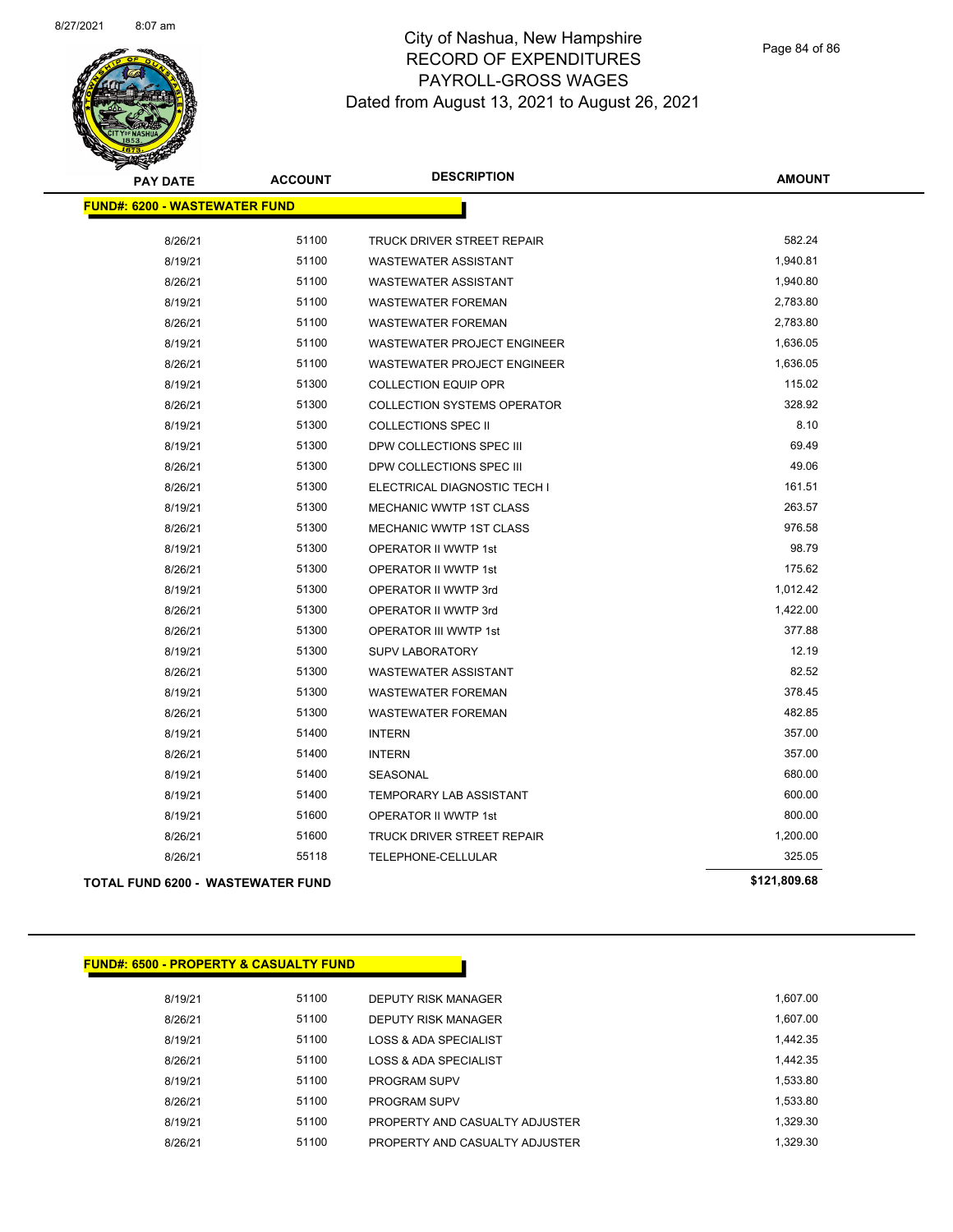

Page 84 of 86

| <b>PAY DATE</b>                          | <b>ACCOUNT</b> | <b>DESCRIPTION</b>                 | <b>AMOUNT</b> |
|------------------------------------------|----------------|------------------------------------|---------------|
| <b>FUND#: 6200 - WASTEWATER FUND</b>     |                |                                    |               |
| 8/26/21                                  | 51100          | TRUCK DRIVER STREET REPAIR         | 582.24        |
| 8/19/21                                  | 51100          | WASTEWATER ASSISTANT               | 1,940.81      |
| 8/26/21                                  | 51100          | <b>WASTEWATER ASSISTANT</b>        | 1,940.80      |
| 8/19/21                                  | 51100          | <b>WASTEWATER FOREMAN</b>          | 2,783.80      |
| 8/26/21                                  | 51100          | <b>WASTEWATER FOREMAN</b>          | 2,783.80      |
| 8/19/21                                  | 51100          | <b>WASTEWATER PROJECT ENGINEER</b> | 1,636.05      |
| 8/26/21                                  | 51100          | <b>WASTEWATER PROJECT ENGINEER</b> | 1,636.05      |
| 8/19/21                                  | 51300          | <b>COLLECTION EQUIP OPR</b>        | 115.02        |
| 8/26/21                                  | 51300          | COLLECTION SYSTEMS OPERATOR        | 328.92        |
| 8/19/21                                  | 51300          | <b>COLLECTIONS SPEC II</b>         | 8.10          |
| 8/19/21                                  | 51300          | DPW COLLECTIONS SPEC III           | 69.49         |
| 8/26/21                                  | 51300          | DPW COLLECTIONS SPEC III           | 49.06         |
| 8/26/21                                  | 51300          | ELECTRICAL DIAGNOSTIC TECH I       | 161.51        |
| 8/19/21                                  | 51300          | MECHANIC WWTP 1ST CLASS            | 263.57        |
| 8/26/21                                  | 51300          | MECHANIC WWTP 1ST CLASS            | 976.58        |
| 8/19/21                                  | 51300          | OPERATOR II WWTP 1st               | 98.79         |
| 8/26/21                                  | 51300          | OPERATOR II WWTP 1st               | 175.62        |
| 8/19/21                                  | 51300          | OPERATOR II WWTP 3rd               | 1,012.42      |
| 8/26/21                                  | 51300          | OPERATOR II WWTP 3rd               | 1,422.00      |
| 8/26/21                                  | 51300          | <b>OPERATOR III WWTP 1st</b>       | 377.88        |
| 8/19/21                                  | 51300          | <b>SUPV LABORATORY</b>             | 12.19         |
| 8/26/21                                  | 51300          | <b>WASTEWATER ASSISTANT</b>        | 82.52         |
| 8/19/21                                  | 51300          | <b>WASTEWATER FOREMAN</b>          | 378.45        |
| 8/26/21                                  | 51300          | <b>WASTEWATER FOREMAN</b>          | 482.85        |
| 8/19/21                                  | 51400          | <b>INTERN</b>                      | 357.00        |
| 8/26/21                                  | 51400          | <b>INTERN</b>                      | 357.00        |
| 8/19/21                                  | 51400          | SEASONAL                           | 680.00        |
| 8/19/21                                  | 51400          | TEMPORARY LAB ASSISTANT            | 600.00        |
| 8/19/21                                  | 51600          | OPERATOR II WWTP 1st               | 800.00        |
| 8/26/21                                  | 51600          | TRUCK DRIVER STREET REPAIR         | 1,200.00      |
| 8/26/21                                  | 55118          | TELEPHONE-CELLULAR                 | 325.05        |
| <b>TOTAL FUND 6200 - WASTEWATER FUND</b> |                |                                    | \$121,809.68  |

| <b>FUND#: 6500 - PROPERTY &amp; CASUALTY FUND</b> |       |                                |          |
|---------------------------------------------------|-------|--------------------------------|----------|
| 8/19/21                                           | 51100 | DEPUTY RISK MANAGER            | 1.607.00 |
| 8/26/21                                           | 51100 | <b>DEPUTY RISK MANAGER</b>     | 1,607.00 |
| 8/19/21                                           | 51100 | LOSS & ADA SPECIALIST          | 1.442.35 |
| 8/26/21                                           | 51100 | LOSS & ADA SPECIALIST          | 1.442.35 |
| 8/19/21                                           | 51100 | <b>PROGRAM SUPV</b>            | 1,533.80 |
| 8/26/21                                           | 51100 | <b>PROGRAM SUPV</b>            | 1,533.80 |
| 8/19/21                                           | 51100 | PROPERTY AND CASUALTY ADJUSTER | 1.329.30 |
| 8/26/21                                           | 51100 | PROPERTY AND CASUALTY ADJUSTER | 1.329.30 |
|                                                   |       |                                |          |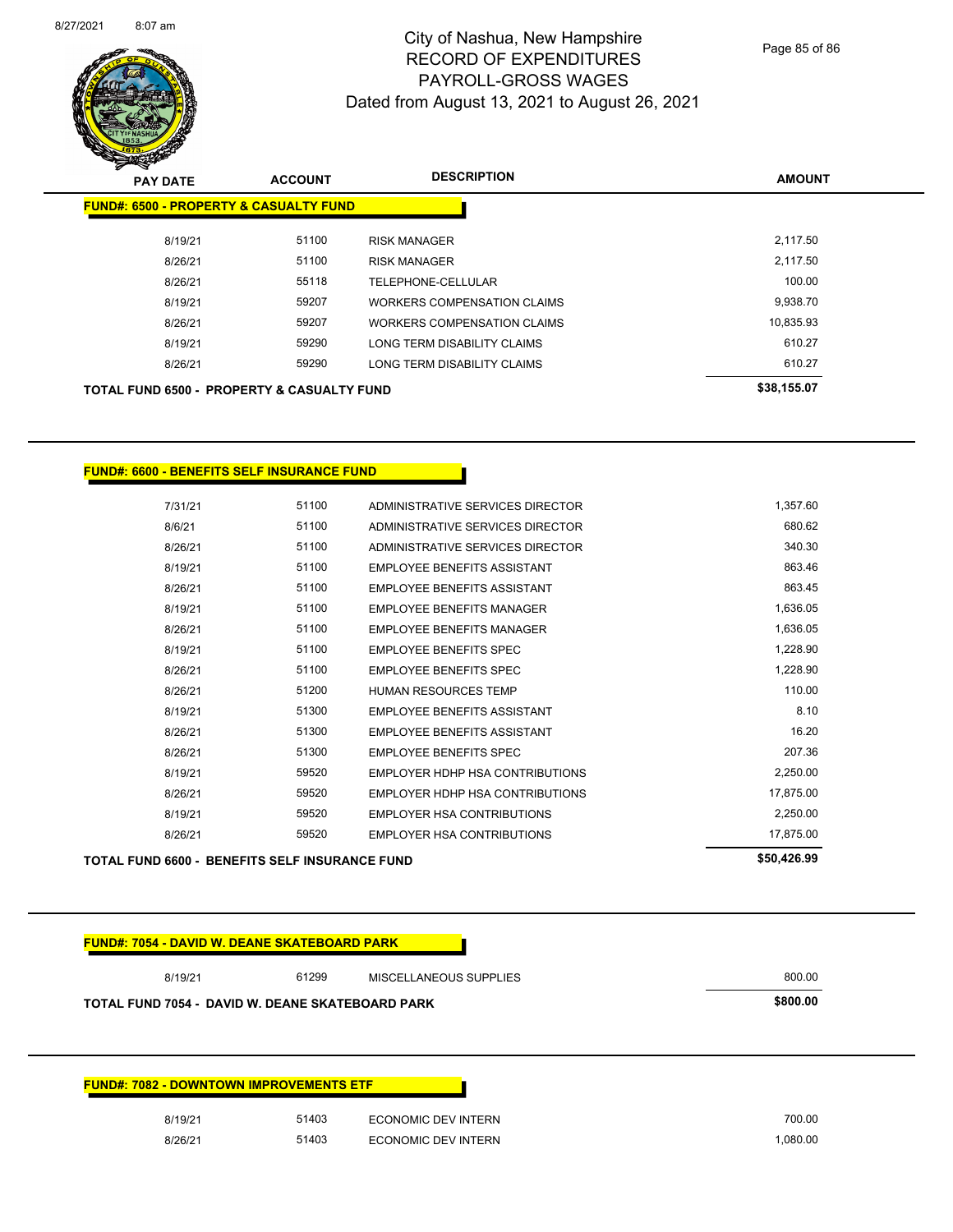

Page 85 of 86

| <b>PAY DATE</b>                                       | <b>ACCOUNT</b> | <b>DESCRIPTION</b>                 | <b>AMOUNT</b> |
|-------------------------------------------------------|----------------|------------------------------------|---------------|
| <b>FUND#: 6500 - PROPERTY &amp; CASUALTY FUND</b>     |                |                                    |               |
| 8/19/21                                               | 51100          | <b>RISK MANAGER</b>                | 2.117.50      |
| 8/26/21                                               | 51100          | <b>RISK MANAGER</b>                | 2,117.50      |
| 8/26/21                                               | 55118          | TELEPHONE-CELLULAR                 | 100.00        |
| 8/19/21                                               | 59207          | WORKERS COMPENSATION CLAIMS        | 9,938.70      |
| 8/26/21                                               | 59207          | <b>WORKERS COMPENSATION CLAIMS</b> | 10,835.93     |
| 8/19/21                                               | 59290          | LONG TERM DISABILITY CLAIMS        | 610.27        |
| 8/26/21                                               | 59290          | LONG TERM DISABILITY CLAIMS        | 610.27        |
| <b>TOTAL FUND 6500 - PROPERTY &amp; CASUALTY FUND</b> |                |                                    | \$38,155.07   |

**FUND#: 6600 - BENEFITS SELF INSURANCE FUND**

| <b>TOTAL FUND 6600 - BENEFITS SELF INSURANCE FUND</b> |       |                                    | \$50,426.99 |
|-------------------------------------------------------|-------|------------------------------------|-------------|
| 8/26/21                                               | 59520 | <b>EMPLOYER HSA CONTRIBUTIONS</b>  | 17,875.00   |
| 8/19/21                                               | 59520 | <b>EMPLOYER HSA CONTRIBUTIONS</b>  | 2,250.00    |
| 8/26/21                                               | 59520 | EMPLOYER HDHP HSA CONTRIBUTIONS    | 17,875.00   |
| 8/19/21                                               | 59520 | EMPLOYER HDHP HSA CONTRIBUTIONS    | 2,250.00    |
| 8/26/21                                               | 51300 | <b>EMPLOYEE BENEFITS SPEC</b>      | 207.36      |
| 8/26/21                                               | 51300 | <b>EMPLOYEE BENEFITS ASSISTANT</b> | 16.20       |
| 8/19/21                                               | 51300 | <b>EMPLOYEE BENEFITS ASSISTANT</b> | 8.10        |
| 8/26/21                                               | 51200 | <b>HUMAN RESOURCES TEMP</b>        | 110.00      |
| 8/26/21                                               | 51100 | <b>EMPLOYEE BENEFITS SPEC</b>      | 1,228.90    |
| 8/19/21                                               | 51100 | <b>EMPLOYEE BENEFITS SPEC</b>      | 1,228.90    |
| 8/26/21                                               | 51100 | <b>EMPLOYEE BENEFITS MANAGER</b>   | 1,636.05    |
| 8/19/21                                               | 51100 | <b>EMPLOYEE BENEFITS MANAGER</b>   | 1,636.05    |
| 8/26/21                                               | 51100 | <b>EMPLOYEE BENEFITS ASSISTANT</b> | 863.45      |
| 8/19/21                                               | 51100 | <b>EMPLOYEE BENEFITS ASSISTANT</b> | 863.46      |
| 8/26/21                                               | 51100 | ADMINISTRATIVE SERVICES DIRECTOR   | 340.30      |
| 8/6/21                                                | 51100 | ADMINISTRATIVE SERVICES DIRECTOR   | 680.62      |
| 7/31/21                                               | 51100 | ADMINISTRATIVE SERVICES DIRECTOR   | 1,357.60    |

**FUND#: 7054 - DAVID W. DEANE SKATEBOARD PARK**

| 8/19/21                                          | 61299 | MISCELLANEOUS SUPPLIES | 800.00   |
|--------------------------------------------------|-------|------------------------|----------|
| TOTAL FUND 7054 - DAVID W. DEANE SKATEBOARD PARK |       |                        | \$800.00 |
|                                                  |       |                        |          |

| 51403<br>8/19/21<br><b>ECONOMIC DEV INTERN</b> |
|------------------------------------------------|
| 51403<br>8/26/21<br>ECONOMIC DEV INTERN        |